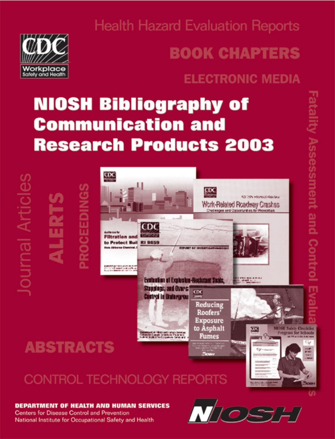

**Health Hazard Evaluation Reports** 

# **BOOK CHAPTERS**

# **ELECTRONIC MEDIA**

# **NIOSH Bibliography of Communication and Research Products 2003**

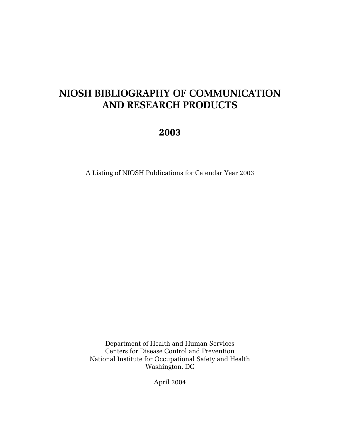## **NIOSH BIBLIOGRAPHY OF COMMUNICATION AND RESEARCH PRODUCTS**

### **2003**

A Listing of NIOSH Publications for Calendar Year 2003

Department of Health and Human Services Centers for Disease Control and Prevention National Institute for Occupational Safety and Health Washington, DC

April 2004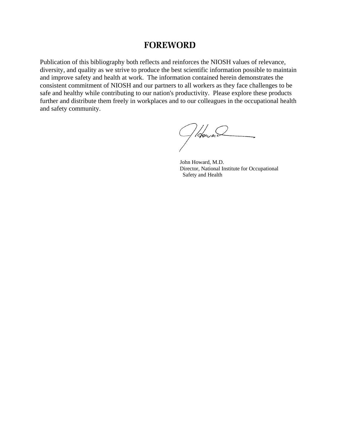#### **FOREWORD**

Publication of this bibliography both reflects and reinforces the NIOSH values of relevance, diversity, and quality as we strive to produce the best scientific information possible to maintain and improve safety and health at work. The information contained herein demonstrates the consistent commitment of NIOSH and our partners to all workers as they face challenges to be safe and healthy while contributing to our nation's productivity. Please explore these products further and distribute them freely in workplaces and to our colleagues in the occupational health and safety community.

Ploward

John Howard, M.D. Director, National Institute for Occupational Safety and Health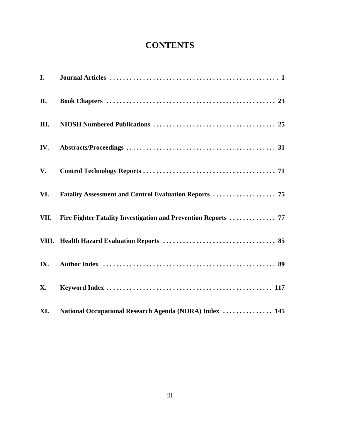### **CONTENTS**

| $\mathbf{I}$ . |                                                                     |
|----------------|---------------------------------------------------------------------|
| II.            |                                                                     |
| Ш.             |                                                                     |
| IV.            |                                                                     |
| V.             |                                                                     |
| VI.            |                                                                     |
|                | VII. Fire Fighter Fatality Investigation and Prevention Reports  77 |
|                |                                                                     |
| IX.            |                                                                     |
| <b>X.</b>      |                                                                     |
| XI.            | National Occupational Research Agenda (NORA) Index  145             |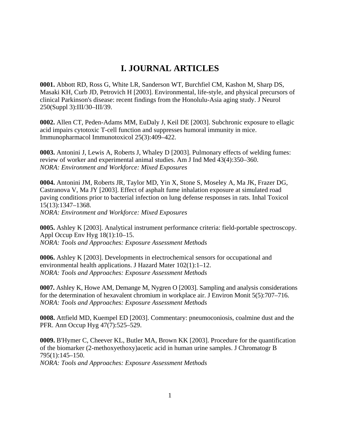#### **I. JOURNAL ARTICLES**

**0001.** Abbott RD, Ross G, White LR, Sanderson WT, Burchfiel CM, Kashon M, Sharp DS, Masaki KH, Curb JD, Petrovich H [2003]. Environmental, life-style, and physical precursors of clinical Parkinson's disease: recent findings from the Honolulu-Asia aging study. J Neurol 250(Suppl 3):III/30–III/39.

**0002.** Allen CT, Peden-Adams MM, EuDaly J, Keil DE [2003]. Subchronic exposure to ellagic acid impairs cytotoxic T-cell function and suppresses humoral immunity in mice. Immunopharmacol Immunotoxicol 25(3):409–422.

**0003.** Antonini J, Lewis A, Roberts J, Whaley D [2003]. Pulmonary effects of welding fumes: review of worker and experimental animal studies. Am J Ind Med 43(4):350–360. *NORA: Environment and Workforce: Mixed Exposures*

**0004.** Antonini JM, Roberts JR, Taylor MD, Yin X, Stone S, Moseley A, Ma JK, Frazer DG, Castranova V, Ma JY [2003]. Effect of asphalt fume inhalation exposure at simulated road paving conditions prior to bacterial infection on lung defense responses in rats. Inhal Toxicol 15(13):1347–1368.

*NORA: Environment and Workforce: Mixed Exposures*

**0005.** Ashley K [2003]. Analytical instrument performance criteria: field-portable spectroscopy. Appl Occup Env Hyg 18(1):10–15. *NORA: Tools and Approaches: Exposure Assessment Methods*

**0006.** Ashley K [2003]. Developments in electrochemical sensors for occupational and environmental health applications. J Hazard Mater 102(1):1–12. *NORA: Tools and Approaches: Exposure Assessment Methods*

**0007.** Ashley K, Howe AM, Demange M, Nygren O [2003]. Sampling and analysis considerations for the determination of hexavalent chromium in workplace air. J Environ Monit 5(5):707–716. *NORA: Tools and Approaches: Exposure Assessment Methods*

**0008.** Attfield MD, Kuempel ED [2003]. Commentary: pneumoconiosis, coalmine dust and the PFR. Ann Occup Hyg 47(7):525–529.

**0009.** B'Hymer C, Cheever KL, Butler MA, Brown KK [2003]. Procedure for the quantification of the biomarker (2-methoxyethoxy)acetic acid in human urine samples. J Chromatogr B 795(1):145–150. *NORA: Tools and Approaches: Exposure Assessment Methods*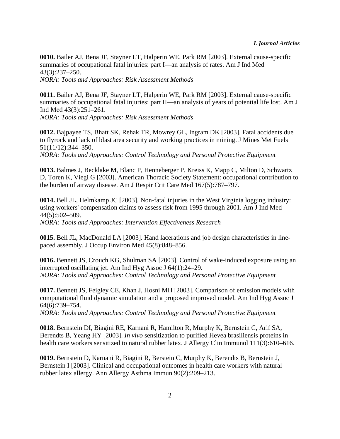**0010.** Bailer AJ, Bena JF, Stayner LT, Halperin WE, Park RM [2003]. External cause-specific summaries of occupational fatal injuries: part I—an analysis of rates. Am J Ind Med 43(3):237–250. *NORA: Tools and Approaches: Risk Assessment Methods*

**0011.** Bailer AJ, Bena JF, Stayner LT, Halperin WE, Park RM [2003]. External cause-specific summaries of occupational fatal injuries: part II—an analysis of years of potential life lost. Am J Ind Med 43(3):251–261.

*NORA: Tools and Approaches: Risk Assessment Methods*

**0012.** Bajpayee TS, Bhatt SK, Rehak TR, Mowrey GL, Ingram DK [2003]. Fatal accidents due to flyrock and lack of blast area security and working practices in mining. J Mines Met Fuels 51(11/12):344–350.

*NORA: Tools and Approaches: Control Technology and Personal Protective Equipment*

**0013.** Balmes J, Becklake M, Blanc P, Henneberger P, Kreiss K, Mapp C, Milton D, Schwartz D, Toren K, Viegi G [2003]. American Thoracic Society Statement: occupational contribution to the burden of airway disease. Am J Respir Crit Care Med 167(5):787–797.

**0014.** Bell JL, Helmkamp JC [2003]. Non-fatal injuries in the West Virginia logging industry: using workers' compensation claims to assess risk from 1995 through 2001. Am J Ind Med 44(5):502–509.

*NORA: Tools and Approaches: Intervention Effectiveness Research*

**0015.** Bell JL, MacDonald LA [2003]. Hand lacerations and job design characteristics in linepaced assembly. J Occup Environ Med 45(8):848–856.

**0016.** Bennett JS, Crouch KG, Shulman SA [2003]. Control of wake-induced exposure using an interrupted oscillating jet. Am Ind Hyg Assoc J 64(1):24–29. *NORA: Tools and Approaches: Control Technology and Personal Protective Equipment*

**0017.** Bennett JS, Feigley CE, Khan J, Hosni MH [2003]. Comparison of emission models with computational fluid dynamic simulation and a proposed improved model. Am Ind Hyg Assoc J 64(6):739–754.

*NORA: Tools and Approaches: Control Technology and Personal Protective Equipment*

**0018.** Bernstein DI, Biagini RE, Karnani R, Hamilton R, Murphy K, Bernstein C, Arif SA, Berendts B, Yeang HY [2003]. *In vivo* sensitization to purified Hevea brasiliensis proteins in health care workers sensitized to natural rubber latex. J Allergy Clin Immunol 111(3):610–616.

**0019.** Bernstein D, Karnani R, Biagini R, Berstein C, Murphy K, Berendts B, Bernstein J, Bernstein I [2003]. Clinical and occupational outcomes in health care workers with natural rubber latex allergy. Ann Allergy Asthma Immun 90(2):209–213.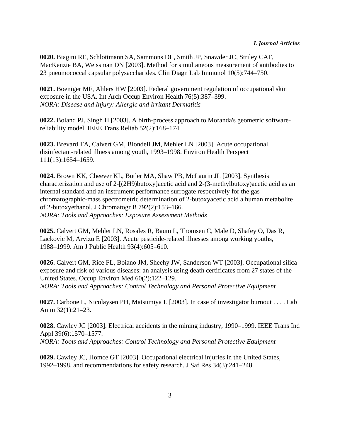**0020.** Biagini RE, Schlottmann SA, Sammons DL, Smith JP, Snawder JC, Striley CAF, MacKenzie BA, Weissman DN [2003]. Method for simultaneous measurement of antibodies to 23 pneumococcal capsular polysaccharides. Clin Diagn Lab Immunol 10(5):744–750.

**0021.** Boeniger MF, Ahlers HW [2003]. Federal government regulation of occupational skin exposure in the USA. Int Arch Occup Environ Health 76(5):387–399. *NORA: Disease and Injury: Allergic and Irritant Dermatitis*

**0022.** Boland PJ, Singh H [2003]. A birth-process approach to Moranda's geometric softwarereliability model. IEEE Trans Reliab 52(2):168–174.

**0023.** Brevard TA, Calvert GM, Blondell JM, Mehler LN [2003]. Acute occupational disinfectant-related illness among youth, 1993–1998. Environ Health Perspect 111(13):1654–1659.

**0024.** Brown KK, Cheever KL, Butler MA, Shaw PB, McLaurin JL [2003]. Synthesis characterization and use of 2-[(2H9)butoxy]acetic acid and 2-(3-methylbutoxy)acetic acid as an internal standard and an instrument performance surrogate respectively for the gas chromatographic-mass spectrometric determination of 2-butoxyacetic acid a human metabolite of 2-butoxyethanol. J Chromatogr B 792(2):153–166. *NORA: Tools and Approaches: Exposure Assessment Methods*

**0025.** Calvert GM, Mehler LN, Rosales R, Baum L, Thomsen C, Male D, Shafey O, Das R, Lackovic M, Arvizu E [2003]. Acute pesticide-related illnesses among working youths, 1988–1999. Am J Public Health 93(4):605–610.

**0026.** Calvert GM, Rice FL, Boiano JM, Sheehy JW, Sanderson WT [2003]. Occupational silica exposure and risk of various diseases: an analysis using death certificates from 27 states of the United States. Occup Environ Med 60(2):122–129. *NORA: Tools and Approaches: Control Technology and Personal Protective Equipment*

**0027.** Carbone L, Nicolaysen PH, Matsumiya L [2003]. In case of investigator burnout . . . . Lab Anim 32(1):21–23.

**0028.** Cawley JC [2003]. Electrical accidents in the mining industry, 1990–1999. IEEE Trans Ind Appl 39(6):1570–1577. *NORA: Tools and Approaches: Control Technology and Personal Protective Equipment*

**0029.** Cawley JC, Homce GT [2003]. Occupational electrical injuries in the United States, 1992–1998, and recommendations for safety research. J Saf Res 34(3):241–248.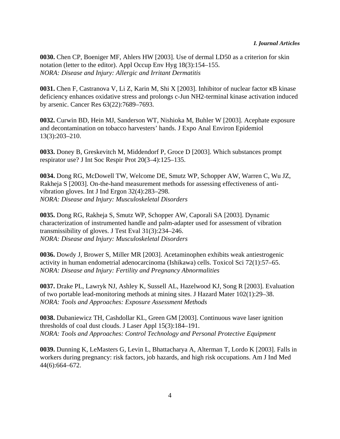**0030.** Chen CP, Boeniger MF, Ahlers HW [2003]. Use of dermal LD50 as a criterion for skin notation (letter to the editor). Appl Occup Env Hyg 18(3):154–155. *NORA: Disease and Injury: Allergic and Irritant Dermatitis*

**0031.** Chen F, Castranova V, Li Z, Karin M, Shi X [2003]. Inhibitor of nuclear factor  $\kappa$ B kinase deficiency enhances oxidative stress and prolongs c-Jun NH2-terminal kinase activation induced by arsenic. Cancer Res 63(22):7689–7693.

**0032.** Curwin BD, Hein MJ, Sanderson WT, Nishioka M, Buhler W [2003]. Acephate exposure and decontamination on tobacco harvesters' hands. J Expo Anal Environ Epidemiol 13(3):203–210.

**0033.** Doney B, Greskevitch M, Middendorf P, Groce D [2003]. Which substances prompt respirator use? J Int Soc Respir Prot 20(3–4):125–135.

**0034.** Dong RG, McDowell TW, Welcome DE, Smutz WP, Schopper AW, Warren C, Wu JZ, Rakheja S [2003]. On-the-hand measurement methods for assessing effectiveness of antivibration gloves. Int J Ind Ergon 32(4):283–298. *NORA: Disease and Injury: Musculoskeletal Disorders*

**0035.** Dong RG, Rakheja S, Smutz WP, Schopper AW, Caporali SA [2003]. Dynamic characterization of instrumented handle and palm-adapter used for assessment of vibration transmissibility of gloves. J Test Eval 31(3):234–246. *NORA: Disease and Injury: Musculoskeletal Disorders*

**0036.** Dowdy J, Brower S, Miller MR [2003]. Acetaminophen exhibits weak antiestrogenic activity in human endometrial adenocarcinoma (Ishikawa) cells. Toxicol Sci 72(1):57–65. *NORA: Disease and Injury: Fertility and Pregnancy Abnormalities*

**0037.** Drake PL, Lawryk NJ, Ashley K, Sussell AL, Hazelwood KJ, Song R [2003]. Evaluation of two portable lead-monitoring methods at mining sites. J Hazard Mater 102(1):29–38. *NORA: Tools and Approaches: Exposure Assessment Methods*

**0038.** Dubaniewicz TH, Cashdollar KL, Green GM [2003]. Continuous wave laser ignition thresholds of coal dust clouds. J Laser Appl 15(3):184–191. *NORA: Tools and Approaches: Control Technology and Personal Protective Equipment*

**0039.** Dunning K, LeMasters G, Levin L, Bhattacharya A, Alterman T, Lordo K [2003]. Falls in workers during pregnancy: risk factors, job hazards, and high risk occupations. Am J Ind Med 44(6):664–672.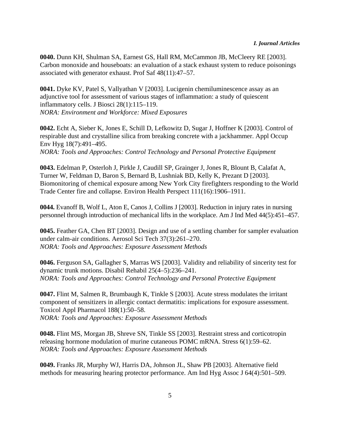**0040.** Dunn KH, Shulman SA, Earnest GS, Hall RM, McCammon JB, McCleery RE [2003]. Carbon monoxide and houseboats: an evaluation of a stack exhaust system to reduce poisonings associated with generator exhaust. Prof Saf 48(11):47–57.

**0041.** Dyke KV, Patel S, Vallyathan V [2003]. Lucigenin chemiluminescence assay as an adjunctive tool for assessment of various stages of inflammation: a study of quiescent inflammatory cells. J Biosci 28(1):115–119. *NORA: Environment and Workforce: Mixed Exposures*

**0042.** Echt A, Sieber K, Jones E, Schill D, Lefkowitz D, Sugar J, Hoffner K [2003]. Control of respirable dust and crystalline silica from breaking concrete with a jackhammer. Appl Occup Env Hyg 18(7):491–495. *NORA: Tools and Approaches: Control Technology and Personal Protective Equipment*

**0043.** Edelman P, Osterloh J, Pirkle J, Caudill SP, Grainger J, Jones R, Blount B, Calafat A, Turner W, Feldman D, Baron S, Bernard B, Lushniak BD, Kelly K, Prezant D [2003]. Biomonitoring of chemical exposure among New York City firefighters responding to the World Trade Center fire and collapse. Environ Health Perspect 111(16):1906–1911.

**0044.** Evanoff B, Wolf L, Aton E, Canos J, Collins J [2003]. Reduction in injury rates in nursing personnel through introduction of mechanical lifts in the workplace. Am J Ind Med 44(5):451–457.

**0045.** Feather GA, Chen BT [2003]. Design and use of a settling chamber for sampler evaluation under calm-air conditions. Aerosol Sci Tech 37(3):261–270. *NORA: Tools and Approaches: Exposure Assessment Methods*

**0046.** Ferguson SA, Gallagher S, Marras WS [2003]. Validity and reliability of sincerity test for dynamic trunk motions. Disabil Rehabil 25(4–5):236–241. *NORA: Tools and Approaches: Control Technology and Personal Protective Equipment*

**0047.** Flint M, Salmen R, Brumbaugh K, Tinkle S [2003]. Acute stress modulates the irritant component of sensitizers in allergic contact dermatitis: implications for exposure assessment. Toxicol Appl Pharmacol 188(1):50–58. *NORA: Tools and Approaches: Exposure Assessment Methods*

**0048.** Flint MS, Morgan JB, Shreve SN, Tinkle SS [2003]. Restraint stress and corticotropin releasing hormone modulation of murine cutaneous POMC mRNA. Stress 6(1):59–62. *NORA: Tools and Approaches: Exposure Assessment Methods*

**0049.** Franks JR, Murphy WJ, Harris DA, Johnson JL, Shaw PB [2003]. Alternative field methods for measuring hearing protector performance. Am Ind Hyg Assoc J 64(4):501–509.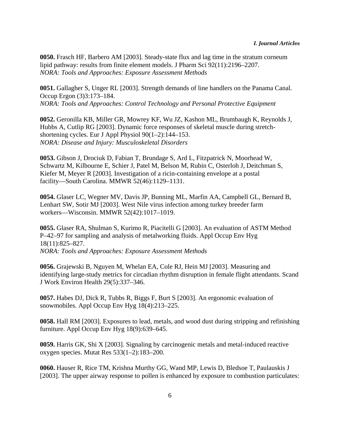**0050.** Frasch HF, Barbero AM [2003]. Steady-state flux and lag time in the stratum corneum lipid pathway: results from finite element models. J Pharm Sci 92(11):2196–2207. *NORA: Tools and Approaches: Exposure Assessment Methods*

**0051.** Gallagher S, Unger RL [2003]. Strength demands of line handlers on the Panama Canal. Occup Ergon (3)3:173–184. *NORA: Tools and Approaches: Control Technology and Personal Protective Equipment*

**0052.** Geronilla KB, Miller GR, Mowrey KF, Wu JZ, Kashon ML, Brumbaugh K, Reynolds J, Hubbs A, Cutlip RG [2003]. Dynamic force responses of skeletal muscle during stretchshortening cycles. Eur J Appl Physiol 90(1–2):144–153. *NORA: Disease and Injury: Musculoskeletal Disorders*

**0053.** Gibson J, Drociuk D, Fabian T, Brundage S, Ard L, Fitzpatrick N, Moorhead W, Schwartz M, Kilbourne E, Schier J, Patel M, Belson M, Rubin C, Osterloh J, Deitchman S, Kiefer M, Meyer R [2003]. Investigation of a ricin-containing envelope at a postal facility—South Carolina. MMWR 52(46):1129–1131.

**0054.** Glaser LC, Wegner MV, Davis JP, Bunning ML, Marfin AA, Campbell GL, Bernard B, Lenhart SW, Sotir MJ [2003]. West Nile virus infection among turkey breeder farm workers—Wisconsin. MMWR 52(42):1017–1019.

**0055.** Glaser RA, Shulman S, Kurimo R, Piacitelli G [2003]. An evaluation of ASTM Method P–42–97 for sampling and analysis of metalworking fluids. Appl Occup Env Hyg 18(11):825–827. *NORA: Tools and Approaches: Exposure Assessment Methods*

**0056.** Grajewski B, Nguyen M, Whelan EA, Cole RJ, Hein MJ [2003]. Measuring and identifying large-study metrics for circadian rhythm disruption in female flight attendants. Scand J Work Environ Health 29(5):337–346.

**0057.** Habes DJ, Dick R, Tubbs R, Biggs F, Burt S [2003]. An ergonomic evaluation of snowmobiles. Appl Occup Env Hyg 18(4):213–225.

**0058.** Hall RM [2003]. Exposures to lead, metals, and wood dust during stripping and refinishing furniture. Appl Occup Env Hyg 18(9):639–645.

**0059.** Harris GK, Shi X [2003]. Signaling by carcinogenic metals and metal-induced reactive oxygen species. Mutat Res 533(1–2):183–200.

**0060.** Hauser R, Rice TM, Krishna Murthy GG, Wand MP, Lewis D, Bledsoe T, Paulauskis J [2003]. The upper airway response to pollen is enhanced by exposure to combustion particulates: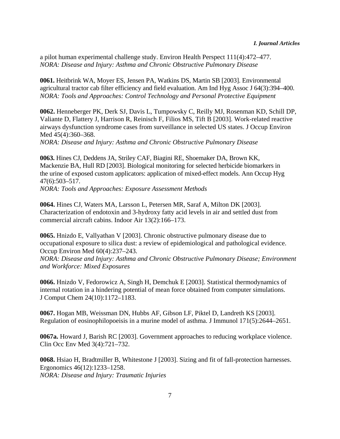a pilot human experimental challenge study. Environ Health Perspect 111(4):472–477. *NORA: Disease and Injury: Asthma and Chronic Obstructive Pulmonary Disease*

**0061.** Heitbrink WA, Moyer ES, Jensen PA, Watkins DS, Martin SB [2003]. Environmental agricultural tractor cab filter efficiency and field evaluation. Am Ind Hyg Assoc J 64(3):394–400. *NORA: Tools and Approaches: Control Technology and Personal Protective Equipment*

**0062.** Henneberger PK, Derk SJ, Davis L, Tumpowsky C, Reilly MJ, Rosenman KD, Schill DP, Valiante D, Flattery J, Harrison R, Reinisch F, Filios MS, Tift B [2003]. Work-related reactive airways dysfunction syndrome cases from surveillance in selected US states. J Occup Environ Med 45(4):360–368.

*NORA: Disease and Injury: Asthma and Chronic Obstructive Pulmonary Disease*

**0063.** Hines CJ, Deddens JA, Striley CAF, Biagini RE, Shoemaker DA, Brown KK, Mackenzie BA, Hull RD [2003]. Biological monitoring for selected herbicide biomarkers in the urine of exposed custom applicators: application of mixed-effect models. Ann Occup Hyg 47(6):503–517.

*NORA: Tools and Approaches: Exposure Assessment Methods*

**0064.** Hines CJ, Waters MA, Larsson L, Petersen MR, Saraf A, Milton DK [2003]. Characterization of endotoxin and 3-hydroxy fatty acid levels in air and settled dust from commercial aircraft cabins. Indoor Air 13(2):166–173.

**0065.** Hnizdo E, Vallyathan V [2003]. Chronic obstructive pulmonary disease due to occupational exposure to silica dust: a review of epidemiological and pathological evidence. Occup Environ Med 60(4):237–243.

*NORA: Disease and Injury: Asthma and Chronic Obstructive Pulmonary Disease; Environment and Workforce: Mixed Exposures*

**0066.** Hnizdo V, Fedorowicz A, Singh H, Demchuk E [2003]. Statistical thermodynamics of internal rotation in a hindering potential of mean force obtained from computer simulations. J Comput Chem 24(10):1172–1183.

**0067.** Hogan MB, Weissman DN, Hubbs AF, Gibson LF, Piktel D, Landreth KS [2003]. Regulation of eosinophilopoeisis in a murine model of asthma. J Immunol 171(5):2644–2651.

**0067a.** Howard J, Barish RC [2003]. Government approaches to reducing workplace violence. Clin Occ Env Med 3(4):721–732.

**0068.** Hsiao H, Bradtmiller B, Whitestone J [2003]. Sizing and fit of fall-protection harnesses. Ergonomics 46(12):1233–1258. *NORA: Disease and Injury: Traumatic Injuries*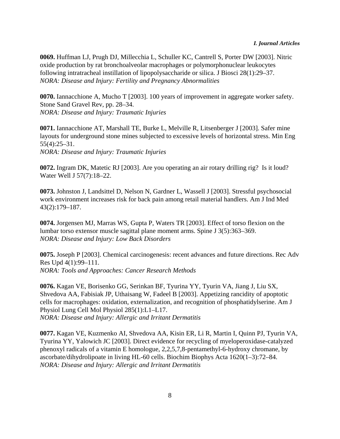**0069.** Huffman LJ, Prugh DJ, Millecchia L, Schuller KC, Cantrell S, Porter DW [2003]. Nitric oxide production by rat bronchoalveolar macrophages or polymorphonuclear leukocytes following intratracheal instillation of lipopolysaccharide or silica. J Biosci 28(1):29–37. *NORA: Disease and Injury: Fertility and Pregnancy Abnormalities*

**0070.** Iannacchione A, Mucho T [2003]. 100 years of improvement in aggregate worker safety. Stone Sand Gravel Rev, pp. 28–34. *NORA: Disease and Injury: Traumatic Injuries*

**0071.** Iannacchione AT, Marshall TE, Burke L, Melville R, Litsenberger J [2003]. Safer mine layouts for underground stone mines subjected to excessive levels of horizontal stress. Min Eng 55(4):25–31. *NORA: Disease and Injury: Traumatic Injuries*

**0072.** Ingram DK, Matetic RJ [2003]. Are you operating an air rotary drilling rig? Is it loud? Water Well J 57(7):18–22.

**0073.** Johnston J, Landsittel D, Nelson N, Gardner L, Wassell J [2003]. Stressful psychosocial work environment increases risk for back pain among retail material handlers. Am J Ind Med 43(2):179–187.

**0074.** Jorgensen MJ, Marras WS, Gupta P, Waters TR [2003]. Effect of torso flexion on the lumbar torso extensor muscle sagittal plane moment arms. Spine J 3(5):363–369. *NORA: Disease and Injury: Low Back Disorders*

**0075.** Joseph P [2003]. Chemical carcinogenesis: recent advances and future directions. Rec Adv Res Upd 4(1):99–111. *NORA: Tools and Approaches: Cancer Research Methods*

**0076.** Kagan VE, Borisenko GG, Serinkan BF, Tyurina YY, Tyurin VA, Jiang J, Liu SX, Shvedova AA, Fabisiak JP, Uthaisang W, Fadeel B [2003]. Appetizing rancidity of apoptotic cells for macrophages: oxidation, externalization, and recognition of phosphatidylserine. Am J Physiol Lung Cell Mol Physiol 285(1):L1–L17. *NORA: Disease and Injury: Allergic and Irritant Dermatitis*

**0077.** Kagan VE, Kuzmenko AI, Shvedova AA, Kisin ER, Li R, Martin I, Quinn PJ, Tyurin VA, Tyurina YY, Yalowich JC [2003]. Direct evidence for recycling of myeloperoxidase-catalyzed phenoxyl radicals of a vitamin E homologue, 2,2,5,7,8-pentamethyl-6-hydroxy chromane, by ascorbate/dihydrolipoate in living HL-60 cells. Biochim Biophys Acta 1620(1–3):72–84. *NORA: Disease and Injury: Allergic and Irritant Dermatitis*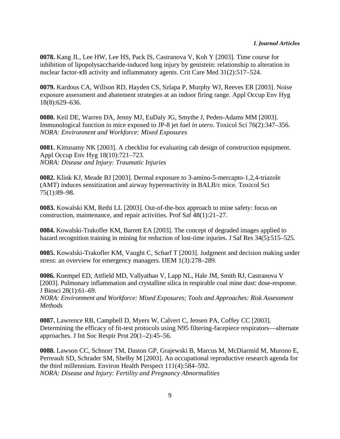**0078.** Kang JL, Lee HW, Lee HS, Pack IS, Castranova V, Koh Y [2003]. Time course for inhibition of lipopolysaccharide-induced lung injury by genistein: relationship to alteration in nuclear factor- $\kappa$ B activity and inflammatory agents. Crit Care Med 31(2):517–524.

**0079.** Kardous CA, Willson RD, Hayden CS, Szlapa P, Murphy WJ, Reeves ER [2003]. Noise exposure assessment and abatement strategies at an indoor firing range. Appl Occup Env Hyg 18(8):629–636.

**0080.** Keil DE, Warren DA, Jenny MJ, EuDaly JG, Smythe J, Peden-Adams MM [2003]. Immunological function in mice exposed to JP-8 jet fuel *in utero*. Toxicol Sci 76(2):347–356. *NORA: Environment and Workforce: Mixed Exposures*

**0081.** Kittusamy NK [2003]. A checklist for evaluating cab design of construction equipment. Appl Occup Env Hyg 18(10):721–723. *NORA: Disease and Injury: Traumatic Injuries*

**0082.** Klink KJ, Meade BJ [2003]. Dermal exposure to 3-amino-5-mercapto-1,2,4-triazole (AMT) induces sensitization and airway hyperreactivity in BALB/c mice. Toxicol Sci 75(1):89–98.

**0083.** Kowalski KM, Rethi LL [2003]. Out-of-the-box approach to mine safety: focus on construction, maintenance, and repair activities. Prof Saf 48(1):21–27.

**0084.** Kowalski-Trakofler KM, Barrett EA [2003]. The concept of degraded images applied to hazard recognition training in mining for reduction of lost-time injuries. J Saf Res 34(5):515–525.

**0085.** Kowalski-Trakofler KM, Vaught C, Scharf T [2003]. Judgment and decision making under stress: an overview for emergency managers. IJEM 1(3):278–289.

**0086.** Kuempel ED, Attfield MD, Vallyathan V, Lapp NL, Hale JM, Smith RJ, Castranova V [2003]. Pulmonary inflammation and crystalline silica in respirable coal mine dust: dose-response. J Biosci 28(1):61–69.

*NORA: Environment and Workforce: Mixed Exposures; Tools and Approaches: Risk Assessment Methods*

**0087.** Lawrence RB, Campbell D, Myers W, Calvert C, Jensen PA, Coffey CC [2003]. Determining the efficacy of fit-test protocols using N95 filtering-facepiece respirators—alternate approaches. J Int Soc Respir Prot 20(1–2):45–56.

**0088.** Lawson CC, Schnorr TM, Daston GP, Grajewski B, Marcus M, McDiarmid M, Murono E, Perreault SD, Schrader SM, Shelby M [2003]. An occupational reproductive research agenda for the third millennium. Environ Health Perspect 111(4):584–592. *NORA: Disease and Injury: Fertility and Pregnancy Abnormalities*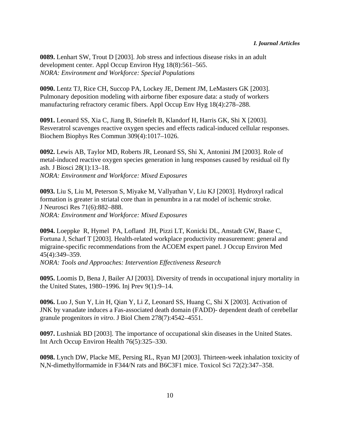**0089.** Lenhart SW, Trout D [2003]. Job stress and infectious disease risks in an adult development center. Appl Occup Environ Hyg 18(8):561–565. *NORA: Environment and Workforce: Special Populations*

**0090.** Lentz TJ, Rice CH, Succop PA, Lockey JE, Dement JM, LeMasters GK [2003]. Pulmonary deposition modeling with airborne fiber exposure data: a study of workers manufacturing refractory ceramic fibers. Appl Occup Env Hyg 18(4):278–288.

**0091.** Leonard SS, Xia C, Jiang B, Stinefelt B, Klandorf H, Harris GK, Shi X [2003]. Resveratrol scavenges reactive oxygen species and effects radical-induced cellular responses. Biochem Biophys Res Commun 309(4):1017–1026.

**0092.** Lewis AB, Taylor MD, Roberts JR, Leonard SS, Shi X, Antonini JM [2003]. Role of metal-induced reactive oxygen species generation in lung responses caused by residual oil fly ash. J Biosci 28(1):13–18. *NORA: Environment and Workforce: Mixed Exposures*

**0093.** Liu S, Liu M, Peterson S, Miyake M, Vallyathan V, Liu KJ [2003]. Hydroxyl radical formation is greater in striatal core than in penumbra in a rat model of ischemic stroke. J Neurosci Res 71(6):882–888. *NORA: Environment and Workforce: Mixed Exposures*

**0094.** Loeppke R, Hymel PA, Lofland JH, Pizzi LT, Konicki DL, Anstadt GW, Baase C, Fortuna J, Scharf T [2003]. Health-related workplace productivity measurement: general and migraine-specific recommendations from the ACOEM expert panel. J Occup Environ Med 45(4):349–359.

*NORA: Tools and Approaches: Intervention Effectiveness Research*

**0095.** Loomis D, Bena J, Bailer AJ [2003]. Diversity of trends in occupational injury mortality in the United States, 1980–1996. Inj Prev 9(1):9–14.

**0096.** Luo J, Sun Y, Lin H, Qian Y, Li Z, Leonard SS, Huang C, Shi X [2003]. Activation of JNK by vanadate induces a Fas-associated death domain (FADD)- dependent death of cerebellar granule progenitors *in vitro*. J Biol Chem 278(7):4542–4551.

**0097.** Lushniak BD [2003]. The importance of occupational skin diseases in the United States. Int Arch Occup Environ Health 76(5):325–330.

**0098.** Lynch DW, Placke ME, Persing RL, Ryan MJ [2003]. Thirteen-week inhalation toxicity of N,N-dimethylformamide in F344/N rats and B6C3F1 mice. Toxicol Sci 72(2):347–358.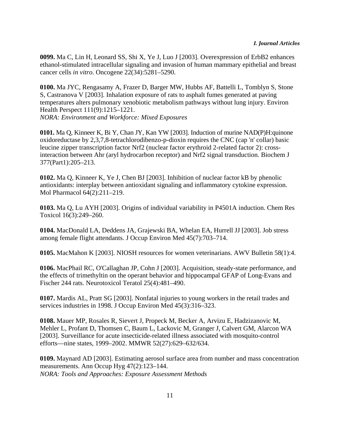**0099.** Ma C, Lin H, Leonard SS, Shi X, Ye J, Luo J [2003]. Overexpression of ErbB2 enhances ethanol-stimulated intracellular signaling and invasion of human mammary epithelial and breast cancer cells *in vitro*. Oncogene 22(34):5281–5290.

**0100.** Ma JYC, Rengasamy A, Frazer D, Barger MW, Hubbs AF, Battelli L, Tomblyn S, Stone S, Castranova V [2003]. Inhalation exposure of rats to asphalt fumes generated at paving temperatures alters pulmonary xenobiotic metabolism pathways without lung injury. Environ Health Perspect 111(9):1215–1221.

*NORA: Environment and Workforce: Mixed Exposures*

**0101.** Ma Q, Kinneer K, Bi Y, Chan JY, Kan YW [2003]. Induction of murine NAD(P)H:quinone oxidoreductase by 2,3,7,8-tetrachlorodibenzo-p-dioxin requires the CNC (cap 'n' collar) basic leucine zipper transcription factor Nrf2 (nuclear factor erythroid 2-related factor 2): crossinteraction between Ahr (aryl hydrocarbon receptor) and Nrf2 signal transduction. Biochem J 377(Part1):205–213.

**0102.** Ma Q, Kinneer K, Ye J, Chen BJ [2003]. Inhibition of nuclear factor kB by phenolic antioxidants: interplay between antioxidant signaling and inflammatory cytokine expression. Mol Pharmacol 64(2):211–219.

**0103.** Ma Q, Lu AYH [2003]. Origins of individual variability in P4501A induction. Chem Res Toxicol 16(3):249–260.

**0104.** MacDonald LA, Deddens JA, Grajewski BA, Whelan EA, Hurrell JJ [2003]. Job stress among female flight attendants. J Occup Environ Med 45(7):703–714.

**0105.** MacMahon K [2003]. NIOSH resources for women veterinarians. AWV Bulletin 58(1):4.

**0106.** MacPhail RC, O'Callaghan JP, Cohn J [2003]. Acquisition, steady-state performance, and the effects of trimethyltin on the operant behavior and hippocampal GFAP of Long-Evans and Fischer 244 rats. Neurotoxicol Teratol 25(4):481–490.

**0107.** Mardis AL, Pratt SG [2003]. Nonfatal injuries to young workers in the retail trades and services industries in 1998. J Occup Environ Med 45(3):316–323.

**0108.** Mauer MP, Rosales R, Sievert J, Propeck M, Becker A, Arvizu E, Hadzizanovic M, Mehler L, Profant D, Thomsen C, Baum L, Lackovic M, Granger J, Calvert GM, Alarcon WA [2003]. Surveillance for acute insecticide-related illness associated with mosquito-control efforts—nine states, 1999–2002. MMWR 52(27):629–632/634.

**0109.** Maynard AD [2003]. Estimating aerosol surface area from number and mass concentration measurements. Ann Occup Hyg 47(2):123–144. *NORA: Tools and Approaches: Exposure Assessment Methods*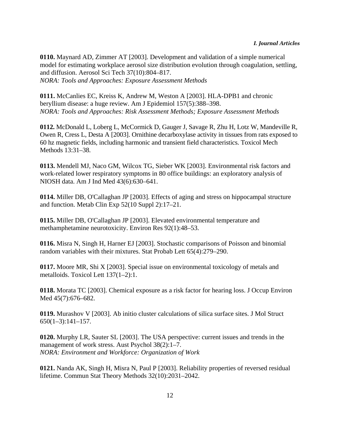**0110.** Maynard AD, Zimmer AT [2003]. Development and validation of a simple numerical model for estimating workplace aerosol size distribution evolution through coagulation, settling, and diffusion. Aerosol Sci Tech 37(10):804–817. *NORA: Tools and Approaches: Exposure Assessment Methods*

**0111.** McCanlies EC, Kreiss K, Andrew M, Weston A [2003]. HLA-DPB1 and chronic beryllium disease: a huge review. Am J Epidemiol 157(5):388–398. *NORA: Tools and Approaches: Risk Assessment Methods; Exposure Assessment Methods*

**0112.** McDonald L, Loberg L, McCormick D, Gauger J, Savage R, Zhu H, Lotz W, Mandeville R, Owen R, Cress L, Desta A [2003]. Ornithine decarboxylase activity in tissues from rats exposed to 60 hz magnetic fields, including harmonic and transient field characteristics. Toxicol Mech Methods 13:31–38.

**0113.** Mendell MJ, Naco GM, Wilcox TG, Sieber WK [2003]. Environmental risk factors and work-related lower respiratory symptoms in 80 office buildings: an exploratory analysis of NIOSH data. Am J Ind Med 43(6):630–641.

**0114.** Miller DB, O'Callaghan JP [2003]. Effects of aging and stress on hippocampal structure and function. Metab Clin Exp 52(10 Suppl 2):17–21.

**0115.** Miller DB, O'Callaghan JP [2003]. Elevated environmental temperature and methamphetamine neurotoxicity. Environ Res 92(1):48–53.

**0116.** Misra N, Singh H, Harner EJ [2003]. Stochastic comparisons of Poisson and binomial random variables with their mixtures. Stat Probab Lett 65(4):279–290.

**0117.** Moore MR, Shi X [2003]. Special issue on environmental toxicology of metals and metalloids. Toxicol Lett 137(1–2):1.

**0118.** Morata TC [2003]. Chemical exposure as a risk factor for hearing loss. J Occup Environ Med 45(7):676–682.

**0119.** Murashov V [2003]. Ab initio cluster calculations of silica surface sites. J Mol Struct 650(1–3):141–157.

**0120.** Murphy LR, Sauter SL [2003]. The USA perspective: current issues and trends in the management of work stress. Aust Psychol 38(2):1–7. *NORA: Environment and Workforce: Organization of Work*

**0121.** Nanda AK, Singh H, Misra N, Paul P [2003]. Reliability properties of reversed residual lifetime. Commun Stat Theory Methods 32(10):2031–2042.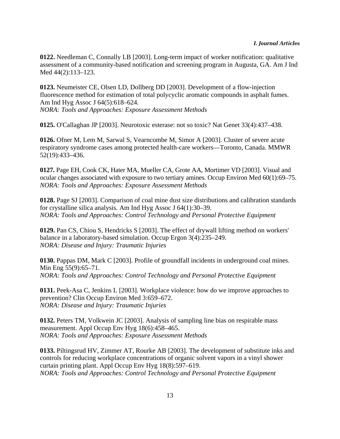**0122.** Needleman C, Connally LB [2003]. Long-term impact of worker notification: qualitative assessment of a community-based notification and screening program in Augusta, GA. Am J Ind Med 44(2):113–123.

**0123.** Neumeister CE, Olsen LD, Dollberg DD [2003]. Development of a flow-injection fluorescence method for estimation of total polycyclic aromatic compounds in asphalt fumes. Am Ind Hyg Assoc J 64(5):618–624. *NORA: Tools and Approaches: Exposure Assessment Methods*

**0125.** O'Callaghan JP [2003]. Neurotoxic esterase: not so toxic? Nat Genet 33(4):437–438.

**0126.** Ofner M, Lem M, Sarwal S, Vearncombe M, Simor A [2003]. Cluster of severe acute respiratory syndrome cases among protected health-care workers—Toronto, Canada. MMWR 52(19):433–436.

**0127.** Page EH, Cook CK, Hater MA, Mueller CA, Grote AA, Mortimer VD [2003]. Visual and ocular changes associated with exposure to two tertiary amines. Occup Environ Med 60(1):69–75. *NORA: Tools and Approaches: Exposure Assessment Methods*

**0128.** Page SJ [2003]. Comparison of coal mine dust size distributions and calibration standards for crystalline silica analysis. Am Ind Hyg Assoc J 64(1):30–39. *NORA: Tools and Approaches: Control Technology and Personal Protective Equipment*

**0129.** Pan CS, Chiou S, Hendricks S [2003]. The effect of drywall lifting method on workers' balance in a laboratory-based simulation. Occup Ergon 3(4):235–249. *NORA: Disease and Injury: Traumatic Injuries*

**0130.** Pappas DM, Mark C [2003]. Profile of groundfall incidents in underground coal mines. Min Eng 55(9):65–71. *NORA: Tools and Approaches: Control Technology and Personal Protective Equipment*

**0131.** Peek-Asa C, Jenkins L [2003]. Workplace violence: how do we improve approaches to prevention? Clin Occup Environ Med 3:659–672. *NORA: Disease and Injury: Traumatic Injuries*

**0132.** Peters TM, Volkwein JC [2003]. Analysis of sampling line bias on respirable mass measurement. Appl Occup Env Hyg 18(6):458–465. *NORA: Tools and Approaches: Exposure Assessment Methods*

**0133.** Piltingsrud HV, Zimmer AT, Rourke AB [2003]. The development of substitute inks and controls for reducing workplace concentrations of organic solvent vapors in a vinyl shower curtain printing plant. Appl Occup Env Hyg 18(8):597–619. *NORA: Tools and Approaches: Control Technology and Personal Protective Equipment*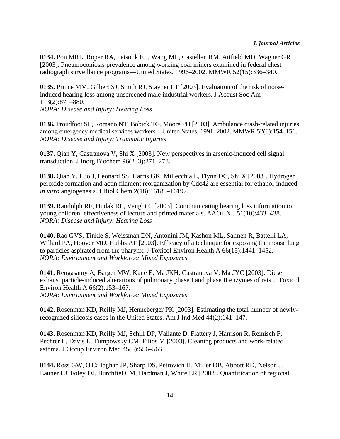**0134.** Pon MRL, Roper RA, Petsonk EL, Wang ML, Castellan RM, Attfield MD, Wagner GR [2003]. Pneumoconiosis prevalence among working coal miners examined in federal chest radiograph surveillance programs—United States, 1996–2002. MMWR 52(15):336–340.

**0135.** Prince MM, Gilbert SJ, Smith RJ, Stayner LT [2003]. Evaluation of the risk of noiseinduced hearing loss among unscreened male industrial workers. J Acoust Soc Am 113(2):871–880. *NORA: Disease and Injury: Hearing Loss*

**0136.** Proudfoot SL, Romano NT, Bobick TG, Moore PH [2003]. Ambulance crash-related injuries among emergency medical services workers—United States, 1991–2002. MMWR 52(8):154–156. *NORA: Disease and Injury: Traumatic Injuries*

**0137.** Qian Y, Castranova V, Shi X [2003]. New perspectives in arsenic-induced cell signal transduction. J Inorg Biochem 96(2–3):271–278.

**0138.** Qian Y, Luo J, Leonard SS, Harris GK, Millecchia L, Flynn DC, Shi X [2003]. Hydrogen peroxide formation and actin filament reorganization by Cdc42 are essential for ethanol-induced *in vitro* angiogenesis. J Biol Chem 2(18):16189–16197.

**0139.** Randolph RF, Hudak RL, Vaught C [2003]. Communicating hearing loss information to young children: effectiveness of lecture and printed materials. AAOHN J 51(10):433–438. *NORA: Disease and Injury: Hearing Loss*

**0140.** Rao GVS, Tinkle S, Weissman DN, Antonini JM, Kashon ML, Salmen R, Battelli LA, Willard PA, Hoover MD, Hubbs AF [2003]. Efficacy of a technique for exposing the mouse lung to particles aspirated from the pharynx. J Toxicol Environ Health A 66(15):1441–1452. *NORA: Environment and Workforce: Mixed Exposures*

**0141.** Rengasamy A, Barger MW, Kane E, Ma JKH, Castranova V, Ma JYC [2003]. Diesel exhaust particle-induced alterations of pulmonary phase I and phase II enzymes of rats. J Toxicol Environ Health A 66(2):153–167.

*NORA: Environment and Workforce: Mixed Exposures*

**0142.** Rosenman KD, Reilly MJ, Henneberger PK [2003]. Estimating the total number of newlyrecognized silicosis cases in the United States. Am J Ind Med 44(2):141–147.

**0143.** Rosenman KD, Reilly MJ, Schill DP, Valiante D, Flattery J, Harrison R, Reinisch F, Pechter E, Davis L, Tumpowsky CM, Filios M [2003]. Cleaning products and work-related asthma. J Occup Environ Med 45(5):556–563.

**0144.** Ross GW, O'Callaghan JP, Sharp DS, Petrovich H, Miller DB, Abbott RD, Nelson J, Launer LJ, Foley DJ, Burchfiel CM, Hardman J, White LR [2003]. Quantification of regional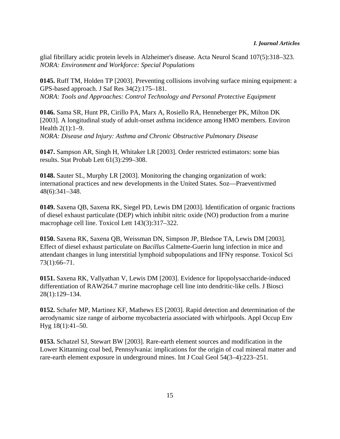glial fibrillary acidic protein levels in Alzheimer's disease. Acta Neurol Scand 107(5):318–323. *NORA: Environment and Workforce: Special Populations*

**0145.** Ruff TM, Holden TP [2003]. Preventing collisions involving surface mining equipment: a GPS-based approach. J Saf Res 34(2):175–181. *NORA: Tools and Approaches: Control Technology and Personal Protective Equipment*

**0146.** Sama SR, Hunt PR, Cirillo PA, Marx A, Rosiello RA, Henneberger PK, Milton DK [2003]. A longitudinal study of adult-onset asthma incidence among HMO members. Environ Health 2(1):1-9. *NORA: Disease and Injury: Asthma and Chronic Obstructive Pulmonary Disease*

**0147.** Sampson AR, Singh H, Whitaker LR [2003]. Order restricted estimators: some bias results. Stat Probab Lett 61(3):299–308.

**0148.** Sauter SL, Murphy LR [2003]. Monitoring the changing organization of work: international practices and new developments in the United States. Soz—Praeventivmed 48(6):341–348.

**0149.** Saxena QB, Saxena RK, Siegel PD, Lewis DM [2003]. Identification of organic fractions of diesel exhaust particulate (DEP) which inhibit nitric oxide (NO) production from a murine macrophage cell line. Toxicol Lett 143(3):317–322.

**0150.** Saxena RK, Saxena QB, Weissman DN, Simpson JP, Bledsoe TA, Lewis DM [2003]. Effect of diesel exhaust particulate on *Bacillus* Calmette-Guerin lung infection in mice and attendant changes in lung interstitial lymphoid subpopulations and IFN $\gamma$  response. Toxicol Sci 73(1):66–71.

**0151.** Saxena RK, Vallyathan V, Lewis DM [2003]. Evidence for lipopolysaccharide-induced differentiation of RAW264.7 murine macrophage cell line into dendritic-like cells. J Biosci 28(1):129–134.

**0152.** Schafer MP, Martinez KF, Mathews ES [2003]. Rapid detection and determination of the aerodynamic size range of airborne mycobacteria associated with whirlpools. Appl Occup Env Hyg 18(1):41–50.

**0153.** Schatzel SJ, Stewart BW [2003]. Rare-earth element sources and modification in the Lower Kittanning coal bed, Pennsylvania: implications for the origin of coal mineral matter and rare-earth element exposure in underground mines. Int J Coal Geol 54(3–4):223–251.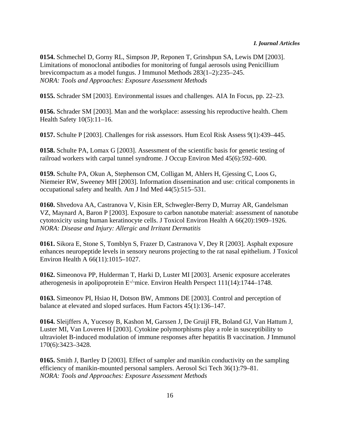**0154.** Schmechel D, Gorny RL, Simpson JP, Reponen T, Grinshpun SA, Lewis DM [2003]. Limitations of monoclonal antibodies for monitoring of fungal aerosols using Penicillium brevicompactum as a model fungus. J Immunol Methods 283(1–2):235–245. *NORA: Tools and Approaches: Exposure Assessment Methods*

**0155.** Schrader SM [2003]. Environmental issues and challenges. AIA In Focus, pp. 22–23.

**0156.** Schrader SM [2003]. Man and the workplace: assessing his reproductive health. Chem Health Safety 10(5):11–16.

**0157.** Schulte P [2003]. Challenges for risk assessors. Hum Ecol Risk Assess 9(1):439–445.

**0158.** Schulte PA, Lomax G [2003]. Assessment of the scientific basis for genetic testing of railroad workers with carpal tunnel syndrome. J Occup Environ Med 45(6):592–600.

**0159.** Schulte PA, Okun A, Stephenson CM, Colligan M, Ahlers H, Gjessing C, Loos G, Niemeier RW, Sweeney MH [2003]. Information dissemination and use: critical components in occupational safety and health. Am J Ind Med 44(5):515–531.

**0160.** Shvedova AA, Castranova V, Kisin ER, Schwegler-Berry D, Murray AR, Gandelsman VZ, Maynard A, Baron P [2003]. Exposure to carbon nanotube material: assessment of nanotube cytotoxicity using human keratinocyte cells. J Toxicol Environ Health A 66(20):1909–1926. *NORA: Disease and Injury: Allergic and Irritant Dermatitis*

**0161.** Sikora E, Stone S, Tomblyn S, Frazer D, Castranova V, Dey R [2003]. Asphalt exposure enhances neuropeptide levels in sensory neurons projecting to the rat nasal epithelium. J Toxicol Environ Health A 66(11):1015–1027.

**0162.** Simeonova PP, Hulderman T, Harki D, Luster MI [2003]. Arsenic exposure accelerates atherogenesis in apolipoprotein E-/-mice. Environ Health Perspect 111(14):1744–1748.

**0163.** Simeonov PI, Hsiao H, Dotson BW, Ammons DE [2003]. Control and perception of balance at elevated and sloped surfaces. Hum Factors 45(1):136–147.

**0164.** Sleijffers A, Yucesoy B, Kashon M, Garssen J, De Gruijl FR, Boland GJ, Van Hattum J, Luster MI, Van Loveren H [2003]. Cytokine polymorphisms play a role in susceptibility to ultraviolet B-induced modulation of immune responses after hepatitis B vaccination. J Immunol 170(6):3423–3428.

**0165.** Smith J, Bartley D [2003]. Effect of sampler and manikin conductivity on the sampling efficiency of manikin-mounted personal samplers. Aerosol Sci Tech 36(1):79–81. *NORA: Tools and Approaches: Exposure Assessment Methods*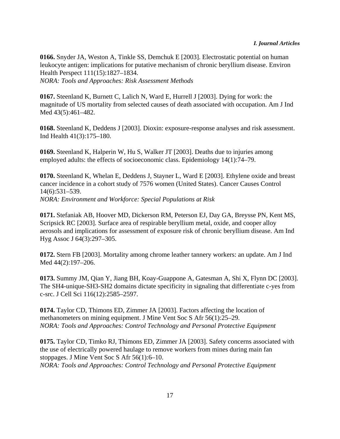**0166.** Snyder JA, Weston A, Tinkle SS, Demchuk E [2003]. Electrostatic potential on human leukocyte antigen: implications for putative mechanism of chronic beryllium disease. Environ Health Perspect 111(15):1827–1834. *NORA: Tools and Approaches: Risk Assessment Methods*

**0167.** Steenland K, Burnett C, Lalich N, Ward E, Hurrell J [2003]. Dying for work: the magnitude of US mortality from selected causes of death associated with occupation. Am J Ind Med 43(5):461–482.

**0168.** Steenland K, Deddens J [2003]. Dioxin: exposure-response analyses and risk assessment. Ind Health 41(3):175–180.

**0169.** Steenland K, Halperin W, Hu S, Walker JT [2003]. Deaths due to injuries among employed adults: the effects of socioeconomic class. Epidemiology 14(1):74–79.

**0170.** Steenland K, Whelan E, Deddens J, Stayner L, Ward E [2003]. Ethylene oxide and breast cancer incidence in a cohort study of 7576 women (United States). Cancer Causes Control 14(6):531–539. *NORA: Environment and Workforce: Special Populations at Risk*

**0171.** Stefaniak AB, Hoover MD, Dickerson RM, Peterson EJ, Day GA, Breysse PN, Kent MS, Scripsick RC [2003]. Surface area of respirable beryllium metal, oxide, and cooper alloy aerosols and implications for assessment of exposure risk of chronic beryllium disease. Am Ind Hyg Assoc J 64(3):297–305.

**0172.** Stern FB [2003]. Mortality among chrome leather tannery workers: an update. Am J Ind Med 44(2):197–206.

**0173.** Summy JM, Qian Y, Jiang BH, Koay-Guappone A, Gatesman A, Shi X, Flynn DC [2003]. The SH4-unique-SH3-SH2 domains dictate specificity in signaling that differentiate c-yes from c-src. J Cell Sci 116(12):2585–2597.

**0174.** Taylor CD, Thimons ED, Zimmer JA [2003]. Factors affecting the location of methanometers on mining equipment. J Mine Vent Soc S Afr 56(1):25–29. *NORA: Tools and Approaches: Control Technology and Personal Protective Equipment*

**0175.** Taylor CD, Timko RJ, Thimons ED, Zimmer JA [2003]. Safety concerns associated with the use of electrically powered haulage to remove workers from mines during main fan stoppages. J Mine Vent Soc S Afr 56(1):6–10. *NORA: Tools and Approaches: Control Technology and Personal Protective Equipment*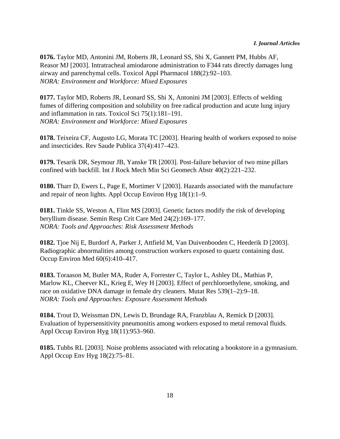**0176.** Taylor MD, Antonini JM, Roberts JR, Leonard SS, Shi X, Gannett PM, Hubbs AF, Reasor MJ [2003]. Intratracheal amiodarone administration to F344 rats directly damages lung airway and parenchymal cells. Toxicol Appl Pharmacol 188(2):92–103. *NORA: Environment and Workforce: Mixed Exposures*

**0177.** Taylor MD, Roberts JR, Leonard SS, Shi X, Antonini JM [2003]. Effects of welding fumes of differing composition and solubility on free radical production and acute lung injury and inflammation in rats. Toxicol Sci 75(1):181–191. *NORA: Environment and Workforce: Mixed Exposures*

**0178.** Teixeira CF, Augusto LG, Morata TC [2003]. Hearing health of workers exposed to noise and insecticides. Rev Saude Publica 37(4):417–423.

**0179.** Tesarik DR, Seymour JB, Yanske TR [2003]. Post-failure behavior of two mine pillars confined with backfill. Int J Rock Mech Min Sci Geomech Abstr 40(2):221–232.

**0180.** Tharr D, Ewers L, Page E, Mortimer V [2003]. Hazards associated with the manufacture and repair of neon lights. Appl Occup Environ Hyg 18(1):1–9.

**0181.** Tinkle SS, Weston A, Flint MS [2003]. Genetic factors modify the risk of developing beryllium disease. Semin Resp Crit Care Med 24(2):169–177. *NORA: Tools and Approaches: Risk Assessment Methods*

**0182.** Tjoe Nij E, Burdorf A, Parker J, Attfield M, Van Duivenbooden C, Heederik D [2003]. Radiographic abnormalities among construction workers exposed to quartz containing dust. Occup Environ Med 60(6):410–417.

**0183.** Toraason M, Butler MA, Ruder A, Forrester C, Taylor L, Ashley DL, Mathias P, Marlow KL, Cheever KL, Krieg E, Wey H [2003]. Effect of perchloroethylene, smoking, and race on oxidative DNA damage in female dry cleaners. Mutat Res 539(1–2):9–18. *NORA: Tools and Approaches: Exposure Assessment Methods*

**0184.** Trout D, Weissman DN, Lewis D, Brundage RA, Franzblau A, Remick D [2003]. Evaluation of hypersensitivity pneumonitis among workers exposed to metal removal fluids. Appl Occup Environ Hyg 18(11):953–960.

**0185.** Tubbs RL [2003]. Noise problems associated with relocating a bookstore in a gymnasium. Appl Occup Env Hyg 18(2):75–81.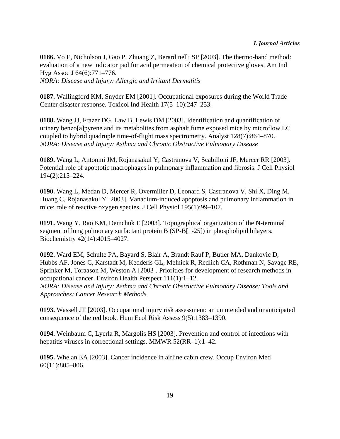**0186.** Vo E, Nicholson J, Gao P, Zhuang Z, Berardinelli SP [2003]. The thermo-hand method: evaluation of a new indicator pad for acid permeation of chemical protective gloves. Am Ind Hyg Assoc J 64(6):771–776. *NORA: Disease and Injury: Allergic and Irritant Dermatitis*

**0187.** Wallingford KM, Snyder EM [2001]. Occupational exposures during the World Trade Center disaster response. Toxicol Ind Health 17(5–10):247–253.

**0188.** Wang JJ, Frazer DG, Law B, Lewis DM [2003]. Identification and quantification of urinary benzo[a]pyrene and its metabolites from asphalt fume exposed mice by microflow LC coupled to hybrid quadruple time-of-flight mass spectrometry. Analyst 128(7):864–870. *NORA: Disease and Injury: Asthma and Chronic Obstructive Pulmonary Disease*

**0189.** Wang L, Antonini JM, Rojanasakul Y, Castranova V, Scabilloni JF, Mercer RR [2003]. Potential role of apoptotic macrophages in pulmonary inflammation and fibrosis. J Cell Physiol 194(2):215–224.

**0190.** Wang L, Medan D, Mercer R, Overmiller D, Leonard S, Castranova V, Shi X, Ding M, Huang C, Rojanasakul Y [2003]. Vanadium-induced apoptosis and pulmonary inflammation in mice: role of reactive oxygen species. J Cell Physiol 195(1):99–107.

**0191.** Wang Y, Rao KM, Demchuk E [2003]. Topographical organization of the N-terminal segment of lung pulmonary surfactant protein B (SP-B[1-25]) in phospholipid bilayers. Biochemistry 42(14):4015–4027.

**0192.** Ward EM, Schulte PA, Bayard S, Blair A, Brandt Rauf P, Butler MA, Dankovic D, Hubbs AF, Jones C, Karstadt M, Kedderis GL, Melnick R, Redlich CA, Rothman N, Savage RE, Sprinker M, Toraason M, Weston A [2003]. Priorities for development of research methods in occupational cancer. Environ Health Perspect 111(1):1–12. *NORA: Disease and Injury: Asthma and Chronic Obstructive Pulmonary Disease; Tools and Approaches: Cancer Research Methods*

**0193.** Wassell JT [2003]. Occupational injury risk assessment: an unintended and unanticipated consequence of the red book. Hum Ecol Risk Assess 9(5):1383–1390.

**0194.** Weinbaum C, Lyerla R, Margolis HS [2003]. Prevention and control of infections with hepatitis viruses in correctional settings. MMWR 52(RR–1):1–42.

**0195.** Whelan EA [2003]. Cancer incidence in airline cabin crew. Occup Environ Med 60(11):805–806.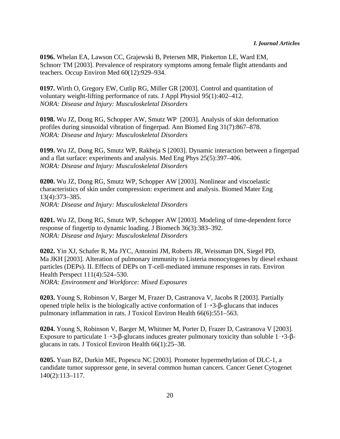**0196.** Whelan EA, Lawson CC, Grajewski B, Petersen MR, Pinkerton LE, Ward EM, Schnorr TM [2003]. Prevalence of respiratory symptoms among female flight attendants and teachers. Occup Environ Med 60(12):929–934.

**0197.** Wirth O, Gregory EW, Cutlip RG, Miller GR [2003]. Control and quantitation of voluntary weight-lifting performance of rats. J Appl Physiol 95(1):402–412. *NORA: Disease and Injury: Musculoskeletal Disorders*

**0198.** Wu JZ, Dong RG, Schopper AW, Smutz WP [2003]. Analysis of skin deformation profiles during sinusoidal vibration of fingerpad. Ann Biomed Eng 31(7):867–878. *NORA: Disease and Injury: Musculoskeletal Disorders*

**0199.** Wu JZ, Dong RG, Smutz WP, Rakheja S [2003]. Dynamic interaction between a fingerpad and a flat surface: experiments and analysis. Med Eng Phys 25(5):397–406. *NORA: Disease and Injury: Musculoskeletal Disorders*

**0200.** Wu JZ, Dong RG, Smutz WP, Schopper AW [2003]. Nonlinear and viscoelastic characteristics of skin under compression: experiment and analysis. Biomed Mater Eng 13(4):373–385. *NORA: Disease and Injury: Musculoskeletal Disorders*

**0201.** Wu JZ, Dong RG, Smutz WP, Schopper AW [2003]. Modeling of time-dependent force response of fingertip to dynamic loading. J Biomech 36(3):383–392. *NORA: Disease and Injury: Musculoskeletal Disorders*

**0202.** Yin XJ, Schafer R, Ma JYC, Antonini JM, Roberts JR, Weissman DN, Siegel PD, Ma JKH [2003]. Alteration of pulmonary immunity to Listeria monocytogenes by diesel exhaust particles (DEPs). II. Effects of DEPs on T-cell-mediated immune responses in rats. Environ Health Perspect 111(4):524–530. *NORA: Environment and Workforce: Mixed Exposures*

**0203.** Young S, Robinson V, Barger M, Frazer D, Castranova V, Jacobs R [2003]. Partially opened triple helix is the biologically active conformation of  $1 \rightarrow 3-\beta$ -glucans that induces pulmonary inflammation in rats. J Toxicol Environ Health 66(6):551–563.

**0204.** Young S, Robinson V, Barger M, Whitmer M, Porter D, Frazer D, Castranova V [2003]. Exposure to particulate  $1\rightarrow 3$ - $\beta$ -glucans induces greater pulmonary toxicity than soluble  $1\rightarrow 3$ - $\beta$ glucans in rats. J Toxicol Environ Health 66(1):25–38.

**0205.** Yuan BZ, Durkin ME, Popescu NC [2003]. Promoter hypermethylation of DLC-1, a candidate tumor suppressor gene, in several common human cancers. Cancer Genet Cytogenet 140(2):113–117.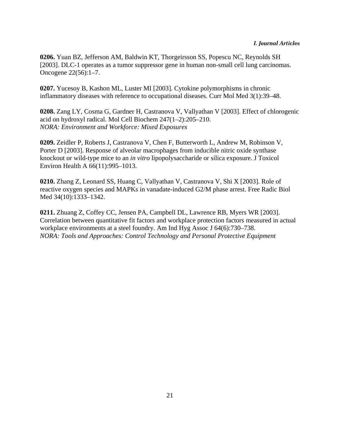#### *I. Journal Articles*

**0206.** Yuan BZ, Jefferson AM, Baldwin KT, Thorgeirsson SS, Popescu NC, Reynolds SH [2003]. DLC-1 operates as a tumor suppressor gene in human non-small cell lung carcinomas. Oncogene 22(56):1–7.

**0207.** Yucesoy B, Kashon ML, Luster MI [2003]. Cytokine polymorphisms in chronic inflammatory diseases with reference to occupational diseases. Curr Mol Med 3(1):39–48.

**0208.** Zang LY, Cosma G, Gardner H, Castranova V, Vallyathan V [2003]. Effect of chlorogenic acid on hydroxyl radical. Mol Cell Biochem 247(1–2):205–210. *NORA: Environment and Workforce: Mixed Exposures*

**0209.** Zeidler P, Roberts J, Castranova V, Chen F, Butterworth L, Andrew M, Robinson V, Porter D [2003]. Response of alveolar macrophages from inducible nitric oxide synthase knockout or wild-type mice to an *in vitro* lipopolysaccharide or silica exposure. J Toxicol Environ Health A 66(11):995–1013.

**0210.** Zhang Z, Leonard SS, Huang C, Vallyathan V, Castranova V, Shi X [2003]. Role of reactive oxygen species and MAPKs in vanadate-induced G2/M phase arrest. Free Radic Biol Med 34(10):1333–1342.

**0211.** Zhuang Z, Coffey CC, Jensen PA, Campbell DL, Lawrence RB, Myers WR [2003]. Correlation between quantitative fit factors and workplace protection factors measured in actual workplace environments at a steel foundry. Am Ind Hyg Assoc J 64(6):730–738. *NORA: Tools and Approaches: Control Technology and Personal Protective Equipment*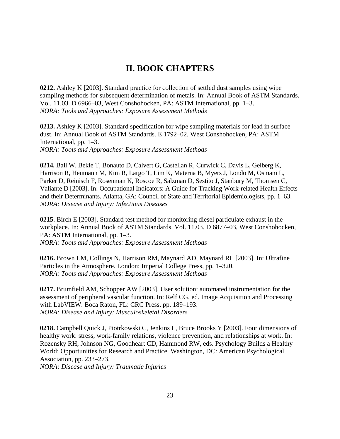#### **II. BOOK CHAPTERS**

**0212.** Ashley K [2003]. Standard practice for collection of settled dust samples using wipe sampling methods for subsequent determination of metals. In: Annual Book of ASTM Standards. Vol. 11.03. D 6966–03, West Conshohocken, PA: ASTM International, pp. 1–3. *NORA: Tools and Approaches: Exposure Assessment Methods*

**0213.** Ashley K [2003]. Standard specification for wipe sampling materials for lead in surface dust. In: Annual Book of ASTM Standards. E 1792–02, West Conshohocken, PA: ASTM International, pp. 1–3. *NORA: Tools and Approaches: Exposure Assessment Methods*

**0214.** Ball W, Bekle T, Bonauto D, Calvert G, Castellan R, Curwick C, Davis L, Gelberg K, Harrison R, Heumann M, Kim R, Largo T, Lim K, Materna B, Myers J, Londo M, Osmani L, Parker D, Reinisch F, Rosenman K, Roscoe R, Salzman D, Sestito J, Stanbury M, Thomsen C, Valiante D [2003]. In: Occupational Indicators: A Guide for Tracking Work-related Health Effects and their Determinants. Atlanta, GA: Council of State and Territorial Epidemiologists, pp. 1–63. *NORA: Disease and Injury: Infectious Diseases*

**0215.** Birch E [2003]. Standard test method for monitoring diesel particulate exhaust in the workplace. In: Annual Book of ASTM Standards. Vol. 11.03. D 6877–03, West Conshohocken, PA: ASTM International, pp. 1–3. *NORA: Tools and Approaches: Exposure Assessment Methods*

**0216.** Brown LM, Collings N, Harrison RM, Maynard AD, Maynard RL [2003]. In: Ultrafine Particles in the Atmosphere. London: Imperial College Press, pp. 1–320. *NORA: Tools and Approaches: Exposure Assessment Methods*

**0217.** Brumfield AM, Schopper AW [2003]. User solution: automated instrumentation for the assessment of peripheral vascular function. In: Relf CG, ed. Image Acquisition and Processing with LabVIEW. Boca Raton, FL: CRC Press, pp. 189–193. *NORA: Disease and Injury: Musculoskeletal Disorders*

**0218.** Campbell Quick J, Piotrkowski C, Jenkins L, Bruce Brooks Y [2003]. Four dimensions of healthy work: stress, work-family relations, violence prevention, and relationships at work. In: Rozensky RH, Johnson NG, Goodheart CD, Hammond RW, eds. Psychology Builds a Healthy World: Opportunities for Research and Practice. Washington, DC: American Psychological Association, pp. 233–273.

*NORA: Disease and Injury: Traumatic Injuries*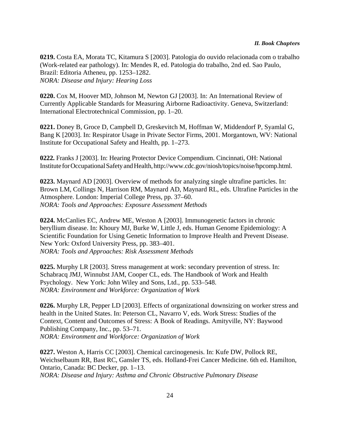**0219.** Costa EA, Morata TC, Kitamura S [2003]. Patologia do ouvido relacionada com o trabalho (Work-related ear pathology). In: Mendes R, ed. Patologia do trabalho, 2nd ed. Sao Paulo, Brazil: Editoria Atheneu, pp. 1253–1282. *NORA: Disease and Injury: Hearing Loss*

**0220.** Cox M, Hoover MD, Johnson M, Newton GJ [2003]. In: An International Review of Currently Applicable Standards for Measuring Airborne Radioactivity. Geneva, Switzerland: International Electrotechnical Commission, pp. 1–20.

**0221.** Doney B, Groce D, Campbell D, Greskevitch M, Hoffman W, Middendorf P, Syamlal G, Bang K [2003]. In: Respirator Usage in Private Sector Firms, 2001. Morgantown, WV: National Institute for Occupational Safety and Health, pp. 1–273.

**0222.** Franks J [2003]. In: Hearing Protector Device Compendium. Cincinnati, OH: National Institute for Occupational Safety and Health, http://www.cdc.gov/niosh/topics/noise/hpcomp.html.

**0223.** Maynard AD [2003]. Overview of methods for analyzing single ultrafine particles. In: Brown LM, Collings N, Harrison RM, Maynard AD, Maynard RL, eds. Ultrafine Particles in the Atmosphere. London: Imperial College Press, pp. 37–60. *NORA: Tools and Approaches: Exposure Assessment Methods*

**0224.** McCanlies EC, Andrew ME, Weston A [2003]. Immunogenetic factors in chronic beryllium disease. In: Khoury MJ, Burke W, Little J, eds. Human Genome Epidemiology: A Scientific Foundation for Using Genetic Information to Improve Health and Prevent Disease. New York: Oxford University Press, pp. 383–401. *NORA: Tools and Approaches: Risk Assessment Methods*

**0225.** Murphy LR [2003]. Stress management at work: secondary prevention of stress. In: Schabracq JMJ, Winnubst JAM, Cooper CL, eds. The Handbook of Work and Health Psychology. New York: John Wiley and Sons, Ltd., pp. 533–548. *NORA: Environment and Workforce: Organization of Work*

**0226.** Murphy LR, Pepper LD [2003]. Effects of organizational downsizing on worker stress and health in the United States. In: Peterson CL, Navarro V, eds. Work Stress: Studies of the Context, Content and Outcomes of Stress: A Book of Readings. Amityville, NY: Baywood Publishing Company, Inc., pp. 53–71. *NORA: Environment and Workforce: Organization of Work*

**0227.** Weston A, Harris CC [2003]. Chemical carcinogenesis. In: Kufe DW, Pollock RE, Weichselbaum RR, Bast RC, Gansler TS, eds. Holland-Frei Cancer Medicine. 6th ed. Hamilton, Ontario, Canada: BC Decker, pp. 1–13. *NORA: Disease and Injury: Asthma and Chronic Obstructive Pulmonary Disease*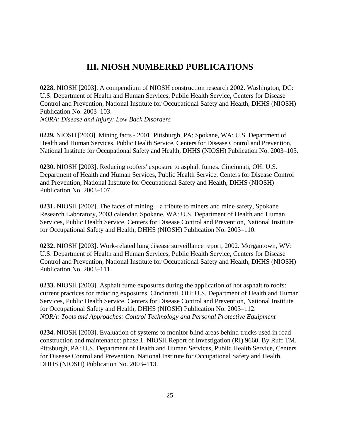#### **III. NIOSH NUMBERED PUBLICATIONS**

**0228.** NIOSH [2003]. A compendium of NIOSH construction research 2002. Washington, DC: U.S. Department of Health and Human Services, Public Health Service, Centers for Disease Control and Prevention, National Institute for Occupational Safety and Health, DHHS (NIOSH) Publication No. 2003–103. *NORA: Disease and Injury: Low Back Disorders*

**0229.** NIOSH [2003]. Mining facts - 2001. Pittsburgh, PA; Spokane, WA: U.S. Department of Health and Human Services, Public Health Service, Centers for Disease Control and Prevention, National Institute for Occupational Safety and Health, DHHS (NIOSH) Publication No. 2003–105.

**0230.** NIOSH [2003]. Reducing roofers' exposure to asphalt fumes. Cincinnati, OH: U.S. Department of Health and Human Services, Public Health Service, Centers for Disease Control and Prevention, National Institute for Occupational Safety and Health, DHHS (NIOSH) Publication No. 2003–107.

**0231.** NIOSH [2002]. The faces of mining—a tribute to miners and mine safety, Spokane Research Laboratory, 2003 calendar. Spokane, WA: U.S. Department of Health and Human Services, Public Health Service, Centers for Disease Control and Prevention, National Institute for Occupational Safety and Health, DHHS (NIOSH) Publication No. 2003–110.

**0232.** NIOSH [2003]. Work-related lung disease surveillance report, 2002. Morgantown, WV: U.S. Department of Health and Human Services, Public Health Service, Centers for Disease Control and Prevention, National Institute for Occupational Safety and Health, DHHS (NIOSH) Publication No. 2003–111.

**0233.** NIOSH [2003]. Asphalt fume exposures during the application of hot asphalt to roofs: current practices for reducing exposures. Cincinnati, OH: U.S. Department of Health and Human Services, Public Health Service, Centers for Disease Control and Prevention, National Institute for Occupational Safety and Health, DHHS (NIOSH) Publication No. 2003–112. *NORA: Tools and Approaches: Control Technology and Personal Protective Equipment*

**0234.** NIOSH [2003]. Evaluation of systems to monitor blind areas behind trucks used in road construction and maintenance: phase 1. NIOSH Report of Investigation (RI) 9660. By Ruff TM. Pittsburgh, PA: U.S. Department of Health and Human Services, Public Health Service, Centers for Disease Control and Prevention, National Institute for Occupational Safety and Health, DHHS (NIOSH) Publication No. 2003–113.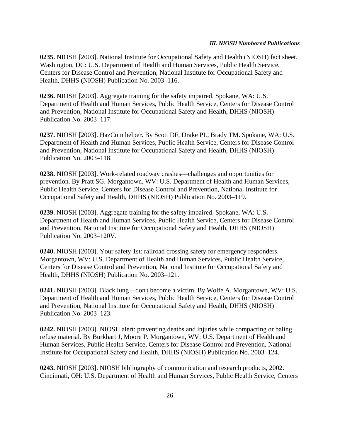#### *III. NIOSH Numbered Publications*

**0235.** NIOSH [2003]. National Institute for Occupational Safety and Health (NIOSH) fact sheet. Washington, DC: U.S. Department of Health and Human Services, Public Health Service, Centers for Disease Control and Prevention, National Institute for Occupational Safety and Health, DHHS (NIOSH) Publication No. 2003–116.

**0236.** NIOSH [2003]. Aggregate training for the safety impaired. Spokane, WA: U.S. Department of Health and Human Services, Public Health Service, Centers for Disease Control and Prevention, National Institute for Occupational Safety and Health, DHHS (NIOSH) Publication No. 2003–117.

**0237.** NIOSH [2003]. HazCom helper. By Scott DF, Drake PL, Brady TM. Spokane, WA: U.S. Department of Health and Human Services, Public Health Service, Centers for Disease Control and Prevention, National Institute for Occupational Safety and Health, DHHS (NIOSH) Publication No. 2003–118.

**0238.** NIOSH [2003]. Work-related roadway crashes—challenges and opportunities for prevention. By Pratt SG. Morgantown, WV: U.S. Department of Health and Human Services, Public Health Service, Centers for Disease Control and Prevention, National Institute for Occupational Safety and Health, DHHS (NIOSH) Publication No. 2003–119.

**0239.** NIOSH [2003]. Aggregate training for the safety impaired. Spokane, WA: U.S. Department of Health and Human Services, Public Health Service, Centers for Disease Control and Prevention, National Institute for Occupational Safety and Health, DHHS (NIOSH) Publication No. 2003–120V.

**0240.** NIOSH [2003]. Your safety 1st: railroad crossing safety for emergency responders. Morgantown, WV: U.S. Department of Health and Human Services, Public Health Service, Centers for Disease Control and Prevention, National Institute for Occupational Safety and Health, DHHS (NIOSH) Publication No. 2003–121.

**0241.** NIOSH [2003]. Black lung—don't become a victim. By Wolfe A. Morgantown, WV: U.S. Department of Health and Human Services, Public Health Service, Centers for Disease Control and Prevention, National Institute for Occupational Safety and Health, DHHS (NIOSH) Publication No. 2003–123.

**0242.** NIOSH [2003]. NIOSH alert: preventing deaths and injuries while compacting or baling refuse material. By Burkhart J, Moore P. Morgantown, WV: U.S. Department of Health and Human Services, Public Health Service, Centers for Disease Control and Prevention, National Institute for Occupational Safety and Health, DHHS (NIOSH) Publication No. 2003–124.

**0243.** NIOSH [2003]. NIOSH bibliography of communication and research products, 2002. Cincinnati, OH: U.S. Department of Health and Human Services, Public Health Service, Centers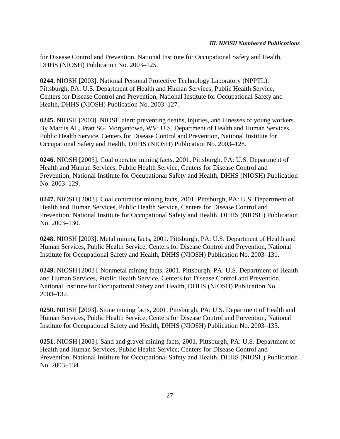for Disease Control and Prevention, National Institute for Occupational Safety and Health, DHHS (NIOSH) Publication No. 2003–125.

**0244.** NIOSH [2003]. National Personal Protective Technology Laboratory (NPPTL). Pittsburgh, PA: U.S. Department of Health and Human Services, Public Health Service, Centers for Disease Control and Prevention, National Institute for Occupational Safety and Health, DHHS (NIOSH) Publication No. 2003–127.

**0245.** NIOSH [2003]. NIOSH alert: preventing deaths, injuries, and illnesses of young workers. By Mardis AL, Pratt SG. Morgantown, WV: U.S. Department of Health and Human Services, Public Health Service, Centers for Disease Control and Prevention, National Institute for Occupational Safety and Health, DHHS (NIOSH) Publication No. 2003–128.

**0246.** NIOSH [2003]. Coal operator mining facts, 2001. Pittsburgh, PA: U.S. Department of Health and Human Services, Public Health Service, Centers for Disease Control and Prevention, National Institute for Occupational Safety and Health, DHHS (NIOSH) Publication No. 2003–129.

**0247.** NIOSH [2003]. Coal contractor mining facts, 2001. Pittsburgh, PA: U.S. Department of Health and Human Services, Public Health Service, Centers for Disease Control and Prevention, National Institute for Occupational Safety and Health, DHHS (NIOSH) Publication No. 2003–130.

**0248.** NIOSH [2003]. Metal mining facts, 2001. Pittsburgh, PA: U.S. Department of Health and Human Services, Public Health Service, Centers for Disease Control and Prevention, National Institute for Occupational Safety and Health, DHHS (NIOSH) Publication No. 2003–131.

**0249.** NIOSH [2003]. Nonmetal mining facts, 2001. Pittsburgh, PA: U.S. Department of Health and Human Services, Public Health Service, Centers for Disease Control and Prevention, National Institute for Occupational Safety and Health, DHHS (NIOSH) Publication No. 2003–132.

**0250.** NIOSH [2003]. Stone mining facts, 2001. Pittsburgh, PA: U.S. Department of Health and Human Services, Public Health Service, Centers for Disease Control and Prevention, National Institute for Occupational Safety and Health, DHHS (NIOSH) Publication No. 2003–133.

**0251.** NIOSH [2003]. Sand and gravel mining facts, 2001. Pittsburgh, PA: U.S. Department of Health and Human Services, Public Health Service, Centers for Disease Control and Prevention, National Institute for Occupational Safety and Health, DHHS (NIOSH) Publication No. 2003–134.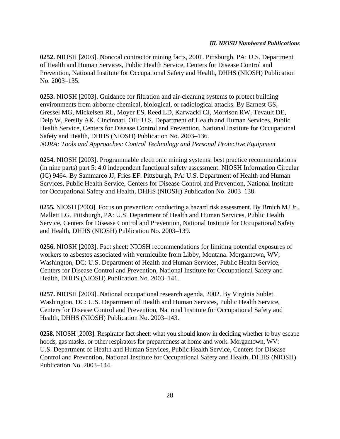#### *III. NIOSH Numbered Publications*

**0252.** NIOSH [2003]. Noncoal contractor mining facts, 2001. Pittsburgh, PA: U.S. Department of Health and Human Services, Public Health Service, Centers for Disease Control and Prevention, National Institute for Occupational Safety and Health, DHHS (NIOSH) Publication No. 2003–135.

**0253.** NIOSH [2003]. Guidance for filtration and air-cleaning systems to protect building environments from airborne chemical, biological, or radiological attacks. By Earnest GS, Gressel MG, Mickelsen RL, Moyer ES, Reed LD, Karwacki CJ, Morrison RW, Tevault DE, Delp W, Persily AK. Cincinnati, OH: U.S. Department of Health and Human Services, Public Health Service, Centers for Disease Control and Prevention, National Institute for Occupational Safety and Health, DHHS (NIOSH) Publication No. 2003–136. *NORA: Tools and Approaches: Control Technology and Personal Protective Equipment*

**0254.** NIOSH [2003]. Programmable electronic mining systems: best practice recommendations (in nine parts) part 5: 4.0 independent functional safety assessment. NIOSH Information Circular (IC) 9464. By Sammarco JJ, Fries EF. Pittsburgh, PA: U.S. Department of Health and Human Services, Public Health Service, Centers for Disease Control and Prevention, National Institute for Occupational Safety and Health, DHHS (NIOSH) Publication No. 2003–138.

**0255.** NIOSH [2003]. Focus on prevention: conducting a hazard risk assessment. By Brnich MJ Jr., Mallett LG. Pittsburgh, PA: U.S. Department of Health and Human Services, Public Health Service, Centers for Disease Control and Prevention, National Institute for Occupational Safety and Health, DHHS (NIOSH) Publication No. 2003–139.

**0256.** NIOSH [2003]. Fact sheet: NIOSH recommendations for limiting potential exposures of workers to asbestos associated with vermiculite from Libby, Montana. Morgantown, WV; Washington, DC: U.S. Department of Health and Human Services, Public Health Service, Centers for Disease Control and Prevention, National Institute for Occupational Safety and Health, DHHS (NIOSH) Publication No. 2003–141.

**0257.** NIOSH [2003]. National occupational research agenda, 2002. By Virginia Sublet. Washington, DC: U.S. Department of Health and Human Services, Public Health Service, Centers for Disease Control and Prevention, National Institute for Occupational Safety and Health, DHHS (NIOSH) Publication No. 2003–143.

**0258.** NIOSH [2003]. Respirator fact sheet: what you should know in deciding whether to buy escape hoods, gas masks, or other respirators for preparedness at home and work. Morgantown, WV: U.S. Department of Health and Human Services, Public Health Service, Centers for Disease Control and Prevention, National Institute for Occupational Safety and Health, DHHS (NIOSH) Publication No. 2003–144.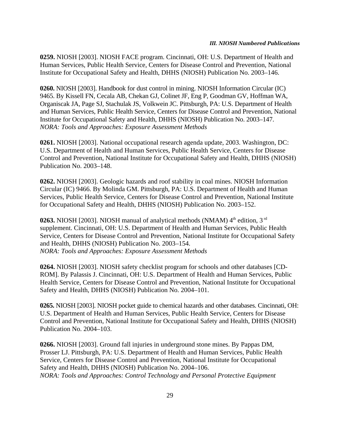**0259.** NIOSH [2003]. NIOSH FACE program. Cincinnati, OH: U.S. Department of Health and Human Services, Public Health Service, Centers for Disease Control and Prevention, National Institute for Occupational Safety and Health, DHHS (NIOSH) Publication No. 2003–146.

**0260.** NIOSH [2003]. Handbook for dust control in mining. NIOSH Information Circular (IC) 9465. By Kissell FN, Cecala AB, Chekan GJ, Colinet JF, Eng P, Goodman GV, Hoffman WA, Organiscak JA, Page SJ, Stachulak JS, Volkwein JC. Pittsburgh, PA: U.S. Department of Health and Human Services, Public Health Service, Centers for Disease Control and Prevention, National Institute for Occupational Safety and Health, DHHS (NIOSH) Publication No. 2003–147. *NORA: Tools and Approaches: Exposure Assessment Methods*

**0261.** NIOSH [2003]. National occupational research agenda update, 2003. Washington, DC: U.S. Department of Health and Human Services, Public Health Service, Centers for Disease Control and Prevention, National Institute for Occupational Safety and Health, DHHS (NIOSH) Publication No. 2003–148.

**0262.** NIOSH [2003]. Geologic hazards and roof stability in coal mines. NIOSH Information Circular (IC) 9466. By Molinda GM. Pittsburgh, PA: U.S. Department of Health and Human Services, Public Health Service, Centers for Disease Control and Prevention, National Institute for Occupational Safety and Health, DHHS (NIOSH) Publication No. 2003–152.

**0263.** NIOSH [2003]. NIOSH manual of analytical methods (NMAM) 4<sup>th</sup> edition, 3<sup>rd</sup> supplement. Cincinnati, OH: U.S. Department of Health and Human Services, Public Health Service, Centers for Disease Control and Prevention, National Institute for Occupational Safety and Health, DHHS (NIOSH) Publication No. 2003–154. *NORA: Tools and Approaches: Exposure Assessment Methods*

**0264.** NIOSH [2003]. NIOSH safety checklist program for schools and other databases [CD-ROM]. By Palassis J. Cincinnati, OH: U.S. Department of Health and Human Services, Public Health Service, Centers for Disease Control and Prevention, National Institute for Occupational Safety and Health, DHHS (NIOSH) Publication No. 2004–101.

**0265.** NIOSH [2003]. NIOSH pocket guide to chemical hazards and other databases. Cincinnati, OH: U.S. Department of Health and Human Services, Public Health Service, Centers for Disease Control and Prevention, National Institute for Occupational Safety and Health, DHHS (NIOSH) Publication No. 2004–103.

**0266.** NIOSH [2003]. Ground fall injuries in underground stone mines. By Pappas DM, Prosser LJ. Pittsburgh, PA: U.S. Department of Health and Human Services, Public Health Service, Centers for Disease Control and Prevention, National Institute for Occupational Safety and Health, DHHS (NIOSH) Publication No. 2004–106. *NORA: Tools and Approaches: Control Technology and Personal Protective Equipment*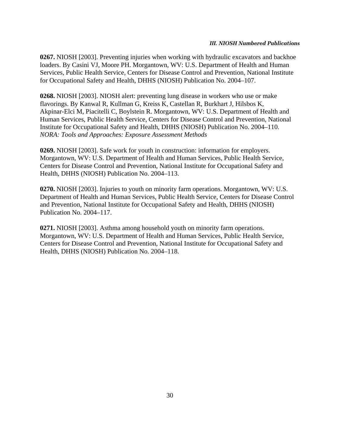**0267.** NIOSH [2003]. Preventing injuries when working with hydraulic excavators and backhoe loaders. By Casini VJ, Moore PH. Morgantown, WV: U.S. Department of Health and Human Services, Public Health Service, Centers for Disease Control and Prevention, National Institute for Occupational Safety and Health, DHHS (NIOSH) Publication No. 2004–107.

**0268.** NIOSH [2003]. NIOSH alert: preventing lung disease in workers who use or make flavorings. By Kanwal R, Kullman G, Kreiss K, Castellan R, Burkhart J, Hilsbos K, Akpinar-Elci M, Piacitelli C, Boylstein R. Morgantown, WV: U.S. Department of Health and Human Services, Public Health Service, Centers for Disease Control and Prevention, National Institute for Occupational Safety and Health, DHHS (NIOSH) Publication No. 2004–110. *NORA: Tools and Approaches: Exposure Assessment Methods*

**0269.** NIOSH [2003]. Safe work for youth in construction: information for employers. Morgantown, WV: U.S. Department of Health and Human Services, Public Health Service, Centers for Disease Control and Prevention, National Institute for Occupational Safety and Health, DHHS (NIOSH) Publication No. 2004–113.

**0270.** NIOSH [2003]. Injuries to youth on minority farm operations. Morgantown, WV: U.S. Department of Health and Human Services, Public Health Service, Centers for Disease Control and Prevention, National Institute for Occupational Safety and Health, DHHS (NIOSH) Publication No. 2004–117.

**0271.** NIOSH [2003]. Asthma among household youth on minority farm operations. Morgantown, WV: U.S. Department of Health and Human Services, Public Health Service, Centers for Disease Control and Prevention, National Institute for Occupational Safety and Health, DHHS (NIOSH) Publication No. 2004–118.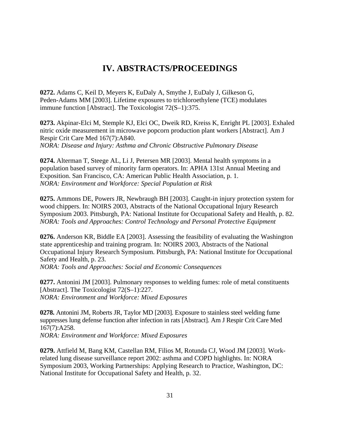#### **IV. ABSTRACTS/PROCEEDINGS**

**0272.** Adams C, Keil D, Meyers K, EuDaly A, Smythe J, EuDaly J, Gilkeson G, Peden-Adams MM [2003]. Lifetime exposures to trichloroethylene (TCE) modulates immune function [Abstract]. The Toxicologist 72(S–1):375.

**0273.** Akpinar-Elci M, Stemple KJ, Elci OC, Dweik RD, Kreiss K, Enright PL [2003]. Exhaled nitric oxide measurement in microwave popcorn production plant workers [Abstract]. Am J Respir Crit Care Med 167(7):A840. *NORA: Disease and Injury: Asthma and Chronic Obstructive Pulmonary Disease*

**0274.** Alterman T, Steege AL, Li J, Petersen MR [2003]. Mental health symptoms in a population based survey of minority farm operators. In: APHA 131st Annual Meeting and Exposition. San Francisco, CA: American Public Health Association, p. 1. *NORA: Environment and Workforce: Special Population at Risk*

**0275.** Ammons DE, Powers JR, Newbraugh BH [2003]. Caught-in injury protection system for wood chippers. In: NOIRS 2003, Abstracts of the National Occupational Injury Research Symposium 2003. Pittsburgh, PA: National Institute for Occupational Safety and Health, p. 82. *NORA: Tools and Approaches: Control Technology and Personal Protective Equipment*

**0276.** Anderson KR, Biddle EA [2003]. Assessing the feasibility of evaluating the Washington state apprenticeship and training program. In: NOIRS 2003, Abstracts of the National Occupational Injury Research Symposium. Pittsburgh, PA: National Institute for Occupational Safety and Health, p. 23.

*NORA: Tools and Approaches: Social and Economic Consequences*

**0277.** Antonini JM [2003]. Pulmonary responses to welding fumes: role of metal constituents [Abstract]. The Toxicologist 72(S-1):227. *NORA: Environment and Workforce: Mixed Exposures*

**0278.** Antonini JM, Roberts JR, Taylor MD [2003]. Exposure to stainless steel welding fume suppresses lung defense function after infection in rats [Abstract]. Am J Respir Crit Care Med 167(7):A258. *NORA: Environment and Workforce: Mixed Exposures*

**0279.** Attfield M, Bang KM, Castellan RM, Filios M, Rotunda CJ, Wood JM [2003]. Workrelated lung disease surveillance report 2002: asthma and COPD highlights. In: NORA Symposium 2003, Working Partnerships: Applying Research to Practice, Washington, DC: National Institute for Occupational Safety and Health, p. 32.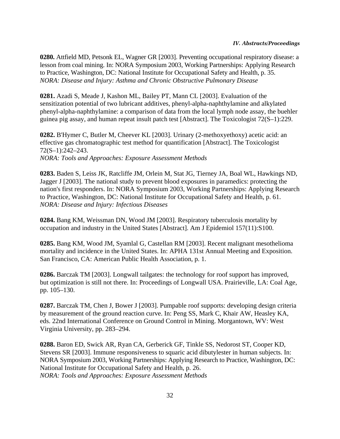**0280.** Attfield MD, Petsonk EL, Wagner GR [2003]. Preventing occupational respiratory disease: a lesson from coal mining. In: NORA Symposium 2003, Working Partnerships: Applying Research to Practice, Washington, DC: National Institute for Occupational Safety and Health, p. 35. *NORA: Disease and Injury: Asthma and Chronic Obstructive Pulmonary Disease*

**0281.** Azadi S, Meade J, Kashon ML, Bailey PT, Mann CL [2003]. Evaluation of the sensitization potential of two lubricant additives, phenyl-alpha-naphthylamine and alkylated phenyl-alpha-naphthylamine: a comparison of data from the local lymph node assay, the buehler guinea pig assay, and human repeat insult patch test [Abstract]. The Toxicologist 72(S–1):229.

**0282.** B'Hymer C, Butler M, Cheever KL [2003]. Urinary (2-methoxyethoxy) acetic acid: an effective gas chromatographic test method for quantification [Abstract]. The Toxicologist 72(S–1):242–243. *NORA: Tools and Approaches: Exposure Assessment Methods*

**0283.** Baden S, Leiss JK, Ratcliffe JM, Orlein M, Stat JG, Tierney JA, Boal WL, Hawkings ND, Jagger J [2003]. The national study to prevent blood exposures in paramedics: protecting the nation's first responders. In: NORA Symposium 2003, Working Partnerships: Applying Research to Practice, Washington, DC: National Institute for Occupational Safety and Health, p. 61. *NORA: Disease and Injury: Infectious Diseases*

**0284.** Bang KM, Weissman DN, Wood JM [2003]. Respiratory tuberculosis mortality by occupation and industry in the United States [Abstract]. Am J Epidemiol 157(11):S100.

**0285.** Bang KM, Wood JM, Syamlal G, Castellan RM [2003]. Recent malignant mesothelioma mortality and incidence in the United States. In: APHA 131st Annual Meeting and Exposition. San Francisco, CA: American Public Health Association, p. 1.

**0286.** Barczak TM [2003]. Longwall tailgates: the technology for roof support has improved, but optimization is still not there. In: Proceedings of Longwall USA. Prairieville, LA: Coal Age, pp. 105–130.

**0287.** Barczak TM, Chen J, Bower J [2003]. Pumpable roof supports: developing design criteria by measurement of the ground reaction curve. In: Peng SS, Mark C, Khair AW, Heasley KA, eds. 22nd International Conference on Ground Control in Mining. Morgantown, WV: West Virginia University, pp. 283–294.

**0288.** Baron ED, Swick AR, Ryan CA, Gerberick GF, Tinkle SS, Nedorost ST, Cooper KD, Stevens SR [2003]. Immune responsiveness to squaric acid dibutylester in human subjects. In: NORA Symposium 2003, Working Partnerships: Applying Research to Practice, Washington, DC: National Institute for Occupational Safety and Health, p. 26. *NORA: Tools and Approaches: Exposure Assessment Methods*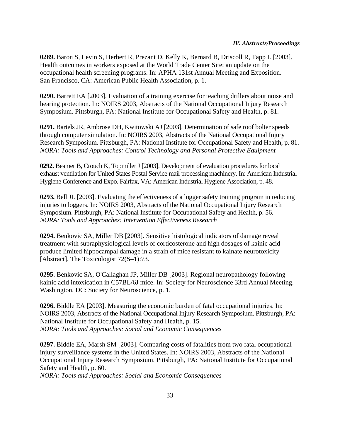**0289.** Baron S, Levin S, Herbert R, Prezant D, Kelly K, Bernard B, Driscoll R, Tapp L [2003]. Health outcomes in workers exposed at the World Trade Center Site: an update on the occupational health screening programs. In: APHA 131st Annual Meeting and Exposition. San Francisco, CA: American Public Health Association, p. 1.

**0290.** Barrett EA [2003]. Evaluation of a training exercise for teaching drillers about noise and hearing protection. In: NOIRS 2003, Abstracts of the National Occupational Injury Research Symposium. Pittsburgh, PA: National Institute for Occupational Safety and Health, p. 81.

**0291.** Bartels JR, Ambrose DH, Kwitowski AJ [2003]. Determination of safe roof bolter speeds through computer simulation. In: NOIRS 2003, Abstracts of the National Occupational Injury Research Symposium. Pittsburgh, PA: National Institute for Occupational Safety and Health, p. 81. *NORA: Tools and Approaches: Control Technology and Personal Protective Equipment*

**0292.** Beamer B, Crouch K, Topmiller J [2003]. Development of evaluation procedures for local exhaust ventilation for United States Postal Service mail processing machinery. In: American Industrial Hygiene Conference and Expo. Fairfax, VA: American Industrial Hygiene Association, p. 48.

**0293.** Bell JL [2003]. Evaluating the effectiveness of a logger safety training program in reducing injuries to loggers. In: NOIRS 2003, Abstracts of the National Occupational Injury Research Symposium. Pittsburgh, PA: National Institute for Occupational Safety and Health, p. 56. *NORA: Tools and Approaches: Intervention Effectiveness Research*

**0294.** Benkovic SA, Miller DB [2003]. Sensitive histological indicators of damage reveal treatment with supraphysiological levels of corticosterone and high dosages of kainic acid produce limited hippocampal damage in a strain of mice resistant to kainate neurotoxicity [Abstract]. The Toxicologist 72(S-1):73.

**0295.** Benkovic SA, O'Callaghan JP, Miller DB [2003]. Regional neuropathology following kainic acid intoxication in C57BL/6J mice. In: Society for Neuroscience 33rd Annual Meeting. Washington, DC: Society for Neuroscience, p. 1.

**0296.** Biddle EA [2003]. Measuring the economic burden of fatal occupational injuries. In: NOIRS 2003, Abstracts of the National Occupational Injury Research Symposium. Pittsburgh, PA: National Institute for Occupational Safety and Health, p. 15. *NORA: Tools and Approaches: Social and Economic Consequences*

**0297.** Biddle EA, Marsh SM [2003]. Comparing costs of fatalities from two fatal occupational injury surveillance systems in the United States. In: NOIRS 2003, Abstracts of the National Occupational Injury Research Symposium. Pittsburgh, PA: National Institute for Occupational Safety and Health, p. 60.

*NORA: Tools and Approaches: Social and Economic Consequences*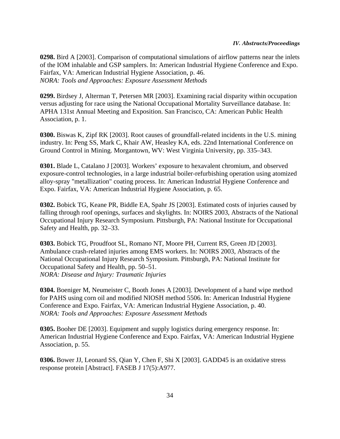**0298.** Bird A [2003]. Comparison of computational simulations of airflow patterns near the inlets of the IOM inhalable and GSP samplers. In: American Industrial Hygiene Conference and Expo. Fairfax, VA: American Industrial Hygiene Association, p. 46. *NORA: Tools and Approaches: Exposure Assessment Methods*

**0299.** Birdsey J, Alterman T, Petersen MR [2003]. Examining racial disparity within occupation versus adjusting for race using the National Occupational Mortality Surveillance database. In: APHA 131st Annual Meeting and Exposition. San Francisco, CA: American Public Health Association, p. 1.

**0300.** Biswas K, Zipf RK [2003]. Root causes of groundfall-related incidents in the U.S. mining industry. In: Peng SS, Mark C, Khair AW, Heasley KA, eds. 22nd International Conference on Ground Control in Mining. Morgantown, WV: West Virginia University, pp. 335–343.

**0301.** Blade L, Catalano J [2003]. Workers' exposure to hexavalent chromium, and observed exposure-control technologies, in a large industrial boiler-refurbishing operation using atomized alloy-spray "metallization" coating process. In: American Industrial Hygiene Conference and Expo. Fairfax, VA: American Industrial Hygiene Association, p. 65.

**0302.** Bobick TG, Keane PR, Biddle EA, Spahr JS [2003]. Estimated costs of injuries caused by falling through roof openings, surfaces and skylights. In: NOIRS 2003, Abstracts of the National Occupational Injury Research Symposium. Pittsburgh, PA: National Institute for Occupational Safety and Health, pp. 32–33.

**0303.** Bobick TG, Proudfoot SL, Romano NT, Moore PH, Current RS, Green JD [2003]. Ambulance crash-related injuries among EMS workers. In: NOIRS 2003, Abstracts of the National Occupational Injury Research Symposium. Pittsburgh, PA: National Institute for Occupational Safety and Health, pp. 50–51. *NORA: Disease and Injury: Traumatic Injuries*

**0304.** Boeniger M, Neumeister C, Booth Jones A [2003]. Development of a hand wipe method for PAHS using corn oil and modified NIOSH method 5506. In: American Industrial Hygiene Conference and Expo. Fairfax, VA: American Industrial Hygiene Association, p. 40. *NORA: Tools and Approaches: Exposure Assessment Methods*

**0305.** Booher DE [2003]. Equipment and supply logistics during emergency response. In: American Industrial Hygiene Conference and Expo. Fairfax, VA: American Industrial Hygiene Association, p. 55.

**0306.** Bower JJ, Leonard SS, Qian Y, Chen F, Shi X [2003]. GADD45 is an oxidative stress response protein [Abstract]. FASEB J 17(5):A977.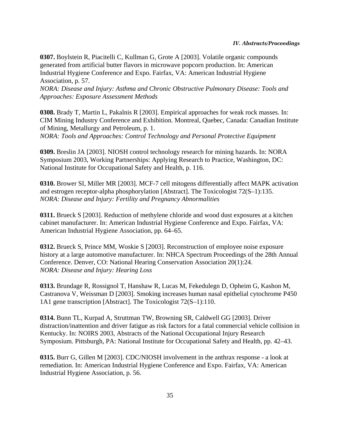**0307.** Boylstein R, Piacitelli C, Kullman G, Grote A [2003]. Volatile organic compounds generated from artificial butter flavors in microwave popcorn production. In: American Industrial Hygiene Conference and Expo. Fairfax, VA: American Industrial Hygiene Association, p. 57.

*NORA: Disease and Injury: Asthma and Chronic Obstructive Pulmonary Disease: Tools and Approaches: Exposure Assessment Methods*

**0308.** Brady T, Martin L, Pakalnis R [2003]. Empirical approaches for weak rock masses. In: CIM Mining Industry Conference and Exhibition. Montreal, Quebec, Canada: Canadian Institute of Mining, Metallurgy and Petroleum, p. 1. *NORA: Tools and Approaches: Control Technology and Personal Protective Equipment*

**0309.** Breslin JA [2003]. NIOSH control technology research for mining hazards. In: NORA Symposium 2003, Working Partnerships: Applying Research to Practice, Washington, DC: National Institute for Occupational Safety and Health, p. 116.

**0310.** Brower SI, Miller MR [2003]. MCF-7 cell mitogens differentially affect MAPK activation and estrogen receptor-alpha phosphorylation [Abstract]. The Toxicologist 72(S–1):135. *NORA: Disease and Injury: Fertility and Pregnancy Abnormalities*

**0311.** Brueck S [2003]. Reduction of methylene chloride and wood dust exposures at a kitchen cabinet manufacturer. In: American Industrial Hygiene Conference and Expo. Fairfax, VA: American Industrial Hygiene Association, pp. 64–65.

**0312.** Brueck S, Prince MM, Woskie S [2003]. Reconstruction of employee noise exposure history at a large automotive manufacturer. In: NHCA Spectrum Proceedings of the 28th Annual Conference. Denver, CO: National Hearing Conservation Association 20(1):24. *NORA: Disease and Injury: Hearing Loss*

**0313.** Brundage R, Rossignol T, Hanshaw R, Lucas M, Fekedulegn D, Opheim G, Kashon M, Castranova V, Weissman D [2003]. Smoking increases human nasal epithelial cytochrome P450 1A1 gene transcription [Abstract]. The Toxicologist 72(S–1):110.

**0314.** Bunn TL, Kurpad A, Struttman TW, Browning SR, Caldwell GG [2003]. Driver distraction/inattention and driver fatigue as risk factors for a fatal commercial vehicle collision in Kentucky. In: NOIRS 2003, Abstracts of the National Occupational Injury Research Symposium. Pittsburgh, PA: National Institute for Occupational Safety and Health, pp. 42–43.

**0315.** Burr G, Gillen M [2003]. CDC/NIOSH involvement in the anthrax response - a look at remediation. In: American Industrial Hygiene Conference and Expo. Fairfax, VA: American Industrial Hygiene Association, p. 56.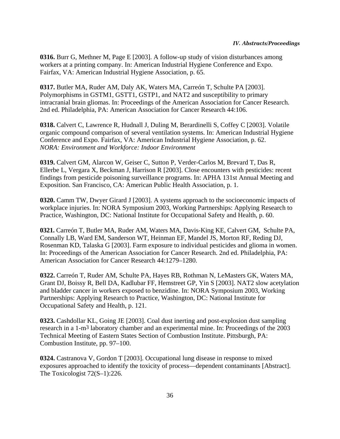**0316.** Burr G, Methner M, Page E [2003]. A follow-up study of vision disturbances among workers at a printing company. In: American Industrial Hygiene Conference and Expo. Fairfax, VA: American Industrial Hygiene Association, p. 65.

**0317.** Butler MA, Ruder AM, Daly AK, Waters MA, Carreón T, Schulte PA [2003]. Polymorphisms in GSTM1, GSTT1, GSTP1, and NAT2 and susceptibility to primary intracranial brain gliomas. In: Proceedings of the American Association for Cancer Research. 2nd ed. Philadelphia, PA: American Association for Cancer Research 44:106.

**0318.** Calvert C, Lawrence R, Hudnall J, Duling M, Berardinelli S, Coffey C [2003]. Volatile organic compound comparison of several ventilation systems. In: American Industrial Hygiene Conference and Expo. Fairfax, VA: American Industrial Hygiene Association, p. 62. *NORA: Environment and Workforce: Indoor Environment*

**0319.** Calvert GM, Alarcon W, Geiser C, Sutton P, Verder-Carlos M, Brevard T, Das R, Ellerbe L, Vergara X, Beckman J, Harrison R [2003]. Close encounters with pesticides: recent findings from pesticide poisoning surveillance programs. In: APHA 131st Annual Meeting and Exposition. San Francisco, CA: American Public Health Association, p. 1.

**0320.** Camm TW, Dwyer Girard J [2003]. A systems approach to the socioeconomic impacts of workplace injuries. In: NORA Symposium 2003, Working Partnerships: Applying Research to Practice, Washington, DC: National Institute for Occupational Safety and Health, p. 60.

**0321.** Carreón T, Butler MA, Ruder AM, Waters MA, Davis-King KE, Calvert GM, Schulte PA, Connally LB, Ward EM, Sanderson WT, Heinman EF, Mandel JS, Morton RF, Reding DJ, Rosenman KD, Talaska G [2003]. Farm exposure to individual pesticides and glioma in women. In: Proceedings of the American Association for Cancer Research. 2nd ed. Philadelphia, PA: American Association for Cancer Research 44:1279–1280.

**0322.** Carreón T, Ruder AM, Schulte PA, Hayes RB, Rothman N, LeMasters GK, Waters MA, Grant DJ, Boissy R, Bell DA, Kadlubar FF, Hemstreet GP, Yin S [2003]. NAT2 slow acetylation and bladder cancer in workers exposed to benzidine. In: NORA Symposium 2003, Working Partnerships: Applying Research to Practice, Washington, DC: National Institute for Occupational Safety and Health, p. 121.

**0323.** Cashdollar KL, Going JE [2003]. Coal dust inerting and post-explosion dust sampling research in a 1-m3 laboratory chamber and an experimental mine. In: Proceedings of the 2003 Technical Meeting of Eastern States Section of Combustion Institute. Pittsburgh, PA: Combustion Institute, pp. 97–100.

**0324.** Castranova V, Gordon T [2003]. Occupational lung disease in response to mixed exposures approached to identify the toxicity of process—dependent contaminants [Abstract]. The Toxicologist 72(S–1):226.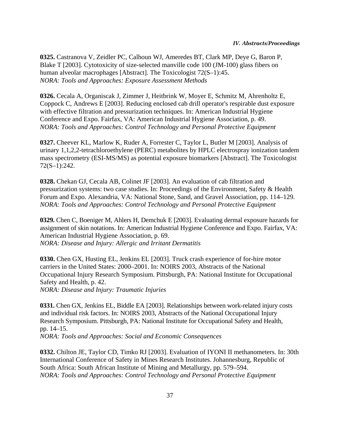**0325.** Castranova V, Zeidler PC, Calhoun WJ, Ameredes BT, Clark MP, Deye G, Baron P, Blake T [2003]. Cytotoxicity of size-selected manville code 100 (JM-100) glass fibers on human alveolar macrophages [Abstract]. The Toxicologist 72(S–1):45. *NORA: Tools and Approaches: Exposure Assessment Methods*

**0326.** Cecala A, Organiscak J, Zimmer J, Heitbrink W, Moyer E, Schmitz M, Ahrenholtz E, Coppock C, Andrews E [2003]. Reducing enclosed cab drill operator's respirable dust exposure with effective filtration and pressurization techniques. In: American Industrial Hygiene Conference and Expo. Fairfax, VA: American Industrial Hygiene Association, p. 49. *NORA: Tools and Approaches: Control Technology and Personal Protective Equipment*

**0327.** Cheever KL, Marlow K, Ruder A, Forrester C, Taylor L, Butler M [2003]. Analysis of urinary 1,1,2,2-tetrachloroethylene (PERC) metabolites by HPLC electrospray ionization tandem mass spectrometry (ESI-MS/MS) as potential exposure biomarkers [Abstract]. The Toxicologist 72(S–1):242.

**0328.** Chekan GJ, Cecala AB, Colinet JF [2003]. An evaluation of cab filtration and pressurization systems: two case studies. In: Proceedings of the Environment, Safety & Health Forum and Expo. Alexandria, VA: National Stone, Sand, and Gravel Association, pp. 114–129. *NORA: Tools and Approaches: Control Technology and Personal Protective Equipment*

**0329.** Chen C, Boeniger M, Ahlers H, Demchuk E [2003]. Evaluating dermal exposure hazards for assignment of skin notations. In: American Industrial Hygiene Conference and Expo. Fairfax, VA: American Industrial Hygiene Association, p. 69. *NORA: Disease and Injury: Allergic and Irritant Dermatitis*

**0330.** Chen GX, Husting EL, Jenkins EL [2003]. Truck crash experience of for-hire motor carriers in the United States: 2000–2001. In: NOIRS 2003, Abstracts of the National Occupational Injury Research Symposium. Pittsburgh, PA: National Institute for Occupational Safety and Health, p. 42. *NORA: Disease and Injury: Traumatic Injuries*

**0331.** Chen GX, Jenkins EL, Biddle EA [2003]. Relationships between work-related injury costs and individual risk factors. In: NOIRS 2003, Abstracts of the National Occupational Injury Research Symposium. Pittsburgh, PA: National Institute for Occupational Safety and Health, pp. 14–15.

*NORA: Tools and Approaches: Social and Economic Consequences*

**0332.** Chilton JE, Taylor CD, Timko RJ [2003]. Evaluation of IYONI II methanometers. In: 30th International Conference of Safety in Mines Research Institutes. Johannesburg, Republic of South Africa: South African Institute of Mining and Metallurgy, pp. 579–594. *NORA: Tools and Approaches: Control Technology and Personal Protective Equipment*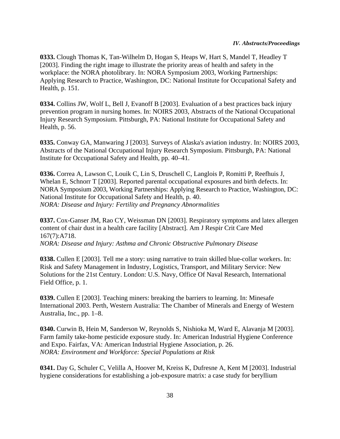**0333.** Clough Thomas K, Tan-Wilhelm D, Hogan S, Heaps W, Hart S, Mandel T, Headley T [2003]. Finding the right image to illustrate the priority areas of health and safety in the workplace: the NORA photolibrary. In: NORA Symposium 2003, Working Partnerships: Applying Research to Practice, Washington, DC: National Institute for Occupational Safety and Health, p. 151.

**0334.** Collins JW, Wolf L, Bell J, Evanoff B [2003]. Evaluation of a best practices back injury prevention program in nursing homes. In: NOIRS 2003, Abstracts of the National Occupational Injury Research Symposium. Pittsburgh, PA: National Institute for Occupational Safety and Health, p. 56.

**0335.** Conway GA, Manwaring J [2003]. Surveys of Alaska's aviation industry. In: NOIRS 2003, Abstracts of the National Occupational Injury Research Symposium. Pittsburgh, PA: National Institute for Occupational Safety and Health, pp. 40–41.

**0336.** Correa A, Lawson C, Louik C, Lin S, Druschell C, Langlois P, Romitti P, Reefhuis J, Whelan E, Schnorr T [2003]. Reported parental occupational exposures and birth defects. In: NORA Symposium 2003, Working Partnerships: Applying Research to Practice, Washington, DC: National Institute for Occupational Safety and Health, p. 40. *NORA: Disease and Injury: Fertility and Pregnancy Abnormalities*

**0337.** Cox-Ganser JM, Rao CY, Weissman DN [2003]. Respiratory symptoms and latex allergen content of chair dust in a health care facility [Abstract]. Am J Respir Crit Care Med 167(7):A718. *NORA: Disease and Injury: Asthma and Chronic Obstructive Pulmonary Disease*

**0338.** Cullen E [2003]. Tell me a story: using narrative to train skilled blue-collar workers. In: Risk and Safety Management in Industry, Logistics, Transport, and Military Service: New Solutions for the 21st Century. London: U.S. Navy, Office Of Naval Research, International Field Office, p. 1.

**0339.** Cullen E [2003]. Teaching miners: breaking the barriers to learning. In: Minesafe International 2003. Perth, Western Australia: The Chamber of Minerals and Energy of Western Australia, Inc., pp. 1–8.

**0340.** Curwin B, Hein M, Sanderson W, Reynolds S, Nishioka M, Ward E, Alavanja M [2003]. Farm family take-home pesticide exposure study. In: American Industrial Hygiene Conference and Expo. Fairfax, VA: American Industrial Hygiene Association, p. 26. *NORA: Environment and Workforce: Special Populations at Risk*

**0341.** Day G, Schuler C, Velilla A, Hoover M, Kreiss K, Dufresne A, Kent M [2003]. Industrial hygiene considerations for establishing a job-exposure matrix: a case study for beryllium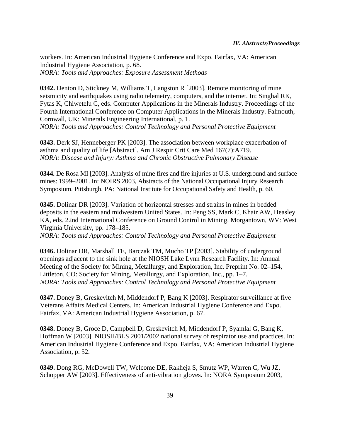workers. In: American Industrial Hygiene Conference and Expo. Fairfax, VA: American Industrial Hygiene Association, p. 68. *NORA: Tools and Approaches: Exposure Assessment Methods*

**0342.** Denton D, Stickney M, Williams T, Langston R [2003]. Remote monitoring of mine seismicity and earthquakes using radio telemetry, computers, and the internet. In: Singhal RK, Fytas K, Chiwetelu C, eds. Computer Applications in the Minerals Industry. Proceedings of the Fourth International Conference on Computer Applications in the Minerals Industry. Falmouth, Cornwall, UK: Minerals Engineering International, p. 1. *NORA: Tools and Approaches: Control Technology and Personal Protective Equipment*

**0343.** Derk SJ, Henneberger PK [2003]. The association between workplace exacerbation of asthma and quality of life [Abstract]. Am J Respir Crit Care Med 167(7):A719. *NORA: Disease and Injury: Asthma and Chronic Obstructive Pulmonary Disease*

**0344.** De Rosa MI [2003]. Analysis of mine fires and fire injuries at U.S. underground and surface mines: 1999–2001. In: NOIRS 2003, Abstracts of the National Occupational Injury Research Symposium. Pittsburgh, PA: National Institute for Occupational Safety and Health, p. 60.

**0345.** Dolinar DR [2003]. Variation of horizontal stresses and strains in mines in bedded deposits in the eastern and midwestern United States. In: Peng SS, Mark C, Khair AW, Heasley KA, eds. 22nd International Conference on Ground Control in Mining. Morgantown, WV: West Virginia University, pp. 178–185.

*NORA: Tools and Approaches: Control Technology and Personal Protective Equipment*

**0346.** Dolinar DR, Marshall TE, Barczak TM, Mucho TP [2003]. Stability of underground openings adjacent to the sink hole at the NIOSH Lake Lynn Research Facility. In: Annual Meeting of the Society for Mining, Metallurgy, and Exploration, Inc. Preprint No. 02–154, Littleton, CO: Society for Mining, Metallurgy, and Exploration, Inc., pp. 1–7. *NORA: Tools and Approaches: Control Technology and Personal Protective Equipment*

**0347.** Doney B, Greskevitch M, Middendorf P, Bang K [2003]. Respirator surveillance at five Veterans Affairs Medical Centers. In: American Industrial Hygiene Conference and Expo. Fairfax, VA: American Industrial Hygiene Association, p. 67.

**0348.** Doney B, Groce D, Campbell D, Greskevitch M, Middendorf P, Syamlal G, Bang K, Hoffman W [2003]. NIOSH/BLS 2001/2002 national survey of respirator use and practices. In: American Industrial Hygiene Conference and Expo. Fairfax, VA: American Industrial Hygiene Association, p. 52.

**0349.** Dong RG, McDowell TW, Welcome DE, Rakheja S, Smutz WP, Warren C, Wu JZ, Schopper AW [2003]. Effectiveness of anti-vibration gloves. In: NORA Symposium 2003,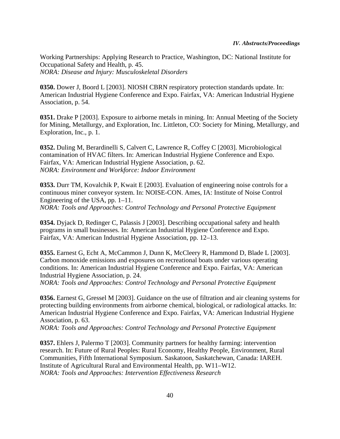Working Partnerships: Applying Research to Practice, Washington, DC: National Institute for Occupational Safety and Health, p. 45. *NORA: Disease and Injury: Musculoskeletal Disorders*

**0350.** Dower J, Boord L [2003]. NIOSH CBRN respiratory protection standards update. In: American Industrial Hygiene Conference and Expo. Fairfax, VA: American Industrial Hygiene Association, p. 54.

**0351.** Drake P [2003]. Exposure to airborne metals in mining. In: Annual Meeting of the Society for Mining, Metallurgy, and Exploration, Inc. Littleton, CO: Society for Mining, Metallurgy, and Exploration, Inc., p. 1.

**0352.** Duling M, Berardinelli S, Calvert C, Lawrence R, Coffey C [2003]. Microbiological contamination of HVAC filters. In: American Industrial Hygiene Conference and Expo. Fairfax, VA: American Industrial Hygiene Association, p. 62. *NORA: Environment and Workforce: Indoor Environment*

**0353.** Durr TM, Kovalchik P, Kwait E [2003]. Evaluation of engineering noise controls for a continuous miner conveyor system. In: NOISE-CON. Ames, IA: Institute of Noise Control Engineering of the USA, pp. 1–11. *NORA: Tools and Approaches: Control Technology and Personal Protective Equipment*

**0354.** Dyjack D, Redinger C, Palassis J [2003]. Describing occupational safety and health programs in small businesses. In: American Industrial Hygiene Conference and Expo. Fairfax, VA: American Industrial Hygiene Association, pp. 12–13.

**0355.** Earnest G, Echt A, McCammon J, Dunn K, McCleery R, Hammond D, Blade L [2003]. Carbon monoxide emissions and exposures on recreational boats under various operating conditions. In: American Industrial Hygiene Conference and Expo. Fairfax, VA: American Industrial Hygiene Association, p. 24.

*NORA: Tools and Approaches: Control Technology and Personal Protective Equipment*

**0356.** Earnest G, Gressel M [2003]. Guidance on the use of filtration and air cleaning systems for protecting building environments from airborne chemical, biological, or radiological attacks. In: American Industrial Hygiene Conference and Expo. Fairfax, VA: American Industrial Hygiene Association, p. 63.

*NORA: Tools and Approaches: Control Technology and Personal Protective Equipment*

**0357.** Ehlers J, Palermo T [2003]. Community partners for healthy farming: intervention research. In: Future of Rural Peoples: Rural Economy, Healthy People, Environment, Rural Communities, Fifth International Symposium. Saskatoon, Saskatchewan, Canada: IAREH. Institute of Agricultural Rural and Environmental Health, pp. W11–W12. *NORA: Tools and Approaches: Intervention Effectiveness Research*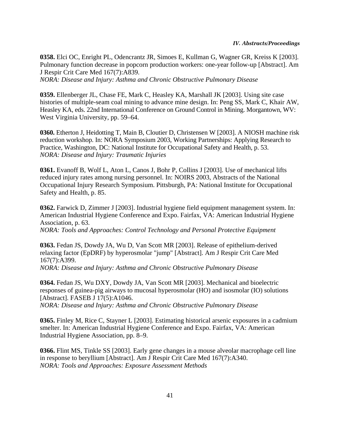**0358.** Elci OC, Enright PL, Odencrantz JR, Simoes E, Kullman G, Wagner GR, Kreiss K [2003]. Pulmonary function decrease in popcorn production workers: one-year follow-up [Abstract]. Am J Respir Crit Care Med 167(7):A839. *NORA: Disease and Injury: Asthma and Chronic Obstructive Pulmonary Disease*

**0359.** Ellenberger JL, Chase FE, Mark C, Heasley KA, Marshall JK [2003]. Using site case histories of multiple-seam coal mining to advance mine design. In: Peng SS, Mark C, Khair AW, Heasley KA, eds. 22nd International Conference on Ground Control in Mining. Morgantown, WV: West Virginia University, pp. 59–64.

**0360.** Etherton J, Heidotting T, Main B, Cloutier D, Christensen W [2003]. A NIOSH machine risk reduction workshop. In: NORA Symposium 2003, Working Partnerships: Applying Research to Practice, Washington, DC: National Institute for Occupational Safety and Health, p. 53. *NORA: Disease and Injury: Traumatic Injuries*

**0361.** Evanoff B, Wolf L, Aton L, Canos J, Bohr P, Collins J [2003]. Use of mechanical lifts reduced injury rates among nursing personnel. In: NOIRS 2003, Abstracts of the National Occupational Injury Research Symposium. Pittsburgh, PA: National Institute for Occupational Safety and Health, p. 85.

**0362.** Farwick D, Zimmer J [2003]. Industrial hygiene field equipment management system. In: American Industrial Hygiene Conference and Expo. Fairfax, VA: American Industrial Hygiene Association, p. 63.

*NORA: Tools and Approaches: Control Technology and Personal Protective Equipment*

**0363.** Fedan JS, Dowdy JA, Wu D, Van Scott MR [2003]. Release of epithelium-derived relaxing factor (EpDRF) by hyperosmolar "jump" [Abstract]. Am J Respir Crit Care Med 167(7):A399.

*NORA: Disease and Injury: Asthma and Chronic Obstructive Pulmonary Disease*

**0364.** Fedan JS, Wu DXY, Dowdy JA, Van Scott MR [2003]. Mechanical and bioelectric responses of guinea-pig airways to mucosal hyperosmolar (HO) and isosmolar (IO) solutions [Abstract]. FASEB J 17(5):A1046.

*NORA: Disease and Injury: Asthma and Chronic Obstructive Pulmonary Disease*

**0365.** Finley M, Rice C, Stayner L [2003]. Estimating historical arsenic exposures in a cadmium smelter. In: American Industrial Hygiene Conference and Expo. Fairfax, VA: American Industrial Hygiene Association, pp. 8–9.

**0366.** Flint MS, Tinkle SS [2003]. Early gene changes in a mouse alveolar macrophage cell line in response to beryllium [Abstract]. Am J Respir Crit Care Med 167(7):A340. *NORA: Tools and Approaches: Exposure Assessment Methods*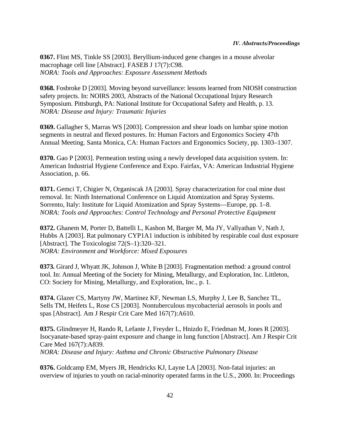**0367.** Flint MS, Tinkle SS [2003]. Beryllium-induced gene changes in a mouse alveolar macrophage cell line [Abstract]. FASEB J 17(7):C98. *NORA: Tools and Approaches: Exposure Assessment Methods*

**0368.** Fosbroke D [2003]. Moving beyond surveillance: lessons learned from NIOSH construction safety projects. In: NOIRS 2003, Abstracts of the National Occupational Injury Research Symposium. Pittsburgh, PA: National Institute for Occupational Safety and Health, p. 13. *NORA: Disease and Injury: Traumatic Injuries*

**0369.** Gallagher S, Marras WS [2003]. Compression and shear loads on lumbar spine motion segments in neutral and flexed postures. In: Human Factors and Ergonomics Society 47th Annual Meeting. Santa Monica, CA: Human Factors and Ergonomics Society, pp. 1303–1307.

**0370.** Gao P [2003]. Permeation testing using a newly developed data acquisition system. In: American Industrial Hygiene Conference and Expo. Fairfax, VA: American Industrial Hygiene Association, p. 66.

**0371.** Gemci T, Chigier N, Organiscak JA [2003]. Spray characterization for coal mine dust removal. In: Ninth International Conference on Liquid Atomization and Spray Systems. Sorrento, Italy: Institute for Liquid Atomization and Spray Systems—Europe, pp. 1–8. *NORA: Tools and Approaches: Control Technology and Personal Protective Equipment*

**0372.** Ghanem M, Porter D, Battelli L, Kashon M, Barger M, Ma JY, Vallyathan V, Nath J, Hubbs A [2003]. Rat pulmonary CYP1A1 induction is inhibited by respirable coal dust exposure [Abstract]. The Toxicologist 72(S–1):320–321. *NORA: Environment and Workforce: Mixed Exposures*

**0373.** Girard J, Whyatt JK, Johnson J, White B [2003]. Fragmentation method: a ground control tool. In: Annual Meeting of the Society for Mining, Metallurgy, and Exploration, Inc. Littleton, CO: Society for Mining, Metallurgy, and Exploration, Inc., p. 1.

**0374.** Glazer CS, Martyny JW, Martinez KF, Newman LS, Murphy J, Lee B, Sanchez TL, Sells TM, Heifets L, Rose CS [2003]. Nontuberculous mycobacterial aerosols in pools and spas [Abstract]. Am J Respir Crit Care Med 167(7):A610.

**0375.** Glindmeyer H, Rando R, Lefante J, Freyder L, Hnizdo E, Friedman M, Jones R [2003]. Isocyanate-based spray-paint exposure and change in lung function [Abstract]. Am J Respir Crit Care Med 167(7):A839. *NORA: Disease and Injury: Asthma and Chronic Obstructive Pulmonary Disease*

**0376.** Goldcamp EM, Myers JR, Hendricks KJ, Layne LA [2003]. Non-fatal injuries: an overview of injuries to youth on racial-minority operated farms in the U.S., 2000. In: Proceedings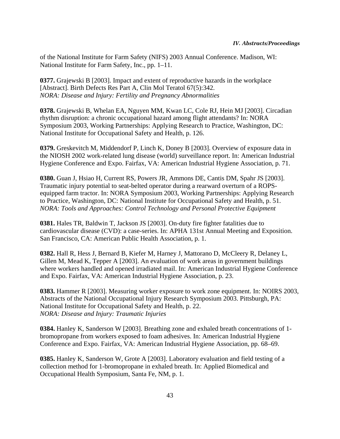of the National Institute for Farm Safety (NIFS) 2003 Annual Conference. Madison, WI: National Institute for Farm Safety, Inc., pp. 1–11.

**0377.** Grajewski B [2003]. Impact and extent of reproductive hazards in the workplace [Abstract]. Birth Defects Res Part A, Clin Mol Teratol 67(5):342. *NORA: Disease and Injury: Fertility and Pregnancy Abnormalities*

**0378.** Grajewski B, Whelan EA, Nguyen MM, Kwan LC, Cole RJ, Hein MJ [2003]. Circadian rhythm disruption: a chronic occupational hazard among flight attendants? In: NORA Symposium 2003, Working Partnerships: Applying Research to Practice, Washington, DC: National Institute for Occupational Safety and Health, p. 126.

**0379.** Greskevitch M, Middendorf P, Linch K, Doney B [2003]. Overview of exposure data in the NIOSH 2002 work-related lung disease (world) surveillance report. In: American Industrial Hygiene Conference and Expo. Fairfax, VA: American Industrial Hygiene Association, p. 71.

**0380.** Guan J, Hsiao H, Current RS, Powers JR, Ammons DE, Cantis DM, Spahr JS [2003]. Traumatic injury potential to seat-belted operator during a rearward overturn of a ROPSequipped farm tractor. In: NORA Symposium 2003, Working Partnerships: Applying Research to Practice, Washington, DC: National Institute for Occupational Safety and Health, p. 51. *NORA: Tools and Approaches: Control Technology and Personal Protective Equipment*

**0381.** Hales TR, Baldwin T, Jackson JS [2003]. On-duty fire fighter fatalities due to cardiovascular disease (CVD): a case-series. In: APHA 131st Annual Meeting and Exposition. San Francisco, CA: American Public Health Association, p. 1.

**0382.** Hall R, Hess J, Bernard B, Kiefer M, Harney J, Mattorano D, McCleery R, Delaney L, Gillen M, Mead K, Tepper A [2003]. An evaluation of work areas in government buildings where workers handled and opened irradiated mail. In: American Industrial Hygiene Conference and Expo. Fairfax, VA: American Industrial Hygiene Association, p. 23.

**0383.** Hammer R [2003]. Measuring worker exposure to work zone equipment. In: NOIRS 2003, Abstracts of the National Occupational Injury Research Symposium 2003. Pittsburgh, PA: National Institute for Occupational Safety and Health, p. 22. *NORA: Disease and Injury: Traumatic Injuries*

**0384.** Hanley K, Sanderson W [2003]. Breathing zone and exhaled breath concentrations of 1 bromopropane from workers exposed to foam adhesives. In: American Industrial Hygiene Conference and Expo. Fairfax, VA: American Industrial Hygiene Association, pp. 68–69.

**0385.** Hanley K, Sanderson W, Grote A [2003]. Laboratory evaluation and field testing of a collection method for 1-bromopropane in exhaled breath. In: Applied Biomedical and Occupational Health Symposium, Santa Fe, NM, p. 1.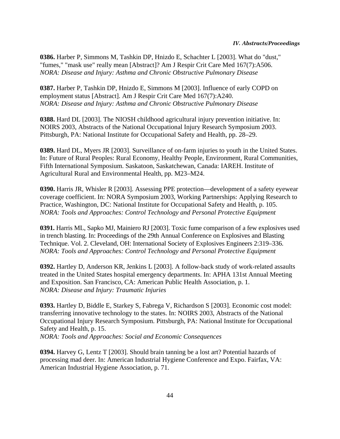**0386.** Harber P, Simmons M, Tashkin DP, Hnizdo E, Schachter L [2003]. What do "dust," "fumes," "mask use" really mean [Abstract]? Am J Respir Crit Care Med 167(7):A506. *NORA: Disease and Injury: Asthma and Chronic Obstructive Pulmonary Disease*

**0387.** Harber P, Tashkin DP, Hnizdo E, Simmons M [2003]. Influence of early COPD on employment status [Abstract]. Am J Respir Crit Care Med 167(7):A240. *NORA: Disease and Injury: Asthma and Chronic Obstructive Pulmonary Disease*

**0388.** Hard DL [2003]. The NIOSH childhood agricultural injury prevention initiative. In: NOIRS 2003, Abstracts of the National Occupational Injury Research Symposium 2003. Pittsburgh, PA: National Institute for Occupational Safety and Health, pp. 28–29.

**0389.** Hard DL, Myers JR [2003]. Surveillance of on-farm injuries to youth in the United States. In: Future of Rural Peoples: Rural Economy, Healthy People, Environment, Rural Communities, Fifth International Symposium. Saskatoon, Saskatchewan, Canada: IAREH. Institute of Agricultural Rural and Environmental Health, pp. M23–M24.

**0390.** Harris JR, Whisler R [2003]. Assessing PPE protection—development of a safety eyewear coverage coefficient. In: NORA Symposium 2003, Working Partnerships: Applying Research to Practice, Washington, DC: National Institute for Occupational Safety and Health, p. 105. *NORA: Tools and Approaches: Control Technology and Personal Protective Equipment*

**0391.** Harris ML, Sapko MJ, Mainiero RJ [2003]. Toxic fume comparison of a few explosives used in trench blasting. In: Proceedings of the 29th Annual Conference on Explosives and Blasting Technique. Vol. 2. Cleveland, OH: International Society of Explosives Engineers 2:319–336. *NORA: Tools and Approaches: Control Technology and Personal Protective Equipment*

**0392.** Hartley D, Anderson KR, Jenkins L [2003]. A follow-back study of work-related assaults treated in the United States hospital emergency departments. In: APHA 131st Annual Meeting and Exposition. San Francisco, CA: American Public Health Association, p. 1. *NORA: Disease and Injury: Traumatic Injuries*

**0393.** Hartley D, Biddle E, Starkey S, Fabrega V, Richardson S [2003]. Economic cost model: transferring innovative technology to the states. In: NOIRS 2003, Abstracts of the National Occupational Injury Research Symposium. Pittsburgh, PA: National Institute for Occupational Safety and Health, p. 15.

*NORA: Tools and Approaches: Social and Economic Consequences*

**0394.** Harvey G, Lentz T [2003]. Should brain tanning be a lost art? Potential hazards of processing mad deer. In: American Industrial Hygiene Conference and Expo. Fairfax, VA: American Industrial Hygiene Association, p. 71.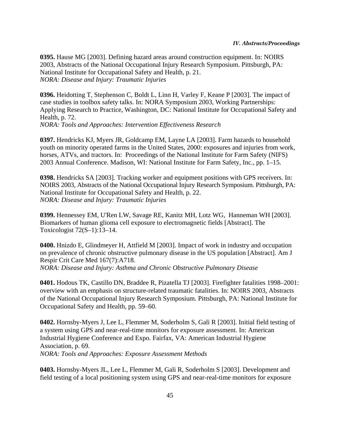**0395.** Hause MG [2003]. Defining hazard areas around construction equipment. In: NOIRS 2003, Abstracts of the National Occupational Injury Research Symposium. Pittsburgh, PA: National Institute for Occupational Safety and Health, p. 21. *NORA: Disease and Injury: Traumatic Injuries*

**0396.** Heidotting T, Stephenson C, Boldt L, Linn H, Varley F, Keane P [2003]. The impact of case studies in toolbox safety talks. In: NORA Symposium 2003, Working Partnerships: Applying Research to Practice, Washington, DC: National Institute for Occupational Safety and Health, p. 72. *NORA: Tools and Approaches: Intervention Effectiveness Research*

**0397.** Hendricks KJ, Myers JR, Goldcamp EM, Layne LA [2003]. Farm hazards to household youth on minority operated farms in the United States, 2000: exposures and injuries from work, horses, ATVs, and tractors. In: Proceedings of the National Institute for Farm Safety (NIFS) 2003 Annual Conference. Madison, WI: National Institute for Farm Safety, Inc., pp. 1–15.

**0398.** Hendricks SA [2003]. Tracking worker and equipment positions with GPS receivers. In: NOIRS 2003, Abstracts of the National Occupational Injury Research Symposium. Pittsburgh, PA: National Institute for Occupational Safety and Health, p. 22. *NORA: Disease and Injury: Traumatic Injuries*

**0399.** Hennessey EM, U'Ren LW, Savage RE, Kanitz MH, Lotz WG, Hanneman WH [2003]. Biomarkers of human glioma cell exposure to electromagnetic fields [Abstract]. The Toxicologist 72(S–1):13–14.

**0400.** Hnizdo E, Glindmeyer H, Attfield M [2003]. Impact of work in industry and occupation on prevalence of chronic obstructive pulmonary disease in the US population [Abstract]. Am J Respir Crit Care Med 167(7):A718. *NORA: Disease and Injury: Asthma and Chronic Obstructive Pulmonary Disease*

**0401.** Hodous TK, Castillo DN, Braddee R, Pizatella TJ [2003]. Firefighter fatalities 1998–2001: overview with an emphasis on structure-related traumatic fatalities. In: NOIRS 2003, Abstracts of the National Occupational Injury Research Symposium. Pittsburgh, PA: National Institute for Occupational Safety and Health, pp. 59–60.

**0402.** Hornsby-Myers J, Lee L, Flemmer M, Soderholm S, Gali R [2003]. Initial field testing of a system using GPS and near-real-time monitors for exposure assessment. In: American Industrial Hygiene Conference and Expo. Fairfax, VA: American Industrial Hygiene Association, p. 69. *NORA: Tools and Approaches: Exposure Assessment Methods*

**0403.** Hornsby-Myers JL, Lee L, Flemmer M, Gali R, Soderholm S [2003]. Development and field testing of a local positioning system using GPS and near-real-time monitors for exposure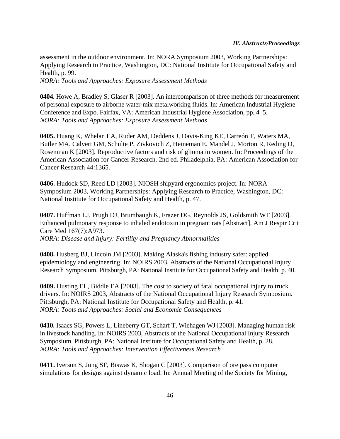assessment in the outdoor environment. In: NORA Symposium 2003, Working Partnerships: Applying Research to Practice, Washington, DC: National Institute for Occupational Safety and Health, p. 99. *NORA: Tools and Approaches: Exposure Assessment Methods*

**0404.** Howe A, Bradley S, Glaser R [2003]. An intercomparison of three methods for measurement of personal exposure to airborne water-mix metalworking fluids. In: American Industrial Hygiene Conference and Expo. Fairfax, VA: American Industrial Hygiene Association, pp. 4–5. *NORA: Tools and Approaches: Exposure Assessment Methods*

**0405.** Huang K, Whelan EA, Ruder AM, Deddens J, Davis-King KE, Carreón T, Waters MA, Butler MA, Calvert GM, Schulte P, Zivkovich Z, Heineman E, Mandel J, Morton R, Reding D, Rosenman K [2003]. Reproductive factors and risk of glioma in women. In: Proceedings of the American Association for Cancer Research. 2nd ed. Philadelphia, PA: American Association for Cancer Research 44:1365.

**0406.** Hudock SD, Reed LD [2003]. NIOSH shipyard ergonomics project. In: NORA Symposium 2003, Working Partnerships: Applying Research to Practice, Washington, DC: National Institute for Occupational Safety and Health, p. 47.

**0407.** Huffman LJ, Prugh DJ, Brumbaugh K, Frazer DG, Reynolds JS, Goldsmith WT [2003]. Enhanced pulmonary response to inhaled endotoxin in pregnant rats [Abstract]. Am J Respir Crit Care Med 167(7):A973.

*NORA: Disease and Injury: Fertility and Pregnancy Abnormalities*

**0408.** Husberg BJ, Lincoln JM [2003]. Making Alaska's fishing industry safer: applied epidemiology and engineering. In: NOIRS 2003, Abstracts of the National Occupational Injury Research Symposium. Pittsburgh, PA: National Institute for Occupational Safety and Health, p. 40.

**0409.** Husting EL, Biddle EA [2003]. The cost to society of fatal occupational injury to truck drivers. In: NOIRS 2003, Abstracts of the National Occupational Injury Research Symposium. Pittsburgh, PA: National Institute for Occupational Safety and Health, p. 41. *NORA: Tools and Approaches: Social and Economic Consequences*

**0410.** Isaacs SG, Powers L, Lineberry GT, Scharf T, Wiehagen WJ [2003]. Managing human risk in livestock handling. In: NOIRS 2003, Abstracts of the National Occupational Injury Research Symposium. Pittsburgh, PA: National Institute for Occupational Safety and Health, p. 28. *NORA: Tools and Approaches: Intervention Effectiveness Research*

**0411.** Iverson S, Jung SF, Biswas K, Shogan C [2003]. Comparison of ore pass computer simulations for designs against dynamic load. In: Annual Meeting of the Society for Mining,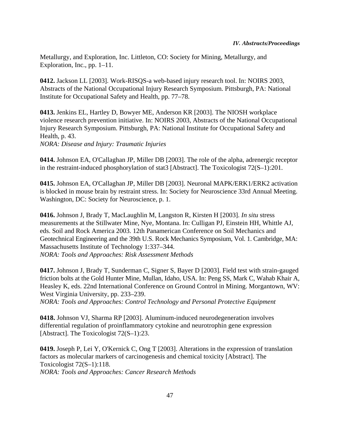Metallurgy, and Exploration, Inc. Littleton, CO: Society for Mining, Metallurgy, and Exploration, Inc., pp. 1–11.

**0412.** Jackson LL [2003]. Work-RISQS-a web-based injury research tool. In: NOIRS 2003, Abstracts of the National Occupational Injury Research Symposium. Pittsburgh, PA: National Institute for Occupational Safety and Health, pp. 77–78.

**0413.** Jenkins EL, Hartley D, Bowyer ME, Anderson KR [2003]. The NIOSH workplace violence research prevention initiative. In: NOIRS 2003, Abstracts of the National Occupational Injury Research Symposium. Pittsburgh, PA: National Institute for Occupational Safety and Health, p. 43.

*NORA: Disease and Injury: Traumatic Injuries*

**0414.** Johnson EA, O'Callaghan JP, Miller DB [2003]. The role of the alpha, adrenergic receptor in the restraint-induced phosphorylation of stat3 [Abstract]. The Toxicologist 72(S–1):201.

**0415.** Johnson EA, O'Callaghan JP, Miller DB [2003]. Neuronal MAPK/ERK1/ERK2 activation is blocked in mouse brain by restraint stress. In: Society for Neuroscience 33rd Annual Meeting. Washington, DC: Society for Neuroscience, p. 1.

**0416.** Johnson J, Brady T, MacLaughlin M, Langston R, Kirsten H [2003]. *In situ* stress measurements at the Stillwater Mine, Nye, Montana. In: Culligan PJ, Einstein HH, Whittle AJ, eds. Soil and Rock America 2003. 12th Panamerican Conference on Soil Mechanics and Geotechnical Engineering and the 39th U.S. Rock Mechanics Symposium, Vol. 1. Cambridge, MA: Massachusetts Institute of Technology 1:337–344. *NORA: Tools and Approaches: Risk Assessment Methods*

**0417.** Johnson J, Brady T, Sunderman C, Signer S, Bayer D [2003]. Field test with strain-gauged friction bolts at the Gold Hunter Mine, Mullan, Idaho, USA. In: Peng SS, Mark C, Wahab Khair A, Heasley K, eds. 22nd International Conference on Ground Control in Mining. Morgantown, WV: West Virginia University, pp. 233–239.

*NORA: Tools and Approaches: Control Technology and Personal Protective Equipment*

**0418.** Johnson VJ, Sharma RP [2003]. Aluminum-induced neurodegeneration involves differential regulation of proinflammatory cytokine and neurotrophin gene expression [Abstract]. The Toxicologist 72(S-1):23.

**0419.** Joseph P, Lei Y, O'Kernick C, Ong T [2003]. Alterations in the expression of translation factors as molecular markers of carcinogenesis and chemical toxicity [Abstract]. The Toxicologist 72(S–1):118. *NORA: Tools and Approaches: Cancer Research Methods*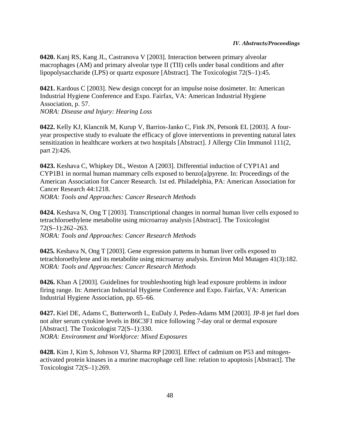**0420.** Kanj RS, Kang JL, Castranova V [2003]. Interaction between primary alveolar macrophages (AM) and primary alveolar type II (TII) cells under basal conditions and after lipopolysaccharide (LPS) or quartz exposure [Abstract]. The Toxicologist 72(S–1):45.

**0421.** Kardous C [2003]. New design concept for an impulse noise dosimeter. In: American Industrial Hygiene Conference and Expo. Fairfax, VA: American Industrial Hygiene Association, p. 57. *NORA: Disease and Injury: Hearing Loss*

**0422.** Kelly KJ, Klancnik M, Kurup V, Barrios-Janko C, Fink JN, Petsonk EL [2003]. A fouryear prospective study to evaluate the efficacy of glove interventions in preventing natural latex sensitization in healthcare workers at two hospitals [Abstract]. J Allergy Clin Immunol 111(2, part 2):426.

**0423.** Keshava C, Whipkey DL, Weston A [2003]. Differential induction of CYP1A1 and CYP1B1 in normal human mammary cells exposed to benzo[a]pyrene. In: Proceedings of the American Association for Cancer Research. 1st ed. Philadelphia, PA: American Association for Cancer Research 44:1218.

*NORA: Tools and Approaches: Cancer Research Methods*

**0424.** Keshava N, Ong T [2003]. Transcriptional changes in normal human liver cells exposed to tetrachloroethylene metabolite using microarray analysis [Abstract]. The Toxicologist 72(S–1):262–263. *NORA: Tools and Approaches: Cancer Research Methods*

**0425.** Keshava N, Ong T [2003]. Gene expression patterns in human liver cells exposed to tetrachloroethylene and its metabolite using microarray analysis. Environ Mol Mutagen 41(3):182. *NORA: Tools and Approaches: Cancer Research Methods*

**0426.** Khan A [2003]. Guidelines for troubleshooting high lead exposure problems in indoor firing range. In: American Industrial Hygiene Conference and Expo. Fairfax, VA: American Industrial Hygiene Association, pp. 65–66.

**0427.** Kiel DE, Adams C, Butterworth L, EuDaly J, Peden-Adams MM [2003]. JP-8 jet fuel does not alter serum cytokine levels in B6C3F1 mice following 7-day oral or dermal exposure [Abstract]. The Toxicologist 72(S-1):330. *NORA: Environment and Workforce: Mixed Exposures*

**0428.** Kim J, Kim S, Johnson VJ, Sharma RP [2003]. Effect of cadmium on P53 and mitogenactivated protein kinases in a murine macrophage cell line: relation to apoptosis [Abstract]. The Toxicologist 72(S–1):269.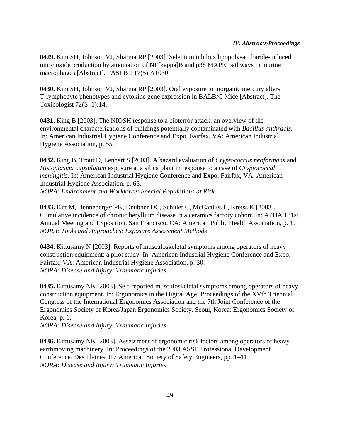**0429.** Kim SH, Johnson VJ, Sharma RP [2003]. Selenium inhibits lipopolysaccharide-induced nitric oxide production by attenuation of NF[kappa]B and p38 MAPK pathways in murine macrophages [Abstract]. FASEB J 17(5):A1030.

**0430.** Kim SH, Johnson VJ, Sharma RP [2003]. Oral exposure to inorganic mercury alters T-lymphocyte phenotypes and cytokine gene expression in BALB/C Mice [Abstract]. The Toxicologist 72(S–1):14.

**0431.** King B [2003]. The NIOSH response to a bioterror attack: an overview of the environmental characterizations of buildings potentially contaminated with *Bacillus anthracis*. In: American Industrial Hygiene Conference and Expo. Fairfax, VA: American Industrial Hygiene Association, p. 55.

**0432.** King B, Trout D, Lenhart S [2003]. A hazard evaluation of *Cryptococcus neoformans* and *Histoplasma capsulatum* exposure at a silica plant in response to a case of *Cryptococcal meningitis*. In: American Industrial Hygiene Conference and Expo. Fairfax, VA: American Industrial Hygiene Association, p. 65. *NORA: Environment and Workforce: Special Populations at Risk*

**0433.** Kitt M, Henneberger PK, Deubner DC, Schuler C, McCanlies E, Kreiss K [2003]. Cumulative incidence of chronic beryllium disease in a ceramics factory cohort. In: APHA 131st Annual Meeting and Exposition. San Francisco, CA: American Public Health Association, p. 1. *NORA: Tools and Approaches: Exposure Assessment Methods*

**0434.** Kittusamy N [2003]. Reports of musculoskeletal symptoms among operators of heavy construction equipment: a pilot study. In: American Industrial Hygiene Conference and Expo. Fairfax, VA: American Industrial Hygiene Association, p. 30. *NORA: Disease and Injury: Traumatic Injuries*

**0435.** Kittusamy NK [2003]. Self-reported musculoskeletal symptoms among operators of heavy construction equipment. In: Ergonomics in the Digital Age: Proceedings of the XVth Triennial Congress of the International Ergonomics Association and the 7th Joint Conference of the Ergonomics Society of Korea/Japan Ergonomics Society. Seoul, Korea: Ergonomics Society of Korea, p. 1.

*NORA: Disease and Injury: Traumatic Injuries*

**0436.** Kittusamy NK [2003]. Assessment of ergonomic risk factors among operators of heavy earthmoving machinery. In: Proceedings of the 2003 ASSE Professional Development Conference. Des Plaines, IL: American Society of Safety Engineers, pp. 1–11. *NORA: Disease and Injury: Traumatic Injuries*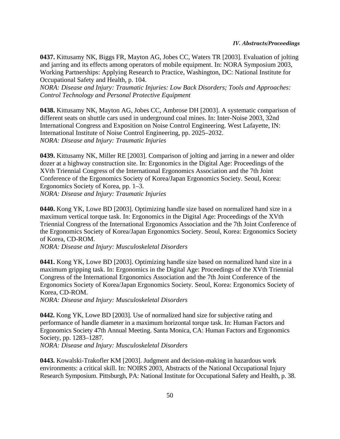**0437.** Kittusamy NK, Biggs FR, Mayton AG, Jobes CC, Waters TR [2003]. Evaluation of jolting and jarring and its effects among operators of mobile equipment. In: NORA Symposium 2003, Working Partnerships: Applying Research to Practice, Washington, DC: National Institute for Occupational Safety and Health, p. 104.

*NORA: Disease and Injury: Traumatic Injuries: Low Back Disorders; Tools and Approaches: Control Technology and Personal Protective Equipment*

**0438.** Kittusamy NK, Mayton AG, Jobes CC, Ambrose DH [2003]. A systematic comparison of different seats on shuttle cars used in underground coal mines. In: Inter-Noise 2003, 32nd International Congress and Exposition on Noise Control Engineering. West Lafayette, IN: International Institute of Noise Control Engineering, pp. 2025–2032. *NORA: Disease and Injury: Traumatic Injuries*

**0439.** Kittusamy NK, Miller RE [2003]. Comparison of jolting and jarring in a newer and older dozer at a highway construction site. In: Ergonomics in the Digital Age: Proceedings of the XVth Triennial Congress of the International Ergonomics Association and the 7th Joint Conference of the Ergonomics Society of Korea/Japan Ergonomics Society. Seoul, Korea: Ergonomics Society of Korea, pp. 1–3. *NORA: Disease and Injury: Traumatic Injuries*

**0440.** Kong YK, Lowe BD [2003]. Optimizing handle size based on normalized hand size in a maximum vertical torque task. In: Ergonomics in the Digital Age: Proceedings of the XVth Triennial Congress of the International Ergonomics Association and the 7th Joint Conference of the Ergonomics Society of Korea/Japan Ergonomics Society. Seoul, Korea: Ergonomics Society of Korea, CD-ROM.

*NORA: Disease and Injury: Musculoskeletal Disorders*

**0441.** Kong YK, Lowe BD [2003]. Optimizing handle size based on normalized hand size in a maximum gripping task. In: Ergonomics in the Digital Age: Proceedings of the XVth Triennial Congress of the International Ergonomics Association and the 7th Joint Conference of the Ergonomics Society of Korea/Japan Ergonomics Society. Seoul, Korea: Ergonomics Society of Korea, CD-ROM.

*NORA: Disease and Injury: Musculoskeletal Disorders*

**0442.** Kong YK, Lowe BD [2003]. Use of normalized hand size for subjective rating and performance of handle diameter in a maximum horizontal torque task. In: Human Factors and Ergonomics Society 47th Annual Meeting. Santa Monica, CA: Human Factors and Ergonomics Society, pp. 1283–1287.

*NORA: Disease and Injury: Musculoskeletal Disorders*

**0443.** Kowalski-Trakofler KM [2003]. Judgment and decision-making in hazardous work environments: a critical skill. In: NOIRS 2003, Abstracts of the National Occupational Injury Research Symposium. Pittsburgh, PA: National Institute for Occupational Safety and Health, p. 38.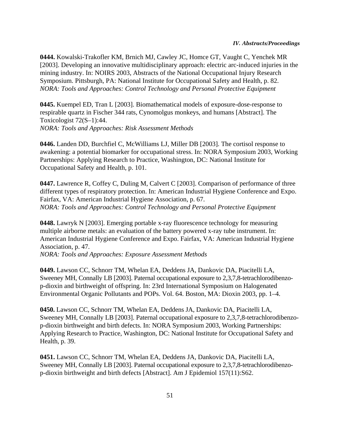**0444.** Kowalski-Trakofler KM, Brnich MJ, Cawley JC, Homce GT, Vaught C, Yenchek MR [2003]. Developing an innovative multidisciplinary approach: electric arc-induced injuries in the mining industry. In: NOIRS 2003, Abstracts of the National Occupational Injury Research Symposium. Pittsburgh, PA: National Institute for Occupational Safety and Health, p. 82. *NORA: Tools and Approaches: Control Technology and Personal Protective Equipment*

**0445.** Kuempel ED, Tran L [2003]. Biomathematical models of exposure-dose-response to respirable quartz in Fischer 344 rats, Cynomolgus monkeys, and humans [Abstract]. The Toxicologist 72(S–1):44. *NORA: Tools and Approaches: Risk Assessment Methods*

**0446.** Landen DD, Burchfiel C, McWilliams LJ, Miller DB [2003]. The cortisol response to awakening: a potential biomarker for occupational stress. In: NORA Symposium 2003, Working Partnerships: Applying Research to Practice, Washington, DC: National Institute for Occupational Safety and Health, p. 101.

**0447.** Lawrence R, Coffey C, Duling M, Calvert C [2003]. Comparison of performance of three different types of respiratory protection. In: American Industrial Hygiene Conference and Expo. Fairfax, VA: American Industrial Hygiene Association, p. 67. *NORA: Tools and Approaches: Control Technology and Personal Protective Equipment*

**0448.** Lawryk N [2003]. Emerging portable x-ray fluorescence technology for measuring multiple airborne metals: an evaluation of the battery powered x-ray tube instrument. In: American Industrial Hygiene Conference and Expo. Fairfax, VA: American Industrial Hygiene Association, p. 47.

*NORA: Tools and Approaches: Exposure Assessment Methods*

**0449.** Lawson CC, Schnorr TM, Whelan EA, Deddens JA, Dankovic DA, Piacitelli LA, Sweeney MH, Connally LB [2003]. Paternal occupational exposure to 2,3,7,8-tetrachlorodibenzop-dioxin and birthweight of offspring. In: 23rd International Symposium on Halogenated Environmental Organic Pollutants and POPs. Vol. 64. Boston, MA: Dioxin 2003, pp. 1–4.

**0450.** Lawson CC, Schnorr TM, Whelan EA, Deddens JA, Dankovic DA, Piacitelli LA, Sweeney MH, Connally LB [2003]. Paternal occupational exposure to 2,3,7,8-tetrachlorodibenzop-dioxin birthweight and birth defects. In: NORA Symposium 2003, Working Partnerships: Applying Research to Practice, Washington, DC: National Institute for Occupational Safety and Health, p. 39.

**0451.** Lawson CC, Schnorr TM, Whelan EA, Deddens JA, Dankovic DA, Piacitelli LA, Sweeney MH, Connally LB [2003]. Paternal occupational exposure to 2,3,7,8-tetrachlorodibenzop-dioxin birthweight and birth defects [Abstract]. Am J Epidemiol 157(11):S62.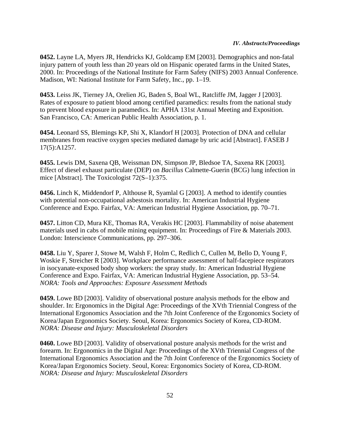**0452.** Layne LA, Myers JR, Hendricks KJ, Goldcamp EM [2003]. Demographics and non-fatal injury pattern of youth less than 20 years old on Hispanic operated farms in the United States, 2000. In: Proceedings of the National Institute for Farm Safety (NIFS) 2003 Annual Conference. Madison, WI: National Institute for Farm Safety, Inc., pp. 1–19.

**0453.** Leiss JK, Tierney JA, Orelien JG, Baden S, Boal WL, Ratcliffe JM, Jagger J [2003]. Rates of exposure to patient blood among certified paramedics: results from the national study to prevent blood exposure in paramedics. In: APHA 131st Annual Meeting and Exposition. San Francisco, CA: American Public Health Association, p. 1.

**0454.** Leonard SS, Blemings KP, Shi X, Klandorf H [2003]. Protection of DNA and cellular membranes from reactive oxygen species mediated damage by uric acid [Abstract]. FASEB J 17(5):A1257.

**0455.** Lewis DM, Saxena QB, Weissman DN, Simpson JP, Bledsoe TA, Saxena RK [2003]. Effect of diesel exhaust particulate (DEP) on *Bacillus* Calmette-Guerin (BCG) lung infection in mice [Abstract]. The Toxicologist 72(S–1):375.

**0456.** Linch K, Middendorf P, Althouse R, Syamlal G [2003]. A method to identify counties with potential non-occupational asbestosis mortality. In: American Industrial Hygiene Conference and Expo. Fairfax, VA: American Industrial Hygiene Association, pp. 70–71.

**0457.** Litton CD, Mura KE, Thomas RA, Verakis HC [2003]. Flammability of noise abatement materials used in cabs of mobile mining equipment. In: Proceedings of Fire & Materials 2003. London: Interscience Communications, pp. 297–306.

**0458.** Liu Y, Sparer J, Stowe M, Walsh F, Holm C, Redlich C, Cullen M, Bello D, Young F, Woskie F, Streicher R [2003]. Workplace performance assessment of half-facepiece respirators in isocyanate-exposed body shop workers: the spray study. In: American Industrial Hygiene Conference and Expo. Fairfax, VA: American Industrial Hygiene Association, pp. 53–54. *NORA: Tools and Approaches: Exposure Assessment Methods*

**0459.** Lowe BD [2003]. Validity of observational posture analysis methods for the elbow and shoulder. In: Ergonomics in the Digital Age: Proceedings of the XVth Triennial Congress of the International Ergonomics Association and the 7th Joint Conference of the Ergonomics Society of Korea/Japan Ergonomics Society. Seoul, Korea: Ergonomics Society of Korea, CD-ROM. *NORA: Disease and Injury: Musculoskeletal Disorders*

**0460.** Lowe BD [2003]. Validity of observational posture analysis methods for the wrist and forearm. In: Ergonomics in the Digital Age: Proceedings of the XVth Triennial Congress of the International Ergonomics Association and the 7th Joint Conference of the Ergonomics Society of Korea/Japan Ergonomics Society. Seoul, Korea: Ergonomics Society of Korea, CD-ROM. *NORA: Disease and Injury: Musculoskeletal Disorders*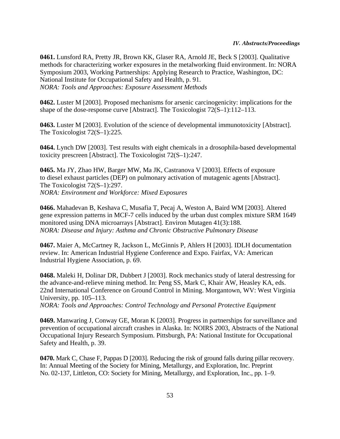**0461.** Lunsford RA, Pretty JR, Brown KK, Glaser RA, Arnold JE, Beck S [2003]. Qualitative methods for characterizing worker exposures in the metalworking fluid environment. In: NORA Symposium 2003, Working Partnerships: Applying Research to Practice, Washington, DC: National Institute for Occupational Safety and Health, p. 91. *NORA: Tools and Approaches: Exposure Assessment Methods*

**0462.** Luster M [2003]. Proposed mechanisms for arsenic carcinogenicity: implications for the shape of the dose-response curve [Abstract]. The Toxicologist 72(S–1):112–113.

**0463.** Luster M [2003]. Evolution of the science of developmental immunotoxicity [Abstract]. The Toxicologist 72(S–1):225.

**0464.** Lynch DW [2003]. Test results with eight chemicals in a drosophila-based developmental toxicity prescreen [Abstract]. The Toxicologist 72(S–1):247.

**0465.** Ma JY, Zhao HW, Barger MW, Ma JK, Castranova V [2003]. Effects of exposure to diesel exhaust particles (DEP) on pulmonary activation of mutagenic agents [Abstract]. The Toxicologist 72(S–1):297. *NORA: Environment and Workforce: Mixed Exposures*

**0466.** Mahadevan B, Keshava C, Musafia T, Pecaj A, Weston A, Baird WM [2003]. Altered gene expression patterns in MCF-7 cells induced by the urban dust complex mixture SRM 1649 monitored using DNA microarrays [Abstract]. Environ Mutagen 41(3):188. *NORA: Disease and Injury: Asthma and Chronic Obstructive Pulmonary Disease*

**0467.** Maier A, McCartney R, Jackson L, McGinnis P, Ahlers H [2003]. IDLH documentation review. In: American Industrial Hygiene Conference and Expo. Fairfax, VA: American Industrial Hygiene Association, p. 69.

**0468.** Maleki H, Dolinar DR, Dubbert J [2003]. Rock mechanics study of lateral destressing for the advance-and-relieve mining method. In: Peng SS, Mark C, Khair AW, Heasley KA, eds. 22nd International Conference on Ground Control in Mining. Morgantown, WV: West Virginia University, pp. 105–113.

*NORA: Tools and Approaches: Control Technology and Personal Protective Equipment*

**0469.** Manwaring J, Conway GE, Moran K [2003]. Progress in partnerships for surveillance and prevention of occupational aircraft crashes in Alaska. In: NOIRS 2003, Abstracts of the National Occupational Injury Research Symposium. Pittsburgh, PA: National Institute for Occupational Safety and Health, p. 39.

**0470.** Mark C, Chase F, Pappas D [2003]. Reducing the risk of ground falls during pillar recovery. In: Annual Meeting of the Society for Mining, Metallurgy, and Exploration, Inc. Preprint No. 02-137, Littleton, CO: Society for Mining, Metallurgy, and Exploration, Inc., pp. 1–9.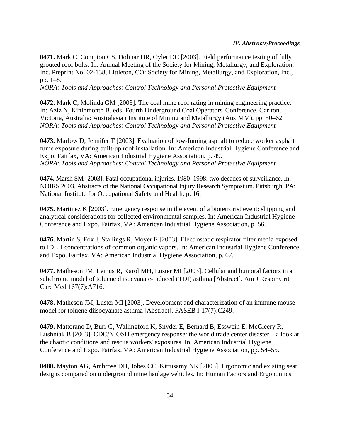**0471.** Mark C, Compton CS, Dolinar DR, Oyler DC [2003]. Field performance testing of fully grouted roof bolts. In: Annual Meeting of the Society for Mining, Metallurgy, and Exploration, Inc. Preprint No. 02-138, Littleton, CO: Society for Mining, Metallurgy, and Exploration, Inc., pp. 1–8.

*NORA: Tools and Approaches: Control Technology and Personal Protective Equipment*

**0472.** Mark C, Molinda GM [2003]. The coal mine roof rating in mining engineering practice. In: Aziz N, Kininmonth B, eds. Fourth Underground Coal Operators' Conference. Carlton, Victoria, Australia: Australasian Institute of Mining and Metallurgy (AusIMM), pp. 50–62. *NORA: Tools and Approaches: Control Technology and Personal Protective Equipment*

**0473.** Marlow D, Jennifer T [2003]. Evaluation of low-fuming asphalt to reduce worker asphalt fume exposure during built-up roof installation. In: American Industrial Hygiene Conference and Expo. Fairfax, VA: American Industrial Hygiene Association, p. 49. *NORA: Tools and Approaches: Control Technology and Personal Protective Equipment*

**0474.** Marsh SM [2003]. Fatal occupational injuries, 1980–1998: two decades of surveillance. In: NOIRS 2003, Abstracts of the National Occupational Injury Research Symposium. Pittsburgh, PA: National Institute for Occupational Safety and Health, p. 16.

**0475.** Martinez K [2003]. Emergency response in the event of a bioterrorist event: shipping and analytical considerations for collected environmental samples. In: American Industrial Hygiene Conference and Expo. Fairfax, VA: American Industrial Hygiene Association, p. 56.

**0476.** Martin S, Fox J, Stallings R, Moyer E [2003]. Electrostatic respirator filter media exposed to IDLH concentrations of common organic vapors. In: American Industrial Hygiene Conference and Expo. Fairfax, VA: American Industrial Hygiene Association, p. 67.

**0477.** Matheson JM, Lemus R, Karol MH, Luster MI [2003]. Cellular and humoral factors in a subchronic model of toluene diisocyanate-induced (TDI) asthma [Abstract]. Am J Respir Crit Care Med 167(7):A716.

**0478.** Matheson JM, Luster MI [2003]. Development and characterization of an immune mouse model for toluene diisocyanate asthma [Abstract]. FASEB J 17(7):C249.

**0479.** Mattorano D, Burr G, Wallingford K, Snyder E, Bernard B, Esswein E, McCleery R, Lushniak B [2003]. CDC/NIOSH emergency response: the world trade center disaster—a look at the chaotic conditions and rescue workers' exposures. In: American Industrial Hygiene Conference and Expo. Fairfax, VA: American Industrial Hygiene Association, pp. 54–55.

**0480.** Mayton AG, Ambrose DH, Jobes CC, Kittusamy NK [2003]. Ergonomic and existing seat designs compared on underground mine haulage vehicles. In: Human Factors and Ergonomics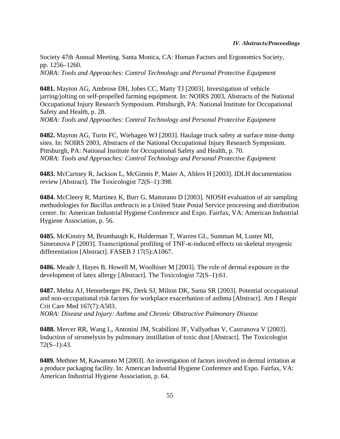Society 47th Annual Meeting. Santa Monica, CA: Human Factors and Ergonomics Society, pp. 1256–1260. *NORA: Tools and Approaches: Control Technology and Personal Protective Equipment*

**0481.** Mayton AG, Ambrose DH, Jobes CC, Matty TJ [2003]. Investigation of vehicle jarring/jolting on self-propelled farming equipment. In: NOIRS 2003, Abstracts of the National Occupational Injury Research Symposium. Pittsburgh, PA: National Institute for Occupational Safety and Health, p. 28.

*NORA: Tools and Approaches: Control Technology and Personal Protective Equipment*

**0482.** Mayton AG, Turin FC, Wiehagen WJ [2003]. Haulage truck safety at surface mine dump sites. In: NOIRS 2003, Abstracts of the National Occupational Injury Research Symposium. Pittsburgh, PA: National Institute for Occupational Safety and Health, p. 70. *NORA: Tools and Approaches: Control Technology and Personal Protective Equipment*

**0483.** McCartney R, Jackson L, McGinnis P, Maier A, Ahlers H [2003]. IDLH documentation review [Abstract]. The Toxicologist 72(S–1):398.

**0484.** McCleery R, Martinez K, Burr G, Mattorano D [2003]. NIOSH evaluation of air sampling methodologies for *Bacillus anthracis* in a United State Postal Service processing and distribution center. In: American Industrial Hygiene Conference and Expo. Fairfax, VA: American Industrial Hygiene Association, p. 56.

**0485.** McKinstry M, Brumbaugh K, Hulderman T, Warren GL, Summan M, Luster MI, Simeonova P [2003]. Transcriptional profiling of  $TNF-\alpha$ -induced effects on skeletal myogenic differentiation [Abstract]. FASEB J 17(5):A1067.

**0486.** Meade J, Hayes B, Howell M, Woolhiser M [2003]. The role of dermal exposure in the development of latex allergy [Abstract]. The Toxicologist 72(S–1):61.

**0487.** Mehta AJ, Henneberger PK, Derk SJ, Milton DK, Sama SR [2003]. Potential occupational and non-occupational risk factors for workplace exacerbation of asthma [Abstract]. Am J Respir Crit Care Med 167(7):A503. *NORA: Disease and Injury: Asthma and Chronic Obstructive Pulmonary Disease*

**0488.** Mercer RR, Wang L, Antonini JM, Scabilloni JF, Vallyathan V, Castranova V [2003]. Induction of stromelysin by pulmonary instillation of toxic dust [Abstract]. The Toxicologist 72(S–1):43.

**0489.** Methner M, Kawamoto M [2003]. An investigation of factors involved in dermal irritation at a produce packaging facility. In: American Industrial Hygiene Conference and Expo. Fairfax, VA: American Industrial Hygiene Association, p. 64.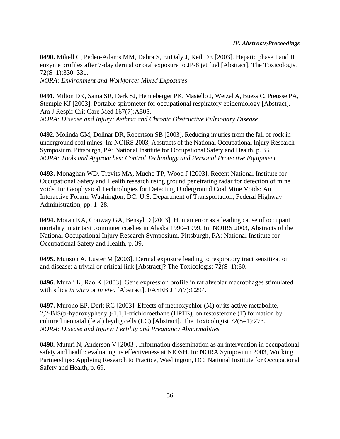**0490.** Mikell C, Peden-Adams MM, Dabra S, EuDaly J, Keil DE [2003]. Hepatic phase I and II enzyme profiles after 7-day dermal or oral exposure to JP-8 jet fuel [Abstract]. The Toxicologist 72(S–1):330–331.

*NORA: Environment and Workforce: Mixed Exposures*

**0491.** Milton DK, Sama SR, Derk SJ, Henneberger PK, Masiello J, Wetzel A, Buess C, Preusse PA, Stemple KJ [2003]. Portable spirometer for occupational respiratory epidemiology [Abstract]. Am J Respir Crit Care Med 167(7):A505. *NORA: Disease and Injury: Asthma and Chronic Obstructive Pulmonary Disease*

**0492.** Molinda GM, Dolinar DR, Robertson SB [2003]. Reducing injuries from the fall of rock in underground coal mines. In: NOIRS 2003, Abstracts of the National Occupational Injury Research Symposium. Pittsburgh, PA: National Institute for Occupational Safety and Health, p. 33. *NORA: Tools and Approaches: Control Technology and Personal Protective Equipment*

**0493.** Monaghan WD, Trevits MA, Mucho TP, Wood J [2003]. Recent National Institute for Occupational Safety and Health research using ground penetrating radar for detection of mine voids. In: Geophysical Technologies for Detecting Underground Coal Mine Voids: An Interactive Forum. Washington, DC: U.S. Department of Transportation, Federal Highway Administration, pp. 1–28.

**0494.** Moran KA, Conway GA, Bensyl D [2003]. Human error as a leading cause of occupant mortality in air taxi commuter crashes in Alaska 1990–1999. In: NOIRS 2003, Abstracts of the National Occupational Injury Research Symposium. Pittsburgh, PA: National Institute for Occupational Safety and Health, p. 39.

**0495.** Munson A, Luster M [2003]. Dermal exposure leading to respiratory tract sensitization and disease: a trivial or critical link [Abstract]? The Toxicologist 72(S–1):60.

**0496.** Murali K, Rao K [2003]. Gene expression profile in rat alveolar macrophages stimulated with silica *in vitro* or *in vivo* [Abstract]. FASEB J 17(7):C294.

**0497.** Murono EP, Derk RC [2003]. Effects of methoxychlor (M) or its active metabolite, 2,2-BIS(p-hydroxyphenyl)-1,1,1-trichloroethane (HPTE), on testosterone (T) formation by cultured neonatal (fetal) leydig cells (LC) [Abstract]. The Toxicologist 72(S–1):273. *NORA: Disease and Injury: Fertility and Pregnancy Abnormalities*

**0498.** Muturi N, Anderson V [2003]. Information dissemination as an intervention in occupational safety and health: evaluating its effectiveness at NIOSH. In: NORA Symposium 2003, Working Partnerships: Applying Research to Practice, Washington, DC: National Institute for Occupational Safety and Health, p. 69.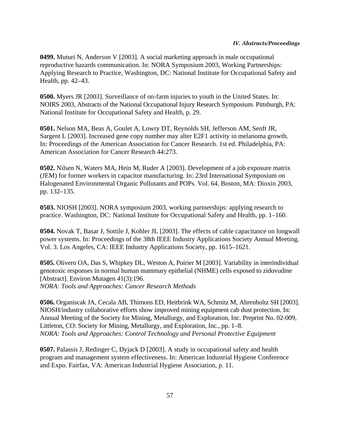**0499.** Muturi N, Anderson V [2003]. A social marketing approach in male occupational reproductive hazards communication. In: NORA Symposium 2003, Working Partnerships: Applying Research to Practice, Washington, DC: National Institute for Occupational Safety and Health, pp. 42–43.

**0500.** Myers JR [2003]. Surveillance of on-farm injuries to youth in the United States. In: NOIRS 2003, Abstracts of the National Occupational Injury Research Symposium. Pittsburgh, PA: National Institute for Occupational Safety and Health, p. 29.

**0501.** Nelson MA, Beas A, Goulet A, Lowry DT, Reynolds SH, Jefferson AM, Senft JR, Sargent L [2003]. Increased gene copy number may alter E2F1 activity in melanoma growth. In: Proceedings of the American Association for Cancer Research. 1st ed. Philadelphia, PA: American Association for Cancer Research 44:273.

**0502.** Nilsen N, Waters MA, Hein M, Ruder A [2003]. Development of a job exposure matrix (JEM) for former workers in capacitor manufacturing. In: 23rd International Symposium on Halogenated Environmental Organic Pollutants and POPs. Vol. 64. Boston, MA: Dioxin 2003, pp. 132–135.

**0503.** NIOSH [2003]. NORA symposium 2003, working partnerships: applying research to practice. Washington, DC: National Institute for Occupational Safety and Health, pp. 1–160.

**0504.** Novak T, Basar J, Sottile J, Kohler JL [2003]. The effects of cable capacitance on longwall power systems. In: Proceedings of the 38th IEEE Industry Applications Society Annual Meeting. Vol. 3. Los Angeles, CA: IEEE Industry Applications Society, pp. 1615–1621.

**0505.** Olivero OA, Das S, Whipkey DL, Weston A, Poirier M [2003]. Variability in interindividual genotoxic responses in normal human mammary epithelial (NHME) cells exposed to zidovudine [Abstract]. Environ Mutagen 41(3):196. *NORA: Tools and Approaches: Cancer Research Methods*

**0506.** Organiscak JA, Cecala AB, Thimons ED, Heitbrink WA, Schmitz M, Ahrenholtz SH [2003]. NIOSH/industry collaborative efforts show improved mining equipment cab dust protection. In: Annual Meeting of the Society for Mining, Metallurgy, and Exploration, Inc. Preprint No. 02-009, Littleton, CO: Society for Mining, Metallurgy, and Exploration, Inc., pp. 1–8. *NORA: Tools and Approaches: Control Technology and Personal Protective Equipment*

**0507.** Palassis J, Redinger C, Dyjack D [2003]. A study in occupational safety and health program and management system effectiveness. In: American Industrial Hygiene Conference and Expo. Fairfax, VA: American Industrial Hygiene Association, p. 11.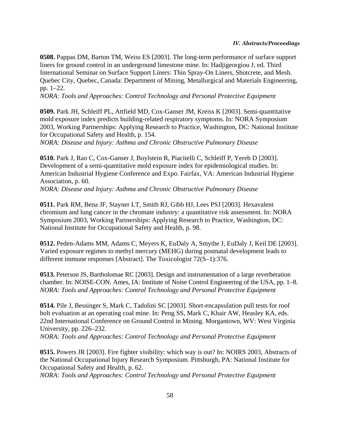**0508.** Pappas DM, Barton TM, Weiss ES [2003]. The long-term performance of surface support liners for ground control in an underground limestone mine. In: Hadjigeorgiou J, ed. Third International Seminar on Surface Support Liners: Thin Spray-On Liners, Shotcrete, and Mesh. Quebec City, Quebec, Canada: Department of Mining, Metallurgical and Materials Engineering, pp. 1–22.

*NORA: Tools and Approaches: Control Technology and Personal Protective Equipment*

**0509.** Park JH, Schleiff PL, Attfield MD, Cox-Ganser JM, Kreiss K [2003]. Semi-quantitative mold exposure index predicts building-related respiratory symptoms. In: NORA Symposium 2003, Working Partnerships: Applying Research to Practice, Washington, DC: National Institute for Occupational Safety and Health, p. 154.

*NORA: Disease and Injury: Asthma and Chronic Obstructive Pulmonary Disease*

**0510.** Park J, Rao C, Cox-Ganser J, Boylstein R, Piacitelli C, Schleiff P, Yereb D [2003]. Development of a semi-quantitative mold exposure index for epidemiological studies. In: American Industrial Hygiene Conference and Expo. Fairfax, VA: American Industrial Hygiene Association, p. 60.

*NORA: Disease and Injury: Asthma and Chronic Obstructive Pulmonary Disease*

**0511.** Park RM, Bena JF, Stayner LT, Smith RJ, Gibb HJ, Lees PSJ [2003]. Hexavalent chromium and lung cancer in the chromate industry: a quantitative risk assessment. In: NORA Symposium 2003, Working Partnerships: Applying Research to Practice, Washington, DC: National Institute for Occupational Safety and Health, p. 98.

**0512.** Peden-Adams MM, Adams C, Meyers K, EuDaly A, Smythe J, EuDaly J, Keil DE [2003]. Varied exposure regimes to methyl mercury (MEHG) during postnatal development leads to different immune responses [Abstract]. The Toxicologist 72(S–1):376.

**0513.** Peterson JS, Bartholomae RC [2003]. Design and instrumentation of a large reverberation chamber. In: NOISE-CON. Ames, IA: Institute of Noise Control Engineering of the USA, pp. 1–8. *NORA: Tools and Approaches: Control Technology and Personal Protective Equipment*

**0514.** Pile J, Bessinger S, Mark C, Tadolini SC [2003]. Short-encapsulation pull tests for roof bolt evaluation at an operating coal mine. In: Peng SS, Mark C, Khair AW, Heasley KA, eds. 22nd International Conference on Ground Control in Mining. Morgantown, WV: West Virginia University, pp. 226–232.

*NORA: Tools and Approaches: Control Technology and Personal Protective Equipment*

**0515.** Powers JR [2003]. Fire fighter visibility: which way is out? In: NOIRS 2003, Abstracts of the National Occupational Injury Research Symposium. Pittsburgh, PA: National Institute for Occupational Safety and Health, p. 62.

*NORA: Tools and Approaches: Control Technology and Personal Protective Equipment*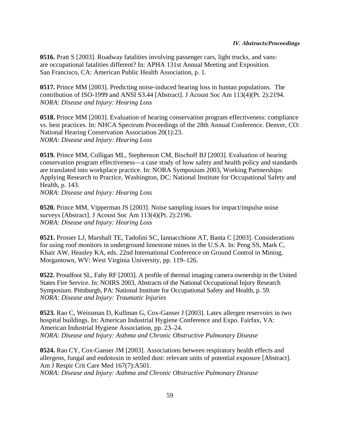**0516.** Pratt S [2003]. Roadway fatalities involving passenger cars, light trucks, and vans: are occupational fatalities different? In: APHA 131st Annual Meeting and Exposition. San Francisco, CA: American Public Health Association, p. 1.

**0517.** Prince MM [2003]. Predicting noise-induced hearing loss in human populations. The contribution of ISO-1999 and ANSI S3.44 [Abstract]. J Acoust Soc Am 113(4)(Pt. 2):2194. *NORA: Disease and Injury: Hearing Loss*

**0518.** Prince MM [2003]. Evaluation of hearing conservation program effectiveness: compliance vs. best practices. In: NHCA Spectrum Proceedings of the 28th Annual Conference. Denver, CO: National Hearing Conservation Association 20(1):23. *NORA: Disease and Injury: Hearing Loss*

**0519.** Prince MM, Colligan ML, Stephenson CM, Bischoff BJ [2003]. Evaluation of hearing conservation program effectiveness—a case study of how safety and health policy and standards are translated into workplace practice. In: NORA Symposium 2003, Working Partnerships: Applying Research to Practice, Washington, DC: National Institute for Occupational Safety and Health, p. 143.

*NORA: Disease and Injury: Hearing Loss*

**0520.** Prince MM, Vipperman JS [2003]. Noise sampling issues for impact/impulse noise surveys [Abstract]. J Acoust Soc Am 113(4)(Pt. 2):2196. *NORA: Disease and Injury: Hearing Loss*

**0521.** Prosser LJ, Marshall TE, Tadolini SC, Iannacchione AT, Banta C [2003]. Considerations for using roof monitors in underground limestone mines in the U.S.A. In: Peng SS, Mark C, Khair AW, Heasley KA, eds. 22nd International Conference on Ground Control in Mining. Morgantown, WV: West Virginia University, pp. 119–126.

**0522.** Proudfoot SL, Fahy RF [2003]. A profile of thermal imaging camera ownership in the United States Fire Service. In: NOIRS 2003, Abstracts of the National Occupational Injury Research Symposium. Pittsburgh, PA: National Institute for Occupational Safety and Health, p. 59. *NORA: Disease and Injury: Traumatic Injuries*

**0523.** Rao C, Weissman D, Kullman G, Cox-Ganser J [2003]. Latex allergen reservoirs in two hospital buildings. In: American Industrial Hygiene Conference and Expo. Fairfax, VA: American Industrial Hygiene Association, pp. 23–24. *NORA: Disease and Injury: Asthma and Chronic Obstructive Pulmonary Disease*

**0524.** Rao CY, Cox-Ganser JM [2003]. Associations between respiratory health effects and allergens, fungal and endotoxin in settled dust: relevant units of potential exposure [Abstract]. Am J Respir Crit Care Med 167(7):A501. *NORA: Disease and Injury: Asthma and Chronic Obstructive Pulmonary Disease*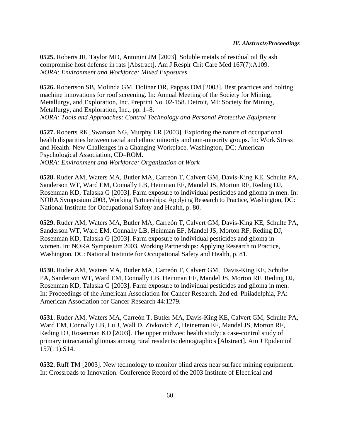**0525.** Roberts JR, Taylor MD, Antonini JM [2003]. Soluble metals of residual oil fly ash compromise host defense in rats [Abstract]. Am J Respir Crit Care Med 167(7):A109. *NORA: Environment and Workforce: Mixed Exposures*

**0526.** Robertson SB, Molinda GM, Dolinar DR, Pappas DM [2003]. Best practices and bolting machine innovations for roof screening. In: Annual Meeting of the Society for Mining, Metallurgy, and Exploration, Inc. Preprint No. 02-158. Detroit, MI: Society for Mining, Metallurgy, and Exploration, Inc., pp. 1–8. *NORA: Tools and Approaches: Control Technology and Personal Protective Equipment*

**0527.** Roberts RK, Swanson NG, Murphy LR [2003]. Exploring the nature of occupational health disparities between racial and ethnic minority and non-minority groups. In: Work Stress and Health: New Challenges in a Changing Workplace. Washington, DC: American Psychological Association, CD–ROM. *NORA: Environment and Workforce: Organization of Work*

**0528.** Ruder AM, Waters MA, Butler MA, Carreón T, Calvert GM, Davis-King KE, Schulte PA, Sanderson WT, Ward EM, Connally LB, Heinman EF, Mandel JS, Morton RF, Reding DJ, Rosenman KD, Talaska G [2003]. Farm exposure to individual pesticides and glioma in men. In: NORA Symposium 2003, Working Partnerships: Applying Research to Practice, Washington, DC: National Institute for Occupational Safety and Health, p. 80.

**0529.** Ruder AM, Waters MA, Butler MA, Carreón T, Calvert GM, Davis-King KE, Schulte PA, Sanderson WT, Ward EM, Connally LB, Heinman EF, Mandel JS, Morton RF, Reding DJ, Rosenman KD, Talaska G [2003]. Farm exposure to individual pesticides and glioma in women. In: NORA Symposium 2003, Working Partnerships: Applying Research to Practice, Washington, DC: National Institute for Occupational Safety and Health, p. 81.

**0530.** Ruder AM, Waters MA, Butler MA, Carreón T, Calvert GM, Davis-King KE, Schulte PA, Sanderson WT, Ward EM, Connally LB, Heinman EF, Mandel JS, Morton RF, Reding DJ, Rosenman KD, Talaska G [2003]. Farm exposure to individual pesticides and glioma in men. In: Proceedings of the American Association for Cancer Research. 2nd ed. Philadelphia, PA: American Association for Cancer Research 44:1279.

**0531.** Ruder AM, Waters MA, Carreón T, Butler MA, Davis-King KE, Calvert GM, Schulte PA, Ward EM, Connally LB, Lu J, Wall D, Zivkovich Z, Heineman EF, Mandel JS, Morton RF, Reding DJ, Rosenman KD [2003]. The upper midwest health study: a case-control study of primary intracranial gliomas among rural residents: demographics [Abstract]. Am J Epidemiol 157(11):S14.

**0532.** Ruff TM [2003]. New technology to monitor blind areas near surface mining equipment. In: Crossroads to Innovation. Conference Record of the 2003 Institute of Electrical and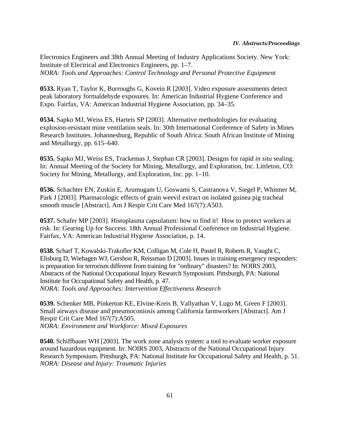Electronics Engineers and 38th Annual Meeting of Industry Applications Society. New York: Institute of Electrical and Electronics Engineers, pp. 1–7. *NORA: Tools and Approaches: Control Technology and Personal Protective Equipment*

**0533.** Ryan T, Taylor K, Burroughs G, Kovein R [2003]. Video exposure assessments detect peak laboratory formaldehyde exposures. In: American Industrial Hygiene Conference and Expo. Fairfax, VA: American Industrial Hygiene Association, pp. 34–35.

**0534.** Sapko MJ, Weiss ES, Harteis SP [2003]. Alternative methodologies for evaluating explosion-resistant mine ventilation seals. In: 30th International Conference of Safety in Mines Research Institutes. Johannesburg, Republic of South Africa: South African Institute of Mining and Metallurgy, pp. 615–640.

**0535.** Sapko MJ, Weiss ES, Trackemas J, Stephan CR [2003]. Designs for rapid *in situ* sealing. In: Annual Meeting of the Society for Mining, Metallurgy, and Exploration, Inc. Littleton, CO: Society for Mining, Metallurgy, and Exploration, Inc. pp. 1–10.

**0536.** Schachter EN, Zuskin E, Arumugam U, Goswami S, Castranova V, Siegel P, Whitmer M, Park J [2003]. Pharmacologic effects of grain weevil extract on isolated guinea pig tracheal smooth muscle [Abstract]. Am J Respir Crit Care Med 167(7):A503.

**0537.** Schafer MP [2003]. Histoplasma capsulatum: how to find it! How to protect workers at risk. In: Gearing Up for Success. 18th Annual Professional Conference on Industrial Hygiene. Fairfax, VA: American Industrial Hygiene Association, p. 14.

**0538.** Scharf T, Kowalski-Trakofler KM, Colligan M, Cole H, Pastel R, Roberts R, Vaught C, Elisburg D, Wiehagen WJ, Gershon R, Reissman D [2003]. Issues in training emergency responders: is preparation for terrorism different from training for "ordinary" disasters? In: NOIRS 2003, Abstracts of the National Occupational Injury Research Symposium. Pittsburgh, PA: National Institute for Occupational Safety and Health, p. 47. *NORA: Tools and Approaches: Intervention Effectiveness Research*

**0539.** Schenker MB, Pinkerton KE, Elvine-Kreis B, Vallyathan V, Lugo M, Green F [2003]. Small airways disease and pneumoconiosis among California farmworkers [Abstract]. Am J Respir Crit Care Med 167(7):A505. *NORA: Environment and Workforce: Mixed Exposures*

**0540.** Schiffbauer WH [2003]. The work zone analysis system: a tool to evaluate worker exposure around hazardous equipment. In: NOIRS 2003, Abstracts of the National Occupational Injury Research Symposium. Pittsburgh, PA: National Institute for Occupational Safety and Health, p. 51. *NORA: Disease and Injury: Traumatic Injuries*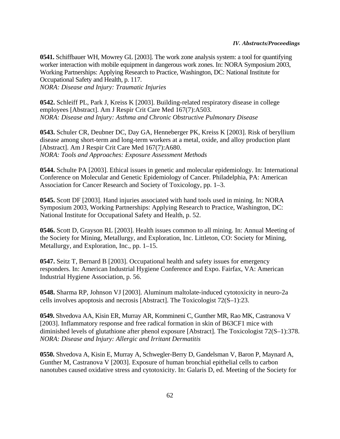**0541.** Schiffbauer WH, Mowrey GL [2003]. The work zone analysis system: a tool for quantifying worker interaction with mobile equipment in dangerous work zones. In: NORA Symposium 2003, Working Partnerships: Applying Research to Practice, Washington, DC: National Institute for Occupational Safety and Health, p. 117. *NORA: Disease and Injury: Traumatic Injuries*

**0542.** Schleiff PL, Park J, Kreiss K [2003]. Building-related respiratory disease in college employees [Abstract]. Am J Respir Crit Care Med 167(7):A503. *NORA: Disease and Injury: Asthma and Chronic Obstructive Pulmonary Disease*

**0543.** Schuler CR, Deubner DC, Day GA, Henneberger PK, Kreiss K [2003]. Risk of beryllium disease among short-term and long-term workers at a metal, oxide, and alloy production plant [Abstract]. Am J Respir Crit Care Med 167(7):A680. *NORA: Tools and Approaches: Exposure Assessment Methods*

**0544.** Schulte PA [2003]. Ethical issues in genetic and molecular epidemiology. In: International Conference on Molecular and Genetic Epidemiology of Cancer. Philadelphia, PA: American Association for Cancer Research and Society of Toxicology, pp. 1–3.

**0545.** Scott DF [2003]. Hand injuries associated with hand tools used in mining. In: NORA Symposium 2003, Working Partnerships: Applying Research to Practice, Washington, DC: National Institute for Occupational Safety and Health, p. 52.

**0546.** Scott D, Grayson RL [2003]. Health issues common to all mining. In: Annual Meeting of the Society for Mining, Metallurgy, and Exploration, Inc. Littleton, CO: Society for Mining, Metallurgy, and Exploration, Inc., pp. 1–15.

**0547.** Seitz T, Bernard B [2003]. Occupational health and safety issues for emergency responders. In: American Industrial Hygiene Conference and Expo. Fairfax, VA: American Industrial Hygiene Association, p. 56.

**0548.** Sharma RP, Johnson VJ [2003]. Aluminum maltolate-induced cytotoxicity in neuro-2a cells involves apoptosis and necrosis [Abstract]. The Toxicologist 72(S–1):23.

**0549.** Shvedova AA, Kisin ER, Murray AR, Kommineni C, Gunther MR, Rao MK, Castranova V [2003]. Inflammatory response and free radical formation in skin of B63CF1 mice with diminished levels of glutathione after phenol exposure [Abstract]. The Toxicologist 72(S–1):378. *NORA: Disease and Injury: Allergic and Irritant Dermatitis*

**0550.** Shvedova A, Kisin E, Murray A, Schwegler-Berry D, Gandelsman V, Baron P, Maynard A, Gunther M, Castranova V [2003]. Exposure of human bronchial epithelial cells to carbon nanotubes caused oxidative stress and cytotoxicity. In: Galaris D, ed. Meeting of the Society for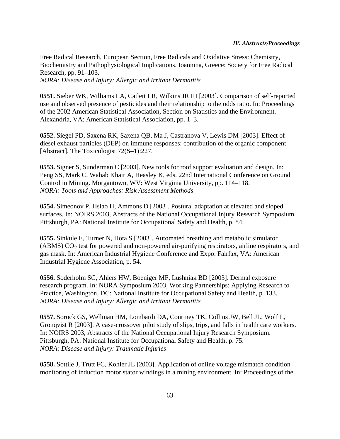Free Radical Research, European Section, Free Radicals and Oxidative Stress: Chemistry, Biochemistry and Pathophysiological Implications. Ioannina, Greece: Society for Free Radical Research, pp. 91–103. *NORA: Disease and Injury: Allergic and Irritant Dermatitis*

**0551.** Sieber WK, Williams LA, Catlett LR, Wilkins JR III [2003]. Comparison of self-reported use and observed presence of pesticides and their relationship to the odds ratio. In: Proceedings of the 2002 American Statistical Association, Section on Statistics and the Environment. Alexandria, VA: American Statistical Association, pp. 1–3.

**0552.** Siegel PD, Saxena RK, Saxena QB, Ma J, Castranova V, Lewis DM [2003]. Effect of diesel exhaust particles (DEP) on immune responses: contribution of the organic component [Abstract]. The Toxicologist 72(S–1):227.

**0553.** Signer S, Sunderman C [2003]. New tools for roof support evaluation and design. In: Peng SS, Mark C, Wahab Khair A, Heasley K, eds. 22nd International Conference on Ground Control in Mining. Morgantown, WV: West Virginia University, pp. 114–118. *NORA: Tools and Approaches: Risk Assessment Methods*

**0554.** Simeonov P, Hsiao H, Ammons D [2003]. Postural adaptation at elevated and sloped surfaces. In: NOIRS 2003, Abstracts of the National Occupational Injury Research Symposium. Pittsburgh, PA: National Institute for Occupational Safety and Health, p. 84.

**0555.** Sinkule E, Turner N, Hota S [2003]. Automated breathing and metabolic simulator  $(ABMS) CO<sub>2</sub>$  test for powered and non-powered air-purifying respirators, airline respirators, and gas mask. In: American Industrial Hygiene Conference and Expo. Fairfax, VA: American Industrial Hygiene Association, p. 54.

**0556.** Soderholm SC, Ahlers HW, Boeniger MF, Lushniak BD [2003]. Dermal exposure research program. In: NORA Symposium 2003, Working Partnerships: Applying Research to Practice, Washington, DC: National Institute for Occupational Safety and Health, p. 133. *NORA: Disease and Injury: Allergic and Irritant Dermatitis*

**0557.** Sorock GS, Wellman HM, Lombardi DA, Courtney TK, Collins JW, Bell JL, Wolf L, Gronqvist R [2003]. A case-crossover pilot study of slips, trips, and falls in health care workers. In: NOIRS 2003, Abstracts of the National Occupational Injury Research Symposium. Pittsburgh, PA: National Institute for Occupational Safety and Health, p. 75. *NORA: Disease and Injury: Traumatic Injuries*

**0558.** Sottile J, Trutt FC, Kohler JL [2003]. Application of online voltage mismatch condition monitoring of induction motor stator windings in a mining environment. In: Proceedings of the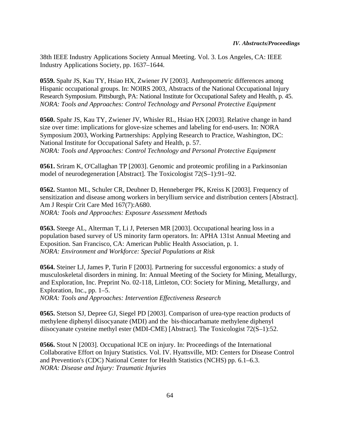38th IEEE Industry Applications Society Annual Meeting. Vol. 3. Los Angeles, CA: IEEE Industry Applications Society, pp. 1637–1644.

**0559.** Spahr JS, Kau TY, Hsiao HX, Zwiener JV [2003]. Anthropometric differences among Hispanic occupational groups. In: NOIRS 2003, Abstracts of the National Occupational Injury Research Symposium. Pittsburgh, PA: National Institute for Occupational Safety and Health, p. 45. *NORA: Tools and Approaches: Control Technology and Personal Protective Equipment*

**0560.** Spahr JS, Kau TY, Zwiener JV, Whisler RL, Hsiao HX [2003]. Relative change in hand size over time: implications for glove-size schemes and labeling for end-users. In: NORA Symposium 2003, Working Partnerships: Applying Research to Practice, Washington, DC: National Institute for Occupational Safety and Health, p. 57. *NORA: Tools and Approaches: Control Technology and Personal Protective Equipment*

**0561.** Sriram K, O'Callaghan TP [2003]. Genomic and proteomic profiling in a Parkinsonian model of neurodegeneration [Abstract]. The Toxicologist 72(S–1):91–92.

**0562.** Stanton ML, Schuler CR, Deubner D, Henneberger PK, Kreiss K [2003]. Frequency of sensitization and disease among workers in beryllium service and distribution centers [Abstract]. Am J Respir Crit Care Med 167(7):A680. *NORA: Tools and Approaches: Exposure Assessment Methods*

**0563.** Steege AL, Alterman T, Li J, Petersen MR [2003]. Occupational hearing loss in a population based survey of US minority farm operators. In: APHA 131st Annual Meeting and Exposition. San Francisco, CA: American Public Health Association, p. 1. *NORA: Environment and Workforce: Special Populations at Risk*

**0564.** Steiner LJ, James P, Turin F [2003]. Partnering for successful ergonomics: a study of musculoskeletal disorders in mining. In: Annual Meeting of the Society for Mining, Metallurgy, and Exploration, Inc. Preprint No. 02-118, Littleton, CO: Society for Mining, Metallurgy, and Exploration, Inc., pp. 1–5.

*NORA: Tools and Approaches: Intervention Effectiveness Research*

**0565.** Stetson SJ, Depree GJ, Siegel PD [2003]. Comparison of urea-type reaction products of methylene diphenyl diisocyanate (MDI) and the bis-thiocarbamate methylene diphenyl diisocyanate cysteine methyl ester (MDI-CME) [Abstract]. The Toxicologist 72(S–1):52.

**0566.** Stout N [2003]. Occupational ICE on injury. In: Proceedings of the International Collaborative Effort on Injury Statistics. Vol. IV. Hyattsville, MD: Centers for Disease Control and Prevention's (CDC) National Center for Health Statistics (NCHS) pp. 6.1–6.3. *NORA: Disease and Injury: Traumatic Injuries*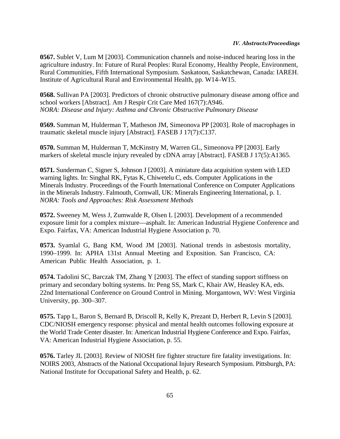**0567.** Sublet V, Lum M [2003]. Communication channels and noise-induced hearing loss in the agriculture industry. In: Future of Rural Peoples: Rural Economy, Healthy People, Environment, Rural Communities, Fifth International Symposium. Saskatoon, Saskatchewan, Canada: IAREH. Institute of Agricultural Rural and Environmental Health, pp. W14–W15.

**0568.** Sullivan PA [2003]. Predictors of chronic obstructive pulmonary disease among office and school workers [Abstract]. Am J Respir Crit Care Med 167(7):A946. *NORA: Disease and Injury: Asthma and Chronic Obstructive Pulmonary Disease*

**0569.** Summan M, Hulderman T, Matheson JM, Simeonova PP [2003]. Role of macrophages in traumatic skeletal muscle injury [Abstract]. FASEB J 17(7):C137.

**0570.** Summan M, Hulderman T, McKinstry M, Warren GL, Simeonova PP [2003]. Early markers of skeletal muscle injury revealed by cDNA array [Abstract]. FASEB J 17(5):A1365.

**0571.** Sunderman C, Signer S, Johnson J [2003]. A miniature data acquisition system with LED warning lights. In: Singhal RK, Fytas K, Chiwetelu C, eds. Computer Applications in the Minerals Industry. Proceedings of the Fourth International Conference on Computer Applications in the Minerals Industry. Falmouth, Cornwall, UK: Minerals Engineering International, p. 1. *NORA: Tools and Approaches: Risk Assessment Methods*

**0572.** Sweeney M, Wess J, Zumwalde R, Olsen L [2003]. Development of a recommended exposure limit for a complex mixture—asphalt. In: American Industrial Hygiene Conference and Expo. Fairfax, VA: American Industrial Hygiene Association p. 70.

**0573.** Syamlal G, Bang KM, Wood JM [2003]. National trends in asbestosis mortality, 1990–1999. In: APHA 131st Annual Meeting and Exposition. San Francisco, CA: American Public Health Association, p. 1.

**0574.** Tadolini SC, Barczak TM, Zhang Y [2003]. The effect of standing support stiffness on primary and secondary bolting systems. In: Peng SS, Mark C, Khair AW, Heasley KA, eds. 22nd International Conference on Ground Control in Mining. Morgantown, WV: West Virginia University, pp. 300–307.

**0575.** Tapp L, Baron S, Bernard B, Driscoll R, Kelly K, Prezant D, Herbert R, Levin S [2003]. CDC/NIOSH emergency response: physical and mental health outcomes following exposure at the World Trade Center disaster. In: American Industrial Hygiene Conference and Expo. Fairfax, VA: American Industrial Hygiene Association, p. 55.

**0576.** Tarley JL [2003]. Review of NIOSH fire fighter structure fire fatality investigations. In: NOIRS 2003, Abstracts of the National Occupational Injury Research Symposium. Pittsburgh, PA: National Institute for Occupational Safety and Health, p. 62.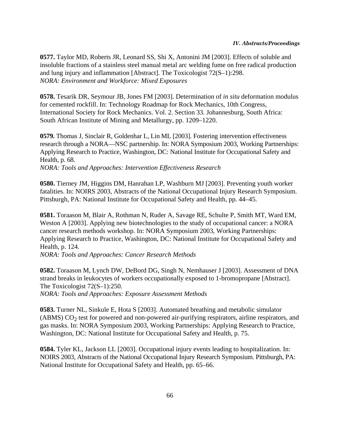**0577.** Taylor MD, Roberts JR, Leonard SS, Shi X, Antonini JM [2003]. Effects of soluble and insoluble fractions of a stainless steel manual metal arc welding fume on free radical production and lung injury and inflammation [Abstract]. The Toxicologist 72(S–1):298. *NORA: Environment and Workforce: Mixed Exposures*

**0578.** Tesarik DR, Seymour JB, Jones FM [2003]. Determination of *in situ* deformation modulus for cemented rockfill. In: Technology Roadmap for Rock Mechanics, 10th Congress, International Society for Rock Mechanics. Vol. 2. Section 33. Johannesburg, South Africa: South African Institute of Mining and Metallurgy, pp. 1209–1220.

**0579.** Thomas J, Sinclair R, Goldenhar L, Lin ML [2003]. Fostering intervention effectiveness research through a NORA—NSC partnership. In: NORA Symposium 2003, Working Partnerships: Applying Research to Practice, Washington, DC: National Institute for Occupational Safety and Health, p. 68.

*NORA: Tools and Approaches: Intervention Effectiveness Research*

**0580.** Tierney JM, Higgins DM, Hanrahan LP, Washburn MJ [2003]. Preventing youth worker fatalities. In: NOIRS 2003, Abstracts of the National Occupational Injury Research Symposium. Pittsburgh, PA: National Institute for Occupational Safety and Health, pp. 44–45.

**0581.** Toraason M, Blair A, Rothman N, Ruder A, Savage RE, Schulte P, Smith MT, Ward EM, Weston A [2003]. Applying new biotechnologies to the study of occupational cancer: a NORA cancer research methods workshop. In: NORA Symposium 2003, Working Partnerships: Applying Research to Practice, Washington, DC: National Institute for Occupational Safety and Health, p. 124.

*NORA: Tools and Approaches: Cancer Research Methods*

**0582.** Toraason M, Lynch DW, DeBord DG, Singh N, Nemhauser J [2003]. Assessment of DNA strand breaks in leukocytes of workers occupationally exposed to 1-bromopropane [Abstract]. The Toxicologist 72(S–1):250.

*NORA: Tools and Approaches: Exposure Assessment Methods*

**0583.** Turner NL, Sinkule E, Hota S [2003]. Automated breathing and metabolic simulator  $(ABMS) CO<sub>2</sub>$  test for powered and non-powered air-purifying respirators, airline respirators, and gas masks. In: NORA Symposium 2003, Working Partnerships: Applying Research to Practice, Washington, DC: National Institute for Occupational Safety and Health, p. 75.

**0584.** Tyler KL, Jackson LL [2003]. Occupational injury events leading to hospitalization. In: NOIRS 2003, Abstracts of the National Occupational Injury Research Symposium. Pittsburgh, PA: National Institute for Occupational Safety and Health, pp. 65–66.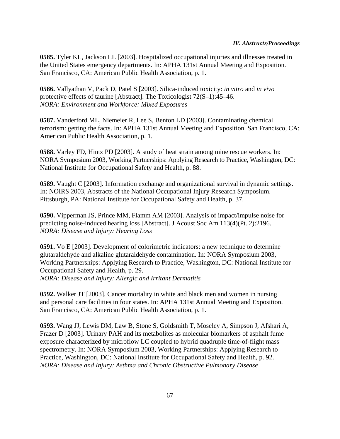**0585.** Tyler KL, Jackson LL [2003]. Hospitalized occupational injuries and illnesses treated in the United States emergency departments. In: APHA 131st Annual Meeting and Exposition. San Francisco, CA: American Public Health Association, p. 1.

**0586.** Vallyathan V, Pack D, Patel S [2003]. Silica-induced toxicity: *in vitro* and *in vivo* protective effects of taurine [Abstract]. The Toxicologist 72(S–1):45–46. *NORA: Environment and Workforce: Mixed Exposures*

**0587.** Vanderford ML, Niemeier R, Lee S, Benton LD [2003]. Contaminating chemical terrorism: getting the facts. In: APHA 131st Annual Meeting and Exposition. San Francisco, CA: American Public Health Association, p. 1.

**0588.** Varley FD, Hintz PD [2003]. A study of heat strain among mine rescue workers. In: NORA Symposium 2003, Working Partnerships: Applying Research to Practice, Washington, DC: National Institute for Occupational Safety and Health, p. 88.

**0589.** Vaught C [2003]. Information exchange and organizational survival in dynamic settings. In: NOIRS 2003, Abstracts of the National Occupational Injury Research Symposium. Pittsburgh, PA: National Institute for Occupational Safety and Health, p. 37.

**0590.** Vipperman JS, Prince MM, Flamm AM [2003]. Analysis of impact/impulse noise for predicting noise-induced hearing loss [Abstract]. J Acoust Soc Am 113(4)(Pt. 2):2196. *NORA: Disease and Injury: Hearing Loss*

**0591.** Vo E [2003]. Development of colorimetric indicators: a new technique to determine glutaraldehyde and alkaline glutaraldehyde contamination. In: NORA Symposium 2003, Working Partnerships: Applying Research to Practice, Washington, DC: National Institute for Occupational Safety and Health, p. 29. *NORA: Disease and Injury: Allergic and Irritant Dermatitis*

**0592.** Walker JT [2003]. Cancer mortality in white and black men and women in nursing and personal care facilities in four states. In: APHA 131st Annual Meeting and Exposition. San Francisco, CA: American Public Health Association, p. 1.

**0593.** Wang JJ, Lewis DM, Law B, Stone S, Goldsmith T, Moseley A, Simpson J, Afshari A, Frazer D [2003]. Urinary PAH and its metabolites as molecular biomarkers of asphalt fume exposure characterized by microflow LC coupled to hybrid quadruple time-of-flight mass spectrometry. In: NORA Symposium 2003, Working Partnerships: Applying Research to Practice, Washington, DC: National Institute for Occupational Safety and Health, p. 92. *NORA: Disease and Injury: Asthma and Chronic Obstructive Pulmonary Disease*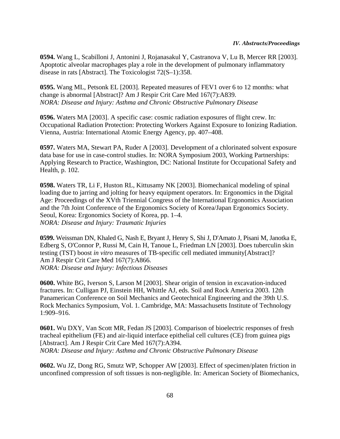**0594.** Wang L, Scabilloni J, Antonini J, Rojanasakul Y, Castranova V, Lu B, Mercer RR [2003]. Apoptotic alveolar macrophages play a role in the development of pulmonary inflammatory disease in rats [Abstract]. The Toxicologist 72(S–1):358.

**0595.** Wang ML, Petsonk EL [2003]. Repeated measures of FEV1 over 6 to 12 months: what change is abnormal [Abstract]? Am J Respir Crit Care Med 167(7):A839. *NORA: Disease and Injury: Asthma and Chronic Obstructive Pulmonary Disease*

**0596.** Waters MA [2003]. A specific case: cosmic radiation exposures of flight crew. In: Occupational Radiation Protection: Protecting Workers Against Exposure to Ionizing Radiation. Vienna, Austria: International Atomic Energy Agency, pp. 407–408.

**0597.** Waters MA, Stewart PA, Ruder A [2003]. Development of a chlorinated solvent exposure data base for use in case-control studies. In: NORA Symposium 2003, Working Partnerships: Applying Research to Practice, Washington, DC: National Institute for Occupational Safety and Health, p. 102.

**0598.** Waters TR, Li F, Huston RL, Kittusamy NK [2003]. Biomechanical modeling of spinal loading due to jarring and jolting for heavy equipment operators. In: Ergonomics in the Digital Age: Proceedings of the XVth Triennial Congress of the International Ergonomics Association and the 7th Joint Conference of the Ergonomics Society of Korea/Japan Ergonomics Society. Seoul, Korea: Ergonomics Society of Korea, pp. 1–4. *NORA: Disease and Injury: Traumatic Injuries*

**0599.** Weissman DN, Khaled G, Nash E, Bryant J, Henry S, Shi J, D'Amato J, Pisani M, Janotka E, Edberg S, O'Connor P, Russi M, Cain H, Tanoue L, Friedman LN [2003]. Does tuberculin skin testing (TST) boost *in vitro* measures of TB-specific cell mediated immunity[Abstract]? Am J Respir Crit Care Med 167(7):A866. *NORA: Disease and Injury: Infectious Diseases*

**0600.** White BG, Iverson S, Larson M [2003]. Shear origin of tension in excavation-induced fractures. In: Culligan PJ, Einstein HH, Whittle AJ, eds. Soil and Rock America 2003. 12th Panamerican Conference on Soil Mechanics and Geotechnical Engineering and the 39th U.S. Rock Mechanics Symposium, Vol. 1. Cambridge, MA: Massachusetts Institute of Technology 1:909–916.

**0601.** Wu DXY, Van Scott MR, Fedan JS [2003]. Comparison of bioelectric responses of fresh tracheal epithelium (FE) and air-liquid interface epithelial cell cultures (CE) from guinea pigs [Abstract]. Am J Respir Crit Care Med 167(7):A394. *NORA: Disease and Injury: Asthma and Chronic Obstructive Pulmonary Disease*

**0602.** Wu JZ, Dong RG, Smutz WP, Schopper AW [2003]. Effect of specimen/platen friction in unconfined compression of soft tissues is non-negligible. In: American Society of Biomechanics,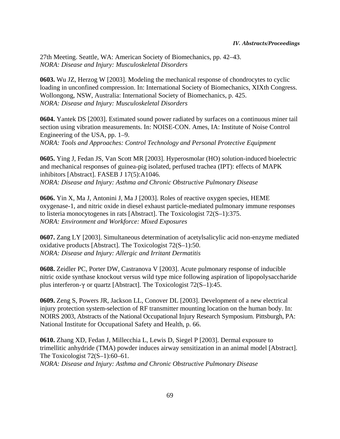27th Meeting. Seattle, WA: American Society of Biomechanics, pp. 42–43. *NORA: Disease and Injury: Musculoskeletal Disorders*

**0603.** Wu JZ, Herzog W [2003]. Modeling the mechanical response of chondrocytes to cyclic loading in unconfined compression. In: International Society of Biomechanics, XIXth Congress. Wollongong, NSW, Australia: International Society of Biomechanics, p. 425. *NORA: Disease and Injury: Musculoskeletal Disorders*

**0604.** Yantek DS [2003]. Estimated sound power radiated by surfaces on a continuous miner tail section using vibration measurements. In: NOISE-CON. Ames, IA: Institute of Noise Control Engineering of the USA, pp. 1–9. *NORA: Tools and Approaches: Control Technology and Personal Protective Equipment*

**0605.** Ying J, Fedan JS, Van Scott MR [2003]. Hyperosmolar (HO) solution-induced bioelectric and mechanical responses of guinea-pig isolated, perfused trachea (IPT): effects of MAPK inhibitors [Abstract]. FASEB J 17(5):A1046. *NORA: Disease and Injury: Asthma and Chronic Obstructive Pulmonary Disease*

**0606.** Yin X, Ma J, Antonini J, Ma J [2003]. Roles of reactive oxygen species, HEME oxygenase-1, and nitric oxide in diesel exhaust particle-mediated pulmonary immune responses to listeria monocytogenes in rats [Abstract]. The Toxicologist 72(S–1):375. *NORA: Environment and Workforce: Mixed Exposures*

**0607.** Zang LY [2003]. Simultaneous determination of acetylsalicylic acid non-enzyme mediated oxidative products [Abstract]. The Toxicologist 72(S–1):50. *NORA: Disease and Injury: Allergic and Irritant Dermatitis*

**0608.** Zeidler PC, Porter DW, Castranova V [2003]. Acute pulmonary response of inducible nitric oxide synthase knockout versus wild type mice following aspiration of lipopolysaccharide plus interferon- $\gamma$  or quartz [Abstract]. The Toxicologist 72(S–1):45.

**0609.** Zeng S, Powers JR, Jackson LL, Conover DL [2003]. Development of a new electrical injury protection system-selection of RF transmitter mounting location on the human body. In: NOIRS 2003, Abstracts of the National Occupational Injury Research Symposium. Pittsburgh, PA: National Institute for Occupational Safety and Health, p. 66.

**0610.** Zhang XD, Fedan J, Millecchia L, Lewis D, Siegel P [2003]. Dermal exposure to trimellitic anhydride (TMA) powder induces airway sensitization in an animal model [Abstract]. The Toxicologist 72(S-1):60-61. *NORA: Disease and Injury: Asthma and Chronic Obstructive Pulmonary Disease*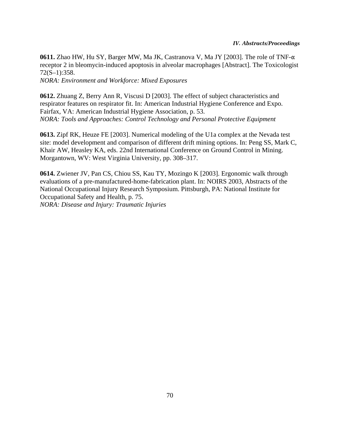#### *IV. Abstracts/Proceedings*

**0611.** Zhao HW, Hu SY, Barger MW, Ma JK, Castranova V, Ma JY [2003]. The role of TNF- $\alpha$ receptor 2 in bleomycin-induced apoptosis in alveolar macrophages [Abstract]. The Toxicologist 72(S–1):358.

*NORA: Environment and Workforce: Mixed Exposures*

**0612.** Zhuang Z, Berry Ann R, Viscusi D [2003]. The effect of subject characteristics and respirator features on respirator fit. In: American Industrial Hygiene Conference and Expo. Fairfax, VA: American Industrial Hygiene Association, p. 53. *NORA: Tools and Approaches: Control Technology and Personal Protective Equipment*

**0613.** Zipf RK, Heuze FE [2003]. Numerical modeling of the U1a complex at the Nevada test site: model development and comparison of different drift mining options. In: Peng SS, Mark C, Khair AW, Heasley KA, eds. 22nd International Conference on Ground Control in Mining. Morgantown, WV: West Virginia University, pp. 308–317.

**0614.** Zwiener JV, Pan CS, Chiou SS, Kau TY, Mozingo K [2003]. Ergonomic walk through evaluations of a pre-manufactured-home-fabrication plant. In: NOIRS 2003, Abstracts of the National Occupational Injury Research Symposium. Pittsburgh, PA: National Institute for Occupational Safety and Health, p. 75. *NORA: Disease and Injury: Traumatic Injuries*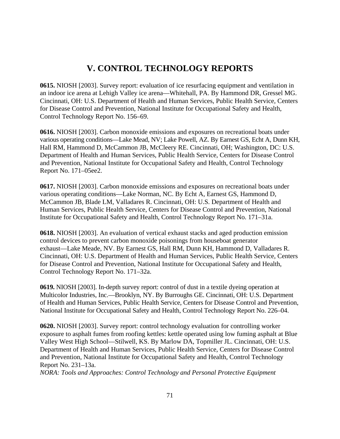## **V. CONTROL TECHNOLOGY REPORTS**

**0615.** NIOSH [2003]. Survey report: evaluation of ice resurfacing equipment and ventilation in an indoor ice arena at Lehigh Valley ice arena—Whitehall, PA. By Hammond DR, Gressel MG. Cincinnati, OH: U.S. Department of Health and Human Services, Public Health Service, Centers for Disease Control and Prevention, National Institute for Occupational Safety and Health, Control Technology Report No. 156–69.

**0616.** NIOSH [2003]. Carbon monoxide emissions and exposures on recreational boats under various operating conditions—Lake Mead, NV; Lake Powell, AZ. By Earnest GS, Echt A, Dunn KH, Hall RM, Hammond D, McCammon JB, McCleery RE. Cincinnati, OH; Washington, DC: U.S. Department of Health and Human Services, Public Health Service, Centers for Disease Control and Prevention, National Institute for Occupational Safety and Health, Control Technology Report No. 171–05ee2.

**0617.** NIOSH [2003]. Carbon monoxide emissions and exposures on recreational boats under various operating conditions—Lake Norman, NC. By Echt A, Earnest GS, Hammond D, McCammon JB, Blade LM, Valladares R. Cincinnati, OH: U.S. Department of Health and Human Services, Public Health Service, Centers for Disease Control and Prevention, National Institute for Occupational Safety and Health, Control Technology Report No. 171–31a.

**0618.** NIOSH [2003]. An evaluation of vertical exhaust stacks and aged production emission control devices to prevent carbon monoxide poisonings from houseboat generator exhaust—Lake Meade, NV. By Earnest GS, Hall RM, Dunn KH, Hammond D, Valladares R. Cincinnati, OH: U.S. Department of Health and Human Services, Public Health Service, Centers for Disease Control and Prevention, National Institute for Occupational Safety and Health, Control Technology Report No. 171–32a.

**0619.** NIOSH [2003]. In-depth survey report: control of dust in a textile dyeing operation at Multicolor Industries, Inc.—Brooklyn, NY. By Burroughs GE. Cincinnati, OH: U.S. Department of Health and Human Services, Public Health Service, Centers for Disease Control and Prevention, National Institute for Occupational Safety and Health, Control Technology Report No. 226–04.

**0620.** NIOSH [2003]. Survey report: control technology evaluation for controlling worker exposure to asphalt fumes from roofing kettles: kettle operated using low fuming asphalt at Blue Valley West High School—Stilwell, KS. By Marlow DA, Topmiller JL. Cincinnati, OH: U.S. Department of Health and Human Services, Public Health Service, Centers for Disease Control and Prevention, National Institute for Occupational Safety and Health, Control Technology Report No. 231–13a. *NORA: Tools and Approaches: Control Technology and Personal Protective Equipment*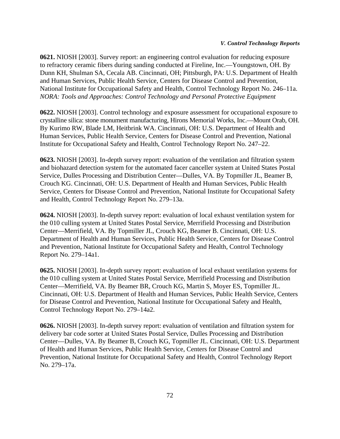**0621.** NIOSH [2003]. Survey report: an engineering control evaluation for reducing exposure to refractory ceramic fibers during sanding conducted at Fireline, Inc.—Youngstown, OH. By Dunn KH, Shulman SA, Cecala AB. Cincinnati, OH; Pittsburgh, PA: U.S. Department of Health and Human Services, Public Health Service, Centers for Disease Control and Prevention, National Institute for Occupational Safety and Health, Control Technology Report No. 246–11a. *NORA: Tools and Approaches: Control Technology and Personal Protective Equipment*

**0622.** NIOSH [2003]. Control technology and exposure assessment for occupational exposure to crystalline silica: stone monument manufacturing, Hirons Memorial Works, Inc.—Mount Orab, OH. By Kurimo RW, Blade LM, Heitbrink WA. Cincinnati, OH: U.S. Department of Health and Human Services, Public Health Service, Centers for Disease Control and Prevention, National Institute for Occupational Safety and Health, Control Technology Report No. 247–22.

**0623.** NIOSH [2003]. In-depth survey report: evaluation of the ventilation and filtration system and biohazard detection system for the automated facer canceller system at United States Postal Service, Dulles Processing and Distribution Center—Dulles, VA. By Topmiller JL, Beamer B, Crouch KG. Cincinnati, OH: U.S. Department of Health and Human Services, Public Health Service, Centers for Disease Control and Prevention, National Institute for Occupational Safety and Health, Control Technology Report No. 279–13a.

**0624.** NIOSH [2003]. In-depth survey report: evaluation of local exhaust ventilation system for the 010 culling system at United States Postal Service, Merrifield Processing and Distribution Center—Merrifield, VA. By Topmiller JL, Crouch KG, Beamer B. Cincinnati, OH: U.S. Department of Health and Human Services, Public Health Service, Centers for Disease Control and Prevention, National Institute for Occupational Safety and Health, Control Technology Report No. 279–14a1.

**0625.** NIOSH [2003]. In-depth survey report: evaluation of local exhaust ventilation systems for the 010 culling system at United States Postal Service, Merrifield Processing and Distribution Center—Merrifield, VA. By Beamer BR, Crouch KG, Martin S, Moyer ES, Topmiller JL. Cincinnati, OH: U.S. Department of Health and Human Services, Public Health Service, Centers for Disease Control and Prevention, National Institute for Occupational Safety and Health, Control Technology Report No. 279–14a2.

**0626.** NIOSH [2003]. In-depth survey report: evaluation of ventilation and filtration system for delivery bar code sorter at United States Postal Service, Dulles Processing and Distribution Center—Dulles, VA. By Beamer B, Crouch KG, Topmiller JL. Cincinnati, OH: U.S. Department of Health and Human Services, Public Health Service, Centers for Disease Control and Prevention, National Institute for Occupational Safety and Health, Control Technology Report No. 279–17a.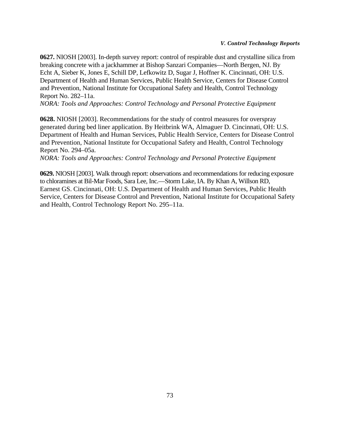#### *V. Control Technology Reports*

**0627.** NIOSH [2003]. In-depth survey report: control of respirable dust and crystalline silica from breaking concrete with a jackhammer at Bishop Sanzari Companies—North Bergen, NJ. By Echt A, Sieber K, Jones E, Schill DP, Lefkowitz D, Sugar J, Hoffner K. Cincinnati, OH: U.S. Department of Health and Human Services, Public Health Service, Centers for Disease Control and Prevention, National Institute for Occupational Safety and Health, Control Technology Report No. 282–11a.

*NORA: Tools and Approaches: Control Technology and Personal Protective Equipment*

**0628.** NIOSH [2003]. Recommendations for the study of control measures for overspray generated during bed liner application. By Heitbrink WA, Almaguer D. Cincinnati, OH: U.S. Department of Health and Human Services, Public Health Service, Centers for Disease Control and Prevention, National Institute for Occupational Safety and Health, Control Technology Report No. 294–05a.

*NORA: Tools and Approaches: Control Technology and Personal Protective Equipment*

**0629.** NIOSH [2003]. Walk through report: observations and recommendations for reducing exposure to chloramines at Bil-Mar Foods, Sara Lee, Inc.—Storm Lake, IA. By Khan A, Willson RD, Earnest GS. Cincinnati, OH: U.S. Department of Health and Human Services, Public Health Service, Centers for Disease Control and Prevention, National Institute for Occupational Safety and Health, Control Technology Report No. 295–11a.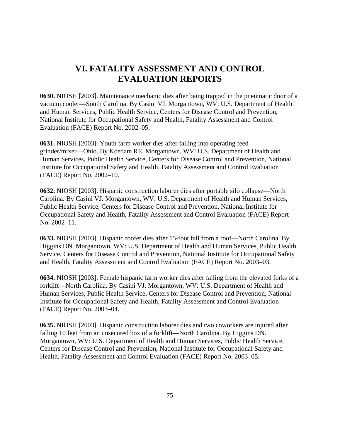## **VI. FATALITY ASSESSMENT AND CONTROL EVALUATION REPORTS**

**0630.** NIOSH [2003]. Maintenance mechanic dies after being trapped in the pneumatic door of a vacuum cooler—South Carolina. By Casini VJ. Morgantown, WV: U.S. Department of Health and Human Services, Public Health Service, Centers for Disease Control and Prevention, National Institute for Occupational Safety and Health, Fatality Assessment and Control Evaluation (FACE) Report No. 2002–05.

**0631.** NIOSH [2003]. Youth farm worker dies after falling into operating feed grinder/mixer—Ohio. By Koedam RE. Morgantown, WV: U.S. Department of Health and Human Services, Public Health Service, Centers for Disease Control and Prevention, National Institute for Occupational Safety and Health, Fatality Assessment and Control Evaluation (FACE) Report No. 2002–10.

**0632.** NIOSH [2003]. Hispanic construction laborer dies after portable silo collapse—North Carolina. By Casini VJ. Morgantown, WV: U.S. Department of Health and Human Services, Public Health Service, Centers for Disease Control and Prevention, National Institute for Occupational Safety and Health, Fatality Assessment and Control Evaluation (FACE) Report No. 2002–11.

**0633.** NIOSH [2003]. Hispanic roofer dies after 15-foot fall from a roof—North Carolina. By Higgins DN. Morgantown, WV: U.S. Department of Health and Human Services, Public Health Service, Centers for Disease Control and Prevention, National Institute for Occupational Safety and Health, Fatality Assessment and Control Evaluation (FACE) Report No. 2003–03.

**0634.** NIOSH [2003]. Female hispanic farm worker dies after falling from the elevated forks of a forklift—North Carolina. By Casini VJ. Morgantown, WV: U.S. Department of Health and Human Services, Public Health Service, Centers for Disease Control and Prevention, National Institute for Occupational Safety and Health, Fatality Assessment and Control Evaluation (FACE) Report No. 2003–04.

**0635.** NIOSH [2003]. Hispanic construction laborer dies and two coworkers are injured after falling 10 feet from an unsecured box of a forklift—North Carolina. By Higgins DN. Morgantown, WV: U.S. Department of Health and Human Services, Public Health Service, Centers for Disease Control and Prevention, National Institute for Occupational Safety and Health, Fatality Assessment and Control Evaluation (FACE) Report No. 2003–05.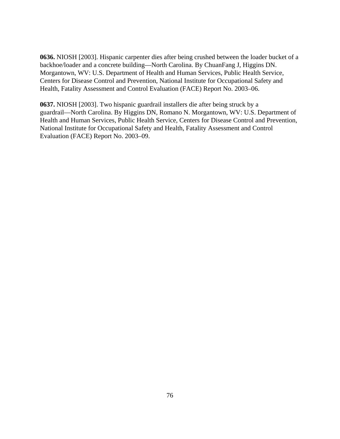**0636.** NIOSH [2003]. Hispanic carpenter dies after being crushed between the loader bucket of a backhoe/loader and a concrete building—North Carolina. By ChuanFang J, Higgins DN. Morgantown, WV: U.S. Department of Health and Human Services, Public Health Service, Centers for Disease Control and Prevention, National Institute for Occupational Safety and Health, Fatality Assessment and Control Evaluation (FACE) Report No. 2003–06.

**0637.** NIOSH [2003]. Two hispanic guardrail installers die after being struck by a guardrail—North Carolina. By Higgins DN, Romano N. Morgantown, WV: U.S. Department of Health and Human Services, Public Health Service, Centers for Disease Control and Prevention, National Institute for Occupational Safety and Health, Fatality Assessment and Control Evaluation (FACE) Report No. 2003–09.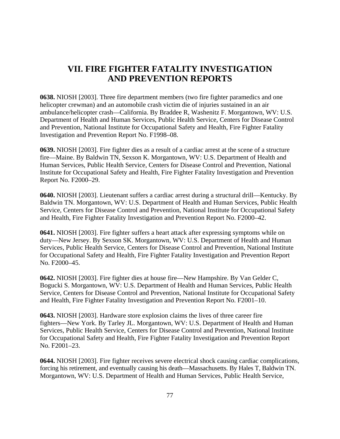## **VII. FIRE FIGHTER FATALITY INVESTIGATION AND PREVENTION REPORTS**

**0638.** NIOSH [2003]. Three fire department members (two fire fighter paramedics and one helicopter crewman) and an automobile crash victim die of injuries sustained in an air ambulance/helicopter crash—California. By Braddee R, Washenitz F. Morgantown, WV: U.S. Department of Health and Human Services, Public Health Service, Centers for Disease Control and Prevention, National Institute for Occupational Safety and Health, Fire Fighter Fatality Investigation and Prevention Report No. F1998–08.

**0639.** NIOSH [2003]. Fire fighter dies as a result of a cardiac arrest at the scene of a structure fire—Maine. By Baldwin TN, Sexson K. Morgantown, WV: U.S. Department of Health and Human Services, Public Health Service, Centers for Disease Control and Prevention, National Institute for Occupational Safety and Health, Fire Fighter Fatality Investigation and Prevention Report No. F2000–29.

**0640.** NIOSH [2003]. Lieutenant suffers a cardiac arrest during a structural drill—Kentucky. By Baldwin TN. Morgantown, WV: U.S. Department of Health and Human Services, Public Health Service, Centers for Disease Control and Prevention, National Institute for Occupational Safety and Health, Fire Fighter Fatality Investigation and Prevention Report No. F2000–42.

**0641.** NIOSH [2003]. Fire fighter suffers a heart attack after expressing symptoms while on duty—New Jersey. By Sexson SK. Morgantown, WV: U.S. Department of Health and Human Services, Public Health Service, Centers for Disease Control and Prevention, National Institute for Occupational Safety and Health, Fire Fighter Fatality Investigation and Prevention Report No. F2000–45.

**0642.** NIOSH [2003]. Fire fighter dies at house fire—New Hampshire. By Van Gelder C, Bogucki S. Morgantown, WV: U.S. Department of Health and Human Services, Public Health Service, Centers for Disease Control and Prevention, National Institute for Occupational Safety and Health, Fire Fighter Fatality Investigation and Prevention Report No. F2001–10.

**0643.** NIOSH [2003]. Hardware store explosion claims the lives of three career fire fighters—New York. By Tarley JL. Morgantown, WV: U.S. Department of Health and Human Services, Public Health Service, Centers for Disease Control and Prevention, National Institute for Occupational Safety and Health, Fire Fighter Fatality Investigation and Prevention Report No. F2001–23.

**0644.** NIOSH [2003]. Fire fighter receives severe electrical shock causing cardiac complications, forcing his retirement, and eventually causing his death—Massachusetts. By Hales T, Baldwin TN. Morgantown, WV: U.S. Department of Health and Human Services, Public Health Service,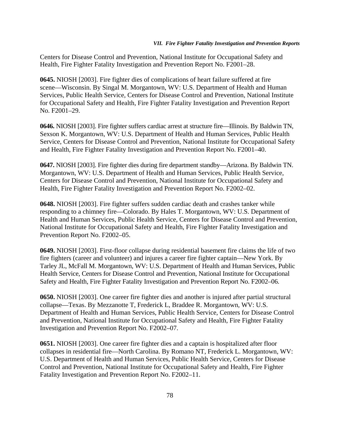Centers for Disease Control and Prevention, National Institute for Occupational Safety and Health, Fire Fighter Fatality Investigation and Prevention Report No. F2001–28.

**0645.** NIOSH [2003]. Fire fighter dies of complications of heart failure suffered at fire scene—Wisconsin. By Singal M. Morgantown, WV: U.S. Department of Health and Human Services, Public Health Service, Centers for Disease Control and Prevention, National Institute for Occupational Safety and Health, Fire Fighter Fatality Investigation and Prevention Report No. F2001–29.

**0646.** NIOSH [2003]. Fire fighter suffers cardiac arrest at structure fire—Illinois. By Baldwin TN, Sexson K. Morgantown, WV: U.S. Department of Health and Human Services, Public Health Service, Centers for Disease Control and Prevention, National Institute for Occupational Safety and Health, Fire Fighter Fatality Investigation and Prevention Report No. F2001–40.

**0647.** NIOSH [2003]. Fire fighter dies during fire department standby—Arizona. By Baldwin TN. Morgantown, WV: U.S. Department of Health and Human Services, Public Health Service, Centers for Disease Control and Prevention, National Institute for Occupational Safety and Health, Fire Fighter Fatality Investigation and Prevention Report No. F2002–02.

**0648.** NIOSH [2003]. Fire fighter suffers sudden cardiac death and crashes tanker while responding to a chimney fire—Colorado. By Hales T. Morgantown, WV: U.S. Department of Health and Human Services, Public Health Service, Centers for Disease Control and Prevention, National Institute for Occupational Safety and Health, Fire Fighter Fatality Investigation and Prevention Report No. F2002–05.

**0649.** NIOSH [2003]. First-floor collapse during residential basement fire claims the life of two fire fighters (career and volunteer) and injures a career fire fighter captain—New York. By Tarley JL, McFall M. Morgantown, WV: U.S. Department of Health and Human Services, Public Health Service, Centers for Disease Control and Prevention, National Institute for Occupational Safety and Health, Fire Fighter Fatality Investigation and Prevention Report No. F2002–06.

**0650.** NIOSH [2003]. One career fire fighter dies and another is injured after partial structural collapse—Texas. By Mezzanotte T, Frederick L, Braddee R. Morgantown, WV: U.S. Department of Health and Human Services, Public Health Service, Centers for Disease Control and Prevention, National Institute for Occupational Safety and Health, Fire Fighter Fatality Investigation and Prevention Report No. F2002–07.

**0651.** NIOSH [2003]. One career fire fighter dies and a captain is hospitalized after floor collapses in residential fire—North Carolina. By Romano NT, Frederick L. Morgantown, WV: U.S. Department of Health and Human Services, Public Health Service, Centers for Disease Control and Prevention, National Institute for Occupational Safety and Health, Fire Fighter Fatality Investigation and Prevention Report No. F2002–11.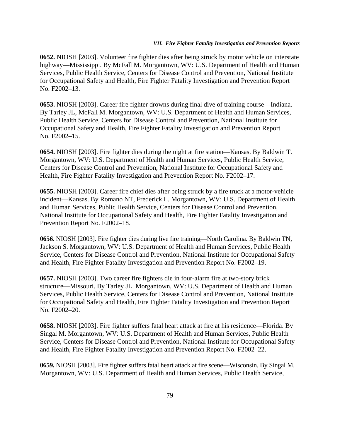#### *VII. Fire Fighter Fatality Investigation and Prevention Reports*

**0652.** NIOSH [2003]. Volunteer fire fighter dies after being struck by motor vehicle on interstate highway—Mississippi. By McFall M. Morgantown, WV: U.S. Department of Health and Human Services, Public Health Service, Centers for Disease Control and Prevention, National Institute for Occupational Safety and Health, Fire Fighter Fatality Investigation and Prevention Report No. F2002–13.

**0653.** NIOSH [2003]. Career fire fighter drowns during final dive of training course—Indiana. By Tarley JL, McFall M. Morgantown, WV: U.S. Department of Health and Human Services, Public Health Service, Centers for Disease Control and Prevention, National Institute for Occupational Safety and Health, Fire Fighter Fatality Investigation and Prevention Report No. F2002–15.

**0654.** NIOSH [2003]. Fire fighter dies during the night at fire station—Kansas. By Baldwin T. Morgantown, WV: U.S. Department of Health and Human Services, Public Health Service, Centers for Disease Control and Prevention, National Institute for Occupational Safety and Health, Fire Fighter Fatality Investigation and Prevention Report No. F2002–17.

**0655.** NIOSH [2003]. Career fire chief dies after being struck by a fire truck at a motor-vehicle incident—Kansas. By Romano NT, Frederick L. Morgantown, WV: U.S. Department of Health and Human Services, Public Health Service, Centers for Disease Control and Prevention, National Institute for Occupational Safety and Health, Fire Fighter Fatality Investigation and Prevention Report No. F2002–18.

**0656.** NIOSH [2003]. Fire fighter dies during live fire training—North Carolina. By Baldwin TN, Jackson S. Morgantown, WV: U.S. Department of Health and Human Services, Public Health Service, Centers for Disease Control and Prevention, National Institute for Occupational Safety and Health, Fire Fighter Fatality Investigation and Prevention Report No. F2002–19.

**0657.** NIOSH [2003]. Two career fire fighters die in four-alarm fire at two-story brick structure—Missouri. By Tarley JL. Morgantown, WV: U.S. Department of Health and Human Services, Public Health Service, Centers for Disease Control and Prevention, National Institute for Occupational Safety and Health, Fire Fighter Fatality Investigation and Prevention Report No. F2002–20.

**0658.** NIOSH [2003]. Fire fighter suffers fatal heart attack at fire at his residence—Florida. By Singal M. Morgantown, WV: U.S. Department of Health and Human Services, Public Health Service, Centers for Disease Control and Prevention, National Institute for Occupational Safety and Health, Fire Fighter Fatality Investigation and Prevention Report No. F2002–22.

**0659.** NIOSH [2003]. Fire fighter suffers fatal heart attack at fire scene—Wisconsin. By Singal M. Morgantown, WV: U.S. Department of Health and Human Services, Public Health Service,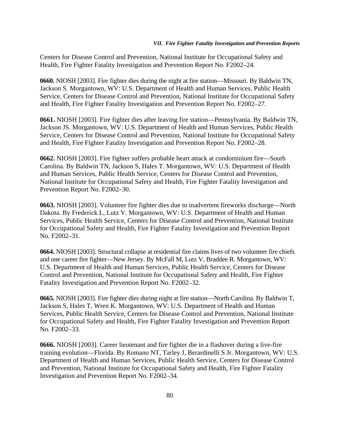Centers for Disease Control and Prevention, National Institute for Occupational Safety and Health, Fire Fighter Fatality Investigation and Prevention Report No. F2002–24.

**0660.** NIOSH [2003]. Fire fighter dies during the night at fire station—Missouri. By Baldwin TN, Jackson S. Morgantown, WV: U.S. Department of Health and Human Services, Public Health Service, Centers for Disease Control and Prevention, National Institute for Occupational Safety and Health, Fire Fighter Fatality Investigation and Prevention Report No. F2002–27.

**0661.** NIOSH [2003]. Fire fighter dies after leaving fire station—Pennsylvania. By Baldwin TN, Jackson JS. Morgantown, WV: U.S. Department of Health and Human Services, Public Health Service, Centers for Disease Control and Prevention, National Institute for Occupational Safety and Health, Fire Fighter Fatality Investigation and Prevention Report No. F2002–28.

**0662.** NIOSH [2003]. Fire fighter suffers probable heart attack at condominium fire—South Carolina. By Baldwin TN, Jackson S, Hales T. Morgantown, WV: U.S. Department of Health and Human Services, Public Health Service, Centers for Disease Control and Prevention, National Institute for Occupational Safety and Health, Fire Fighter Fatality Investigation and Prevention Report No. F2002–30.

**0663.** NIOSH [2003]. Volunteer fire fighter dies due to inadvertent fireworks discharge—North Dakota. By Frederick L, Lutz V. Morgantown, WV: U.S. Department of Health and Human Services, Public Health Service, Centers for Disease Control and Prevention, National Institute for Occupational Safety and Health, Fire Fighter Fatality Investigation and Prevention Report No. F2002–31.

**0664.** NIOSH [2003]. Structural collapse at residential fire claims lives of two volunteer fire chiefs and one career fire fighter—New Jersey. By McFall M, Lutz V, Braddee R. Morgantown, WV: U.S. Department of Health and Human Services, Public Health Service, Centers for Disease Control and Prevention, National Institute for Occupational Safety and Health, Fire Fighter Fatality Investigation and Prevention Report No. F2002–32.

**0665.** NIOSH [2003]. Fire fighter dies during night at fire station—North Carolina. By Baldwin T, Jackson S, Hales T, Wren K. Morgantown, WV: U.S. Department of Health and Human Services, Public Health Service, Centers for Disease Control and Prevention, National Institute for Occupational Safety and Health, Fire Fighter Fatality Investigation and Prevention Report No. F2002–33.

**0666.** NIOSH [2003]. Career lieutenant and fire fighter die in a flashover during a live-fire training evolution—Florida. By Romano NT, Tarley J, Berardinelli S Jr. Morgantown, WV: U.S. Department of Health and Human Services, Public Health Service, Centers for Disease Control and Prevention, National Institute for Occupational Safety and Health, Fire Fighter Fatality Investigation and Prevention Report No. F2002–34.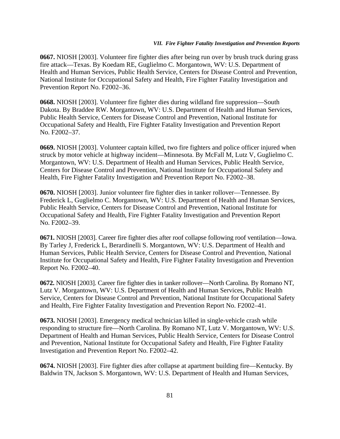#### *VII. Fire Fighter Fatality Investigation and Prevention Reports*

**0667.** NIOSH [2003]. Volunteer fire fighter dies after being run over by brush truck during grass fire attack—Texas. By Koedam RE, Guglielmo C. Morgantown, WV: U.S. Department of Health and Human Services, Public Health Service, Centers for Disease Control and Prevention, National Institute for Occupational Safety and Health, Fire Fighter Fatality Investigation and Prevention Report No. F2002–36.

**0668.** NIOSH [2003]. Volunteer fire fighter dies during wildland fire suppression—South Dakota. By Braddee RW. Morgantown, WV: U.S. Department of Health and Human Services, Public Health Service, Centers for Disease Control and Prevention, National Institute for Occupational Safety and Health, Fire Fighter Fatality Investigation and Prevention Report No. F2002–37.

**0669.** NIOSH [2003]. Volunteer captain killed, two fire fighters and police officer injured when struck by motor vehicle at highway incident—Minnesota. By McFall M, Lutz V, Guglielmo C. Morgantown, WV: U.S. Department of Health and Human Services, Public Health Service, Centers for Disease Control and Prevention, National Institute for Occupational Safety and Health, Fire Fighter Fatality Investigation and Prevention Report No. F2002–38.

**0670.** NIOSH [2003]. Junior volunteer fire fighter dies in tanker rollover—Tennessee. By Frederick L, Guglielmo C. Morgantown, WV: U.S. Department of Health and Human Services, Public Health Service, Centers for Disease Control and Prevention, National Institute for Occupational Safety and Health, Fire Fighter Fatality Investigation and Prevention Report No. F2002–39.

**0671.** NIOSH [2003]. Career fire fighter dies after roof collapse following roof ventilation—Iowa. By Tarley J, Frederick L, Berardinelli S. Morgantown, WV: U.S. Department of Health and Human Services, Public Health Service, Centers for Disease Control and Prevention, National Institute for Occupational Safety and Health, Fire Fighter Fatality Investigation and Prevention Report No. F2002–40.

**0672.** NIOSH [2003]. Career fire fighter dies in tanker rollover—North Carolina. By Romano NT, Lutz V. Morgantown, WV: U.S. Department of Health and Human Services, Public Health Service, Centers for Disease Control and Prevention, National Institute for Occupational Safety and Health, Fire Fighter Fatality Investigation and Prevention Report No. F2002–41.

**0673.** NIOSH [2003]. Emergency medical technician killed in single-vehicle crash while responding to structure fire—North Carolina. By Romano NT, Lutz V. Morgantown, WV: U.S. Department of Health and Human Services, Public Health Service, Centers for Disease Control and Prevention, National Institute for Occupational Safety and Health, Fire Fighter Fatality Investigation and Prevention Report No. F2002–42.

**0674.** NIOSH [2003]. Fire fighter dies after collapse at apartment building fire—Kentucky. By Baldwin TN, Jackson S. Morgantown, WV: U.S. Department of Health and Human Services,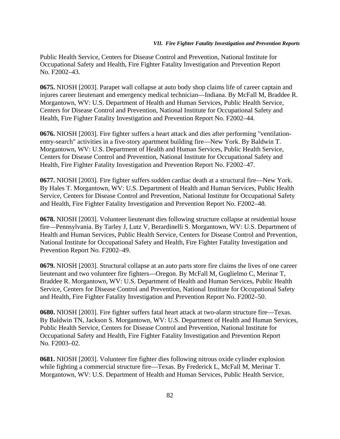#### *VII. Fire Fighter Fatality Investigation and Prevention Reports*

Public Health Service, Centers for Disease Control and Prevention, National Institute for Occupational Safety and Health, Fire Fighter Fatality Investigation and Prevention Report No. F2002–43.

**0675.** NIOSH [2003]. Parapet wall collapse at auto body shop claims life of career captain and injures career lieutenant and emergency medical technician—Indiana. By McFall M, Braddee R. Morgantown, WV: U.S. Department of Health and Human Services, Public Health Service, Centers for Disease Control and Prevention, National Institute for Occupational Safety and Health, Fire Fighter Fatality Investigation and Prevention Report No. F2002–44.

**0676.** NIOSH [2003]. Fire fighter suffers a heart attack and dies after performing "ventilationentry-search" activities in a five-story apartment building fire—New York. By Baldwin T. Morgantown, WV: U.S. Department of Health and Human Services, Public Health Service, Centers for Disease Control and Prevention, National Institute for Occupational Safety and Health, Fire Fighter Fatality Investigation and Prevention Report No. F2002–47.

**0677.** NIOSH [2003]. Fire fighter suffers sudden cardiac death at a structural fire—New York. By Hales T. Morgantown, WV: U.S. Department of Health and Human Services, Public Health Service, Centers for Disease Control and Prevention, National Institute for Occupational Safety and Health, Fire Fighter Fatality Investigation and Prevention Report No. F2002–48.

**0678.** NIOSH [2003]. Volunteer lieutenant dies following structure collapse at residential house fire—Pennsylvania. By Tarley J, Lutz V, Berardinelli S. Morgantown, WV: U.S. Department of Health and Human Services, Public Health Service, Centers for Disease Control and Prevention, National Institute for Occupational Safety and Health, Fire Fighter Fatality Investigation and Prevention Report No. F2002–49.

**0679.** NIOSH [2003]. Structural collapse at an auto parts store fire claims the lives of one career lieutenant and two volunteer fire fighters—Oregon. By McFall M, Guglielmo C, Merinar T, Braddee R. Morgantown, WV: U.S. Department of Health and Human Services, Public Health Service, Centers for Disease Control and Prevention, National Institute for Occupational Safety and Health, Fire Fighter Fatality Investigation and Prevention Report No. F2002–50.

**0680.** NIOSH [2003]. Fire fighter suffers fatal heart attack at two-alarm structure fire—Texas. By Baldwin TN, Jackson S. Morgantown, WV: U.S. Department of Health and Human Services, Public Health Service, Centers for Disease Control and Prevention, National Institute for Occupational Safety and Health, Fire Fighter Fatality Investigation and Prevention Report No. F2003–02.

**0681.** NIOSH [2003]. Volunteer fire fighter dies following nitrous oxide cylinder explosion while fighting a commercial structure fire—Texas. By Frederick L, McFall M, Merinar T. Morgantown, WV: U.S. Department of Health and Human Services, Public Health Service,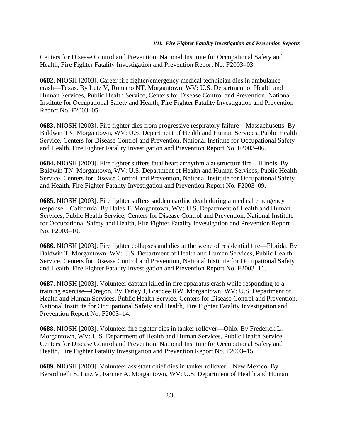Centers for Disease Control and Prevention, National Institute for Occupational Safety and Health, Fire Fighter Fatality Investigation and Prevention Report No. F2003–03.

**0682.** NIOSH [2003]. Career fire fighter/emergency medical technician dies in ambulance crash—Texas. By Lutz V, Romano NT. Morgantown, WV: U.S. Department of Health and Human Services, Public Health Service, Centers for Disease Control and Prevention, National Institute for Occupational Safety and Health, Fire Fighter Fatality Investigation and Prevention Report No. F2003–05.

**0683.** NIOSH [2003]. Fire fighter dies from progressive respiratory failure—Massachusetts. By Baldwin TN. Morgantown, WV: U.S. Department of Health and Human Services, Public Health Service, Centers for Disease Control and Prevention, National Institute for Occupational Safety and Health, Fire Fighter Fatality Investigation and Prevention Report No. F2003–06.

**0684.** NIOSH [2003]. Fire fighter suffers fatal heart arrhythmia at structure fire—Illinois. By Baldwin TN. Morgantown, WV: U.S. Department of Health and Human Services, Public Health Service, Centers for Disease Control and Prevention, National Institute for Occupational Safety and Health, Fire Fighter Fatality Investigation and Prevention Report No. F2003–09.

**0685.** NIOSH [2003]. Fire fighter suffers sudden cardiac death during a medical emergency response—California. By Hales T. Morgantown, WV: U.S. Department of Health and Human Services, Public Health Service, Centers for Disease Control and Prevention, National Institute for Occupational Safety and Health, Fire Fighter Fatality Investigation and Prevention Report No. F2003–10.

**0686.** NIOSH [2003]. Fire fighter collapses and dies at the scene of residential fire—Florida. By Baldwin T. Morgantown, WV: U.S. Department of Health and Human Services, Public Health Service, Centers for Disease Control and Prevention, National Institute for Occupational Safety and Health, Fire Fighter Fatality Investigation and Prevention Report No. F2003–11.

**0687.** NIOSH [2003]. Volunteer captain killed in fire apparatus crash while responding to a training exercise—Oregon. By Tarley J, Braddee RW. Morgantown, WV: U.S. Department of Health and Human Services, Public Health Service, Centers for Disease Control and Prevention, National Institute for Occupational Safety and Health, Fire Fighter Fatality Investigation and Prevention Report No. F2003–14.

**0688.** NIOSH [2003]. Volunteer fire fighter dies in tanker rollover—Ohio. By Frederick L. Morgantown, WV: U.S. Department of Health and Human Services, Public Health Service, Centers for Disease Control and Prevention, National Institute for Occupational Safety and Health, Fire Fighter Fatality Investigation and Prevention Report No. F2003–15.

**0689.** NIOSH [2003]. Volunteer assistant chief dies in tanker rollover—New Mexico. By Berardinelli S, Lutz V, Farmer A. Morgantown, WV: U.S. Department of Health and Human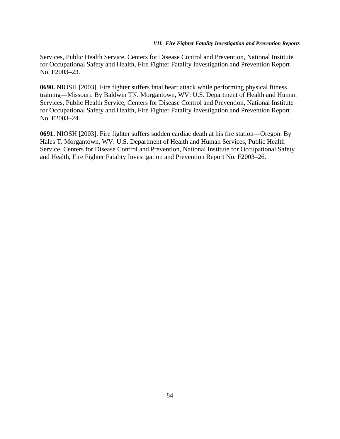#### *VII. Fire Fighter Fatality Investigation and Prevention Reports*

Services, Public Health Service, Centers for Disease Control and Prevention, National Institute for Occupational Safety and Health, Fire Fighter Fatality Investigation and Prevention Report No. F2003–23.

**0690.** NIOSH [2003]. Fire fighter suffers fatal heart attack while performing physical fitness training—Missouri. By Baldwin TN. Morgantown, WV: U.S. Department of Health and Human Services, Public Health Service, Centers for Disease Control and Prevention, National Institute for Occupational Safety and Health, Fire Fighter Fatality Investigation and Prevention Report No. F2003–24.

**0691.** NIOSH [2003]. Fire fighter suffers sudden cardiac death at his fire station—Oregon. By Hales T. Morgantown, WV: U.S. Department of Health and Human Services, Public Health Service, Centers for Disease Control and Prevention, National Institute for Occupational Safety and Health, Fire Fighter Fatality Investigation and Prevention Report No. F2003–26.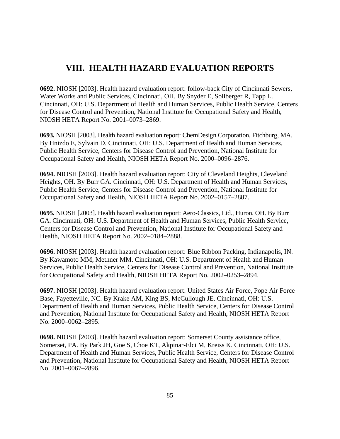## **VIII. HEALTH HAZARD EVALUATION REPORTS**

**0692.** NIOSH [2003]. Health hazard evaluation report: follow-back City of Cincinnati Sewers, Water Works and Public Services, Cincinnati, OH. By Snyder E, Sollberger R, Tapp L. Cincinnati, OH: U.S. Department of Health and Human Services, Public Health Service, Centers for Disease Control and Prevention, National Institute for Occupational Safety and Health, NIOSH HETA Report No. 2001–0073–2869.

**0693.** NIOSH [2003]. Health hazard evaluation report: ChemDesign Corporation, Fitchburg, MA. By Hnizdo E, Sylvain D. Cincinnati, OH: U.S. Department of Health and Human Services, Public Health Service, Centers for Disease Control and Prevention, National Institute for Occupational Safety and Health, NIOSH HETA Report No. 2000–0096–2876.

**0694.** NIOSH [2003]. Health hazard evaluation report: City of Cleveland Heights, Cleveland Heights, OH. By Burr GA. Cincinnati, OH: U.S. Department of Health and Human Services, Public Health Service, Centers for Disease Control and Prevention, National Institute for Occupational Safety and Health, NIOSH HETA Report No. 2002–0157–2887.

**0695.** NIOSH [2003]. Health hazard evaluation report: Aero-Classics, Ltd., Huron, OH. By Burr GA. Cincinnati, OH: U.S. Department of Health and Human Services, Public Health Service, Centers for Disease Control and Prevention, National Institute for Occupational Safety and Health, NIOSH HETA Report No. 2002–0184–2888.

**0696.** NIOSH [2003]. Health hazard evaluation report: Blue Ribbon Packing, Indianapolis, IN. By Kawamoto MM, Methner MM. Cincinnati, OH: U.S. Department of Health and Human Services, Public Health Service, Centers for Disease Control and Prevention, National Institute for Occupational Safety and Health, NIOSH HETA Report No. 2002–0253–2894.

**0697.** NIOSH [2003]. Health hazard evaluation report: United States Air Force, Pope Air Force Base, Fayetteville, NC. By Krake AM, King BS, McCullough JE. Cincinnati, OH: U.S. Department of Health and Human Services, Public Health Service, Centers for Disease Control and Prevention, National Institute for Occupational Safety and Health, NIOSH HETA Report No. 2000–0062–2895.

**0698.** NIOSH [2003]. Health hazard evaluation report: Somerset County assistance office, Somerset, PA. By Park JH, Goe S, Choe KT, Akpinar-Elci M, Kreiss K. Cincinnati, OH: U.S. Department of Health and Human Services, Public Health Service, Centers for Disease Control and Prevention, National Institute for Occupational Safety and Health, NIOSH HETA Report No. 2001–0067–2896.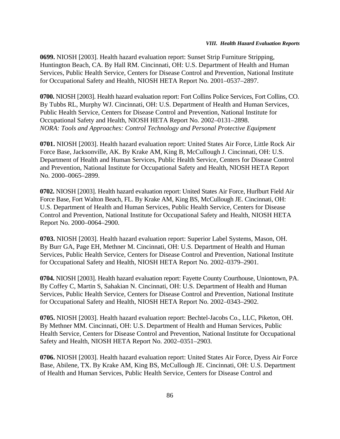**0699.** NIOSH [2003]. Health hazard evaluation report: Sunset Strip Furniture Stripping, Huntington Beach, CA. By Hall RM. Cincinnati, OH: U.S. Department of Health and Human Services, Public Health Service, Centers for Disease Control and Prevention, National Institute for Occupational Safety and Health, NIOSH HETA Report No. 2001–0537–2897.

**0700.** NIOSH [2003]. Health hazard evaluation report: Fort Collins Police Services, Fort Collins, CO. By Tubbs RL, Murphy WJ. Cincinnati, OH: U.S. Department of Health and Human Services, Public Health Service, Centers for Disease Control and Prevention, National Institute for Occupational Safety and Health, NIOSH HETA Report No. 2002–0131–2898. *NORA: Tools and Approaches: Control Technology and Personal Protective Equipment*

**0701.** NIOSH [2003]. Health hazard evaluation report: United States Air Force, Little Rock Air Force Base, Jacksonville, AK. By Krake AM, King B, McCullough J. Cincinnati, OH: U.S. Department of Health and Human Services, Public Health Service, Centers for Disease Control and Prevention, National Institute for Occupational Safety and Health, NIOSH HETA Report No. 2000–0065–2899.

**0702.** NIOSH [2003]. Health hazard evaluation report: United States Air Force, Hurlburt Field Air Force Base, Fort Walton Beach, FL. By Krake AM, King BS, McCullough JE. Cincinnati, OH: U.S. Department of Health and Human Services, Public Health Service, Centers for Disease Control and Prevention, National Institute for Occupational Safety and Health, NIOSH HETA Report No. 2000–0064–2900.

**0703.** NIOSH [2003]. Health hazard evaluation report: Superior Label Systems, Mason, OH. By Burr GA, Page EH, Methner M. Cincinnati, OH: U.S. Department of Health and Human Services, Public Health Service, Centers for Disease Control and Prevention, National Institute for Occupational Safety and Health, NIOSH HETA Report No. 2002–0379–2901.

**0704.** NIOSH [2003]. Health hazard evaluation report: Fayette County Courthouse, Uniontown, PA. By Coffey C, Martin S, Sahakian N. Cincinnati, OH: U.S. Department of Health and Human Services, Public Health Service, Centers for Disease Control and Prevention, National Institute for Occupational Safety and Health, NIOSH HETA Report No. 2002–0343–2902.

**0705.** NIOSH [2003]. Health hazard evaluation report: Bechtel-Jacobs Co., LLC, Piketon, OH. By Methner MM. Cincinnati, OH: U.S. Department of Health and Human Services, Public Health Service, Centers for Disease Control and Prevention, National Institute for Occupational Safety and Health, NIOSH HETA Report No. 2002–0351–2903.

**0706.** NIOSH [2003]. Health hazard evaluation report: United States Air Force, Dyess Air Force Base, Abilene, TX. By Krake AM, King BS, McCullough JE. Cincinnati, OH: U.S. Department of Health and Human Services, Public Health Service, Centers for Disease Control and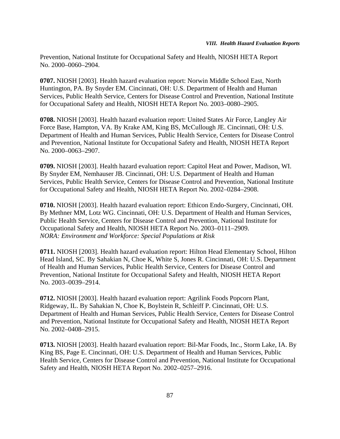Prevention, National Institute for Occupational Safety and Health, NIOSH HETA Report No. 2000–0060–2904.

**0707.** NIOSH [2003]. Health hazard evaluation report: Norwin Middle School East, North Huntington, PA. By Snyder EM. Cincinnati, OH: U.S. Department of Health and Human Services, Public Health Service, Centers for Disease Control and Prevention, National Institute for Occupational Safety and Health, NIOSH HETA Report No. 2003–0080–2905.

**0708.** NIOSH [2003]. Health hazard evaluation report: United States Air Force, Langley Air Force Base, Hampton, VA. By Krake AM, King BS, McCullough JE. Cincinnati, OH: U.S. Department of Health and Human Services, Public Health Service, Centers for Disease Control and Prevention, National Institute for Occupational Safety and Health, NIOSH HETA Report No. 2000–0063–2907.

**0709.** NIOSH [2003]. Health hazard evaluation report: Capitol Heat and Power, Madison, WI. By Snyder EM, Nemhauser JB. Cincinnati, OH: U.S. Department of Health and Human Services, Public Health Service, Centers for Disease Control and Prevention, National Institute for Occupational Safety and Health, NIOSH HETA Report No. 2002–0284–2908.

**0710.** NIOSH [2003]. Health hazard evaluation report: Ethicon Endo-Surgery, Cincinnati, OH. By Methner MM, Lotz WG. Cincinnati, OH: U.S. Department of Health and Human Services, Public Health Service, Centers for Disease Control and Prevention, National Institute for Occupational Safety and Health, NIOSH HETA Report No. 2003–0111–2909. *NORA: Environment and Workforce: Special Populations at Risk*

**0711.** NIOSH [2003]. Health hazard evaluation report: Hilton Head Elementary School, Hilton Head Island, SC. By Sahakian N, Choe K, White S, Jones R. Cincinnati, OH: U.S. Department of Health and Human Services, Public Health Service, Centers for Disease Control and Prevention, National Institute for Occupational Safety and Health, NIOSH HETA Report No. 2003–0039–2914.

**0712.** NIOSH [2003]. Health hazard evaluation report: Agrilink Foods Popcorn Plant, Ridgeway, IL. By Sahakian N, Choe K, Boylstein R, Schleiff P. Cincinnati, OH: U.S. Department of Health and Human Services, Public Health Service, Centers for Disease Control and Prevention, National Institute for Occupational Safety and Health, NIOSH HETA Report No. 2002–0408–2915.

**0713.** NIOSH [2003]. Health hazard evaluation report: Bil-Mar Foods, Inc., Storm Lake, IA. By King BS, Page E. Cincinnati, OH: U.S. Department of Health and Human Services, Public Health Service, Centers for Disease Control and Prevention, National Institute for Occupational Safety and Health, NIOSH HETA Report No. 2002–0257–2916.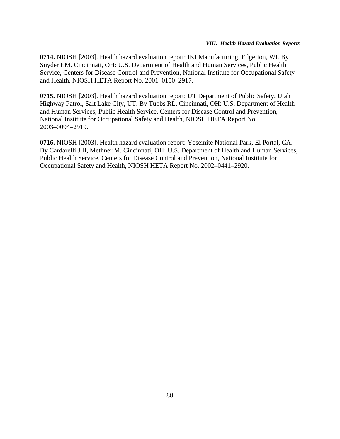**0714.** NIOSH [2003]. Health hazard evaluation report: IKI Manufacturing, Edgerton, WI. By Snyder EM. Cincinnati, OH: U.S. Department of Health and Human Services, Public Health Service, Centers for Disease Control and Prevention, National Institute for Occupational Safety and Health, NIOSH HETA Report No. 2001–0150–2917.

**0715.** NIOSH [2003]. Health hazard evaluation report: UT Department of Public Safety, Utah Highway Patrol, Salt Lake City, UT. By Tubbs RL. Cincinnati, OH: U.S. Department of Health and Human Services, Public Health Service, Centers for Disease Control and Prevention, National Institute for Occupational Safety and Health, NIOSH HETA Report No. 2003–0094–2919.

**0716.** NIOSH [2003]. Health hazard evaluation report: Yosemite National Park, El Portal, CA. By Cardarelli J II, Methner M. Cincinnati, OH: U.S. Department of Health and Human Services, Public Health Service, Centers for Disease Control and Prevention, National Institute for Occupational Safety and Health, NIOSH HETA Report No. 2002–0441–2920.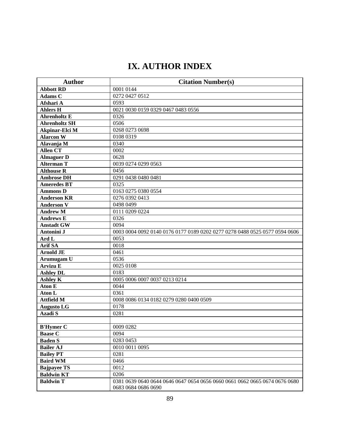# **IX. AUTHOR INDEX**

| <b>Author</b>         | <b>Citation Number(s)</b>                                                  |
|-----------------------|----------------------------------------------------------------------------|
| <b>Abbott RD</b>      | 0001 0144                                                                  |
| <b>Adams C</b>        | 0272 0427 0512                                                             |
| Afshari A             | 0593                                                                       |
| <b>Ahlers H</b>       | 0021 0030 0159 0329 0467 0483 0556                                         |
| <b>Ahrenholtz E</b>   | 0326                                                                       |
| <b>Ahrenholtz SH</b>  | 0506                                                                       |
| <b>Akpinar-Elci M</b> | 0268 0273 0698                                                             |
| <b>Alarcon W</b>      | 0108 0319                                                                  |
| Alavanja M            | 0340                                                                       |
| Allen CT              | 0002                                                                       |
| <b>Almaguer D</b>     | 0628                                                                       |
| <b>Alterman T</b>     | 0039 0274 0299 0563                                                        |
| <b>Althouse R</b>     | 0456                                                                       |
| <b>Ambrose DH</b>     | 0291 0438 0480 0481                                                        |
| Ameredes BT           | 0325                                                                       |
| <b>Ammons D</b>       | 0163 0275 0380 0554                                                        |
| <b>Anderson KR</b>    | 0276 0392 0413                                                             |
| <b>Anderson V</b>     | 0498 0499                                                                  |
| <b>Andrew M</b>       | 0111 0209 0224                                                             |
| <b>Andrews E</b>      | 0326                                                                       |
| <b>Anstadt GW</b>     | 0094                                                                       |
| Antonini J            | 0003 0004 0092 0140 0176 0177 0189 0202 0277 0278 0488 0525 0577 0594 0606 |
| Ard L                 | 0053                                                                       |
| <b>Arif SA</b>        | 0018                                                                       |
| <b>Arnold JE</b>      | 0461                                                                       |
| Arumugam U            | 0536                                                                       |
| <b>Arvizu E</b>       | 0025 0108                                                                  |
| <b>Ashley DL</b>      | 0183                                                                       |
| <b>Ashley K</b>       | 0005 0006 0007 0037 0213 0214                                              |
| <b>Aton E</b>         | 0044                                                                       |
| Aton L                | 0361                                                                       |
| <b>Attfield M</b>     | 0008 0086 0134 0182 0279 0280 0400 0509                                    |
| <b>Augusto LG</b>     | 0178                                                                       |
| <b>Azadi S</b>        | 0281                                                                       |
|                       |                                                                            |
| <b>B'Hymer C</b>      | 0009 0282                                                                  |
| <b>Baase C</b>        | 0094                                                                       |
| <b>Baden S</b>        | 0283 0453                                                                  |
| <b>Bailer AJ</b>      | 0010 0011 0095                                                             |
| <b>Bailey PT</b>      | 0281                                                                       |
| <b>Baird WM</b>       | 0466                                                                       |
| <b>Bajpayee TS</b>    | 0012                                                                       |
| <b>Baldwin KT</b>     | 0206                                                                       |
| <b>Baldwin T</b>      | 0381 0639 0640 0644 0646 0647 0654 0656 0660 0661 0662 0665 0674 0676 0680 |
|                       | 0683 0684 0686 0690                                                        |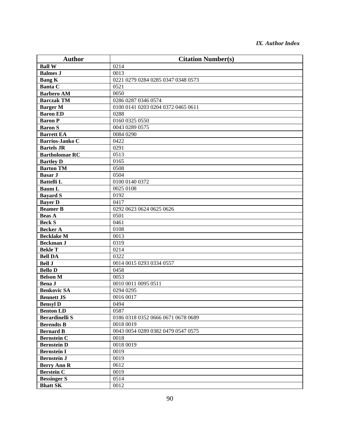| <b>Author</b>          | <b>Citation Number(s)</b>          |
|------------------------|------------------------------------|
| <b>Ball W</b>          | 0214                               |
| <b>Balmes J</b>        | 0013                               |
| <b>Bang K</b>          | 0221 0279 0284 0285 0347 0348 0573 |
| <b>Banta C</b>         | 0521                               |
| <b>Barbero AM</b>      | 0050                               |
| <b>Barczak TM</b>      | 0286 0287 0346 0574                |
| <b>Barger M</b>        | 0100 0141 0203 0204 0372 0465 0611 |
| <b>Baron ED</b>        | 0288                               |
| <b>Baron P</b>         | 0160 0325 0550                     |
| <b>Baron S</b>         | 0043 0289 0575                     |
| <b>Barrett EA</b>      | 0084 0290                          |
| <b>Barrios-Janko C</b> | 0422                               |
| <b>Bartels JR</b>      | 0291                               |
| <b>Bartholomae RC</b>  | 0513                               |
| <b>Bartley D</b>       | 0165                               |
| <b>Barton TM</b>       | 0508                               |
| <b>Basar J</b>         | 0504                               |
| <b>Battelli L</b>      | 0100 0140 0372                     |
| <b>Baum L</b>          | 0025 0108                          |
| <b>Bayard S</b>        | 0192                               |
| <b>Bayer D</b>         | 0417                               |
| <b>Beamer B</b>        | 0292 0623 0624 0625 0626           |
| <b>Beas A</b>          | 0501                               |
| <b>Beck S</b>          | 0461                               |
| <b>Becker A</b>        | 0108                               |
| <b>Becklake M</b>      | 0013                               |
| <b>Beckman J</b>       | 0319                               |
| <b>Bekle T</b>         | 0214                               |
| <b>Bell DA</b>         | 0322                               |
| <b>Bell J</b>          | 0014 0015 0293 0334 0557           |
| <b>Bello D</b>         | 0458                               |
| <b>Belson M</b>        | 0053                               |
| <b>Bena J</b>          | 0010 0011 0095 0511                |
| <b>Benkovic SA</b>     | 0294 0295                          |
| <b>Bennett JS</b>      | 0016 0017                          |
| <b>Bensyl D</b>        | 0494                               |
| <b>Benton LD</b>       | 0587                               |
| <b>Berardinelli S</b>  | 0186 0318 0352 0666 0671 0678 0689 |
| <b>Berendts B</b>      | 0018 0019                          |
| <b>Bernard B</b>       | 0043 0054 0289 0382 0479 0547 0575 |
| <b>Bernstein C</b>     | 0018                               |
| <b>Bernstein D</b>     | 0018 0019                          |
| <b>Bernstein I</b>     | 0019                               |
| <b>Bernstein J</b>     | 0019                               |
| <b>Berry Ann R</b>     | 0612                               |
| <b>Berstein C</b>      | 0019                               |
| <b>Bessinger S</b>     | 0514                               |
| <b>Bhatt SK</b>        | 0012                               |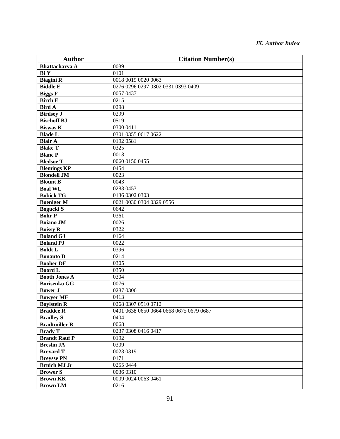| <b>Author</b>        | <b>Citation Number(s)</b>               |
|----------------------|-----------------------------------------|
| Bhattacharya A       | 0039                                    |
| Bi Y                 | 0101                                    |
| <b>Biagini R</b>     | 0018 0019 0020 0063                     |
| <b>Biddle E</b>      | 0276 0296 0297 0302 0331 0393 0409      |
| <b>Biggs</b> F       | 0057 0437                               |
| <b>Birch E</b>       | 0215                                    |
| <b>Bird A</b>        | 0298                                    |
| <b>Birdsey J</b>     | 0299                                    |
| <b>Bischoff BJ</b>   | 0519                                    |
| <b>Biswas K</b>      | 0300 0411                               |
| <b>Blade L</b>       | 0301 0355 0617 0622                     |
| <b>Blair A</b>       | 0192 0581                               |
| <b>Blake T</b>       | 0325                                    |
| <b>Blanc P</b>       | 0013                                    |
| <b>Bledsoe T</b>     | 0060 0150 0455                          |
| <b>Blemings KP</b>   | 0454                                    |
| <b>Blondell JM</b>   | 0023                                    |
| <b>Blount B</b>      | 0043                                    |
| <b>Boal WL</b>       | 0283 0453                               |
| <b>Bobick TG</b>     | 0136 0302 0303                          |
| <b>Boeniger M</b>    | 0021 0030 0304 0329 0556                |
| <b>Bogucki S</b>     | 0642                                    |
| <b>Bohr P</b>        | 0361                                    |
| <b>Boiano JM</b>     | 0026                                    |
| <b>Boissy R</b>      | 0322                                    |
| <b>Boland GJ</b>     | 0164                                    |
| <b>Boland PJ</b>     | 0022                                    |
| <b>Boldt L</b>       | 0396                                    |
| <b>Bonauto D</b>     | 0214                                    |
| <b>Booher DE</b>     | 0305                                    |
| <b>Boord L</b>       | 0350                                    |
| <b>Booth Jones A</b> | 0304                                    |
| <b>Borisenko GG</b>  | 0076                                    |
| <b>Bower J</b>       | 0287 0306                               |
| <b>Bowyer ME</b>     | 0413                                    |
| <b>Boylstein R</b>   | 0268 0307 0510 0712                     |
| <b>Braddee R</b>     | 0401 0638 0650 0664 0668 0675 0679 0687 |
| <b>Bradley S</b>     | 0404                                    |
| <b>Bradtmiller B</b> | 0068                                    |
| <b>Brady T</b>       | 0237 0308 0416 0417                     |
| <b>Brandt Rauf P</b> | 0192                                    |
| <b>Breslin JA</b>    | 0309                                    |
| <b>Brevard T</b>     | 0023 0319                               |
| <b>Breysse PN</b>    | 0171                                    |
| <b>Brnich MJ Jr</b>  | 0255 0444                               |
| <b>Brower S</b>      | 0036 0310                               |
| <b>Brown KK</b>      | 0009 0024 0063 0461                     |
| <b>Brown LM</b>      | 0216                                    |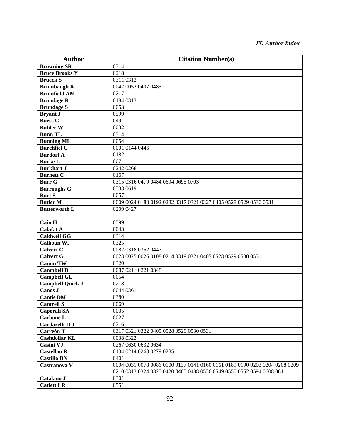| <b>Author</b>                | <b>Citation Number(s)</b>                                                  |
|------------------------------|----------------------------------------------------------------------------|
| <b>Browning SR</b>           | 0314                                                                       |
| <b>Bruce Brooks Y</b>        | 0218                                                                       |
| <b>Brueck</b> $\overline{S}$ | 0311 0312                                                                  |
| <b>Brumbaugh K</b>           | 0047 0052 0407 0485                                                        |
| <b>Brumfield AM</b>          | 0217                                                                       |
| <b>Brundage R</b>            | 0184 0313                                                                  |
| <b>Brundage S</b>            | 0053                                                                       |
| <b>Bryant J</b>              | 0599                                                                       |
| <b>Buess C</b>               | 0491                                                                       |
| <b>Buhler W</b>              | 0032                                                                       |
| <b>Bunn TL</b>               | 0314                                                                       |
| <b>Bunning ML</b>            | 0054                                                                       |
| <b>Burchfiel C</b>           | 0001 0144 0446                                                             |
| <b>Burdorf A</b>             | 0182                                                                       |
| <b>Burke L</b>               | 0071                                                                       |
| <b>Burkhart J</b>            | 0242 0268                                                                  |
| <b>Burnett C</b>             | 0167                                                                       |
| <b>Burr G</b>                | 0315 0316 0479 0484 0694 0695 0703                                         |
| <b>Burroughs G</b>           | 0533 0619                                                                  |
| <b>Burt S</b>                | 0057                                                                       |
| <b>Butler M</b>              | 0009 0024 0183 0192 0282 0317 0321 0327 0405 0528 0529 0530 0531           |
| <b>Butterworth L</b>         | 0209 0427                                                                  |
|                              |                                                                            |
| Cain H                       | 0599                                                                       |
| <b>Calafat A</b>             | 0043                                                                       |
| <b>Caldwell GG</b>           | 0314                                                                       |
| <b>Calhoun WJ</b>            | 0325                                                                       |
| <b>Calvert C</b>             | 0087 0318 0352 0447                                                        |
| <b>Calvert G</b>             | 0023 0025 0026 0108 0214 0319 0321 0405 0528 0529 0530 0531                |
| <b>Camm TW</b>               | 0320                                                                       |
| <b>Campbell D</b>            | 0087 0211 0221 0348                                                        |
| <b>Campbell GL</b>           | 0054                                                                       |
| <b>Campbell Quick J</b>      | 0218                                                                       |
| Canos J                      | 0044 0361                                                                  |
| <b>Cantis DM</b>             | 0380                                                                       |
| <b>Cantrell S</b>            | 0069                                                                       |
| Caporali SA                  | 0035                                                                       |
| <b>Carbone L</b>             | 0027                                                                       |
| Cardarelli II J              | 0716                                                                       |
| <b>Carreón T</b>             | 0317 0321 0322 0405 0528 0529 0530 0531                                    |
| <b>Cashdollar KL</b>         | 0038 0323                                                                  |
| Casini VJ                    | 0267 0630 0632 0634                                                        |
| <b>Castellan R</b>           | 0134 0214 0268 0279 0285                                                   |
| <b>Castillo DN</b>           | 0401                                                                       |
| Castranova V                 | 0004 0031 0078 0086 0100 0137 0141 0160 0161 0189 0190 0203 0204 0208 0209 |
|                              | 0210 0313 0324 0325 0420 0465 0488 0536 0549 0550 0552 0594 0608 0611      |
| Catalano J                   | 0301                                                                       |
| <b>Catlett LR</b>            | 0551                                                                       |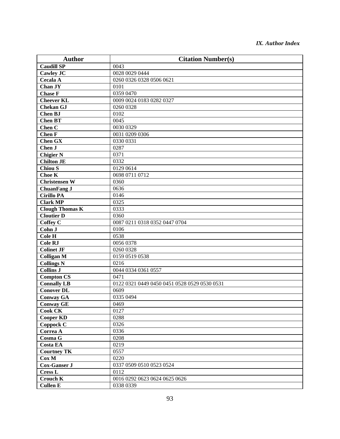| <b>Author</b>          | <b>Citation Number(s)</b>                    |
|------------------------|----------------------------------------------|
| <b>Caudill SP</b>      | 0043                                         |
| Cawley JC              | 0028 0029 0444                               |
| <b>Cecala A</b>        | 0260 0326 0328 0506 0621                     |
| Chan JY                | 0101                                         |
| <b>Chase F</b>         | 0359 0470                                    |
| <b>Cheever KL</b>      | 0009 0024 0183 0282 0327                     |
| <b>Chekan GJ</b>       | 0260 0328                                    |
| <b>Chen BJ</b>         | 0102                                         |
| <b>Chen BT</b>         | 0045                                         |
| Chen <sub>C</sub>      | 0030 0329                                    |
| <b>Chen F</b>          | 0031 0209 0306                               |
| <b>Chen GX</b>         | 0330 0331                                    |
| Chen J                 | 0287                                         |
| <b>Chigier N</b>       | 0371                                         |
| <b>Chilton JE</b>      | 0332                                         |
| <b>Chiou S</b>         | 0129 0614                                    |
| Choe K                 | 0698 0711 0712                               |
| <b>Christensen W</b>   | 0360                                         |
| <b>ChuanFang J</b>     | 0636                                         |
| <b>Cirillo PA</b>      | 0146                                         |
| <b>Clark MP</b>        | 0325                                         |
| <b>Clough Thomas K</b> | 0333                                         |
| <b>Cloutier D</b>      | 0360                                         |
| <b>Coffey C</b>        | 0087 0211 0318 0352 0447 0704                |
| Cohn J                 | 0106                                         |
| Cole H                 | 0538                                         |
| <b>Cole RJ</b>         | 0056 0378                                    |
| <b>Colinet JF</b>      | 0260 0328                                    |
| <b>Colligan M</b>      | 0159 0519 0538                               |
| <b>Collings N</b>      | 0216                                         |
| <b>Collins J</b>       | 0044 0334 0361 0557                          |
| <b>Compton CS</b>      | 0471                                         |
| <b>Connally LB</b>     | 0122 0321 0449 0450 0451 0528 0529 0530 0531 |
| <b>Conover DL</b>      | 0609                                         |
| <b>Conway GA</b>       | 0335 0494                                    |
| <b>Conway GE</b>       | 0469                                         |
| <b>Cook CK</b>         | 0127                                         |
| <b>Cooper KD</b>       | 0288                                         |
| Coppock C              | 0326                                         |
| Correa A               | 0336                                         |
| Cosma G                | 0208                                         |
| <b>Costa EA</b>        | 0219                                         |
| <b>Courtney TK</b>     | 0557                                         |
| Cox M                  | 0220                                         |
| <b>Cox-Ganser J</b>    | 0337 0509 0510 0523 0524                     |
| <b>Cress L</b>         | 0112                                         |
| <b>Crouch K</b>        | 0016 0292 0623 0624 0625 0626                |
| <b>Cullen E</b>        | 0338 0339                                    |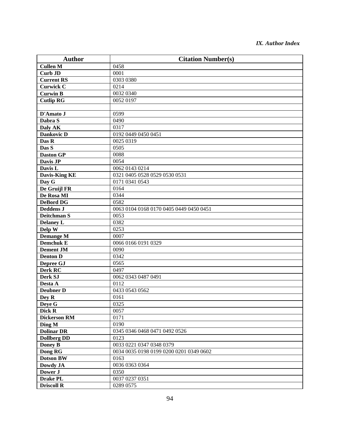| <b>Author</b>       | <b>Citation Number(s)</b>               |
|---------------------|-----------------------------------------|
| <b>Cullen M</b>     | 0458                                    |
| <b>Curb JD</b>      | 0001                                    |
| <b>Current RS</b>   | 0303 0380                               |
| <b>Curwick C</b>    | 0214                                    |
| <b>Curwin B</b>     | 0032 0340                               |
| <b>Cutlip RG</b>    | 0052 0197                               |
|                     |                                         |
| D'Amato J           | 0599                                    |
| Dabra S             | 0490                                    |
| Daly AK             | 0317                                    |
| <b>Dankovic D</b>   | 0192 0449 0450 0451                     |
| Das R               | 0025 0319                               |
| Das S               | 0505                                    |
| <b>Daston GP</b>    | 0088                                    |
| Davis JP            | 0054                                    |
| Davis L             | 0062 0143 0214                          |
| Davis-King KE       | 0321 0405 0528 0529 0530 0531           |
| Day G               | 0171 0341 0543                          |
| De Gruijl FR        | 0164                                    |
| De Rosa MI          | 0344                                    |
| <b>DeBord DG</b>    | 0582                                    |
| <b>Deddens J</b>    | 0063 0104 0168 0170 0405 0449 0450 0451 |
| Deitchman S         | 0053                                    |
| <b>Delaney L</b>    | 0382                                    |
| Delp $\overline{W}$ | 0253                                    |
| Demange M           | 0007                                    |
| <b>Demchuk E</b>    | 0066 0166 0191 0329                     |
| <b>Dement JM</b>    | 0090                                    |
| <b>Denton D</b>     | 0342                                    |
| Depree GJ           | 0565                                    |
| Derk RC             | 0497                                    |
| Derk SJ             | 0062 0343 0487 0491                     |
| Desta A             | 0112                                    |
| <b>Deubner D</b>    | 0433 0543 0562                          |
| Dey R               | 0161                                    |
| Deye G              | 0325                                    |
| Dick R              | 0057                                    |
| <b>Dickerson RM</b> | 0171                                    |
| Ding M              | 0190                                    |
| <b>Dolinar DR</b>   | 0345 0346 0468 0471 0492 0526           |
| <b>Dollberg DD</b>  | 0123                                    |
| Doney B             | 0033 0221 0347 0348 0379                |
| Dong RG             | 0034 0035 0198 0199 0200 0201 0349 0602 |
| <b>Dotson BW</b>    | 0163                                    |
| Dowdy JA            | 0036 0363 0364                          |
| Dower J             | 0350                                    |
| <b>Drake PL</b>     | 0037 0237 0351                          |
| <b>Driscoll R</b>   | 0289 0575                               |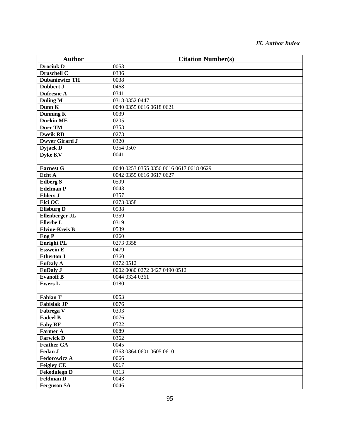| <b>Author</b>         | <b>Citation Number(s)</b>               |
|-----------------------|-----------------------------------------|
| <b>Drociuk D</b>      | 0053                                    |
| Druschell C           | 0336                                    |
| <b>Dubaniewicz TH</b> | 0038                                    |
| <b>Dubbert J</b>      | 0468                                    |
| <b>Dufresne A</b>     | 0341                                    |
| <b>Duling M</b>       | 0318 0352 0447                          |
| Dunn K                | 0040 0355 0616 0618 0621                |
| <b>Dunning K</b>      | 0039                                    |
| <b>Durkin ME</b>      | 0205                                    |
| <b>Durr TM</b>        | 0353                                    |
| <b>Dweik RD</b>       | 0273                                    |
| <b>Dwyer Girard J</b> | 0320                                    |
| Dyjack D              | 0354 0507                               |
| <b>Dyke KV</b>        | 0041                                    |
|                       |                                         |
| <b>Earnest G</b>      | 0040 0253 0355 0356 0616 0617 0618 0629 |
| Echt A                | 0042 0355 0616 0617 0627                |
| <b>Edberg S</b>       | 0599                                    |
| <b>Edelman P</b>      | 0043                                    |
| <b>Ehlers J</b>       | 0357                                    |
| Elci O $\overline{C}$ | 0273 0358                               |
| <b>Elisburg D</b>     | 0538                                    |
| Ellenberger JL        | 0359                                    |
| Ellerbe L             | 0319                                    |
| <b>Elvine-Kreis B</b> | 0539                                    |
| Eng P                 | 0260                                    |
| <b>Enright PL</b>     | 0273 0358                               |
| <b>Esswein E</b>      | 0479                                    |
| <b>Etherton J</b>     | 0360                                    |
| <b>EuDaly A</b>       | 0272 0512                               |
| <b>EuDaly J</b>       | 0002 0080 0272 0427 0490 0512           |
| <b>Evanoff B</b>      | 0044 0334 0361                          |
| <b>Ewers L</b>        | 0180                                    |
|                       |                                         |
| <b>Fabian T</b>       | 0053                                    |
| <b>Fabisiak JP</b>    | 0076                                    |
| Fabrega V             | 0393                                    |
| <b>Fadeel B</b>       | 0076                                    |
| <b>Fahy RF</b>        | 0522                                    |
| <b>Farmer A</b>       | 0689                                    |
| <b>Farwick D</b>      | 0362                                    |
| <b>Feather GA</b>     | 0045                                    |
| Fedan J               | 0363 0364 0601 0605 0610                |
| <b>Fedorowicz A</b>   | 0066                                    |
| <b>Feigley CE</b>     | 0017                                    |
| <b>Fekedulegn D</b>   | 0313                                    |
| <b>Feldman D</b>      | 0043                                    |
| <b>Ferguson SA</b>    | 0046                                    |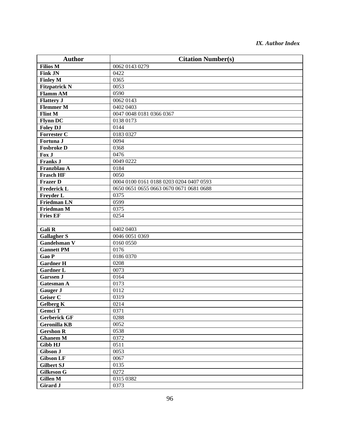| <b>Author</b>        | <b>Citation Number(s)</b>               |
|----------------------|-----------------------------------------|
| <b>Filios M</b>      | 0062 0143 0279                          |
| <b>Fink JN</b>       | 0422                                    |
| <b>Finley M</b>      | 0365                                    |
| <b>Fitzpatrick N</b> | 0053                                    |
| <b>Flamm AM</b>      | 0590                                    |
| <b>Flattery J</b>    | 0062 0143                               |
| <b>Flemmer M</b>     | 0402 0403                               |
| <b>Flint M</b>       | 0047 0048 0181 0366 0367                |
| <b>Flynn DC</b>      | 0138 0173                               |
| <b>Foley DJ</b>      | 0144                                    |
| <b>Forrester C</b>   | 0183 0327                               |
| Fortuna J            | 0094                                    |
| <b>Fosbroke D</b>    | 0368                                    |
| Fox J                | 0476                                    |
| <b>Franks J</b>      | 0049 0222                               |
| Franzblau A          | 0184                                    |
| <b>Frasch HF</b>     | 0050                                    |
| <b>Frazer D</b>      | 0004 0100 0161 0188 0203 0204 0407 0593 |
| <b>Frederick L</b>   | 0650 0651 0655 0663 0670 0671 0681 0688 |
| <b>Freyder L</b>     | 0375                                    |
| <b>Friedman LN</b>   | 0599                                    |
| <b>Friedman M</b>    | 0375                                    |
| <b>Fries EF</b>      | 0254                                    |
|                      |                                         |
| Gali R               | 0402 0403                               |
| <b>Gallagher S</b>   | 0046 0051 0369                          |
| <b>Gandelsman V</b>  | 0160 0550                               |
| <b>Gannett PM</b>    | 0176                                    |
| Gao P                | 0186 0370                               |
| <b>Gardner H</b>     | 0208                                    |
| <b>Gardner L</b>     | 0073                                    |
| <b>Garssen J</b>     | 0164                                    |
| <b>Gatesman A</b>    | 0173                                    |
| <b>Gauger J</b>      | 0112                                    |
| Geiser C             | 0319                                    |
| <b>Gelberg K</b>     | 0214                                    |
| <b>Gemci T</b>       | 0371                                    |
| <b>Gerberick GF</b>  | 0288                                    |
| <b>Geronilla KB</b>  | 0052                                    |
| <b>Gershon R</b>     | 0538                                    |
| <b>Ghanem M</b>      | 0372                                    |
| Gibb HJ              | 0511                                    |
| Gibson J             | 0053                                    |
| <b>Gibson LF</b>     | 0067                                    |
| <b>Gilbert SJ</b>    | 0135                                    |
| <b>Gilkeson G</b>    | 0272                                    |
| <b>Gillen M</b>      | 0315 0382                               |
| <b>Girard J</b>      | 0373                                    |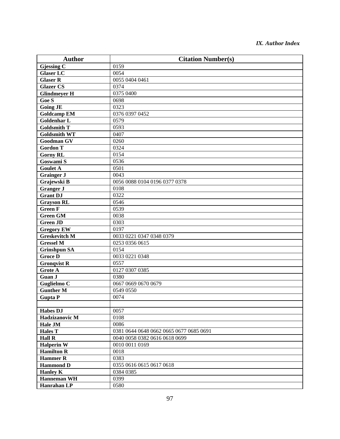| <b>Author</b>           | <b>Citation Number(s)</b>               |
|-------------------------|-----------------------------------------|
| Gjessing $\overline{C}$ | 0159                                    |
| <b>Glaser LC</b>        | 0054                                    |
| <b>Glaser R</b>         | 0055 0404 0461                          |
| <b>Glazer CS</b>        | 0374                                    |
| <b>Glindmeyer H</b>     | 0375 0400                               |
| Goe S                   | 0698                                    |
| <b>Going JE</b>         | 0323                                    |
| <b>Goldcamp EM</b>      | 0376 0397 0452                          |
| <b>Goldenhar L</b>      | 0579                                    |
| <b>Goldsmith T</b>      | 0593                                    |
| <b>Goldsmith WT</b>     | 0407                                    |
| <b>Goodman GV</b>       | 0260                                    |
| <b>Gordon T</b>         | 0324                                    |
| <b>Gorny RL</b>         | 0154                                    |
| Goswami S               | 0536                                    |
| <b>Goulet A</b>         | 0501                                    |
| <b>Grainger J</b>       | 0043                                    |
| Grajewski B             | 0056 0088 0104 0196 0377 0378           |
| <b>Granger J</b>        | 0108                                    |
| <b>Grant DJ</b>         | 0322                                    |
| <b>Grayson RL</b>       | 0546                                    |
| <b>Green F</b>          | 0539                                    |
| <b>Green GM</b>         | 0038                                    |
| <b>Green JD</b>         | 0303                                    |
| <b>Gregory EW</b>       | 0197                                    |
| <b>Greskevitch M</b>    | 0033 0221 0347 0348 0379                |
| <b>Gressel M</b>        | 0253 0356 0615                          |
| <b>Grinshpun SA</b>     | 0154                                    |
| <b>Groce D</b>          | 0033 0221 0348                          |
| <b>Gronqvist R</b>      | 0557                                    |
| Grote A                 | 0127 0307 0385                          |
| Guan J                  | 0380                                    |
| Guglielmo C             | 0667 0669 0670 0679                     |
| <b>Gunther M</b>        | 0549 0550                               |
| <b>Gupta P</b>          | 0074                                    |
|                         |                                         |
| <b>Habes DJ</b>         | 0057                                    |
| Hadzizanovic M          | 0108                                    |
| Hale JM                 | 0086                                    |
| <b>Hales T</b>          | 0381 0644 0648 0662 0665 0677 0685 0691 |
| <b>Hall R</b>           | 0040 0058 0382 0616 0618 0699           |
| <b>Halperin W</b>       | 0010 0011 0169                          |
| <b>Hamilton R</b>       | 0018                                    |
| <b>Hammer R</b>         | 0383                                    |
| <b>Hammond D</b>        | 0355 0616 0615 0617 0618                |
| <b>Hanley K</b>         | 0384 0385                               |
| <b>Hanneman WH</b>      | 0399                                    |
| Hanrahan LP             | 0580                                    |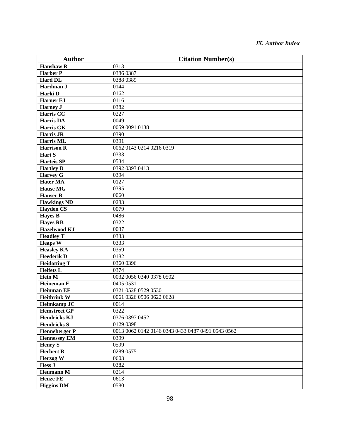| <b>Author</b>        | <b>Citation Number(s)</b>                         |
|----------------------|---------------------------------------------------|
| <b>Hanshaw R</b>     | 0313                                              |
| <b>Harber P</b>      | 0386 0387                                         |
| Hard DL              | 0388 0389                                         |
| Hardman J            | 0144                                              |
| Harki D              | 0162                                              |
| <b>Harner EJ</b>     | 0116                                              |
| <b>Harney J</b>      | 0382                                              |
| <b>Harris CC</b>     | 0227                                              |
| <b>Harris DA</b>     | 0049                                              |
| Harris GK            | 0059 0091 0138                                    |
| <b>Harris JR</b>     | 0390                                              |
| Harris ML            | 0391                                              |
| <b>Harrison R</b>    | 0062 0143 0214 0216 0319                          |
| Hart S               | 0333                                              |
| <b>Harteis SP</b>    | 0534                                              |
| <b>Hartley D</b>     | 0392 0393 0413                                    |
| <b>Harvey G</b>      | 0394                                              |
| <b>Hater MA</b>      | 0127                                              |
| <b>Hause MG</b>      | 0395                                              |
| <b>Hauser R</b>      | 0060                                              |
| <b>Hawkings ND</b>   | 0283                                              |
| <b>Hayden CS</b>     | 0079                                              |
| <b>Hayes B</b>       | 0486                                              |
| <b>Hayes RB</b>      | 0322                                              |
| <b>Hazelwood KJ</b>  | 0037                                              |
| <b>Headley T</b>     | 0333                                              |
| <b>Heaps W</b>       | 0333                                              |
| <b>Heasley KA</b>    | 0359                                              |
| <b>Heederik D</b>    | 0182                                              |
| <b>Heidotting T</b>  | 0360 0396                                         |
| <b>Heifets L</b>     | 0374                                              |
| <b>Hein M</b>        | 0032 0056 0340 0378 0502                          |
| <b>Heineman E</b>    | 0405 0531                                         |
| <b>Heinman EF</b>    | 0321 0528 0529 0530                               |
| <b>Heitbrink W</b>   | 0061 0326 0506 0622 0628                          |
| <b>Helmkamp JC</b>   | 0014                                              |
| <b>Hemstreet GP</b>  | 0322                                              |
| <b>Hendricks KJ</b>  | 0376 0397 0452                                    |
| <b>Hendricks S</b>   | 0129 0398                                         |
| <b>Henneberger P</b> | 0013 0062 0142 0146 0343 0433 0487 0491 0543 0562 |
| <b>Hennessey EM</b>  | 0399                                              |
| <b>Henry S</b>       | 0599                                              |
| <b>Herbert R</b>     | 0289 0575                                         |
| Herzog W             | 0603                                              |
| <b>Hess J</b>        | 0382                                              |
| <b>Heumann M</b>     | 0214                                              |
| <b>Heuze FE</b>      | 0613                                              |
| <b>Higgins DM</b>    | 0580                                              |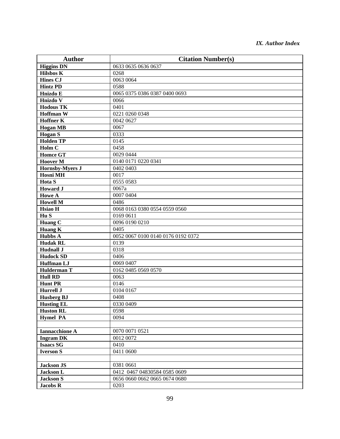| <b>Author</b>          | <b>Citation Number(s)</b>          |
|------------------------|------------------------------------|
| <b>Higgins DN</b>      | 0633 0635 0636 0637                |
| <b>Hilsbos K</b>       | 0268                               |
| <b>Hines CJ</b>        | 0063 0064                          |
| <b>Hintz PD</b>        | 0588                               |
| Hnizdo E               | 0065 0375 0386 0387 0400 0693      |
| Hnizdo V               | 0066                               |
| <b>Hodous TK</b>       | 0401                               |
| <b>Hoffman W</b>       | 0221 0260 0348                     |
| <b>Hoffner K</b>       | 0042 0627                          |
| <b>Hogan MB</b>        | 0067                               |
| <b>Hogan S</b>         | 0333                               |
| <b>Holden TP</b>       | 0145                               |
| Holm C                 | 0458                               |
| <b>Homce GT</b>        | 0029 0444                          |
| <b>Hoover M</b>        | 0140 0171 0220 0341                |
| <b>Hornsby-Myers J</b> | 0402 0403                          |
| <b>Hosni MH</b>        | 0017                               |
| Hota S                 | 0555 0583                          |
| <b>Howard J</b>        | 0067a                              |
| <b>Howe A</b>          | 0007 0404                          |
| <b>Howell M</b>        | 0486                               |
| Hsiao H                | 0068 0163 0380 0554 0559 0560      |
| Hu S                   | 0169 0611                          |
| Huang $\overline{C}$   | 0096 0190 0210                     |
| Huang $\overline{K}$   | 0405                               |
| <b>Hubbs A</b>         | 0052 0067 0100 0140 0176 0192 0372 |
| <b>Hudak RL</b>        | 0139                               |
| <b>Hudnall J</b>       | 0318                               |
| <b>Hudock SD</b>       | 0406                               |
| <b>Huffman LJ</b>      | 0069 0407                          |
| <b>Hulderman T</b>     | 0162 0485 0569 0570                |
| <b>Hull RD</b>         | 0063                               |
| <b>Hunt PR</b>         | 0146                               |
| <b>Hurrell J</b>       | 0104 0167                          |
| <b>Husberg BJ</b>      | 0408                               |
| <b>Husting EL</b>      | 0330 0409                          |
| <b>Huston RL</b>       | 0598                               |
| <b>Hymel PA</b>        | 0094                               |
|                        |                                    |
| <b>Iannacchione A</b>  | 0070 0071 0521                     |
| <b>Ingram DK</b>       | 0012 0072                          |
| <b>Isaacs SG</b>       | 0410                               |
| <b>Iverson S</b>       | 0411 0600                          |
| Jackson JS             | 0381 0661                          |
| <b>Jackson L</b>       | 0412 0467 04830584 0585 0609       |
| <b>Jackson S</b>       | 0656 0660 0662 0665 0674 0680      |
| <b>Jacobs R</b>        | 0203                               |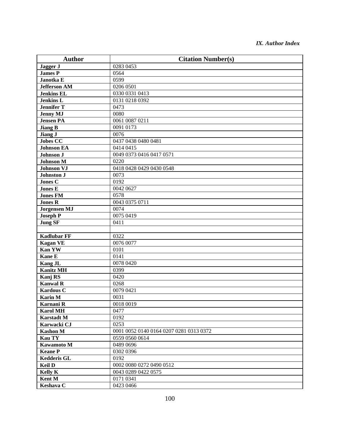| <b>Author</b>       | <b>Citation Number(s)</b>               |
|---------------------|-----------------------------------------|
| Jagger J            | 0283 0453                               |
| <b>James P</b>      | 0564                                    |
| Janotka E           | 0599                                    |
| <b>Jefferson AM</b> | 0206 0501                               |
| <b>Jenkins EL</b>   | 0330 0331 0413                          |
| <b>Jenkins L</b>    | 0131 0218 0392                          |
| <b>Jennifer T</b>   | 0473                                    |
| <b>Jenny MJ</b>     | 0080                                    |
| <b>Jensen PA</b>    | 0061 0087 0211                          |
| <b>Jiang B</b>      | 0091 0173                               |
| Jiang J             | 0076                                    |
| <b>Jobes CC</b>     | 0437 0438 0480 0481                     |
| <b>Johnson EA</b>   | 0414 0415                               |
| Johnson J           | 0049 0373 0416 0417 0571                |
| <b>Johnson M</b>    | 0220                                    |
| <b>Johnson VJ</b>   | 0418 0428 0429 0430 0548                |
| <b>Johnston J</b>   | 0073                                    |
| <b>Jones C</b>      | 0192                                    |
| <b>Jones E</b>      | 0042 0627                               |
| <b>Jones FM</b>     | 0578                                    |
| <b>Jones R</b>      | 0043 0375 0711                          |
| <b>Jorgensen MJ</b> | 0074                                    |
| <b>Joseph P</b>     | 0075 0419                               |
| <b>Jung SF</b>      | 0411                                    |
|                     |                                         |
| <b>Kadlubar FF</b>  | 0322                                    |
| <b>Kagan VE</b>     | 0076 0077                               |
| <b>Kan YW</b>       | 0101                                    |
| <b>Kane E</b>       | 0141                                    |
| <b>Kang JL</b>      | 0078 0420                               |
| <b>Kanitz MH</b>    | 0399                                    |
| Kanj RS             | 0420                                    |
| <b>Kanwal R</b>     | 0268                                    |
| <b>Kardous C</b>    | 0079 0421                               |
| <b>Karin M</b>      | 0031                                    |
| Karnani R           | 0018 0019                               |
| <b>Karol MH</b>     | 0477                                    |
| <b>Karstadt M</b>   | 0192                                    |
| Karwacki CJ         | 0253                                    |
| <b>Kashon M</b>     | 0001 0052 0140 0164 0207 0281 0313 0372 |
| <b>Kau TY</b>       | 0559 0560 0614                          |
| Kawamoto M          | 0489 0696                               |
| <b>Keane P</b>      | 0302 0396                               |
| <b>Kedderis GL</b>  | 0192                                    |
| <b>Keil D</b>       | 0002 0080 0272 0490 0512                |
| <b>Kelly K</b>      | 0043 0289 0422 0575                     |
| Kent M              | 0171 0341                               |
| Keshava C           | 0423 0466                               |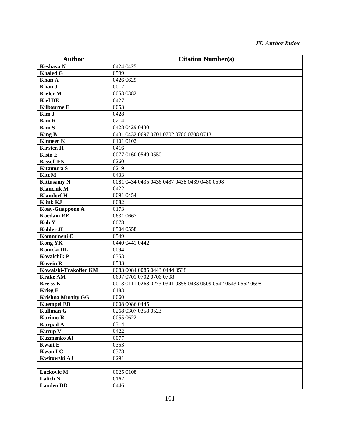| <b>Author</b>            | <b>Citation Number(s)</b>                                   |
|--------------------------|-------------------------------------------------------------|
| <b>Keshava N</b>         | 0424 0425                                                   |
| <b>Khaled G</b>          | 0599                                                        |
| Khan A                   | 0426 0629                                                   |
| Khan J                   | 0017                                                        |
| <b>Kiefer M</b>          | 0053 0382                                                   |
| <b>Kiel DE</b>           | 0427                                                        |
| <b>Kilbourne E</b>       | 0053                                                        |
| Kim J                    | 0428                                                        |
| <b>Kim R</b>             | 0214                                                        |
| Kim S                    | 0428 0429 0430                                              |
| <b>King B</b>            | 0431 0432 0697 0701 0702 0706 0708 0713                     |
| <b>Kinneer K</b>         | 0101 0102                                                   |
| <b>Kirsten H</b>         | 0416                                                        |
| <b>Kisin E</b>           | 0077 0160 0549 0550                                         |
| <b>Kissell FN</b>        | 0260                                                        |
| Kitamura S               | 0219                                                        |
| Kitt M                   | 0433                                                        |
| <b>Kittusamy N</b>       | 0081 0434 0435 0436 0437 0438 0439 0480 0598                |
| <b>Klancnik M</b>        | 0422                                                        |
| <b>Klandorf H</b>        | 0091 0454                                                   |
| <b>Klink KJ</b>          | 0082                                                        |
| Koay-Guappone A          | 0173                                                        |
| <b>Koedam RE</b>         | 0631 0667                                                   |
| Koh Y                    | 0078                                                        |
| Kohler JL                | 0504 0558                                                   |
| Kommineni C              | 0549                                                        |
| <b>Kong YK</b>           | 0440 0441 0442                                              |
| Konicki DL               | 0094                                                        |
| <b>Kovalchik P</b>       | 0353                                                        |
| <b>Kovein R</b>          | 0533                                                        |
| Kowalski-Trakofler KM    | 0083 0084 0085 0443 0444 0538                               |
| <b>Krake AM</b>          | 0697 0701 0702 0706 0708                                    |
| <b>Kreiss K</b>          | 0013 0111 0268 0273 0341 0358 0433 0509 0542 0543 0562 0698 |
| Krieg E                  | 0183                                                        |
| <b>Krishna Murthy GG</b> | 0060                                                        |
| <b>Kuempel ED</b>        | 0008 0086 0445                                              |
| <b>Kullman G</b>         | 0268 0307 0358 0523                                         |
| <b>Kurimo R</b>          | 0055 0622                                                   |
| <b>Kurpad A</b>          | 0314                                                        |
| Kurup V                  | 0422                                                        |
| Kuzmenko AI              | 0077                                                        |
| <b>Kwait E</b>           | 0353                                                        |
| <b>Kwan LC</b>           | 0378                                                        |
| Kwitowski AJ             | 0291                                                        |
|                          |                                                             |
| <b>Lackovic M</b>        | 0025 0108                                                   |
| <b>Lalich N</b>          | 0167                                                        |
| <b>Landen DD</b>         | 0446                                                        |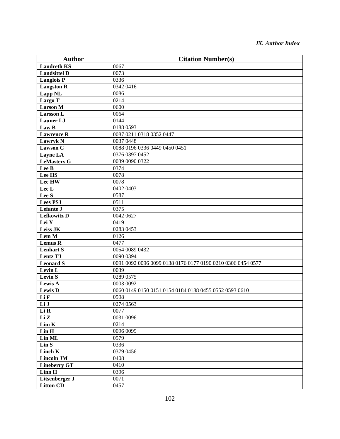| <b>Author</b>       | <b>Citation Number(s)</b>                                   |
|---------------------|-------------------------------------------------------------|
| <b>Landreth KS</b>  | 0067                                                        |
| <b>Landsittel D</b> | 0073                                                        |
| Langlois P          | 0336                                                        |
| <b>Langston R</b>   | 0342 0416                                                   |
| Lapp <sub>NL</sub>  | 0086                                                        |
| Largo T             | 0214                                                        |
| <b>Larson M</b>     | 0600                                                        |
| <b>Larsson L</b>    | 0064                                                        |
| <b>Launer LJ</b>    | 0144                                                        |
| Law B               | 0188 0593                                                   |
| <b>Lawrence R</b>   | 0087 0211 0318 0352 0447                                    |
| <b>Lawryk N</b>     | 0037 0448                                                   |
| <b>Lawson C</b>     | 0088 0196 0336 0449 0450 0451                               |
| Layne LA            | 0376 0397 0452                                              |
| <b>LeMasters G</b>  | 0039 0090 0322                                              |
| Lee B               | 0374                                                        |
| Lee HS              | 0078                                                        |
| Lee HW              | 0078                                                        |
| Lee L               | 0402 0403                                                   |
| Lee S               | 0587                                                        |
| <b>Lees PSJ</b>     | 0511                                                        |
| Lefante J           | 0375                                                        |
| <b>Lefkowitz D</b>  | 0042 0627                                                   |
| Lei Y               | 0419                                                        |
| Leiss JK            | 0283 0453                                                   |
| Lem M               | 0126                                                        |
| <b>Lemus R</b>      | 0477                                                        |
| <b>Lenhart S</b>    | 0054 0089 0432                                              |
| <b>Lentz TJ</b>     | 0090 0394                                                   |
| <b>Leonard S</b>    | 0091 0092 0096 0099 0138 0176 0177 0190 0210 0306 0454 0577 |
| Levin L             | 0039                                                        |
| <b>Levin S</b>      | 0289 0575                                                   |
| Lewis A             | 0003 0092                                                   |
| <b>Lewis D</b>      | 0060 0149 0150 0151 0154 0184 0188 0455 0552 0593 0610      |
| Li F                | 0598                                                        |
| Li J                | 0274 0563                                                   |
| Li R                | 0077                                                        |
| Li Z                | 0031 0096                                                   |
| Lim K               | 0214                                                        |
| Lin H               | 0096 0099                                                   |
| Lin ML              | 0579                                                        |
| Lin S               | 0336                                                        |
| <b>Linch K</b>      | 0379 0456                                                   |
| <b>Lincoln JM</b>   | 0408                                                        |
| <b>Lineberry GT</b> | 0410                                                        |
| Linn H              | 0396                                                        |
| Litsenberger J      | 0071                                                        |
| <b>Litton CD</b>    | 0457                                                        |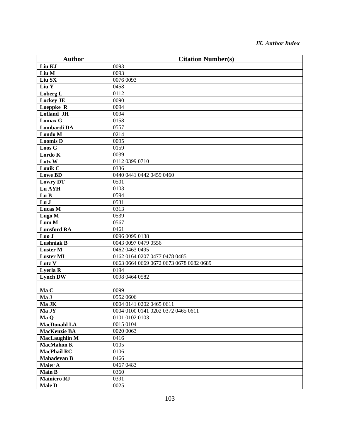| <b>Author</b>        | <b>Citation Number(s)</b>               |
|----------------------|-----------------------------------------|
| Liu KJ               | 0093                                    |
| Liu M                | 0093                                    |
| Liu SX               | 0076 0093                               |
| Liu Y                | 0458                                    |
| Loberg L             | 0112                                    |
| <b>Lockey JE</b>     | 0090                                    |
| Loeppke R            | 0094                                    |
| Lofland JH           | 0094                                    |
| <b>Lomax G</b>       | 0158                                    |
| Lombardi DA          | 0557                                    |
| Londo M              | 0214                                    |
| <b>Loomis D</b>      | 0095                                    |
| Loos G               | 0159                                    |
| Lordo K              | 0039                                    |
| Lotz W               | 0112 0399 0710                          |
| Louik C              | 0336                                    |
| <b>Lowe BD</b>       | 0440 0441 0442 0459 0460                |
| <b>Lowry DT</b>      | 0501                                    |
| Lu AYH               | 0103                                    |
| Lu B                 | 0594                                    |
| Lu J                 | 0531                                    |
| <b>Lucas M</b>       | 0313                                    |
| Lugo M               | 0539                                    |
| Lum M                | 0567                                    |
| <b>Lunsford RA</b>   | 0461                                    |
| Luo J                | 0096 0099 0138                          |
| Lushniak B           | 0043 0097 0479 0556                     |
| <b>Luster M</b>      | 0462 0463 0495                          |
| <b>Luster MI</b>     | 0162 0164 0207 0477 0478 0485           |
| Lutz V               | 0663 0664 0669 0672 0673 0678 0682 0689 |
| <b>Lyerla R</b>      | 0194                                    |
| <b>Lynch DW</b>      | 0098 0464 0582                          |
|                      |                                         |
| Ma C                 | 0099                                    |
| Ma J                 | 0552 0606                               |
| Ma JK                | 0004 0141 0202 0465 0611                |
| Ma JY                | 0004 0100 0141 0202 0372 0465 0611      |
| Ma Q                 | 0101 0102 0103                          |
| <b>MacDonald LA</b>  | 0015 0104                               |
| <b>MacKenzie BA</b>  | 0020 0063                               |
| <b>MacLaughlin M</b> | 0416                                    |
| <b>MacMahon K</b>    | 0105                                    |
| <b>MacPhail RC</b>   | 0106                                    |
| <b>Mahadevan B</b>   | 0466                                    |
| Maier A              | 0467 0483                               |
| <b>Main B</b>        | 0360                                    |
| <b>Mainiero RJ</b>   | 0391                                    |
| <b>Male D</b>        | 0025                                    |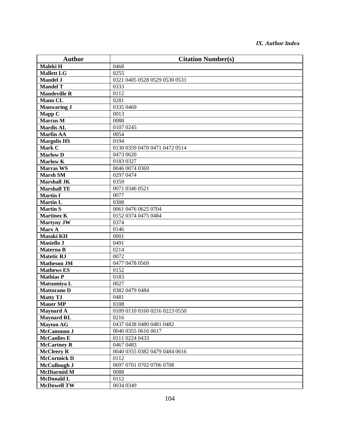| <b>Author</b>       | <b>Citation Number(s)</b>     |
|---------------------|-------------------------------|
| Maleki H            | 0468                          |
| <b>Mallett LG</b>   | 0255                          |
| <b>Mandel J</b>     | 0321 0405 0528 0529 0530 0531 |
| <b>Mandel T</b>     | 0333                          |
| <b>Mandeville R</b> | 0112                          |
| <b>Mann CL</b>      | 0281                          |
| <b>Manwaring J</b>  | 0335 0469                     |
| Mapp C              | 0013                          |
| <b>Marcus M</b>     | 0088                          |
| <b>Mardis AL</b>    | 0107 0245                     |
| <b>Marfin AA</b>    | 0054                          |
| <b>Margolis HS</b>  | 0194                          |
| Mark C              | 0130 0359 0470 0471 0472 0514 |
| <b>Marlow D</b>     | 0473 0620                     |
| <b>Marlow K</b>     | 0183 0327                     |
| <b>Marras WS</b>    | 0046 0074 0369                |
| <b>Marsh SM</b>     | 0297 0474                     |
| <b>Marshall JK</b>  | 0359                          |
| <b>Marshall TE</b>  | 0071 0346 0521                |
| <b>Martin I</b>     | 0077                          |
| <b>Martin L</b>     | 0308                          |
| <b>Martin S</b>     | 0061 0476 0625 0704           |
| <b>Martinez K</b>   | 0152 0374 0475 0484           |
| <b>Martyny JW</b>   | 0374                          |
| Marx A              | 0146                          |
| <b>Masaki KH</b>    | 0001                          |
| Masiello J          | 0491                          |
| Materna B           | 0214                          |
| <b>Matetic RJ</b>   | 0072                          |
| <b>Matheson JM</b>  | 0477 0478 0569                |
| <b>Mathews ES</b>   | 0152                          |
| <b>Mathias P</b>    | 0183                          |
| Matsumiya L         | 0027                          |
| <b>Mattorano D</b>  | 0382 0479 0484                |
| <b>Matty TJ</b>     | 0481                          |
| <b>Mauer MP</b>     | 0108                          |
| <b>Maynard A</b>    | 0109 0110 0160 0216 0223 0550 |
| <b>Maynard RL</b>   | 0216                          |
| <b>Mayton AG</b>    | 0437 0438 0480 0481 0482      |
| McCammon J          | 0040 0355 0616 0617           |
| <b>McCanlies E</b>  | 0111 0224 0433                |
| <b>McCartney R</b>  | 0467 0483                     |
| <b>McCleery R</b>   | 0040 0355 0382 0479 0484 0616 |
| McCormick D         | 0112                          |
| McCullough J        | 0697 0701 0702 0706 0708      |
| <b>McDiarmid M</b>  | 0088                          |
| <b>McDonald L</b>   | 0112                          |
| <b>McDowell TW</b>  | 0034 0349                     |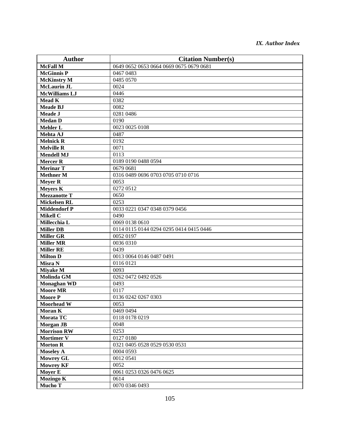| <b>Author</b>        | <b>Citation Number(s)</b>               |
|----------------------|-----------------------------------------|
| <b>McFall M</b>      | 0649 0652 0653 0664 0669 0675 0679 0681 |
| <b>McGinnis P</b>    | 0467 0483                               |
| <b>McKinstry M</b>   | 0485 0570                               |
| <b>McLaurin JL</b>   | 0024                                    |
| <b>McWilliams LJ</b> | 0446                                    |
| <b>Mead K</b>        | 0382                                    |
| <b>Meade BJ</b>      | 0082                                    |
| Meade J              | 0281 0486                               |
| <b>Medan D</b>       | 0190                                    |
| <b>Mehler L</b>      | 0023 0025 0108                          |
| Mehta AJ             | 0487                                    |
| <b>Melnick R</b>     | 0192                                    |
| <b>Melville R</b>    | 0071                                    |
| <b>Mendell MJ</b>    | 0113                                    |
| <b>Mercer R</b>      | 0189 0190 0488 0594                     |
| <b>Merinar T</b>     | 0679 0681                               |
| <b>Methner M</b>     | 0316 0489 0696 0703 0705 0710 0716      |
| <b>Meyer R</b>       | 0053                                    |
| Meyers K             | 0272 0512                               |
| <b>Mezzanotte T</b>  | 0650                                    |
| Mickelsen RL         | 0253                                    |
| <b>Middendorf P</b>  | 0033 0221 0347 0348 0379 0456           |
| <b>Mikell C</b>      | 0490                                    |
| Millecchia L         | 0069 0138 0610                          |
| <b>Miller DB</b>     | 0114 0115 0144 0294 0295 0414 0415 0446 |
| <b>Miller GR</b>     | 0052 0197                               |
| <b>Miller MR</b>     | 0036 0310                               |
| <b>Miller RE</b>     | 0439                                    |
| <b>Milton D</b>      | 0013 0064 0146 0487 0491                |
| Misra N              | 0116 0121                               |
| <b>Miyake M</b>      | 0093                                    |
| <b>Molinda GM</b>    | 0262 0472 0492 0526                     |
| <b>Monaghan WD</b>   | 0493                                    |
| <b>Moore MR</b>      | 0117                                    |
| <b>Moore P</b>       | 0136 0242 0267 0303                     |
| Moorhead W           | 0053                                    |
| <b>Moran K</b>       | 0469 0494                               |
| Morata TC            | 0118 0178 0219                          |
| <b>Morgan JB</b>     | 0048                                    |
| <b>Morrison RW</b>   | 0253                                    |
| <b>Mortimer V</b>    | 0127 0180                               |
| <b>Morton R</b>      | 0321 0405 0528 0529 0530 0531           |
| <b>Moseley A</b>     | 0004 0593                               |
| <b>Mowrey GL</b>     | 0012 0541                               |
| <b>Mowrey KF</b>     | 0052                                    |
| <b>Moyer E</b>       | 0061 0253 0326 0476 0625                |
| <b>Mozingo K</b>     | 0614                                    |
| Mucho T              | 0070 0346 0493                          |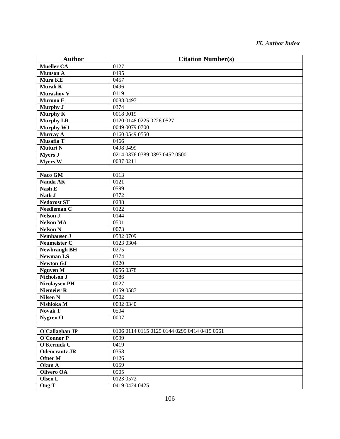| <b>Author</b>         | <b>Citation Number(s)</b>                    |
|-----------------------|----------------------------------------------|
| <b>Mueller CA</b>     | 0127                                         |
| <b>Munson A</b>       | 0495                                         |
| <b>Mura KE</b>        | 0457                                         |
| Murali K              | 0496                                         |
| <b>Murashov V</b>     | 0119                                         |
| Murono E              | 0088 0497                                    |
| <b>Murphy J</b>       | 0374                                         |
| <b>Murphy K</b>       | 0018 0019                                    |
| <b>Murphy LR</b>      | 0120 0148 0225 0226 0527                     |
| <b>Murphy WJ</b>      | 0049 0079 0700                               |
| <b>Murray A</b>       | 0160 0549 0550                               |
| Musafia T             | 0466                                         |
| Muturi N              | 0498 0499                                    |
| <b>Myers J</b>        | 0214 0376 0389 0397 0452 0500                |
| <b>Myers W</b>        | 0087 0211                                    |
|                       |                                              |
| Naco GM               | 0113                                         |
| Nanda AK              | 0121                                         |
| Nash E                | 0599                                         |
| Nath J                | 0372                                         |
| <b>Nedorost ST</b>    | 0288                                         |
| Needleman C           | 0122                                         |
| <b>Nelson J</b>       | 0144                                         |
| <b>Nelson MA</b>      | 0501                                         |
| Nelson $\overline{N}$ | 0073                                         |
| <b>Nemhauser J</b>    | 0582 0709                                    |
| Neumeister C          | 0123 0304                                    |
| <b>Newbraugh BH</b>   | 0275                                         |
| <b>Newman LS</b>      | 0374                                         |
| <b>Newton GJ</b>      | 0220                                         |
| <b>Nguyen M</b>       | 0056 0378                                    |
| Nicholson J           | 0186                                         |
| <b>Nicolaysen PH</b>  | 0027                                         |
| <b>Niemeier R</b>     | 0159 0587                                    |
| <b>Nilsen N</b>       | 0502                                         |
| Nishioka M            | 0032 0340                                    |
| <b>Novak T</b>        | 0504                                         |
| Nygren O              | 0007                                         |
|                       |                                              |
| O'Callaghan JP        | 0106 0114 0115 0125 0144 0295 0414 0415 0561 |
| <b>O'Connor P</b>     | 0599                                         |
| O'Kernick C           | 0419                                         |
| <b>Odencrantz JR</b>  | 0358                                         |
| Ofner M               | 0126                                         |
| Okun A                | 0159                                         |
| <b>Olivero OA</b>     | 0505                                         |
| Olsen L               | 0123 0572                                    |
| Ong T                 | 0419 0424 0425                               |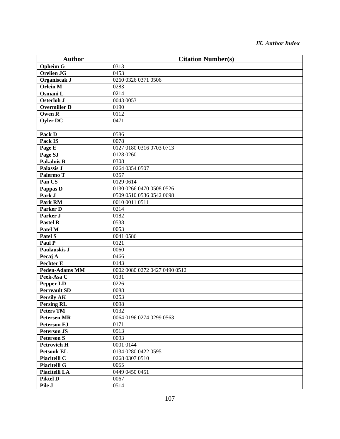| <b>Author</b>         | <b>Citation Number(s)</b>     |
|-----------------------|-------------------------------|
| <b>Opheim G</b>       | 0313                          |
| <b>Orelien JG</b>     | 0453                          |
| Organiscak J          | 0260 0326 0371 0506           |
| <b>Orlein M</b>       | 0283                          |
| Osmani L              | 0214                          |
| <b>Osterloh J</b>     | 0043 0053                     |
| <b>Overmiller D</b>   | 0190                          |
| <b>Owen R</b>         | 0112                          |
| <b>Oyler DC</b>       | 0471                          |
|                       |                               |
| Pack D                | 0586                          |
| Pack IS               | 0078                          |
| Page E                | 0127 0180 0316 0703 0713      |
| Page SJ               | 0128 0260                     |
| <b>Pakalnis R</b>     | 0308                          |
| <b>Palassis J</b>     | 0264 0354 0507                |
| Palermo T             | 0357                          |
| Pan CS                | 0129 0614                     |
| Pappas D              | 0130 0266 0470 0508 0526      |
| Park J                | 0509 0510 0536 0542 0698      |
| Park RM               | 0010 0011 0511                |
| <b>Parker D</b>       | 0214                          |
| Parker J              | 0182                          |
| <b>Pastel R</b>       | 0538                          |
| Patel M               | 0053                          |
| Patel S               | 0041 0586                     |
| Paul P                | 0121                          |
| Paulauskis J          | 0060                          |
| Pecaj A               | 0466                          |
| <b>Pechter E</b>      | 0143                          |
| <b>Peden-Adams MM</b> | 0002 0080 0272 0427 0490 0512 |
| Peek-Asa C            | 0131                          |
| <b>Pepper LD</b>      | 0226                          |
| <b>Perreault SD</b>   | 0088                          |
| <b>Persily AK</b>     | 0253                          |
| <b>Persing RL</b>     | 0098                          |
| <b>Peters TM</b>      | 0132                          |
| <b>Petersen MR</b>    | 0064 0196 0274 0299 0563      |
| <b>Peterson EJ</b>    | 0171                          |
| <b>Peterson JS</b>    | 0513                          |
| <b>Peterson S</b>     | 0093                          |
| <b>Petrovich H</b>    | 0001 0144                     |
| <b>Petsonk EL</b>     | 0134 0280 0422 0595           |
| Piacitelli C          | 0268 0307 0510                |
| <b>Piacitelli G</b>   | 0055                          |
| Piacitelli LA         | 0449 0450 0451                |
| <b>Piktel D</b>       | 0067                          |
| Pile J                | 0514                          |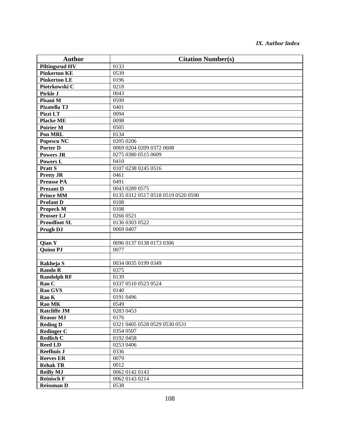| <b>Author</b>         | <b>Citation Number(s)</b>          |
|-----------------------|------------------------------------|
| <b>Piltingsrud HV</b> | 0133                               |
| <b>Pinkerton KE</b>   | 0539                               |
| <b>Pinkerton LE</b>   | 0196                               |
| Piotrkowski C         | 0218                               |
| Pirkle J              | 0043                               |
| Pisani M              | 0599                               |
| Pizatella TJ          | 0401                               |
| Pizzi LT              | 0094                               |
| <b>Placke ME</b>      | 0098                               |
| <b>Poirier M</b>      | 0505                               |
| Pon MRL               | 0134                               |
| Popescu <sub>NC</sub> | 0205 0206                          |
| <b>Porter D</b>       | 0069 0204 0209 0372 0608           |
| <b>Powers JR</b>      | 0275 0380 0515 0609                |
| <b>Powers L</b>       | 0410                               |
| <b>Pratt S</b>        | 0107 0238 0245 0516                |
| <b>Pretty JR</b>      | 0461                               |
| <b>Preusse PA</b>     | 0491                               |
| <b>Prezant D</b>      | 0043 0289 0575                     |
| <b>Prince MM</b>      | 0135 0312 0517 0518 0519 0520 0590 |
| <b>Profant D</b>      | 0108                               |
| <b>Propeck M</b>      | 0108                               |
| <b>Prosser LJ</b>     | 0266 0521                          |
| <b>Proudfoot SL</b>   | 0136 0303 0522                     |
| Prugh DJ              | 0069 0407                          |
|                       |                                    |
| Qian Y                | 0096 0137 0138 0173 0306           |
| Quinn PJ              | 0077                               |
|                       |                                    |
| Rakheja S             | 0034 0035 0199 0349                |
| <b>Rando R</b>        | 0375                               |
| <b>Randolph RF</b>    | 0139                               |
| Rao C                 | 0337 0510 0523 0524                |
| Rao GVS               | 0140                               |
| Rao K                 | 0191 0496                          |
| Rao MK                | 0549                               |
| <b>Ratcliffe JM</b>   | 0283 0453                          |
| <b>Reasor MJ</b>      | 0176                               |
| <b>Reding D</b>       | 0321 0405 0528 0529 0530 0531      |
| <b>Redinger C</b>     | 0354 0507                          |
| <b>Redlich C</b>      | 0192 0458                          |
| <b>Reed LD</b>        | 0253 0406                          |
| <b>Reefhuis J</b>     | 0336                               |
| <b>Reeves ER</b>      | 0079                               |
| <b>Rehak TR</b>       | 0012                               |
| <b>Reilly MJ</b>      | 0062 0142 0143                     |
| <b>Reinisch F</b>     | 0062 0143 0214                     |
| <b>Reissman D</b>     | 0538                               |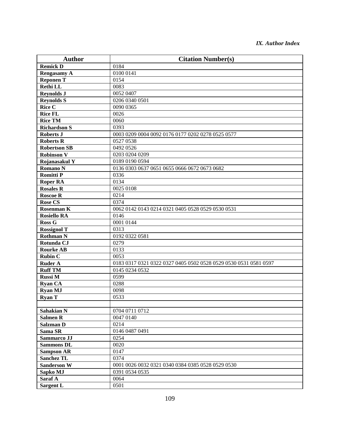| <b>Author</b>       | <b>Citation Number(s)</b>                                        |
|---------------------|------------------------------------------------------------------|
| <b>Remick D</b>     | 0184                                                             |
| <b>Rengasamy A</b>  | 0100 0141                                                        |
| <b>Reponen T</b>    | 0154                                                             |
| <b>Rethi LL</b>     | 0083                                                             |
| <b>Reynolds J</b>   | 0052 0407                                                        |
| <b>Reynolds S</b>   | 0206 0340 0501                                                   |
| <b>Rice C</b>       | 0090 0365                                                        |
| <b>Rice FL</b>      | 0026                                                             |
| <b>Rice TM</b>      | 0060                                                             |
| <b>Richardson S</b> | 0393                                                             |
| <b>Roberts J</b>    | 0003 0209 0004 0092 0176 0177 0202 0278 0525 0577                |
| <b>Roberts R</b>    | 0527 0538                                                        |
| <b>Robertson SB</b> | 0492 0526                                                        |
| <b>Robinson V</b>   | 0203 0204 0209                                                   |
| Rojanasakul Y       | 0189 0190 0594                                                   |
| <b>Romano N</b>     | 0136 0303 0637 0651 0655 0666 0672 0673 0682                     |
| <b>Romitti P</b>    | 0336                                                             |
| <b>Roper RA</b>     | 0134                                                             |
| <b>Rosales R</b>    | 0025 0108                                                        |
| <b>Roscoe R</b>     | 0214                                                             |
| <b>Rose CS</b>      | 0374                                                             |
| Rosenman K          | 0062 0142 0143 0214 0321 0405 0528 0529 0530 0531                |
| <b>Rosiello RA</b>  | 0146                                                             |
| Ross G              | 0001 0144                                                        |
| <b>Rossignol T</b>  | 0313                                                             |
| <b>Rothman N</b>    | 0192 0322 0581                                                   |
| Rotunda CJ          | 0279                                                             |
| <b>Rourke AB</b>    | 0133                                                             |
| <b>Rubin C</b>      | 0053                                                             |
| <b>Ruder A</b>      | 0183 0317 0321 0322 0327 0405 0502 0528 0529 0530 0531 0581 0597 |
| <b>Ruff TM</b>      | 0145 0234 0532                                                   |
| <b>Russi M</b>      | 0599                                                             |
| <b>Ryan CA</b>      | 0288                                                             |
| <b>Ryan MJ</b>      | 0098                                                             |
| <b>Ryan T</b>       | 0533                                                             |
|                     |                                                                  |
| <b>Sahakian N</b>   | 0704 0711 0712                                                   |
| <b>Salmen R</b>     | 0047 0140                                                        |
| Salzman D           | 0214                                                             |
| Sama SR             | 0146 0487 0491                                                   |
| Sammarco JJ         | 0254                                                             |
| <b>Sammons DL</b>   | 0020                                                             |
| <b>Sampson AR</b>   | 0147                                                             |
| <b>Sanchez TL</b>   | 0374                                                             |
| <b>Sanderson W</b>  | 0001 0026 0032 0321 0340 0384 0385 0528 0529 0530                |
| Sapko MJ            | 0391 0534 0535                                                   |
| Saraf A             | 0064                                                             |
| <b>Sargent L</b>    | 0501                                                             |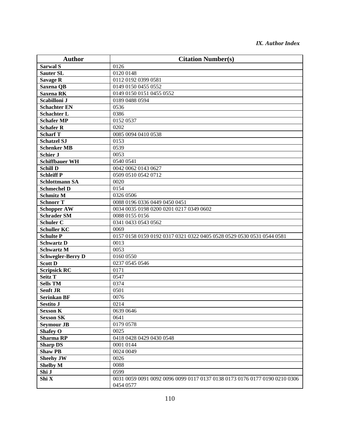| <b>Author</b>            | <b>Citation Number(s)</b>                                                               |
|--------------------------|-----------------------------------------------------------------------------------------|
| Sarwal <sub>S</sub>      | 0126                                                                                    |
| <b>Sauter SL</b>         | 0120 0148                                                                               |
| <b>Savage R</b>          | 0112 0192 0399 0581                                                                     |
| Saxena QB                | 0149 0150 0455 0552                                                                     |
| Saxena RK                | 0149 0150 0151 0455 0552                                                                |
| Scabilloni J             | 0189 0488 0594                                                                          |
| <b>Schachter EN</b>      | 0536                                                                                    |
| <b>Schachter L</b>       | 0386                                                                                    |
| <b>Schafer MP</b>        | 0152 0537                                                                               |
| <b>Schafer R</b>         | 0202                                                                                    |
| <b>Scharf T</b>          | 0085 0094 0410 0538                                                                     |
| <b>Schatzel SJ</b>       | 0153                                                                                    |
| <b>Schenker MB</b>       | 0539                                                                                    |
| <b>Schier J</b>          | 0053                                                                                    |
| <b>Schiffbauer WH</b>    | 0540 0541                                                                               |
| <b>Schill D</b>          | 0042 0062 0143 0627                                                                     |
| <b>Schleiff P</b>        | 0509 0510 0542 0712                                                                     |
| <b>Schlottmann SA</b>    | 0020                                                                                    |
| <b>Schmechel D</b>       | 0154                                                                                    |
| <b>Schmitz M</b>         | 0326 0506                                                                               |
| <b>Schnorr T</b>         | 0088 0196 0336 0449 0450 0451                                                           |
| <b>Schopper AW</b>       | 0034 0035 0198 0200 0201 0217 0349 0602                                                 |
| <b>Schrader SM</b>       | 0088 0155 0156                                                                          |
| <b>Schuler C</b>         | 0341 0433 0543 0562                                                                     |
| <b>Schuller KC</b>       | 0069                                                                                    |
| <b>Schulte P</b>         | 0157 0158 0159 0192 0317 0321 0322 0405 0528 0529 0530 0531 0544 0581                   |
| <b>Schwartz D</b>        | 0013                                                                                    |
| <b>Schwartz M</b>        | 0053                                                                                    |
| <b>Schwegler-Berry D</b> | 0160 0550                                                                               |
| <b>Scott D</b>           | 0237 0545 0546                                                                          |
| <b>Scripsick RC</b>      | 0171                                                                                    |
| Seitz T                  | 0547                                                                                    |
| <b>Sells TM</b>          | 0374                                                                                    |
| <b>Senft JR</b>          | 0501                                                                                    |
| <b>Serinkan BF</b>       | 0076                                                                                    |
| Sestito J                | 0214                                                                                    |
| <b>Sexson K</b>          | 0639 0646                                                                               |
| <b>Sexson SK</b>         | 0641                                                                                    |
| <b>Seymour JB</b>        | 0179 0578                                                                               |
| <b>Shafey O</b>          | 0025                                                                                    |
| <b>Sharma RP</b>         | 0418 0428 0429 0430 0548                                                                |
| <b>Sharp DS</b>          | 0001 0144                                                                               |
| <b>Shaw PB</b>           | 0024 0049                                                                               |
| <b>Sheehy JW</b>         | 0026                                                                                    |
| <b>Shelby M</b>          | 0088                                                                                    |
| Shi J                    | 0599                                                                                    |
| Shi X                    | 0031 0059 0091 0092 0096 0099 0117 0137 0138 0173 0176 0177 0190 0210 0306<br>0454 0577 |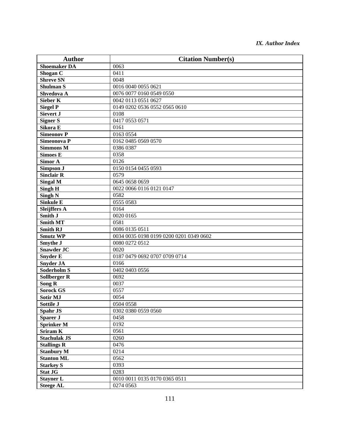| <b>Author</b>       | <b>Citation Number(s)</b>               |
|---------------------|-----------------------------------------|
| <b>Shoemaker DA</b> | 0063                                    |
| Shogan C            | 0411                                    |
| <b>Shreve SN</b>    | 0048                                    |
| <b>Shulman S</b>    | 0016 0040 0055 0621                     |
| Shvedova A          | 0076 0077 0160 0549 0550                |
| <b>Sieber K</b>     | 0042 0113 0551 0627                     |
| <b>Siegel P</b>     | 0149 0202 0536 0552 0565 0610           |
| Sievert J           | 0108                                    |
| <b>Signer S</b>     | 0417 0553 0571                          |
| Sikora E            | 0161                                    |
| <b>Simeonov P</b>   | 0163 0554                               |
| Simeonova P         | 0162 0485 0569 0570                     |
| <b>Simmons M</b>    | 0386 0387                               |
| <b>Simoes E</b>     | 0358                                    |
| Simor A             | 0126                                    |
| Simpson J           | 0150 0154 0455 0593                     |
| <b>Sinclair R</b>   | 0579                                    |
| <b>Singal M</b>     | 0645 0658 0659                          |
| <b>Singh H</b>      | 0022 0066 0116 0121 0147                |
| <b>Singh N</b>      | 0582                                    |
| <b>Sinkule E</b>    | 0555 0583                               |
| <b>Sleijffers A</b> | 0164                                    |
| Smith J             | 0020 0165                               |
| <b>Smith MT</b>     | 0581                                    |
| <b>Smith RJ</b>     | 0086 0135 0511                          |
| <b>Smutz WP</b>     | 0034 0035 0198 0199 0200 0201 0349 0602 |
| Smythe J            | 0080 0272 0512                          |
| <b>Snawder JC</b>   | 0020                                    |
| <b>Snyder E</b>     | 0187 0479 0692 0707 0709 0714           |
| <b>Snyder JA</b>    | 0166                                    |
| Soderholm S         | 0402 0403 0556                          |
| <b>Sollberger R</b> | 0692                                    |
| <b>Song R</b>       | 0037                                    |
| <b>Sorock GS</b>    | 0557                                    |
| <b>Sotir MJ</b>     | 0054                                    |
| Sottile J           | 0504 0558                               |
| <b>Spahr JS</b>     | 0302 0380 0559 0560                     |
| Sparer J            | 0458                                    |
| <b>Sprinker M</b>   | 0192                                    |
| <b>Sriram K</b>     | 0561                                    |
| <b>Stachulak JS</b> | 0260                                    |
| <b>Stallings R</b>  | 0476                                    |
| <b>Stanbury M</b>   | 0214                                    |
| <b>Stanton ML</b>   | 0562                                    |
| <b>Starkey S</b>    | 0393                                    |
| <b>Stat JG</b>      | 0283                                    |
| <b>Stayner L</b>    | 0010 0011 0135 0170 0365 0511           |
| <b>Steege AL</b>    | 0274 0563                               |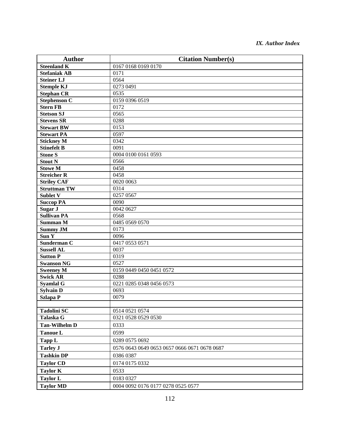| <b>Author</b>        | <b>Citation Number(s)</b>                    |
|----------------------|----------------------------------------------|
| <b>Steenland K</b>   | 0167 0168 0169 0170                          |
| <b>Stefaniak AB</b>  | 0171                                         |
| <b>Steiner LJ</b>    | 0564                                         |
| <b>Stemple KJ</b>    | 0273 0491                                    |
| <b>Stephan CR</b>    | 0535                                         |
| <b>Stephenson C</b>  | 0159 0396 0519                               |
| <b>Stern FB</b>      | 0172                                         |
| <b>Stetson SJ</b>    | 0565                                         |
| <b>Stevens SR</b>    | 0288                                         |
| <b>Stewart BW</b>    | 0153                                         |
| <b>Stewart PA</b>    | 0597                                         |
| <b>Stickney M</b>    | 0342                                         |
| <b>Stinefelt B</b>   | 0091                                         |
| <b>Stone S</b>       | 0004 0100 0161 0593                          |
| <b>Stout N</b>       | 0566                                         |
| <b>Stowe M</b>       | 0458                                         |
| <b>Streicher R</b>   | 0458                                         |
| <b>Striley CAF</b>   | 0020 0063                                    |
| <b>Struttman TW</b>  | 0314                                         |
| <b>Sublet V</b>      | 0257 0567                                    |
| <b>Succop PA</b>     | 0090                                         |
| Sugar J              | 0042 0627                                    |
| <b>Sullivan PA</b>   | 0568                                         |
| <b>Summan M</b>      | 0485 0569 0570                               |
| <b>Summy JM</b>      | 0173                                         |
| Sun Y                | 0096                                         |
| Sunderman C          | 0417 0553 0571                               |
| <b>Sussell AL</b>    | 0037                                         |
| <b>Sutton P</b>      | 0319                                         |
| <b>Swanson NG</b>    | 0527                                         |
| <b>Sweeney M</b>     | 0159 0449 0450 0451 0572                     |
| <b>Swick AR</b>      | 0288                                         |
| <b>Syamlal G</b>     | 0221 0285 0348 0456 0573                     |
| <b>Sylvain D</b>     | 0693<br>0079                                 |
| <b>Szlapa P</b>      |                                              |
| <b>Tadolini SC</b>   | 0514 0521 0574                               |
| Talaska G            | 0321 0528 0529 0530                          |
| <b>Tan-Wilhelm D</b> | 0333                                         |
| <b>Tanoue L</b>      | 0599                                         |
|                      |                                              |
| Tapp L               | 0289 0575 0692                               |
| <b>Tarley J</b>      | 0576 0643 0649 0653 0657 0666 0671 0678 0687 |
| <b>Tashkin DP</b>    | 0386 0387                                    |
| <b>Taylor CD</b>     | 0174 0175 0332                               |
| <b>Taylor K</b>      | 0533                                         |
| <b>Taylor L</b>      | 0183 0327                                    |
| <b>Taylor MD</b>     | 0004 0092 0176 0177 0278 0525 0577           |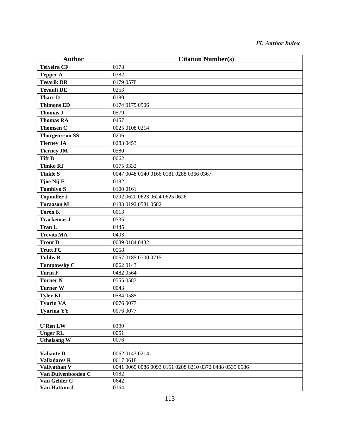| <b>Author</b>                       | <b>Citation Number(s)</b>                                           |
|-------------------------------------|---------------------------------------------------------------------|
| <b>Teixeira CF</b>                  | 0178                                                                |
| <b>Tepper A</b>                     | 0382                                                                |
| <b>Tesarik DR</b>                   | 0179 0578                                                           |
| <b>Tevault DE</b>                   | 0253                                                                |
| <b>Tharr D</b>                      | 0180                                                                |
| <b>Thimons ED</b>                   | 0174 0175 0506                                                      |
| <b>Thomas J</b>                     | 0579                                                                |
| <b>Thomas RA</b>                    | 0457                                                                |
| <b>Thomsen C</b>                    | 0025 0108 0214                                                      |
| <b>Thorgeirsson SS</b>              | 0206                                                                |
| <b>Tierney JA</b>                   | 0283 0453                                                           |
| <b>Tierney JM</b>                   | 0580                                                                |
| <b>Tift B</b>                       | 0062                                                                |
| <b>Timko RJ</b>                     | 0175 0332                                                           |
| <b>Tinkle S</b>                     | 0047 0048 0140 0166 0181 0288 0366 0367                             |
| Tjoe Nij E                          | 0182                                                                |
| <b>Tomblyn S</b>                    | 0100 0161                                                           |
| <b>Topmiller J</b>                  | 0292 0620 0623 0624 0625 0626                                       |
| <b>Toraason M</b>                   | 0183 0192 0581 0582                                                 |
| <b>Toren K</b>                      | 0013                                                                |
| <b>Trackemas J</b>                  | 0535                                                                |
| <b>Tran L</b>                       | 0445                                                                |
| <b>Trevits MA</b>                   | 0493                                                                |
| <b>Trout D</b>                      | 0089 0184 0432                                                      |
| <b>Trutt FC</b>                     | 0558                                                                |
| <b>Tubbs R</b>                      | 0057 0185 0700 0715                                                 |
| Tumpowsky C                         | 0062 0143                                                           |
| <b>Turin F</b>                      | 0482 0564                                                           |
| <b>Turner N</b>                     | 0555 0583                                                           |
| <b>Turner W</b>                     | 0043                                                                |
| <b>Tyler KL</b>                     | 0584 0585                                                           |
| <b>Tyurin VA</b>                    | 0076 0077                                                           |
| <b>Tyurina YY</b>                   | 0076 0077                                                           |
|                                     |                                                                     |
| <b>U'Ren LW</b>                     | 0399                                                                |
| <b>Unger RL</b>                     | 0051                                                                |
| <b>Uthaisang W</b>                  | 0076                                                                |
|                                     |                                                                     |
| <b>Valiante D</b>                   | 0062 0143 0214                                                      |
| <b>Valladares R</b><br>Vallyathan V | 0617 0618<br>0041 0065 0086 0093 0151 0208 0210 0372 0488 0539 0586 |
| Van Duivenbooden C                  | 0182                                                                |
| Van Gelder C                        | 0642                                                                |
| Van Hattum J                        | 0164                                                                |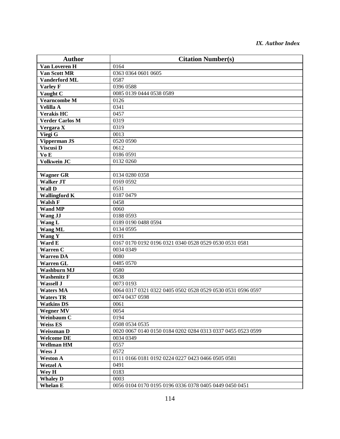| <b>Author</b>          | <b>Citation Number(s)</b>                                   |
|------------------------|-------------------------------------------------------------|
| Van Loveren H          | 0164                                                        |
| Van Scott MR           | 0363 0364 0601 0605                                         |
| <b>Vanderford ML</b>   | 0587                                                        |
| <b>Varley F</b>        | 0396 0588                                                   |
| Vaught $\overline{C}$  | 0085 0139 0444 0538 0589                                    |
| <b>Vearncombe M</b>    | 0126                                                        |
| Velilla A              | 0341                                                        |
| <b>Verakis HC</b>      | 0457                                                        |
| <b>Verder Carlos M</b> | 0319                                                        |
| Vergara X              | 0319                                                        |
| Viegi G                | 0013                                                        |
| <b>Vipperman JS</b>    | 0520 0590                                                   |
| Viscusi D              | 0612                                                        |
| Vo E                   | 0186 0591                                                   |
| <b>Volkwein JC</b>     | 0132 0260                                                   |
|                        |                                                             |
| <b>Wagner GR</b>       | 0134 0280 0358                                              |
| <b>Walker JT</b>       | 0169 0592                                                   |
| <b>Wall D</b>          | 0531                                                        |
| <b>Wallingford K</b>   | 0187 0479                                                   |
| Walsh F                | 0458                                                        |
| <b>Wand MP</b>         | 0060                                                        |
| Wang JJ                | 0188 0593                                                   |
| Wang L                 | 0189 0190 0488 0594                                         |
| <b>Wang ML</b>         | 0134 0595                                                   |
| Wang Y                 | 0191                                                        |
| Ward E                 | 0167 0170 0192 0196 0321 0340 0528 0529 0530 0531 0581      |
| <b>Warren C</b>        | 0034 0349                                                   |
| <b>Warren DA</b>       | 0080                                                        |
| <b>Warren GL</b>       | 0485 0570                                                   |
| <b>Washburn MJ</b>     | 0580                                                        |
| <b>Washenitz F</b>     | 0638                                                        |
| <b>Wassell J</b>       | 0073 0193                                                   |
| <b>Waters MA</b>       | 0064 0317 0321 0322 0405 0502 0528 0529 0530 0531 0596 0597 |
| <b>Waters TR</b>       | 0074 0437 0598                                              |
| <b>Watkins DS</b>      | 0061                                                        |
| <b>Wegner MV</b>       | 0054                                                        |
| Weinbaum C             | 0194                                                        |
| <b>Weiss ES</b>        | 0508 0534 0535                                              |
| <b>Weissman D</b>      | 0020 0067 0140 0150 0184 0202 0284 0313 0337 0455 0523 0599 |
| <b>Welcome DE</b>      | 0034 0349                                                   |
| <b>Wellman HM</b>      | 0557                                                        |
| Wess J                 | 0572                                                        |
| <b>Weston A</b>        | 0111 0166 0181 0192 0224 0227 0423 0466 0505 0581           |
| <b>Wetzel A</b>        | 0491                                                        |
| Wey H                  | 0183                                                        |
| <b>Whaley D</b>        | 0003                                                        |
| <b>Whelan E</b>        | 0056 0104 0170 0195 0196 0336 0378 0405 0449 0450 0451      |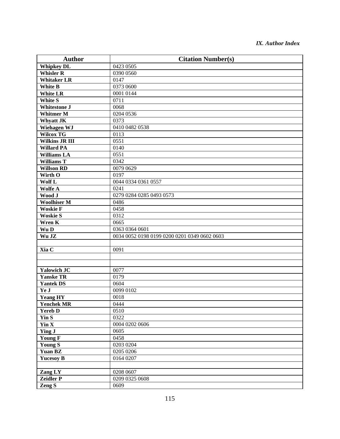| <b>Author</b>         | <b>Citation Number(s)</b>                    |
|-----------------------|----------------------------------------------|
| <b>Whipkey DL</b>     | 0423 0505                                    |
| <b>Whisler R</b>      | 0390 0560                                    |
| <b>Whitaker LR</b>    | 0147                                         |
| White B               | 0373 0600                                    |
| <b>White LR</b>       | 0001 0144                                    |
| <b>White S</b>        | 0711                                         |
| <b>Whitestone J</b>   | 0068                                         |
| <b>Whitmer M</b>      | 0204 0536                                    |
| <b>Whyatt JK</b>      | 0373                                         |
| Wiehagen WJ           | 0410 0482 0538                               |
| Wilcox TG             | 0113                                         |
| <b>Wilkins JR III</b> | 0551                                         |
| <b>Willard PA</b>     | 0140                                         |
| <b>Williams LA</b>    | 0551                                         |
| Williams T            | 0342                                         |
| <b>Willson RD</b>     | 0079 0629                                    |
| Wirth O               | 0197                                         |
| Wolf L                | 0044 0334 0361 0557                          |
| Wolfe A               | 0241                                         |
| Wood J                | 0279 0284 0285 0493 0573                     |
| <b>Woolhiser M</b>    | 0486                                         |
| <b>Woskie F</b>       | 0458                                         |
| <b>Woskie S</b>       | 0312                                         |
| Wren K                | 0665                                         |
| Wu D                  | 0363 0364 0601                               |
| Wu JZ                 | 0034 0052 0198 0199 0200 0201 0349 0602 0603 |
|                       |                                              |
| Xia C                 | 0091                                         |
|                       |                                              |
|                       |                                              |
| Yalowich JC           | 0077                                         |
| <b>Yanske TR</b>      | 0179                                         |
| <b>Yantek DS</b>      | 0604                                         |
| Ye J                  | 0099 0102                                    |
| <b>Yeang HY</b>       | 0018                                         |
| <b>Yenchek MR</b>     | 0444                                         |
| <b>Yereb D</b>        | 0510                                         |
| Yin S                 | 0322                                         |
| Yin X                 | 0004 0202 0606                               |
| <b>Ying J</b>         | 0605                                         |
| <b>Young F</b>        | 0458                                         |
| Young S               | 0203 0204                                    |
| <b>Yuan BZ</b>        | $\overline{02}050206$                        |
| <b>Yucesoy B</b>      | 0164 0207                                    |
|                       |                                              |
| Zang LY               | 0208 0607                                    |
| Zeidler P             | 0209 0325 0608                               |
| Zeng S                | 0609                                         |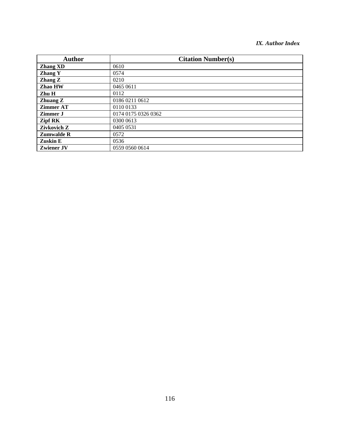| <b>Author</b>     | <b>Citation Number(s)</b> |
|-------------------|---------------------------|
| <b>Zhang XD</b>   | 0610                      |
| <b>Zhang Y</b>    | 0574                      |
| Zhang Z           | 0210                      |
| Zhao HW           | 0465 0611                 |
| Zhu H             | 0112                      |
| Zhuang Z          | 0186 0211 0612            |
| <b>Zimmer AT</b>  | 0110 0133                 |
| Zimmer J          | 0174 0175 0326 0362       |
| Zipf RK           | 0300 0613                 |
| Zivkovich Z       | 0405 0531                 |
| <b>Zumwalde R</b> | 0572                      |
| Zuskin E          | 0536                      |
| <b>Zwiener JV</b> | 0559 0560 0614            |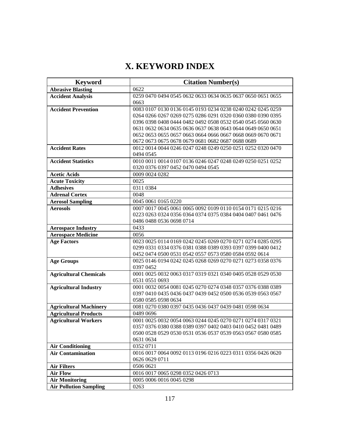# **X. KEYWORD INDEX**

| 0622<br>0259 0470 0494 0545 0632 0633 0634 0635 0637 0650 0651 0655<br>0663<br><b>Accident Prevention</b><br>0083 0107 0130 0136 0145 0193 0234 0238 0240 0242 0245 0259<br>0264 0266 0267 0269 0275 0286 0291 0320 0360 0380 0390 0395<br>0396 0398 0408 0444 0482 0492 0508 0532 0540 0545 0560 0630<br>0631 0632 0634 0635 0636 0637 0638 0643 0644 0649 0650 0651<br>0652 0653 0655 0657 0663 0664 0666 0667 0668 0669 0670 0671<br>0672 0673 0675 0678 0679 0681 0682 0687 0688 0689<br><b>Accident Rates</b><br>0012 0014 0044 0246 0247 0248 0249 0250 0251 0252 0320 0470<br>0494 0545<br>0010 0011 0014 0107 0136 0246 0247 0248 0249 0250 0251 0252<br><b>Accident Statistics</b><br>0320 0376 0397 0452 0470 0494 0545<br><b>Acetic Acids</b><br>0009 0024 0282<br>0025<br>0311 0384<br>0048<br>0045 0061 0165 0220<br>0007 0017 0045 0061 0065 0092 0109 0110 0154 0171 0215 0216<br>0223 0263 0324 0356 0364 0374 0375 0384 0404 0407 0461 0476<br>0486 0488 0536 0698 0714<br>0433<br>0056<br>0023 0025 0114 0169 0242 0245 0269 0270 0271 0274 0285 0295<br>0299 0331 0334 0376 0381 0388 0389 0393 0397 0399 0400 0412<br>0452 0474 0500 0531 0542 0557 0573 0580 0584 0592 0614<br>0025 0146 0194 0242 0245 0268 0269 0270 0271 0273 0358 0376<br>0397 0452<br>0001 0025 0032 0063 0317 0319 0321 0340 0405 0528 0529 0530<br>0531 0551 0693<br>0001 0032 0054 0081 0245 0270 0274 0348 0357 0376 0388 0389<br>0397 0410 0435 0436 0437 0439 0452 0500 0536 0539 0563 0567<br>0580 0585 0598 0634<br>0081 0270 0380 0397 0435 0436 0437 0439 0481 0598 0634<br>0489 0696<br>0001 0025 0032 0054 0063 0244 0245 0270 0271 0274 0317 0321<br>0357 0376 0380 0388 0389 0397 0402 0403 0410 0452 0481 0489<br>0500 0528 0529 0530 0531 0536 0537 0539 0563 0567 0580 0585<br>0631 0634<br>0352 0711<br>0016 0017 0064 0092 0113 0196 0216 0223 0311 0356 0426 0620<br>0626 0629 0711<br>0506 0621<br>0016 0017 0065 0298 0352 0426 0713<br>0005 0006 0016 0045 0298<br><b>Air Monitoring</b> | <b>Keyword</b>                | <b>Citation Number(s)</b> |
|-----------------------------------------------------------------------------------------------------------------------------------------------------------------------------------------------------------------------------------------------------------------------------------------------------------------------------------------------------------------------------------------------------------------------------------------------------------------------------------------------------------------------------------------------------------------------------------------------------------------------------------------------------------------------------------------------------------------------------------------------------------------------------------------------------------------------------------------------------------------------------------------------------------------------------------------------------------------------------------------------------------------------------------------------------------------------------------------------------------------------------------------------------------------------------------------------------------------------------------------------------------------------------------------------------------------------------------------------------------------------------------------------------------------------------------------------------------------------------------------------------------------------------------------------------------------------------------------------------------------------------------------------------------------------------------------------------------------------------------------------------------------------------------------------------------------------------------------------------------------------------------------------------------------------------------------------------------------------------------------------------------|-------------------------------|---------------------------|
|                                                                                                                                                                                                                                                                                                                                                                                                                                                                                                                                                                                                                                                                                                                                                                                                                                                                                                                                                                                                                                                                                                                                                                                                                                                                                                                                                                                                                                                                                                                                                                                                                                                                                                                                                                                                                                                                                                                                                                                                           | <b>Abrasive Blasting</b>      |                           |
|                                                                                                                                                                                                                                                                                                                                                                                                                                                                                                                                                                                                                                                                                                                                                                                                                                                                                                                                                                                                                                                                                                                                                                                                                                                                                                                                                                                                                                                                                                                                                                                                                                                                                                                                                                                                                                                                                                                                                                                                           | <b>Accident Analysis</b>      |                           |
|                                                                                                                                                                                                                                                                                                                                                                                                                                                                                                                                                                                                                                                                                                                                                                                                                                                                                                                                                                                                                                                                                                                                                                                                                                                                                                                                                                                                                                                                                                                                                                                                                                                                                                                                                                                                                                                                                                                                                                                                           |                               |                           |
|                                                                                                                                                                                                                                                                                                                                                                                                                                                                                                                                                                                                                                                                                                                                                                                                                                                                                                                                                                                                                                                                                                                                                                                                                                                                                                                                                                                                                                                                                                                                                                                                                                                                                                                                                                                                                                                                                                                                                                                                           |                               |                           |
|                                                                                                                                                                                                                                                                                                                                                                                                                                                                                                                                                                                                                                                                                                                                                                                                                                                                                                                                                                                                                                                                                                                                                                                                                                                                                                                                                                                                                                                                                                                                                                                                                                                                                                                                                                                                                                                                                                                                                                                                           |                               |                           |
|                                                                                                                                                                                                                                                                                                                                                                                                                                                                                                                                                                                                                                                                                                                                                                                                                                                                                                                                                                                                                                                                                                                                                                                                                                                                                                                                                                                                                                                                                                                                                                                                                                                                                                                                                                                                                                                                                                                                                                                                           |                               |                           |
|                                                                                                                                                                                                                                                                                                                                                                                                                                                                                                                                                                                                                                                                                                                                                                                                                                                                                                                                                                                                                                                                                                                                                                                                                                                                                                                                                                                                                                                                                                                                                                                                                                                                                                                                                                                                                                                                                                                                                                                                           |                               |                           |
|                                                                                                                                                                                                                                                                                                                                                                                                                                                                                                                                                                                                                                                                                                                                                                                                                                                                                                                                                                                                                                                                                                                                                                                                                                                                                                                                                                                                                                                                                                                                                                                                                                                                                                                                                                                                                                                                                                                                                                                                           |                               |                           |
|                                                                                                                                                                                                                                                                                                                                                                                                                                                                                                                                                                                                                                                                                                                                                                                                                                                                                                                                                                                                                                                                                                                                                                                                                                                                                                                                                                                                                                                                                                                                                                                                                                                                                                                                                                                                                                                                                                                                                                                                           |                               |                           |
|                                                                                                                                                                                                                                                                                                                                                                                                                                                                                                                                                                                                                                                                                                                                                                                                                                                                                                                                                                                                                                                                                                                                                                                                                                                                                                                                                                                                                                                                                                                                                                                                                                                                                                                                                                                                                                                                                                                                                                                                           |                               |                           |
|                                                                                                                                                                                                                                                                                                                                                                                                                                                                                                                                                                                                                                                                                                                                                                                                                                                                                                                                                                                                                                                                                                                                                                                                                                                                                                                                                                                                                                                                                                                                                                                                                                                                                                                                                                                                                                                                                                                                                                                                           |                               |                           |
|                                                                                                                                                                                                                                                                                                                                                                                                                                                                                                                                                                                                                                                                                                                                                                                                                                                                                                                                                                                                                                                                                                                                                                                                                                                                                                                                                                                                                                                                                                                                                                                                                                                                                                                                                                                                                                                                                                                                                                                                           |                               |                           |
|                                                                                                                                                                                                                                                                                                                                                                                                                                                                                                                                                                                                                                                                                                                                                                                                                                                                                                                                                                                                                                                                                                                                                                                                                                                                                                                                                                                                                                                                                                                                                                                                                                                                                                                                                                                                                                                                                                                                                                                                           |                               |                           |
|                                                                                                                                                                                                                                                                                                                                                                                                                                                                                                                                                                                                                                                                                                                                                                                                                                                                                                                                                                                                                                                                                                                                                                                                                                                                                                                                                                                                                                                                                                                                                                                                                                                                                                                                                                                                                                                                                                                                                                                                           |                               |                           |
|                                                                                                                                                                                                                                                                                                                                                                                                                                                                                                                                                                                                                                                                                                                                                                                                                                                                                                                                                                                                                                                                                                                                                                                                                                                                                                                                                                                                                                                                                                                                                                                                                                                                                                                                                                                                                                                                                                                                                                                                           | <b>Acute Toxicity</b>         |                           |
|                                                                                                                                                                                                                                                                                                                                                                                                                                                                                                                                                                                                                                                                                                                                                                                                                                                                                                                                                                                                                                                                                                                                                                                                                                                                                                                                                                                                                                                                                                                                                                                                                                                                                                                                                                                                                                                                                                                                                                                                           | <b>Adhesives</b>              |                           |
|                                                                                                                                                                                                                                                                                                                                                                                                                                                                                                                                                                                                                                                                                                                                                                                                                                                                                                                                                                                                                                                                                                                                                                                                                                                                                                                                                                                                                                                                                                                                                                                                                                                                                                                                                                                                                                                                                                                                                                                                           | <b>Adrenal Cortex</b>         |                           |
|                                                                                                                                                                                                                                                                                                                                                                                                                                                                                                                                                                                                                                                                                                                                                                                                                                                                                                                                                                                                                                                                                                                                                                                                                                                                                                                                                                                                                                                                                                                                                                                                                                                                                                                                                                                                                                                                                                                                                                                                           | <b>Aerosol Sampling</b>       |                           |
|                                                                                                                                                                                                                                                                                                                                                                                                                                                                                                                                                                                                                                                                                                                                                                                                                                                                                                                                                                                                                                                                                                                                                                                                                                                                                                                                                                                                                                                                                                                                                                                                                                                                                                                                                                                                                                                                                                                                                                                                           | <b>Aerosols</b>               |                           |
|                                                                                                                                                                                                                                                                                                                                                                                                                                                                                                                                                                                                                                                                                                                                                                                                                                                                                                                                                                                                                                                                                                                                                                                                                                                                                                                                                                                                                                                                                                                                                                                                                                                                                                                                                                                                                                                                                                                                                                                                           |                               |                           |
|                                                                                                                                                                                                                                                                                                                                                                                                                                                                                                                                                                                                                                                                                                                                                                                                                                                                                                                                                                                                                                                                                                                                                                                                                                                                                                                                                                                                                                                                                                                                                                                                                                                                                                                                                                                                                                                                                                                                                                                                           |                               |                           |
|                                                                                                                                                                                                                                                                                                                                                                                                                                                                                                                                                                                                                                                                                                                                                                                                                                                                                                                                                                                                                                                                                                                                                                                                                                                                                                                                                                                                                                                                                                                                                                                                                                                                                                                                                                                                                                                                                                                                                                                                           | <b>Aerospace Industry</b>     |                           |
|                                                                                                                                                                                                                                                                                                                                                                                                                                                                                                                                                                                                                                                                                                                                                                                                                                                                                                                                                                                                                                                                                                                                                                                                                                                                                                                                                                                                                                                                                                                                                                                                                                                                                                                                                                                                                                                                                                                                                                                                           | <b>Aerospace Medicine</b>     |                           |
|                                                                                                                                                                                                                                                                                                                                                                                                                                                                                                                                                                                                                                                                                                                                                                                                                                                                                                                                                                                                                                                                                                                                                                                                                                                                                                                                                                                                                                                                                                                                                                                                                                                                                                                                                                                                                                                                                                                                                                                                           | <b>Age Factors</b>            |                           |
|                                                                                                                                                                                                                                                                                                                                                                                                                                                                                                                                                                                                                                                                                                                                                                                                                                                                                                                                                                                                                                                                                                                                                                                                                                                                                                                                                                                                                                                                                                                                                                                                                                                                                                                                                                                                                                                                                                                                                                                                           |                               |                           |
|                                                                                                                                                                                                                                                                                                                                                                                                                                                                                                                                                                                                                                                                                                                                                                                                                                                                                                                                                                                                                                                                                                                                                                                                                                                                                                                                                                                                                                                                                                                                                                                                                                                                                                                                                                                                                                                                                                                                                                                                           |                               |                           |
|                                                                                                                                                                                                                                                                                                                                                                                                                                                                                                                                                                                                                                                                                                                                                                                                                                                                                                                                                                                                                                                                                                                                                                                                                                                                                                                                                                                                                                                                                                                                                                                                                                                                                                                                                                                                                                                                                                                                                                                                           | <b>Age Groups</b>             |                           |
|                                                                                                                                                                                                                                                                                                                                                                                                                                                                                                                                                                                                                                                                                                                                                                                                                                                                                                                                                                                                                                                                                                                                                                                                                                                                                                                                                                                                                                                                                                                                                                                                                                                                                                                                                                                                                                                                                                                                                                                                           |                               |                           |
|                                                                                                                                                                                                                                                                                                                                                                                                                                                                                                                                                                                                                                                                                                                                                                                                                                                                                                                                                                                                                                                                                                                                                                                                                                                                                                                                                                                                                                                                                                                                                                                                                                                                                                                                                                                                                                                                                                                                                                                                           | <b>Agricultural Chemicals</b> |                           |
|                                                                                                                                                                                                                                                                                                                                                                                                                                                                                                                                                                                                                                                                                                                                                                                                                                                                                                                                                                                                                                                                                                                                                                                                                                                                                                                                                                                                                                                                                                                                                                                                                                                                                                                                                                                                                                                                                                                                                                                                           |                               |                           |
|                                                                                                                                                                                                                                                                                                                                                                                                                                                                                                                                                                                                                                                                                                                                                                                                                                                                                                                                                                                                                                                                                                                                                                                                                                                                                                                                                                                                                                                                                                                                                                                                                                                                                                                                                                                                                                                                                                                                                                                                           | <b>Agricultural Industry</b>  |                           |
|                                                                                                                                                                                                                                                                                                                                                                                                                                                                                                                                                                                                                                                                                                                                                                                                                                                                                                                                                                                                                                                                                                                                                                                                                                                                                                                                                                                                                                                                                                                                                                                                                                                                                                                                                                                                                                                                                                                                                                                                           |                               |                           |
|                                                                                                                                                                                                                                                                                                                                                                                                                                                                                                                                                                                                                                                                                                                                                                                                                                                                                                                                                                                                                                                                                                                                                                                                                                                                                                                                                                                                                                                                                                                                                                                                                                                                                                                                                                                                                                                                                                                                                                                                           |                               |                           |
|                                                                                                                                                                                                                                                                                                                                                                                                                                                                                                                                                                                                                                                                                                                                                                                                                                                                                                                                                                                                                                                                                                                                                                                                                                                                                                                                                                                                                                                                                                                                                                                                                                                                                                                                                                                                                                                                                                                                                                                                           | <b>Agricultural Machinery</b> |                           |
|                                                                                                                                                                                                                                                                                                                                                                                                                                                                                                                                                                                                                                                                                                                                                                                                                                                                                                                                                                                                                                                                                                                                                                                                                                                                                                                                                                                                                                                                                                                                                                                                                                                                                                                                                                                                                                                                                                                                                                                                           | <b>Agricultural Products</b>  |                           |
|                                                                                                                                                                                                                                                                                                                                                                                                                                                                                                                                                                                                                                                                                                                                                                                                                                                                                                                                                                                                                                                                                                                                                                                                                                                                                                                                                                                                                                                                                                                                                                                                                                                                                                                                                                                                                                                                                                                                                                                                           | <b>Agricultural Workers</b>   |                           |
|                                                                                                                                                                                                                                                                                                                                                                                                                                                                                                                                                                                                                                                                                                                                                                                                                                                                                                                                                                                                                                                                                                                                                                                                                                                                                                                                                                                                                                                                                                                                                                                                                                                                                                                                                                                                                                                                                                                                                                                                           |                               |                           |
|                                                                                                                                                                                                                                                                                                                                                                                                                                                                                                                                                                                                                                                                                                                                                                                                                                                                                                                                                                                                                                                                                                                                                                                                                                                                                                                                                                                                                                                                                                                                                                                                                                                                                                                                                                                                                                                                                                                                                                                                           |                               |                           |
|                                                                                                                                                                                                                                                                                                                                                                                                                                                                                                                                                                                                                                                                                                                                                                                                                                                                                                                                                                                                                                                                                                                                                                                                                                                                                                                                                                                                                                                                                                                                                                                                                                                                                                                                                                                                                                                                                                                                                                                                           |                               |                           |
|                                                                                                                                                                                                                                                                                                                                                                                                                                                                                                                                                                                                                                                                                                                                                                                                                                                                                                                                                                                                                                                                                                                                                                                                                                                                                                                                                                                                                                                                                                                                                                                                                                                                                                                                                                                                                                                                                                                                                                                                           | <b>Air Conditioning</b>       |                           |
|                                                                                                                                                                                                                                                                                                                                                                                                                                                                                                                                                                                                                                                                                                                                                                                                                                                                                                                                                                                                                                                                                                                                                                                                                                                                                                                                                                                                                                                                                                                                                                                                                                                                                                                                                                                                                                                                                                                                                                                                           | <b>Air Contamination</b>      |                           |
|                                                                                                                                                                                                                                                                                                                                                                                                                                                                                                                                                                                                                                                                                                                                                                                                                                                                                                                                                                                                                                                                                                                                                                                                                                                                                                                                                                                                                                                                                                                                                                                                                                                                                                                                                                                                                                                                                                                                                                                                           |                               |                           |
|                                                                                                                                                                                                                                                                                                                                                                                                                                                                                                                                                                                                                                                                                                                                                                                                                                                                                                                                                                                                                                                                                                                                                                                                                                                                                                                                                                                                                                                                                                                                                                                                                                                                                                                                                                                                                                                                                                                                                                                                           | <b>Air Filters</b>            |                           |
|                                                                                                                                                                                                                                                                                                                                                                                                                                                                                                                                                                                                                                                                                                                                                                                                                                                                                                                                                                                                                                                                                                                                                                                                                                                                                                                                                                                                                                                                                                                                                                                                                                                                                                                                                                                                                                                                                                                                                                                                           | <b>Air Flow</b>               |                           |
|                                                                                                                                                                                                                                                                                                                                                                                                                                                                                                                                                                                                                                                                                                                                                                                                                                                                                                                                                                                                                                                                                                                                                                                                                                                                                                                                                                                                                                                                                                                                                                                                                                                                                                                                                                                                                                                                                                                                                                                                           |                               |                           |
|                                                                                                                                                                                                                                                                                                                                                                                                                                                                                                                                                                                                                                                                                                                                                                                                                                                                                                                                                                                                                                                                                                                                                                                                                                                                                                                                                                                                                                                                                                                                                                                                                                                                                                                                                                                                                                                                                                                                                                                                           | <b>Air Pollution Sampling</b> | 0263                      |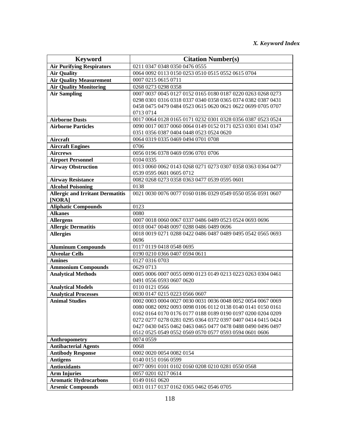| <b>Keyword</b>                                          | <b>Citation Number(s)</b>                                                                                                  |
|---------------------------------------------------------|----------------------------------------------------------------------------------------------------------------------------|
| <b>Air Purifying Respirators</b>                        | 0211 0347 0348 0350 0476 0555                                                                                              |
| <b>Air Quality</b>                                      | 0064 0092 0113 0150 0253 0510 0515 0552 0615 0704                                                                          |
| <b>Air Quality Measurement</b>                          | 0007 0215 0615 0711                                                                                                        |
| <b>Air Quality Monitoring</b>                           | 0268 0273 0298 0358                                                                                                        |
| <b>Air Sampling</b>                                     | 0007 0037 0045 0127 0152 0165 0180 0187 0220 0263 0268 0273                                                                |
|                                                         | 0298 0301 0316 0318 0337 0340 0358 0365 0374 0382 0387 0431                                                                |
|                                                         | 0458 0475 0479 0484 0523 0615 0620 0621 0622 0699 0705 0707                                                                |
|                                                         | 0713 0714                                                                                                                  |
| <b>Airborne Dusts</b>                                   | 0017 0064 0128 0165 0171 0232 0301 0328 0356 0387 0523 0524                                                                |
| <b>Airborne Particles</b>                               | 0090 0017 0037 0060 0064 0149 0152 0171 0253 0301 0341 0347                                                                |
|                                                         | 0351 0356 0387 0404 0448 0523 0524 0620                                                                                    |
| Aircraft                                                | 0064 0319 0335 0469 0494 0701 0708                                                                                         |
| <b>Aircraft Engines</b>                                 | 0706                                                                                                                       |
| <b>Aircrews</b>                                         | 0056 0196 0378 0469 0596 0701 0706                                                                                         |
| <b>Airport Personnel</b>                                | 0104 0335                                                                                                                  |
| <b>Airway Obstruction</b>                               | 0013 0060 0062 0143 0268 0271 0273 0307 0358 0363 0364 0477                                                                |
|                                                         | 0539 0595 0601 0605 0712                                                                                                   |
| <b>Airway Resistance</b>                                | 0082 0268 0273 0358 0363 0477 0539 0595 0601                                                                               |
| <b>Alcohol Poisoning</b>                                | 0138                                                                                                                       |
| <b>Allergic and Irritant Dermatitis</b>                 | 0021 0030 0076 0077 0160 0186 0329 0549 0550 0556 0591 0607                                                                |
| [NORA]                                                  |                                                                                                                            |
| <b>Aliphatic Compounds</b>                              | 0123                                                                                                                       |
| <b>Alkanes</b>                                          | 0080                                                                                                                       |
| <b>Allergens</b>                                        | 0007 0018 0060 0067 0337 0486 0489 0523 0524 0693 0696                                                                     |
| <b>Allergic Dermatitis</b>                              | 0018 0047 0048 0097 0288 0486 0489 0696                                                                                    |
| <b>Allergies</b>                                        | 0018 0019 0271 0288 0422 0486 0487 0489 0495 0542 0565 0693                                                                |
|                                                         | 0696                                                                                                                       |
| <b>Aluminum Compounds</b>                               | 0117 0119 0418 0548 0695                                                                                                   |
| <b>Alveolar Cells</b>                                   | 0190 0210 0366 0407 0594 0611                                                                                              |
| <b>Amines</b>                                           | 0127 0316 0703                                                                                                             |
| <b>Ammonium Compounds</b>                               | 0629 0713                                                                                                                  |
| <b>Analytical Methods</b>                               | 0005 0006 0007 0055 0090 0123 0149 0213 0223 0263 0304 0461                                                                |
|                                                         | 0491 0556 0593 0607 0620                                                                                                   |
| <b>Analytical Models</b>                                | 0110 0121 0566                                                                                                             |
| <b>Analytical Processes</b>                             | 0030 0147 0215 0223 0566 0607                                                                                              |
| <b>Animal Studies</b>                                   | 0002 0003 0004 0027 0030 0031 0036 0048 0052 0054 0067 0069                                                                |
|                                                         | 0080 0082 0092 0093 0098 0106 0112 0138 0140 0141 0150 0161                                                                |
|                                                         | 0162 0164 0170 0176 0177 0188 0189 0190 0197 0200 0204 0209                                                                |
|                                                         | 0272 0277 0278 0281 0295 0364 0372 0397 0407 0414 0415 0424<br>0427 0430 0455 0462 0463 0465 0477 0478 0488 0490 0496 0497 |
|                                                         | 0512 0525 0549 0552 0569 0570 0577 0593 0594 0601 0606                                                                     |
|                                                         | 0074 0559                                                                                                                  |
| Anthropometry                                           | 0068                                                                                                                       |
| <b>Antibacterial Agents</b><br><b>Antibody Response</b> | 0002 0020 0054 0082 0154                                                                                                   |
| <b>Antigens</b>                                         |                                                                                                                            |
| <b>Antioxidants</b>                                     | 0140 0151 0166 0599<br>0077 0091 0101 0102 0160 0208 0210 0281 0550 0568                                                   |
| <b>Arm Injuries</b>                                     | 0057 0201 0217 0614                                                                                                        |
| <b>Aromatic Hydrocarbons</b>                            | 0149 0161 0620                                                                                                             |
|                                                         |                                                                                                                            |
| <b>Arsenic Compounds</b>                                | 0031 0117 0137 0162 0365 0462 0546 0705                                                                                    |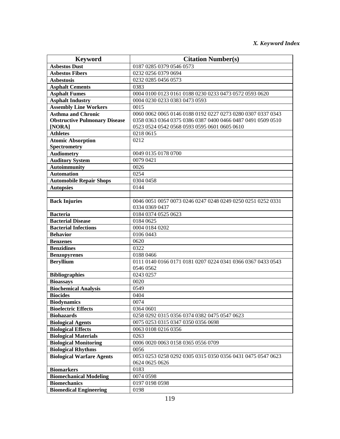| <b>Keyword</b>                       | <b>Citation Number(s)</b>                                   |
|--------------------------------------|-------------------------------------------------------------|
| <b>Asbestos Dust</b>                 | 0187 0285 0379 0546 0573                                    |
| <b>Asbestos Fibers</b>               | 0232 0256 0379 0694                                         |
| <b>Asbestosis</b>                    | 0232 0285 0456 0573                                         |
| <b>Asphalt Cements</b>               | 0383                                                        |
| <b>Asphalt Fumes</b>                 | 0004 0100 0123 0161 0188 0230 0233 0473 0572 0593 0620      |
| <b>Asphalt Industry</b>              | 0004 0230 0233 0383 0473 0593                               |
| <b>Assembly Line Workers</b>         | 0015                                                        |
| <b>Asthma and Chronic</b>            | 0060 0062 0065 0146 0188 0192 0227 0273 0280 0307 0337 0343 |
| <b>Obstructive Pulmonary Disease</b> | 0358 0363 0364 0375 0386 0387 0400 0466 0487 0491 0509 0510 |
| [NORA]                               | 0523 0524 0542 0568 0593 0595 0601 0605 0610                |
| <b>Athletes</b>                      | 0218 0615                                                   |
| <b>Atomic Absorption</b>             | 0212                                                        |
| <b>Spectrometry</b>                  |                                                             |
| <b>Audiometry</b>                    | 0049 0135 0178 0700                                         |
| <b>Auditory System</b>               | 0079 0421                                                   |
| <b>Autoimmunity</b>                  | 0026                                                        |
| <b>Automation</b>                    | 0254                                                        |
| <b>Automobile Repair Shops</b>       | 0304 0458                                                   |
| <b>Autopsies</b>                     | 0144                                                        |
|                                      |                                                             |
| <b>Back Injuries</b>                 | 0046 0051 0057 0073 0246 0247 0248 0249 0250 0251 0252 0331 |
|                                      | 0334 0369 0437                                              |
| <b>Bacteria</b>                      | 0184 0374 0525 0623                                         |
| <b>Bacterial Disease</b>             | 0184 0625                                                   |
| <b>Bacterial Infections</b>          | 0004 0184 0202                                              |
| <b>Behavior</b>                      | 0106 0443                                                   |
| <b>Benzenes</b>                      | 0620                                                        |
| <b>Benzidines</b>                    | 0322                                                        |
| <b>Benzopyrenes</b>                  | 0188 0466                                                   |
| <b>Beryllium</b>                     | 0111 0140 0166 0171 0181 0207 0224 0341 0366 0367 0433 0543 |
|                                      | 0546 0562                                                   |
| <b>Bibliographies</b>                | 0243 0257                                                   |
| <b>Bioassays</b>                     | 0020                                                        |
| <b>Biochemical Analysis</b>          | 0549                                                        |
| <b>Biocides</b>                      | 0404                                                        |
| <b>Biodynamics</b>                   | 0074                                                        |
| <b>Bioelectric Effects</b>           | 0364 0601                                                   |
| <b>Biohazards</b>                    | 0258 0292 0315 0356 0374 0382 0475 0547 0623                |
| <b>Biological Agents</b>             | 0075 0253 0315 0347 0350 0356 0698                          |
| <b>Biological Effects</b>            | 0063 0108 0216 0356                                         |
| <b>Biological Materials</b>          | 0263                                                        |
| <b>Biological Monitoring</b>         | 0006 0020 0063 0158 0365 0556 0709                          |
| <b>Biological Rhythms</b>            | 0056                                                        |
| <b>Biological Warfare Agents</b>     | 0053 0253 0258 0292 0305 0315 0350 0356 0431 0475 0547 0623 |
|                                      | 0624 0625 0626                                              |
| <b>Biomarkers</b>                    | 0183                                                        |
| <b>Biomechanical Modeling</b>        | 0074 0598                                                   |
| <b>Biomechanics</b>                  | 0197 0198 0598                                              |
| <b>Biomedical Engineering</b>        | 0198                                                        |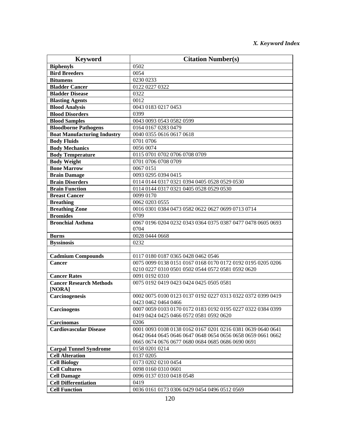| <b>Keyword</b>                                    | <b>Citation Number(s)</b>                                                                                                  |
|---------------------------------------------------|----------------------------------------------------------------------------------------------------------------------------|
| <b>Biphenyls</b>                                  | 0502                                                                                                                       |
| <b>Bird Breeders</b>                              | 0054                                                                                                                       |
| <b>Bitumens</b>                                   | 0230 0233                                                                                                                  |
| <b>Bladder Cancer</b>                             | 0122 0227 0322                                                                                                             |
| <b>Bladder Disease</b>                            | 0322                                                                                                                       |
| <b>Blasting Agents</b>                            | 0012                                                                                                                       |
| <b>Blood Analysis</b>                             | 0043 0183 0217 0453                                                                                                        |
| <b>Blood Disorders</b>                            | 0399                                                                                                                       |
| <b>Blood Samples</b>                              | 0043 0093 0543 0582 0599                                                                                                   |
| <b>Bloodborne Pathogens</b>                       | 0164 0167 0283 0479                                                                                                        |
| <b>Boat Manufacturing Industry</b>                | 0040 0355 0616 0617 0618                                                                                                   |
| <b>Body Fluids</b>                                | 0701 0706                                                                                                                  |
| <b>Body Mechanics</b>                             | 0056 0074                                                                                                                  |
| <b>Body Temperature</b>                           | 0115 0701 0702 0706 0708 0709                                                                                              |
| <b>Body Weight</b>                                | 0701 0706 0708 0709                                                                                                        |
| <b>Bone Marrow</b>                                | 0067 0151                                                                                                                  |
| <b>Brain Damage</b>                               | 0093 0295 0394 0415                                                                                                        |
| <b>Brain Disorders</b>                            | 0114 0144 0317 0321 0394 0405 0528 0529 0530                                                                               |
| <b>Brain Function</b>                             | 0114 0144 0317 0321 0405 0528 0529 0530                                                                                    |
| <b>Breast Cancer</b>                              | 0099 0170                                                                                                                  |
| <b>Breathing</b>                                  | 0062 0203 0555                                                                                                             |
| <b>Breathing Zone</b>                             | 0016 0301 0384 0473 0582 0622 0627 0699 0713 0714                                                                          |
| <b>Bromides</b>                                   | 0709                                                                                                                       |
| <b>Bronchial Asthma</b>                           | 0067 0196 0204 0232 0343 0364 0375 0387 0477 0478 0605 0693                                                                |
|                                                   | 0704                                                                                                                       |
| <b>Burns</b>                                      | 0028 0444 0668                                                                                                             |
| <b>Byssinosis</b>                                 | 0232                                                                                                                       |
|                                                   |                                                                                                                            |
| <b>Cadmium Compounds</b>                          | 0117 0180 0187 0365 0428 0462 0546                                                                                         |
| <b>Cancer</b>                                     | 0075 0099 0138 0151 0167 0168 0170 0172 0192 0195 0205 0206                                                                |
|                                                   | 0210 0227 0310 0501 0502 0544 0572 0581 0592 0620                                                                          |
| <b>Cancer Rates</b>                               | 0091 0192 0310                                                                                                             |
| <b>Cancer Research Methods</b>                    | 0075 0192 0419 0423 0424 0425 0505 0581                                                                                    |
| [NORA]                                            |                                                                                                                            |
| Carcinogenesis                                    | 0002 0075 0100 0123 0137 0192 0227 0313 0322 0372 0399 0419                                                                |
|                                                   | 0423 0462 0464 0466                                                                                                        |
| <b>Carcinogens</b>                                | 0007 0059 0103 0170 0172 0183 0192 0195 0227 0322 0384 0399                                                                |
|                                                   | 0419 0424 0425 0466 0572 0581 0592 0620                                                                                    |
| <b>Carcinomas</b>                                 | 0206                                                                                                                       |
| <b>Cardiovascular Disease</b>                     | 0001 0093 0108 0138 0162 0167 0201 0216 0381 0639 0640 0641<br>0642 0644 0645 0646 0647 0648 0654 0656 0658 0659 0661 0662 |
|                                                   | 0665 0674 0676 0677 0680 0684 0685 0686 0690 0691                                                                          |
| <b>Carpal Tunnel Syndrome</b>                     | 0158 0201 0214                                                                                                             |
| <b>Cell Alteration</b>                            | 0137 0205                                                                                                                  |
| <b>Cell Biology</b>                               | 0173 0202 0210 0454                                                                                                        |
| <b>Cell Cultures</b>                              | 0098 0160 0310 0601                                                                                                        |
|                                                   | 0096 0137 0310 0418 0548                                                                                                   |
| <b>Cell Damage</b><br><b>Cell Differentiation</b> | 0419                                                                                                                       |
| <b>Cell Function</b>                              |                                                                                                                            |
|                                                   | 0036 0161 0173 0306 0429 0454 0496 0512 0569                                                                               |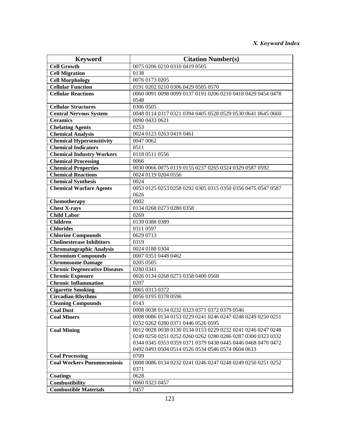| <b>Keyword</b>                                 | <b>Citation Number(s)</b>                                   |
|------------------------------------------------|-------------------------------------------------------------|
| <b>Cell Growth</b>                             | 0075 0206 0210 0310 0419 0505                               |
| <b>Cell Migration</b>                          | 0138                                                        |
| <b>Cell Morphology</b>                         | 0076 0173 0205                                              |
| <b>Cellular Function</b>                       | 0191 0202 0210 0306 0429 0505 0570                          |
| <b>Cellular Reactions</b>                      | 0060 0091 0098 0099 0137 0191 0206 0210 0418 0429 0454 0478 |
|                                                | 0548                                                        |
| <b>Cellular Structures</b>                     | 0306 0505                                                   |
| <b>Central Nervous System</b>                  | 0048 0114 0317 0321 0394 0405 0528 0529 0530 0641 0645 0660 |
| <b>Ceramics</b>                                | 0090 0433 0621                                              |
| <b>Chelating Agents</b>                        | 0253                                                        |
| <b>Chemical Analysis</b>                       | 0024 0123 0263 0419 0461                                    |
| <b>Chemical Hypersensitivity</b>               | 0047 0062                                                   |
| <b>Chemical Indicators</b>                     | 0511                                                        |
| <b>Chemical Industry Workers</b>               | 0118 0511 0556                                              |
| <b>Chemical Processing</b>                     | 0066                                                        |
| <b>Chemical Properties</b>                     | 0030 0066 0075 0119 0155 0237 0265 0324 0329 0587 0592      |
| <b>Chemical Reactions</b>                      | 0024 0119 0204 0556                                         |
| <b>Chemical Synthesis</b>                      | 0024                                                        |
| <b>Chemical Warfare Agents</b>                 | 0053 0125 0253 0258 0292 0305 0315 0350 0356 0475 0547 0587 |
|                                                | 0626                                                        |
| Chemotherapy                                   | 0002                                                        |
| <b>Chest X-rays</b>                            | 0134 0268 0273 0280 0358                                    |
| <b>Child Labor</b>                             | 0269                                                        |
| <b>Children</b>                                | 0139 0388 0389                                              |
| <b>Chlorides</b>                               | 0311 0597                                                   |
| <b>Chlorine Compounds</b>                      | 0629 0713                                                   |
| <b>Cholinesterase Inhibitors</b>               | 0319                                                        |
| <b>Chromatographic Analysis</b>                | 0024 0188 0304                                              |
| <b>Chromium Compounds</b>                      | 0007 0351 0448 0462                                         |
| <b>Chromosome Damage</b>                       | 0205 0505                                                   |
| <b>Chronic Degenerative Diseases</b>           | 0280 0341                                                   |
| <b>Chronic Exposure</b>                        | 0026 0134 0268 0273 0358 0400 0568                          |
| <b>Chronic Inflammation</b>                    | 0207                                                        |
| <b>Cigarette Smoking</b>                       | 0065 0313 0372                                              |
| <b>Circadian Rhythms</b>                       | 0056 0195 0378 0596                                         |
| <b>Cleaning Compounds</b>                      | 0143                                                        |
| <b>Coal Dust</b>                               | 0008 0038 0134 0232 0323 0371 0372 0379 0546                |
| <b>Coal Miners</b>                             | 0008 0086 0134 0153 0229 0241 0246 0247 0248 0249 0250 0251 |
|                                                | 0252 0262 0280 0371 0446 0526 0595                          |
| <b>Coal Mining</b>                             | 0012 0028 0038 0130 0134 0153 0229 0232 0241 0246 0247 0248 |
|                                                | 0249 0250 0251 0252 0260 0262 0280 0286 0287 0300 0323 0332 |
|                                                | 0344 0345 0353 0359 0371 0379 0438 0445 0446 0468 0470 0472 |
|                                                | 0492 0493 0504 0514 0526 0534 0546 0574 0604 0613           |
| <b>Coal Processing</b>                         | 0709                                                        |
| <b>Coal Workers Pneumoconiosis</b>             | 0008 0086 0134 0232 0241 0246 0247 0248 0249 0250 0251 0252 |
|                                                | 0371<br>0628                                                |
| <b>Coatings</b>                                |                                                             |
| Combustibility<br><b>Combustible Materials</b> | 0060 0323 0457                                              |
|                                                | 0457                                                        |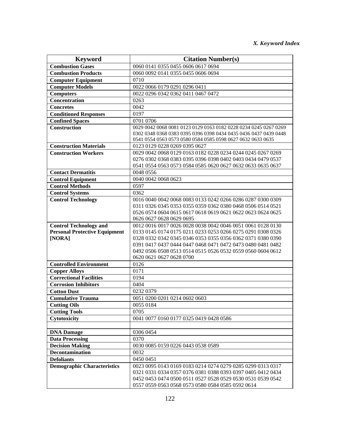| <b>Keyword</b>                                         | <b>Citation Number(s)</b>                                        |
|--------------------------------------------------------|------------------------------------------------------------------|
| <b>Combustion Gases</b>                                | 0060 0141 0355 0455 0606 0617 0694                               |
| <b>Combustion Products</b>                             | 0060 0092 0141 0355 0455 0606 0694                               |
| <b>Computer Equipment</b>                              | 0710                                                             |
| <b>Computer Models</b>                                 | 0022 0066 0179 0291 0296 0411                                    |
| <b>Computers</b>                                       | 0022 0296 0342 0362 0411 0467 0472                               |
| Concentration                                          | 0263                                                             |
| <b>Concretes</b>                                       | 0042                                                             |
| <b>Conditioned Responses</b>                           | 0197                                                             |
| <b>Confined Spaces</b>                                 | 0701 0706                                                        |
| <b>Construction</b>                                    | 0029 0042 0068 0081 0123 0129 0163 0182 0228 0234 0245 0267 0269 |
|                                                        | 0302 0348 0368 0383 0395 0396 0398 0434 0435 0436 0437 0439 0448 |
|                                                        | 0541 0554 0563 0573 0580 0584 0585 0598 0627 0632 0633 0635      |
| <b>Construction Materials</b>                          | 0123 0129 0228 0269 0395 0627                                    |
| <b>Construction Workers</b>                            | 0029 0042 0068 0129 0163 0182 0228 0234 0244 0245 0267 0269      |
|                                                        | 0276 0302 0368 0383 0395 0396 0398 0402 0403 0434 0479 0537      |
|                                                        | 0541 0554 0563 0573 0584 0585 0620 0627 0632 0633 0635 0637      |
| <b>Contact Dermatitis</b>                              | 0048 0556                                                        |
| <b>Control Equipment</b>                               | 0040 0042 0068 0623                                              |
| <b>Control Methods</b>                                 | 0597                                                             |
| <b>Control Systems</b>                                 | 0362                                                             |
| <b>Control Technology</b>                              | 0016 0040 0042 0068 0083 0133 0242 0266 0286 0287 0300 0309      |
|                                                        | 0311 0326 0345 0353 0355 0359 0362 0380 0468 0506 0514 0521      |
|                                                        | 0526 0574 0604 0615 0617 0618 0619 0621 0622 0623 0624 0625      |
|                                                        | 0626 0627 0628 0629 0695                                         |
| <b>Control Technology and</b>                          | 0012 0016 0017 0026 0028 0038 0042 0046 0051 0061 0128 0130      |
| <b>Personal Protective Equipment</b>                   | 0133 0145 0174 0175 0211 0233 0253 0266 0275 0291 0308 0326      |
| [NORA]                                                 | 0328 0332 0342 0345 0346 0353 0355 0356 0362 0371 0380 0390      |
|                                                        | 0391 0417 0437 0444 0447 0468 0471 0472 0473 0480 0481 0482      |
|                                                        | 0492 0506 0508 0513 0514 0515 0526 0532 0559 0560 0604 0612      |
| <b>Controlled Environment</b>                          | 0620 0621 0627 0628 0700<br>0126                                 |
|                                                        |                                                                  |
| <b>Copper Alloys</b><br><b>Correctional Facilities</b> | 0171                                                             |
| <b>Corrosion Inhibitors</b>                            | 0194                                                             |
|                                                        | 0404                                                             |
| <b>Cotton Dust</b>                                     | 0232 0379                                                        |
| <b>Cumulative Trauma</b>                               | 0051 0200 0201 0214 0602 0603                                    |
| <b>Cutting Oils</b>                                    | 0055 0184                                                        |
| <b>Cutting Tools</b>                                   | 0705<br>0041 0077 0160 0177 0325 0419 0428 0586                  |
| Cytotoxicity                                           |                                                                  |
|                                                        |                                                                  |
| <b>DNA Damage</b>                                      | 0306 0454                                                        |
| <b>Data Processing</b>                                 | 0370                                                             |
| <b>Decision Making</b>                                 | 0030 0085 0159 0226 0443 0538 0589                               |
| <b>Decontamination</b>                                 | 0032                                                             |
| <b>Defoliants</b>                                      | 0450 0451                                                        |
| <b>Demographic Characteristics</b>                     | 0023 0095 0143 0169 0183 0214 0274 0279 0285 0299 0313 0317      |
|                                                        | 0321 0331 0334 0357 0376 0381 0388 0393 0397 0405 0412 0434      |
|                                                        | 0452 0453 0474 0500 0511 0527 0528 0529 0530 0531 0539 0542      |
|                                                        | 0557 0559 0563 0568 0573 0580 0584 0585 0592 0614                |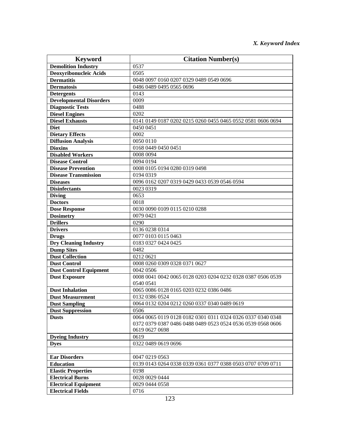| <b>Keyword</b>                 | <b>Citation Number(s)</b>                                                                                                  |
|--------------------------------|----------------------------------------------------------------------------------------------------------------------------|
| <b>Demolition Industry</b>     | 0537                                                                                                                       |
| Deoxyribonucleic Acids         | 0505                                                                                                                       |
| <b>Dermatitis</b>              | 0048 0097 0160 0207 0329 0489 0549 0696                                                                                    |
| <b>Dermatosis</b>              | 0486 0489 0495 0565 0696                                                                                                   |
| <b>Detergents</b>              | 0143                                                                                                                       |
| <b>Developmental Disorders</b> | 0009                                                                                                                       |
| <b>Diagnostic Tests</b>        | 0488                                                                                                                       |
| <b>Diesel Engines</b>          | 0202                                                                                                                       |
| <b>Diesel Exhausts</b>         | 0141 0149 0187 0202 0215 0260 0455 0465 0552 0581 0606 0694                                                                |
| <b>Diet</b>                    | 0450 0451                                                                                                                  |
| <b>Dietary Effects</b>         | 0002                                                                                                                       |
| <b>Diffusion Analysis</b>      | 0050 0110                                                                                                                  |
| <b>Dioxins</b>                 | 0168 0449 0450 0451                                                                                                        |
| <b>Disabled Workers</b>        | 0008 0094                                                                                                                  |
| <b>Disease Control</b>         | 0094 0194                                                                                                                  |
| <b>Disease Prevention</b>      | 0008 0105 0194 0280 0319 0498                                                                                              |
| <b>Disease Transmission</b>    | 0194 0319                                                                                                                  |
| <b>Diseases</b>                | 0096 0162 0207 0319 0429 0433 0539 0546 0594                                                                               |
| <b>Disinfectants</b>           | 0023 0319                                                                                                                  |
| <b>Diving</b>                  | 0653                                                                                                                       |
| <b>Doctors</b>                 | 0018                                                                                                                       |
| <b>Dose Response</b>           | 0030 0090 0109 0115 0210 0288                                                                                              |
| <b>Dosimetry</b>               | 0079 0421                                                                                                                  |
| <b>Drillers</b>                | 0290                                                                                                                       |
| <b>Drivers</b>                 | 0136 0238 0314                                                                                                             |
| <b>Drugs</b>                   | 0077 0103 0115 0463                                                                                                        |
| <b>Dry Cleaning Industry</b>   | 0183 0327 0424 0425                                                                                                        |
| <b>Dump Sites</b>              | 0482                                                                                                                       |
| <b>Dust Collection</b>         | 0212 0621                                                                                                                  |
| <b>Dust Control</b>            | 0008 0260 0309 0328 0371 0627                                                                                              |
| <b>Dust Control Equipment</b>  | 0042 0506                                                                                                                  |
| <b>Dust Exposure</b>           | 0008 0041 0042 0065 0128 0203 0204 0232 0328 0387 0506 0539                                                                |
|                                | 0540 0541                                                                                                                  |
| <b>Dust Inhalation</b>         | 0065 0086 0128 0165 0203 0232 0386 0486                                                                                    |
| <b>Dust Measurement</b>        | 0132 0386 0524                                                                                                             |
| <b>Dust Sampling</b>           | 0064 0132 0204 0212 0260 0337 0340 0489 0619                                                                               |
| <b>Dust Suppression</b>        | 0506                                                                                                                       |
| <b>Dusts</b>                   | 0064 0065 0119 0128 0182 0301 0311 0324 0326 0337 0340 0348<br>0372 0379 0387 0486 0488 0489 0523 0524 0536 0539 0568 0606 |
|                                | 0619 0627 0698                                                                                                             |
| <b>Dyeing Industry</b>         | 0619                                                                                                                       |
| <b>Dves</b>                    | 0322 0489 0619 0696                                                                                                        |
|                                |                                                                                                                            |
| <b>Ear Disorders</b>           | 0047 0219 0563                                                                                                             |
| <b>Education</b>               | 0139 0143 0264 0338 0339 0361 0377 0388 0503 0707 0709 0711                                                                |
| <b>Elastic Properties</b>      | 0198                                                                                                                       |
| <b>Electrical Burns</b>        | 0028 0029 0444                                                                                                             |
| <b>Electrical Equipment</b>    | 0029 0444 0558                                                                                                             |
| <b>Electrical Fields</b>       | 0716                                                                                                                       |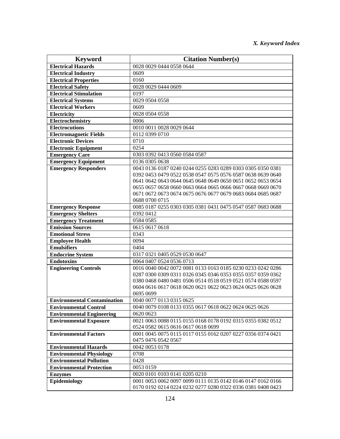| <b>Keyword</b>                               | <b>Citation Number(s)</b>                                                                                                  |
|----------------------------------------------|----------------------------------------------------------------------------------------------------------------------------|
| <b>Electrical Hazards</b>                    | 0028 0029 0444 0558 0644                                                                                                   |
| <b>Electrical Industry</b>                   | 0609                                                                                                                       |
| <b>Electrical Properties</b>                 | 0160                                                                                                                       |
| <b>Electrical Safety</b>                     | 0028 0029 0444 0609                                                                                                        |
| <b>Electrical Stimulation</b>                | 0197                                                                                                                       |
| <b>Electrical Systems</b>                    | 0029 0504 0558                                                                                                             |
| <b>Electrical Workers</b>                    | 0609                                                                                                                       |
| Electricity                                  | 0028 0504 0558                                                                                                             |
| Electrochemistry                             | 0006                                                                                                                       |
| <b>Electrocutions</b>                        | 0010 0011 0028 0029 0644                                                                                                   |
| <b>Electromagnetic Fields</b>                | 0112 0399 0710                                                                                                             |
| <b>Electronic Devices</b>                    | 0710                                                                                                                       |
| <b>Electronic Equipment</b>                  | 0254                                                                                                                       |
| <b>Emergency Care</b>                        | 0303 0392 0413 0560 0584 0587                                                                                              |
| <b>Emergency Equipment</b>                   | 0136 0305 0638                                                                                                             |
| <b>Emergency Responders</b>                  | 0043 0136 0187 0240 0244 0255 0283 0289 0303 0305 0350 0381                                                                |
|                                              | 0392 0453 0479 0522 0538 0547 0575 0576 0587 0638 0639 0640                                                                |
|                                              | 0641 0642 0643 0644 0645 0648 0649 0650 0651 0652 0653 0654                                                                |
|                                              | 0655 0657 0658 0660 0663 0664 0665 0666 0667 0668 0669 0670                                                                |
|                                              | 0671 0672 0673 0674 0675 0676 0677 0679 0683 0684 0685 0687                                                                |
|                                              | 0688 0700 0715                                                                                                             |
| <b>Emergency Response</b>                    | 0085 0187 0255 0303 0305 0381 0431 0475 0547 0587 0683 0688                                                                |
| <b>Emergency Shelters</b>                    | 0392 0412                                                                                                                  |
| <b>Emergency Treatment</b>                   | 0584 0585                                                                                                                  |
| <b>Emission Sources</b>                      | 0615 0617 0618                                                                                                             |
| <b>Emotional Stress</b>                      | 0343                                                                                                                       |
| <b>Employee Health</b>                       | 0094                                                                                                                       |
| <b>Emulsifiers</b>                           | 0404                                                                                                                       |
| <b>Endocrine System</b><br><b>Endotoxins</b> | 0317 0321 0405 0529 0530 0647                                                                                              |
|                                              | 0064 0407 0524 0536 0713                                                                                                   |
| <b>Engineering Controls</b>                  | 0016 0040 0042 0072 0081 0133 0163 0185 0230 0233 0242 0286<br>0287 0300 0309 0311 0326 0345 0346 0353 0355 0357 0359 0362 |
|                                              | 0380 0468 0480 0481 0506 0514 0518 0519 0521 0574 0588 0597                                                                |
|                                              | 0604 0616 0617 0618 0620 0621 0622 0623 0624 0625 0626 0628                                                                |
|                                              | 0695 0699                                                                                                                  |
| <b>Environmental Contamination</b>           | 0040 0077 0113 0315 0625                                                                                                   |
| <b>Environmental Control</b>                 | 0040 0079 0108 0133 0355 0617 0618 0622 0624 0625 0626                                                                     |
| <b>Environmental Engineering</b>             | 0620 0623                                                                                                                  |
| <b>Environmental Exposure</b>                | 0021 0063 0088 0115 0155 0168 0178 0192 0315 0355 0382 0512                                                                |
|                                              | 0524 0582 0615 0616 0617 0618 0699                                                                                         |
| <b>Environmental Factors</b>                 | 0001 0045 0075 0115 0117 0155 0162 0207 0227 0356 0374 0421                                                                |
|                                              | 0475 0476 0542 0567                                                                                                        |
| <b>Environmental Hazards</b>                 | 0042 0053 0178                                                                                                             |
| <b>Environmental Physiology</b>              | 0708                                                                                                                       |
| <b>Environmental Pollution</b>               | 0428                                                                                                                       |
| <b>Environmental Protection</b>              | 0053 0159                                                                                                                  |
| <b>Enzymes</b>                               | 0020 0101 0103 0141 0205 0210                                                                                              |
| Epidemiology                                 | 0001 0053 0062 0097 0099 0111 0135 0142 0146 0147 0162 0166                                                                |
|                                              | 0170 0192 0214 0224 0232 0277 0280 0322 0336 0381 0408 0423                                                                |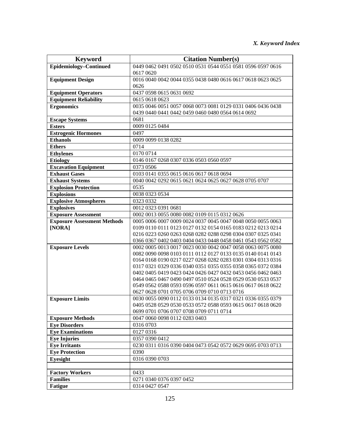| <b>Keyword</b>                     | <b>Citation Number(s)</b>                                                                                   |
|------------------------------------|-------------------------------------------------------------------------------------------------------------|
| Epidemiology-Continued             | 0449 0462 0491 0502 0510 0531 0544 0551 0581 0596 0597 0616                                                 |
|                                    | 0617 0620                                                                                                   |
| <b>Equipment Design</b>            | 0016 0040 0042 0044 0355 0438 0480 0616 0617 0618 0623 0625                                                 |
|                                    | 0626                                                                                                        |
| <b>Equipment Operators</b>         | 0437 0598 0615 0631 0692                                                                                    |
| <b>Equipment Reliability</b>       | 0615 0618 0623                                                                                              |
| <b>Ergonomics</b>                  | 0035 0046 0051 0057 0068 0073 0081 0129 0331 0406 0436 0438                                                 |
|                                    | 0439 0440 0441 0442 0459 0460 0480 0564 0614 0692                                                           |
| <b>Escape Systems</b>              | 0681                                                                                                        |
| <b>Esters</b>                      | 0009 0125 0484                                                                                              |
| <b>Estrogenic Hormones</b>         | 0497                                                                                                        |
| <b>Ethanols</b>                    | 0009 0099 0138 0282                                                                                         |
| <b>Ethers</b>                      | 0714                                                                                                        |
| <b>Ethylenes</b>                   | 0170 0714                                                                                                   |
| <b>Etiology</b>                    | 0146 0167 0268 0307 0336 0503 0560 0597                                                                     |
| <b>Excavation Equipment</b>        | 0373 0506                                                                                                   |
| <b>Exhaust Gases</b>               | 0103 0141 0355 0615 0616 0617 0618 0694                                                                     |
| <b>Exhaust Systems</b>             | 0040 0042 0292 0615 0621 0624 0625 0627 0628 0705 0707                                                      |
| <b>Explosion Protection</b>        | 0535                                                                                                        |
| <b>Explosions</b>                  | 0038 0323 0534                                                                                              |
| <b>Explosive Atmospheres</b>       | 0323 0332                                                                                                   |
| <b>Explosives</b>                  | 0012 0323 0391 0681                                                                                         |
| <b>Exposure Assessment</b>         | 0002 0013 0055 0080 0082 0109 0115 0312 0626                                                                |
| <b>Exposure Assessment Methods</b> | 0005 0006 0007 0009 0024 0037 0045 0047 0048 0050 0055 0063                                                 |
| [NORA]                             | 0109 0110 0111 0123 0127 0132 0154 0165 0183 0212 0213 0214                                                 |
|                                    | 0216 0223 0260 0263 0268 0282 0288 0298 0304 0307 0325 0341                                                 |
|                                    | 0366 0367 0402 0403 0404 0433 0448 0458 0461 0543 0562 0582                                                 |
| <b>Exposure Levels</b>             | 0002 0005 0013 0017 0023 0030 0042 0047 0058 0063 0075 0080                                                 |
|                                    | 0082 0090 0098 0103 0111 0112 0127 0133 0135 0140 0141 0143                                                 |
|                                    | 0164 0168 0190 0217 0227 0268 0282 0283 0301 0304 0313 0316                                                 |
|                                    | 0317 0321 0329 0336 0340 0351 0355 0355 0358 0365 0372 0384                                                 |
|                                    | 0402 0405 0419 0423 0424 0426 0427 0432 0453 0456 0462 0463                                                 |
|                                    | 0464 0465 0467 0490 0497 0510 0524 0528 0529 0530 0533 0537                                                 |
|                                    | 0549 0562 0588 0593 0596 0597 0611 0615 0616 0617 0618 0622<br>0627 0628 0701 0705 0706 0709 0710 0713 0716 |
| <b>Exposure Limits</b>             | 0030 0055 0090 0112 0133 0134 0135 0317 0321 0336 0355 0379                                                 |
|                                    | 0405 0528 0529 0530 0533 0572 0588 0593 0615 0617 0618 0620                                                 |
|                                    | 0699 0701 0706 0707 0708 0709 0711 0714                                                                     |
| <b>Exposure Methods</b>            | 0047 0060 0098 0112 0283 0403                                                                               |
| <b>Eye Disorders</b>               | 0316 0703                                                                                                   |
| <b>Eye Examinations</b>            | 0127 0316                                                                                                   |
| <b>Eye Injuries</b>                | 0357 0390 0412                                                                                              |
| <b>Eye Irritants</b>               | 0230 0311 0316 0390 0404 0473 0542 0572 0629 0695 0703 0713                                                 |
| <b>Eye Protection</b>              | 0390                                                                                                        |
| Eyesight                           | 0316 0390 0703                                                                                              |
|                                    |                                                                                                             |
| <b>Factory Workers</b>             | 0433                                                                                                        |
| <b>Families</b>                    | 0271 0340 0376 0397 0452                                                                                    |
| <b>Fatigue</b>                     | 0314 0427 0547                                                                                              |
|                                    |                                                                                                             |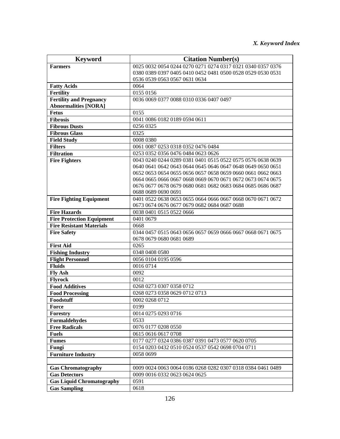| <b>Keyword</b>                       | <b>Citation Number(s)</b>                                                                              |
|--------------------------------------|--------------------------------------------------------------------------------------------------------|
| <b>Farmers</b>                       | 0025 0032 0054 0244 0270 0271 0274 0317 0321 0340 0357 0376                                            |
|                                      | 0380 0389 0397 0405 0410 0452 0481 0500 0528 0529 0530 0531                                            |
|                                      | 0536 0539 0563 0567 0631 0634                                                                          |
| <b>Fatty Acids</b>                   | 0064                                                                                                   |
| <b>Fertility</b>                     | 0155 0156                                                                                              |
| <b>Fertility and Pregnancy</b>       | 0036 0069 0377 0088 0310 0336 0407 0497                                                                |
| <b>Abnormalities [NORA]</b>          |                                                                                                        |
| <b>Fetus</b>                         | 0155                                                                                                   |
| <b>Fibrosis</b>                      | 0041 0086 0182 0189 0594 0611                                                                          |
| <b>Fibrous Dusts</b>                 | 0256 0325                                                                                              |
| <b>Fibrous Glass</b>                 | 0325                                                                                                   |
| <b>Field Study</b>                   | 0008 0380                                                                                              |
| <b>Filters</b>                       | 0061 0087 0253 0318 0352 0476 0484                                                                     |
| <b>Filtration</b>                    | 0253 0352 0356 0476 0484 0623 0626                                                                     |
| <b>Fire Fighters</b>                 | 0043 0240 0244 0289 0381 0401 0515 0522 0575 0576 0638 0639                                            |
|                                      | 0640 0641 0642 0643 0644 0645 0646 0647 0648 0649 0650 0651                                            |
|                                      | 0652 0653 0654 0655 0656 0657 0658 0659 0660 0661 0662 0663                                            |
|                                      | 0664 0665 0666 0667 0668 0669 0670 0671 0672 0673 0674 0675                                            |
|                                      | 0676 0677 0678 0679 0680 0681 0682 0683 0684 0685 0686 0687                                            |
|                                      | 0688 0689 0690 0691                                                                                    |
| <b>Fire Fighting Equipment</b>       | 0401 0522 0638 0653 0655 0664 0666 0667 0668 0670 0671 0672                                            |
|                                      | 0673 0674 0676 0677 0679 0682 0684 0687 0688                                                           |
| <b>Fire Hazards</b>                  | 0038 0401 0515 0522 0666                                                                               |
| <b>Fire Protection Equipment</b>     | 0401 0679                                                                                              |
| <b>Fire Resistant Materials</b>      | 0668                                                                                                   |
| <b>Fire Safety</b>                   | 0344 0457 0515 0643 0656 0657 0659 0666 0667 0668 0671 0675                                            |
|                                      | 0678 0679 0680 0681 0689                                                                               |
| <b>First Aid</b>                     | 0265                                                                                                   |
| <b>Fishing Industry</b>              | 0348 0408 0580                                                                                         |
| <b>Flight Personnel</b>              | 0056 0104 0195 0596                                                                                    |
| <b>Fluids</b>                        | 0016 0714                                                                                              |
| <b>Fly Ash</b>                       | 0092                                                                                                   |
| <b>Flyrock</b>                       | 0012                                                                                                   |
| <b>Food Additives</b>                | 0268 0273 0307 0358 0712                                                                               |
| <b>Food Processing</b><br>Foodstuff  | 0268 0273 0358 0629 0712 0713                                                                          |
|                                      | 0002 0268 0712                                                                                         |
| Force                                | 0199<br>0014 0275 0293 0716                                                                            |
| Forestry<br>Formaldehydes            | 0533                                                                                                   |
|                                      |                                                                                                        |
| <b>Free Radicals</b><br><b>Fuels</b> | 0076 0177 0208 0550<br>0615 0616 0617 0708                                                             |
|                                      |                                                                                                        |
| <b>Fumes</b><br>Fungi                | 0177 0277 0324 0386 0387 0391 0473 0577 0620 0705<br>0154 0203 0432 0510 0524 0537 0542 0698 0704 0711 |
|                                      |                                                                                                        |
| <b>Furniture Industry</b>            | 0058 0699                                                                                              |
| <b>Gas Chromatography</b>            | 0009 0024 0063 0064 0186 0268 0282 0307 0318 0384 0461 0489                                            |
| <b>Gas Detectors</b>                 | 0009 0016 0332 0623 0624 0625                                                                          |
| <b>Gas Liquid Chromatography</b>     | 0591                                                                                                   |
| <b>Gas Sampling</b>                  | 0618                                                                                                   |
|                                      |                                                                                                        |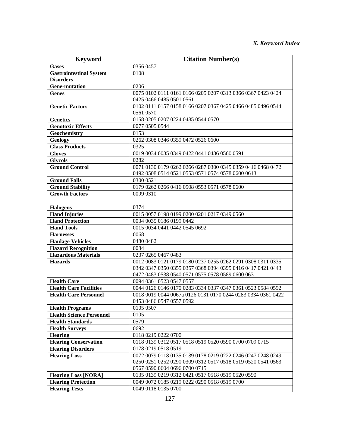| <b>Keyword</b>                                    | <b>Citation Number(s)</b>                                                          |
|---------------------------------------------------|------------------------------------------------------------------------------------|
| <b>Gases</b>                                      | 0356 0457                                                                          |
| <b>Gastrointestinal System</b>                    | 0108                                                                               |
| <b>Disorders</b>                                  |                                                                                    |
| <b>Gene-mutation</b>                              | 0206                                                                               |
| <b>Genes</b>                                      | 0075 0102 0111 0161 0166 0205 0207 0313 0366 0367 0423 0424                        |
|                                                   | 0425 0466 0485 0501 0561                                                           |
| <b>Genetic Factors</b>                            | 0102 0111 0157 0158 0166 0207 0367 0425 0466 0485 0496 0544                        |
|                                                   | 0561 0570                                                                          |
| <b>Genetics</b>                                   | 0158 0205 0207 0224 0485 0544 0570                                                 |
| <b>Genotoxic Effects</b>                          | 0077 0505 0544                                                                     |
| Geochemistry                                      | 0153                                                                               |
| Geology                                           | 0262 0308 0346 0359 0472 0526 0600                                                 |
| <b>Glass Products</b>                             | 0325                                                                               |
| <b>Gloves</b>                                     | 0019 0034 0035 0349 0422 0441 0486 0560 0591                                       |
| <b>Glycols</b>                                    | 0282                                                                               |
| <b>Ground Control</b>                             | 0071 0130 0179 0262 0266 0287 0300 0345 0359 0416 0468 0472                        |
|                                                   | 0492 0508 0514 0521 0553 0571 0574 0578 0600 0613                                  |
| <b>Ground Falls</b>                               | 0300 0521                                                                          |
| <b>Ground Stability</b>                           | 0179 0262 0266 0416 0508 0553 0571 0578 0600                                       |
| <b>Growth Factors</b>                             | 0099 0310                                                                          |
|                                                   |                                                                                    |
| <b>Halogens</b>                                   | 0374                                                                               |
| <b>Hand Injuries</b>                              | 0015 0057 0198 0199 0200 0201 0217 0349 0560                                       |
| <b>Hand Protection</b>                            | 0034 0035 0186 0199 0442                                                           |
| <b>Hand Tools</b>                                 | 0015 0034 0441 0442 0545 0692                                                      |
| <b>Harnesses</b>                                  | 0068                                                                               |
| <b>Haulage Vehicles</b>                           | 0480 0482                                                                          |
| <b>Hazard Recognition</b>                         | 0084                                                                               |
| <b>Hazardous Materials</b>                        | 0237 0265 0467 0483                                                                |
| <b>Hazards</b>                                    | 0012 0083 0121 0179 0180 0237 0255 0262 0291 0308 0311 0335                        |
|                                                   | 0342 0347 0350 0355 0357 0368 0394 0395 0416 0417 0421 0443                        |
|                                                   | 0472 0483 0538 0540 0571 0575 0578 0589 0600 0631                                  |
| <b>Health Care</b>                                | 0094 0361 0523 0547 0557                                                           |
| <b>Health Care Facilities</b>                     | 0044 0126 0146 0170 0283 0334 0337 0347 0361 0523 0584 0592                        |
| <b>Health Care Personnel</b>                      | 0018 0019 0044 0067a 0126 0131 0170 0244 0283 0334 0361 0422                       |
|                                                   | 0453 0486 0547 0557 0592                                                           |
| <b>Health Programs</b>                            | 0105 0507                                                                          |
| <b>Health Science Personnel</b>                   | 0105                                                                               |
| <b>Health Standards</b>                           | 0579                                                                               |
| <b>Health Surveys</b>                             | 0692                                                                               |
| <b>Hearing</b>                                    | 0118 0219 0222 0700                                                                |
| <b>Hearing Conservation</b>                       | 0118 0139 0312 0517 0518 0519 0520 0590 0700 0709 0715                             |
| <b>Hearing Disorders</b>                          | 0178 0219 0518 0519                                                                |
| <b>Hearing Loss</b>                               | 0072 0079 0118 0135 0139 0178 0219 0222 0246 0247 0248 0249                        |
|                                                   | 0250 0251 0252 0290 0309 0312 0517 0518 0519 0520 0541 0563                        |
|                                                   | 0567 0590 0604 0696 0700 0715<br>0135 0139 0219 0312 0421 0517 0518 0519 0520 0590 |
| <b>Hearing Loss [NORA]</b>                        |                                                                                    |
| <b>Hearing Protection</b><br><b>Hearing Tests</b> | 0049 0072 0185 0219 0222 0290 0518 0519 0700                                       |
|                                                   | 0049 0118 0135 0700                                                                |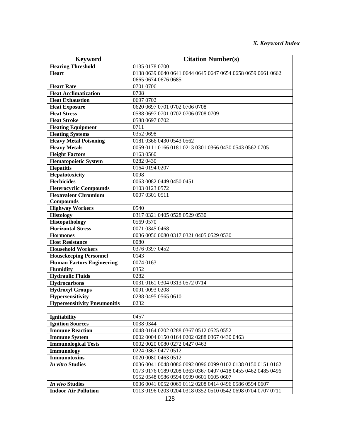| <b>Keyword</b>                      | <b>Citation Number(s)</b>                                   |
|-------------------------------------|-------------------------------------------------------------|
| <b>Hearing Threshold</b>            | 0135 0178 0700                                              |
| <b>Heart</b>                        | 0138 0639 0640 0641 0644 0645 0647 0654 0658 0659 0661 0662 |
|                                     | 0665 0674 0676 0685                                         |
| <b>Heart Rate</b>                   | 0701 0706                                                   |
| <b>Heat Acclimatization</b>         | 0708                                                        |
| <b>Heat Exhaustion</b>              | 0697 0702                                                   |
| <b>Heat Exposure</b>                | 0620 0697 0701 0702 0706 0708                               |
| <b>Heat Stress</b>                  | 0588 0697 0701 0702 0706 0708 0709                          |
| <b>Heat Stroke</b>                  | 0588 0697 0702                                              |
| <b>Heating Equipment</b>            | 0711                                                        |
| <b>Heating Systems</b>              | 0352 0698                                                   |
| <b>Heavy Metal Poisoning</b>        | 0181 0366 0430 0543 0562                                    |
| <b>Heavy Metals</b>                 | 0059 0111 0166 0181 0213 0301 0366 0430 0543 0562 0705      |
| <b>Height Factors</b>               | 0163 0560                                                   |
| <b>Hematopoietic System</b>         | 0282 0430                                                   |
| <b>Hepatitis</b>                    | 0164 0194 0207                                              |
| Hepatotoxicity                      | 0098                                                        |
| <b>Herbicides</b>                   | 0063 0082 0449 0450 0451                                    |
| <b>Heterocyclic Compounds</b>       | 0103 0123 0572                                              |
| <b>Hexavalent Chromium</b>          | 0007 0301 0511                                              |
| <b>Compounds</b>                    |                                                             |
| <b>Highway Workers</b>              | 0540                                                        |
| <b>Histology</b>                    | 0317 0321 0405 0528 0529 0530                               |
| Histopathology                      | 0569 0570                                                   |
| <b>Horizontal Stress</b>            | 0071 0345 0468                                              |
| <b>Hormones</b>                     | 0036 0056 0080 0317 0321 0405 0529 0530                     |
| <b>Host Resistance</b>              | 0080                                                        |
| <b>Household Workers</b>            | 0376 0397 0452                                              |
| <b>Housekeeping Personnel</b>       | 0143                                                        |
| <b>Human Factors Engineering</b>    | 0074 0163                                                   |
| <b>Humidity</b>                     | 0352                                                        |
| <b>Hydraulic Fluids</b>             | 0282                                                        |
| <b>Hydrocarbons</b>                 | 0031 0161 0304 0313 0572 0714                               |
| <b>Hydroxyl Groups</b>              | 0091 0093 0208                                              |
| Hypersensitivity                    | 0288 0495 0565 0610                                         |
| <b>Hypersensitivity Pneumonitis</b> | 0232                                                        |
|                                     |                                                             |
| <b>Ignitability</b>                 | 0457                                                        |
| <b>Ignition Sources</b>             | 0038 0344                                                   |
| <b>Immune Reaction</b>              | 0048 0164 0202 0288 0367 0512 0525 0552                     |
| <b>Immune System</b>                | 0002 0004 0150 0164 0202 0288 0367 0430 0463                |
| <b>Immunological Tests</b>          | 0002 0020 0080 0272 0427 0463                               |
| Immunology                          | 0224 0367 0477 0512                                         |
| <b>Immunotoxins</b>                 | 0020 0080 0463 0512                                         |
| <b>In vitro Studies</b>             | 0036 0041 0048 0086 0092 0096 0099 0102 0138 0150 0151 0162 |
|                                     | 0173 0176 0189 0208 0363 0367 0407 0418 0455 0462 0485 0496 |
|                                     | 0552 0548 0586 0594 0599 0601 0605 0607                     |
| In vivo Studies                     | 0036 0041 0052 0069 0112 0208 0414 0496 0586 0594 0607      |
| <b>Indoor Air Pollution</b>         | 0113 0196 0203 0204 0318 0352 0510 0542 0698 0704 0707 0711 |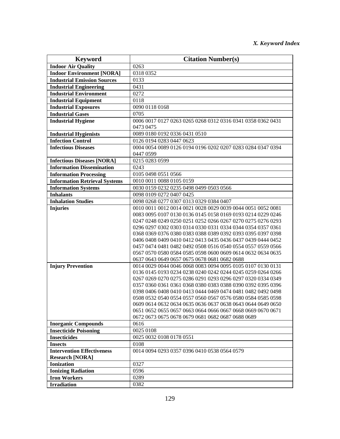| <b>Keyword</b>                       | <b>Citation Number(s)</b>                                                                                                  |
|--------------------------------------|----------------------------------------------------------------------------------------------------------------------------|
| <b>Indoor Air Quality</b>            | 0263                                                                                                                       |
| <b>Indoor Environment [NORA]</b>     | 0318 0352                                                                                                                  |
| <b>Industrial Emission Sources</b>   | 0133                                                                                                                       |
| <b>Industrial Engineering</b>        | 0431                                                                                                                       |
| <b>Industrial Environment</b>        | 0272                                                                                                                       |
| <b>Industrial Equipment</b>          | 0118                                                                                                                       |
| <b>Industrial Exposures</b>          | 0090 0118 0168                                                                                                             |
| <b>Industrial Gases</b>              | 0705                                                                                                                       |
| <b>Industrial Hygiene</b>            | 0006 0017 0127 0263 0265 0268 0312 0316 0341 0358 0362 0431                                                                |
|                                      | 0473 0475                                                                                                                  |
| <b>Industrial Hygienists</b>         | 0089 0180 0192 0336 0431 0510                                                                                              |
| <b>Infection Control</b>             | 0126 0194 0283 0447 0623                                                                                                   |
| <b>Infectious Diseases</b>           | 0004 0054 0089 0126 0194 0196 0202 0207 0283 0284 0347 0394                                                                |
|                                      | 0447 0599                                                                                                                  |
| <b>Infectious Diseases [NORA]</b>    | 0215 0283 0599                                                                                                             |
| <b>Information Dissemination</b>     | 0243                                                                                                                       |
| <b>Information Processing</b>        | 0105 0498 0551 0566                                                                                                        |
| <b>Information Retrieval Systems</b> | 0010 0011 0088 0105 0159                                                                                                   |
| <b>Information Systems</b>           | 0030 0159 0232 0235 0498 0499 0503 0566                                                                                    |
| <b>Inhalants</b>                     | 0098 0109 0272 0407 0425                                                                                                   |
| <b>Inhalation Studies</b>            | 0098 0268 0277 0307 0313 0329 0384 0407                                                                                    |
| <b>Injuries</b>                      | 0010 0011 0012 0014 0021 0028 0029 0039 0044 0051 0052 0081                                                                |
|                                      | 0083 0095 0107 0130 0136 0145 0158 0169 0193 0214 0229 0246                                                                |
|                                      | 0247 0248 0249 0250 0251 0252 0266 0267 0270 0275 0276 0293                                                                |
|                                      | 0296 0297 0302 0303 0314 0330 0331 0334 0344 0354 0357 0361                                                                |
|                                      | 0368 0369 0376 0380 0383 0388 0389 0392 0393 0395 0397 0398                                                                |
|                                      | 0406 0408 0409 0410 0412 0413 0435 0436 0437 0439 0444 0452                                                                |
|                                      | 0457 0474 0481 0482 0492 0508 0516 0540 0554 0557 0559 0566                                                                |
|                                      | 0567 0570 0580 0584 0585 0598 0600 0609 0614 0632 0634 0635                                                                |
|                                      | 0637 0643 0649 0657 0675 0678 0681 0682 0688                                                                               |
| <b>Injury Prevention</b>             | 0014 0029 0044 0046 0068 0083 0094 0095 0105 0107 0130 0131<br>0136 0145 0193 0234 0238 0240 0242 0244 0245 0259 0264 0266 |
|                                      | 0267 0269 0270 0275 0286 0291 0293 0296 0297 0320 0334 0349                                                                |
|                                      | 0357 0360 0361 0361 0368 0380 0383 0388 0390 0392 0395 0396                                                                |
|                                      | 0398 0406 0408 0410 0413 0444 0469 0474 0481 0482 0492 0498                                                                |
|                                      | 0508 0532 0540 0554 0557 0560 0567 0576 0580 0584 0585 0598                                                                |
|                                      | 0609 0614 0632 0634 0635 0636 0637 0638 0643 0644 0649 0650                                                                |
|                                      | 0651 0652 0655 0657 0663 0664 0666 0667 0668 0669 0670 0671                                                                |
|                                      | 0672 0673 0675 0678 0679 0681 0682 0687 0688 0689                                                                          |
| <b>Inorganic Compounds</b>           | 0616                                                                                                                       |
| <b>Insecticide Poisoning</b>         | 0025 0108                                                                                                                  |
| <b>Insecticides</b>                  | 0025 0032 0108 0178 0551                                                                                                   |
| <b>Insects</b>                       | 0108                                                                                                                       |
| <b>Intervention Effectiveness</b>    | 0014 0094 0293 0357 0396 0410 0538 0564 0579                                                                               |
| <b>Research [NORA]</b>               |                                                                                                                            |
| <b>Ionization</b>                    | 0327                                                                                                                       |
| <b>Ionizing Radiation</b>            | 0596                                                                                                                       |
| <b>Iron Workers</b>                  | 0289                                                                                                                       |
| <b>Irradiation</b>                   | 0382                                                                                                                       |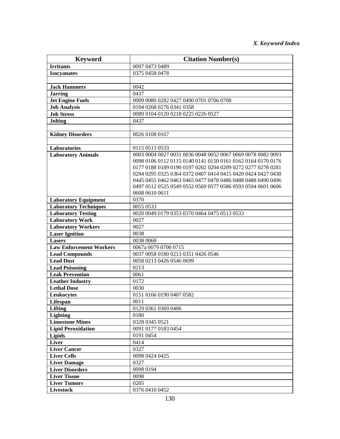| <b>Keyword</b>                 | <b>Citation Number(s)</b>                                   |
|--------------------------------|-------------------------------------------------------------|
| <b>Irritants</b>               | 0097 0473 0489                                              |
| <b>Isocyanates</b>             | 0375 0458 0478                                              |
|                                |                                                             |
| <b>Jack Hammers</b>            | 0042                                                        |
| <b>Jarring</b>                 | 0437                                                        |
| <b>Jet Engine Fuels</b>        | 0009 0080 0282 0427 0490 0701 0706 0708                     |
| <b>Job Analysis</b>            | 0104 0268 0276 0341 0358                                    |
| <b>Job Stress</b>              | 0089 0104 0120 0218 0225 0226 0527                          |
| <b>Jolting</b>                 | 0437                                                        |
|                                |                                                             |
| <b>Kidney Disorders</b>        | 0026 0108 0167                                              |
|                                |                                                             |
| Laboratories                   | 0115 0513 0533                                              |
| <b>Laboratory Animals</b>      | 0003 0004 0027 0031 0036 0048 0052 0067 0069 0078 0082 0093 |
|                                | 0098 0106 0112 0115 0140 0141 0150 0161 0162 0164 0170 0176 |
|                                | 0177 0188 0189 0190 0197 0202 0204 0209 0272 0277 0278 0281 |
|                                | 0294 0295 0325 0364 0372 0407 0414 0415 0420 0424 0427 0430 |
|                                | 0445 0455 0462 0463 0465 0477 0478 0486 0488 0488 0490 0496 |
|                                | 0497 0512 0525 0549 0552 0569 0577 0586 0593 0594 0601 0606 |
|                                | 0608 0610 0611                                              |
| <b>Laboratory Equipment</b>    | 0370                                                        |
| <b>Laboratory Techniques</b>   | 0055 0533                                                   |
| <b>Laboratory Testing</b>      | 0020 0049 0179 0353 0370 0464 0475 0513 0533                |
| <b>Laboratory Work</b>         | 0027                                                        |
| <b>Laboratory Workers</b>      | 0027                                                        |
| <b>Laser Ignition</b>          | 0038                                                        |
| <b>Lasers</b>                  | 0038 0068                                                   |
| <b>Law Enforcement Workers</b> | 0067a 0079 0700 0715                                        |
| <b>Lead Compounds</b>          | 0037 0058 0180 0213 0351 0426 0546                          |
| <b>Lead Dust</b>               | 0058 0213 0426 0546 0699                                    |
| <b>Lead Poisoning</b>          | 0213                                                        |
| <b>Leak Prevention</b>         | 0061                                                        |
| <b>Leather Industry</b>        | 0172                                                        |
| <b>Lethal Dose</b>             | 0030                                                        |
| Leukocytes                     | 0151 0166 0190 0407 0582                                    |
| <b>Lifespan</b><br>Lifting     | 0011                                                        |
| <b>Lighting</b>                | 0129 0361 0369 0406<br>0180                                 |
| <b>Limestone Mines</b>         | 0328 0345 0521                                              |
| <b>Lipid Peroxidation</b>      | 0091 0177 0183 0454                                         |
| <b>Lipids</b>                  | 0191 0454                                                   |
| Liver                          | 0414                                                        |
| <b>Liver Cancer</b>            | 0327                                                        |
| <b>Liver Cells</b>             | 0098 0424 0425                                              |
| <b>Liver Damage</b>            | 0327                                                        |
| <b>Liver Disorders</b>         | 0098 0194                                                   |
| <b>Liver Tissue</b>            | 0098                                                        |
| <b>Liver Tumors</b>            | 0205                                                        |
| <b>Livestock</b>               | 0376 0410 0452                                              |
|                                |                                                             |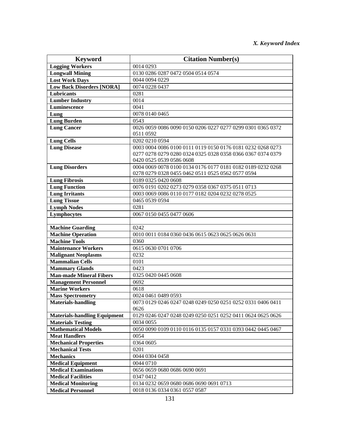| <b>Keyword</b>                                       | <b>Citation Number(s)</b>                                   |
|------------------------------------------------------|-------------------------------------------------------------|
| <b>Logging Workers</b>                               | 0014 0293                                                   |
| <b>Longwall Mining</b>                               | 0130 0286 0287 0472 0504 0514 0574                          |
| <b>Lost Work Days</b>                                | 0044 0094 0229                                              |
| <b>Low Back Disorders [NORA]</b>                     | 0074 0228 0437                                              |
| Lubricants                                           | 0281                                                        |
| <b>Lumber Industry</b>                               | 0014                                                        |
| Luminescence                                         | 0041                                                        |
| Lung                                                 | 0078 0140 0465                                              |
| <b>Lung Burden</b>                                   | 0543                                                        |
| <b>Lung Cancer</b>                                   | 0026 0059 0086 0090 0150 0206 0227 0277 0299 0301 0365 0372 |
|                                                      | 0511 0592                                                   |
| <b>Lung Cells</b>                                    | 0202 0210 0594                                              |
| <b>Lung Disease</b>                                  | 0003 0004 0086 0100 0111 0119 0150 0176 0181 0232 0268 0273 |
|                                                      | 0277 0278 0279 0280 0324 0325 0328 0358 0366 0367 0374 0379 |
|                                                      | 0420 0525 0539 0586 0608                                    |
| <b>Lung Disorders</b>                                | 0004 0069 0078 0100 0134 0176 0177 0181 0182 0189 0232 0268 |
|                                                      | 0278 0279 0328 0455 0462 0511 0525 0562 0577 0594           |
| <b>Lung Fibrosis</b>                                 | 0189 0325 0420 0608                                         |
| <b>Lung Function</b>                                 | 0076 0191 0202 0273 0279 0358 0367 0375 0511 0713           |
| <b>Lung Irritants</b>                                | 0003 0069 0086 0110 0177 0182 0204 0232 0278 0525           |
| <b>Lung Tissue</b>                                   | 0465 0539 0594                                              |
| <b>Lymph Nodes</b>                                   | 0281                                                        |
| Lymphocytes                                          | 0067 0150 0455 0477 0606                                    |
|                                                      |                                                             |
| <b>Machine Guarding</b>                              | 0242                                                        |
| <b>Machine Operation</b>                             | 0010 0011 0184 0360 0436 0615 0623 0625 0626 0631           |
| <b>Machine Tools</b>                                 | 0360                                                        |
| <b>Maintenance Workers</b>                           | 0615 0630 0701 0706                                         |
| <b>Malignant Neoplasms</b>                           | 0232                                                        |
| <b>Mammalian Cells</b>                               | 0101                                                        |
| <b>Mammary Glands</b>                                | 0423                                                        |
| <b>Man-made Mineral Fibers</b>                       | 0325 0420 0445 0608                                         |
| <b>Management Personnel</b>                          | 0692                                                        |
| <b>Marine Workers</b>                                | 0618                                                        |
| <b>Mass Spectrometry</b>                             | 0024 0461 0489 0593                                         |
| <b>Materials-handling</b>                            | 0073 0129 0246 0247 0248 0249 0250 0251 0252 0331 0406 0411 |
|                                                      | 0626                                                        |
| <b>Materials-handling Equipment</b>                  | 0129 0246 0247 0248 0249 0250 0251 0252 0411 0624 0625 0626 |
| <b>Materials Testing</b>                             | 0034 0055                                                   |
| <b>Mathematical Models</b>                           | 0050 0090 0109 0110 0116 0135 0157 0331 0393 0442 0445 0467 |
| <b>Meat Handlers</b><br><b>Mechanical Properties</b> | 0054<br>0364 0605                                           |
| <b>Mechanical Tests</b>                              | 0201                                                        |
| <b>Mechanics</b>                                     | 0044 0304 0458                                              |
| <b>Medical Equipment</b>                             | 0044 0710                                                   |
| <b>Medical Examinations</b>                          | 0656 0659 0680 0686 0690 0691                               |
| <b>Medical Facilities</b>                            | 0347 0412                                                   |
| <b>Medical Monitoring</b>                            | 0134 0232 0659 0680 0686 0690 0691 0713                     |
| <b>Medical Personnel</b>                             | 0018 0136 0334 0361 0557 0587                               |
|                                                      |                                                             |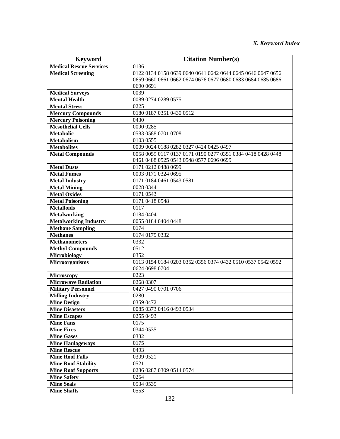## *X. Keyword Index*

| <b>Keyword</b>                                  | <b>Citation Number(s)</b>                                   |
|-------------------------------------------------|-------------------------------------------------------------|
| <b>Medical Rescue Services</b>                  | 0136                                                        |
| <b>Medical Screening</b>                        | 0122 0134 0158 0639 0640 0641 0642 0644 0645 0646 0647 0656 |
|                                                 | 0659 0660 0661 0662 0674 0676 0677 0680 0683 0684 0685 0686 |
|                                                 | 0690 0691                                                   |
| <b>Medical Surveys</b>                          | 0039                                                        |
| <b>Mental Health</b>                            | 0089 0274 0289 0575                                         |
| <b>Mental Stress</b>                            | 0225                                                        |
| <b>Mercury Compounds</b>                        | 0180 0187 0351 0430 0512                                    |
| <b>Mercury Poisoning</b>                        | 0430                                                        |
| <b>Mesothelial Cells</b>                        | 0090 0285                                                   |
| <b>Metabolic</b>                                | 0583 0588 0701 0708                                         |
| <b>Metabolism</b>                               | 0103 0555                                                   |
| <b>Metabolites</b>                              | 0009 0024 0188 0282 0327 0424 0425 0497                     |
| <b>Metal Compounds</b>                          | 0058 0059 0117 0137 0171 0190 0277 0351 0384 0418 0428 0448 |
|                                                 | 0461 0488 0525 0543 0548 0577 0696 0699                     |
| <b>Metal Dusts</b>                              | 0171 0212 0488 0699                                         |
| <b>Metal Fumes</b>                              | 0003 0171 0324 0695                                         |
| <b>Metal Industry</b>                           | 0171 0184 0461 0543 0581                                    |
| <b>Metal Mining</b>                             | 0028 0344                                                   |
| <b>Metal Oxides</b>                             | 0171 0543                                                   |
| <b>Metal Poisoning</b>                          | 0171 0418 0548                                              |
| <b>Metalloids</b>                               | 0117                                                        |
| <b>Metalworking</b>                             | 0184 0404                                                   |
| <b>Metalworking Industry</b>                    | 0055 0184 0404 0448                                         |
| <b>Methane Sampling</b>                         | 0174                                                        |
| <b>Methanes</b>                                 | 0174 0175 0332                                              |
| <b>Methanometers</b>                            | 0332                                                        |
| <b>Methyl Compounds</b>                         | 0512                                                        |
| <b>Microbiology</b>                             | 0352                                                        |
| <b>Microorganisms</b>                           | 0113 0154 0184 0203 0352 0356 0374 0432 0510 0537 0542 0592 |
|                                                 | 0624 0698 0704                                              |
| <b>Microscopy</b><br><b>Microwave Radiation</b> | 0223                                                        |
|                                                 | 0268 0307                                                   |
| <b>Military Personnel</b>                       | 0427 0490 0701 0706<br>0280                                 |
| <b>Milling Industry</b><br><b>Mine Design</b>   | 0359 0472                                                   |
| <b>Mine Disasters</b>                           | 0085 0373 0416 0493 0534                                    |
| <b>Mine Escapes</b>                             | 0255 0493                                                   |
| <b>Mine Fans</b>                                | 0175                                                        |
| <b>Mine Fires</b>                               | 0344 0535                                                   |
| <b>Mine Gases</b>                               | 0332                                                        |
| <b>Mine Haulageways</b>                         | 0175                                                        |
| <b>Mine Rescue</b>                              | 0493                                                        |
| <b>Mine Roof Falls</b>                          | 0309 0521                                                   |
| <b>Mine Roof Stability</b>                      | 0521                                                        |
| <b>Mine Roof Supports</b>                       | 0286 0287 0309 0514 0574                                    |
| <b>Mine Safety</b>                              | 0254                                                        |
| <b>Mine Seals</b>                               | 0534 0535                                                   |
| <b>Mine Shafts</b>                              | 0553                                                        |
|                                                 |                                                             |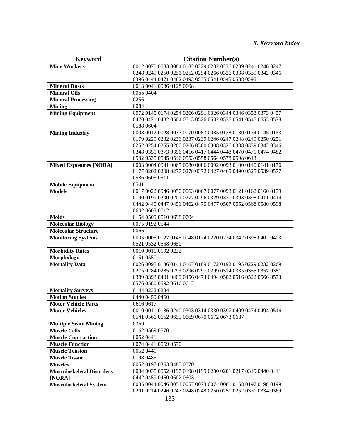| <b>Keyword</b>                          | <b>Citation Number(s)</b>                                                                                        |
|-----------------------------------------|------------------------------------------------------------------------------------------------------------------|
| <b>Mine Workers</b>                     | 0012 0070 0083 0084 0132 0229 0232 0236 0239 0241 0246 0247                                                      |
|                                         | 0248 0249 0250 0251 0252 0254 0266 0326 0338 0339 0342 0346                                                      |
|                                         | 0396 0444 0471 0482 0493 0535 0541 0545 0588 0595                                                                |
| <b>Mineral Dusts</b>                    | 0013 0041 0086 0128 0608                                                                                         |
| <b>Mineral Oils</b>                     | 0055 0404                                                                                                        |
| <b>Mineral Processing</b>               | 0256                                                                                                             |
| <b>Mining</b>                           | 0084                                                                                                             |
| <b>Mining Equipment</b>                 | 0072 0145 0174 0254 0266 0291 0326 0344 0346 0353 0373 0457                                                      |
|                                         | 0470 0471 0482 0504 0513 0526 0532 0535 0541 0545 0553 0578                                                      |
|                                         | 0588 0604                                                                                                        |
| <b>Mining Industry</b>                  | 0008 0012 0028 0037 0070 0083 0085 0128 0130 0134 0145 0153                                                      |
|                                         | 0179 0229 0232 0236 0237 0239 0246 0247 0248 0249 0250 0251                                                      |
|                                         | 0252 0254 0255 0260 0266 0300 0308 0326 0338 0339 0342 0346                                                      |
|                                         | 0348 0351 0373 0396 0416 0417 0444 0448 0470 0471 0474 0482                                                      |
|                                         | 0532 0535 0545 0546 0553 0558 0564 0578 0598 0613<br>0003 0004 0041 0065 0080 0086 0092 0093 0100 0140 0141 0176 |
| <b>Mixed Exposures [NORA]</b>           | 0177 0202 0208 0277 0278 0372 0427 0465 0490 0525 0539 0577                                                      |
|                                         | 0586 0606 0611                                                                                                   |
| <b>Mobile Equipment</b>                 | 0541                                                                                                             |
| <b>Models</b>                           | 0017 0022 0046 0050 0063 0067 0077 0093 0121 0162 0166 0179                                                      |
|                                         | 0190 0199 0200 0201 0277 0296 0329 0331 0393 0398 0411 0414                                                      |
|                                         | 0442 0445 0447 0456 0462 0475 0477 0507 0552 0568 0580 0598                                                      |
|                                         | 0602 0603 0612                                                                                                   |
| <b>Molds</b>                            | 0154 0509 0510 0698 0704                                                                                         |
| <b>Molecular Biology</b>                | 0075 0192 0544                                                                                                   |
| <b>Molecular Structure</b>              | 0066                                                                                                             |
| <b>Monitoring Systems</b>               | 0005 0006 0127 0145 0148 0174 0220 0234 0342 0398 0402 0403                                                      |
|                                         | 0521 0532 0558 0650                                                                                              |
| <b>Morbidity Rates</b>                  | 0010 0011 0192 0232                                                                                              |
| <b>Morphology</b>                       | 0151 0550                                                                                                        |
| <b>Mortality Data</b>                   | 0026 0095 0136 0144 0167 0169 0172 0192 0195 0229 0232 0269                                                      |
|                                         | 0275 0284 0285 0293 0296 0297 0299 0314 0335 0355 0357 0381                                                      |
|                                         | 0389 0393 0401 0409 0456 0474 0494 0502 0516 0522 0566 0573                                                      |
|                                         | 0576 0580 0592 0616 0617                                                                                         |
| <b>Mortality Surveys</b>                | 0144 0232 0284                                                                                                   |
| <b>Motion Studies</b>                   | 0440 0459 0460                                                                                                   |
| <b>Motor Vehicle Parts</b>              | 0616 0617                                                                                                        |
| <b>Motor Vehicles</b>                   | 0010 0011 0136 0240 0303 0314 0330 0397 0409 0474 0494 0516                                                      |
|                                         | 0541 0566 0652 0655 0669 0670 0672 0673 0687                                                                     |
| <b>Multiple Seam Mining</b>             | 0359                                                                                                             |
| <b>Muscle Cells</b>                     | 0162 0569 0570                                                                                                   |
| <b>Muscle Contraction</b>               | 0052 0441                                                                                                        |
| <b>Muscle Function</b>                  | 0074 0441 0569 0570                                                                                              |
| <b>Muscle Tension</b>                   | 0052 0441                                                                                                        |
| <b>Muscle Tissue</b>                    | 0198 0485                                                                                                        |
| <b>Muscles</b>                          | 0052 0197 0363 0485 0570                                                                                         |
| <b>Musculoskeletal Disorders</b>        | 0034 0035 0052 0197 0198 0199 0200 0201 0217 0349 0440 0441                                                      |
| [NORA]<br><b>Musculoskeletal System</b> | 0442 0459 0460 0602 0603<br>0035 0044 0046 0051 0057 0073 0074 0081 0158 0197 0198 0199                          |
|                                         | 0201 0214 0246 0247 0248 0249 0250 0251 0252 0331 0334 0369                                                      |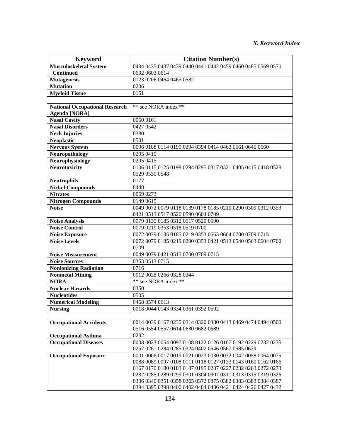| <b>Keyword</b>                        | <b>Citation Number(s)</b>                                                                                        |
|---------------------------------------|------------------------------------------------------------------------------------------------------------------|
| Musculoskeletal System-               | 0434 0435 0437 0439 0440 0441 0442 0459 0460 0485 0569 0570                                                      |
| <b>Continued</b>                      | 0602 0603 0614                                                                                                   |
| <b>Mutagenesis</b>                    | 0123 0206 0464 0465 0582                                                                                         |
| <b>Mutation</b>                       | 0206                                                                                                             |
| <b>Myeloid Tissue</b>                 | 0151                                                                                                             |
|                                       |                                                                                                                  |
| <b>National Occupational Research</b> | ** see NORA index **                                                                                             |
| <b>Agenda</b> [NORA]                  |                                                                                                                  |
| <b>Nasal Cavity</b>                   | 0060 0161                                                                                                        |
| <b>Nasal Disorders</b>                | 0427 0542                                                                                                        |
| <b>Neck Injuries</b>                  | 0380                                                                                                             |
| <b>Neoplastic</b>                     | 0501                                                                                                             |
| <b>Nervous System</b>                 | 0096 0108 0114 0199 0294 0394 0414 0463 0561 0645 0660                                                           |
| Neuropathology                        | 0295 0415                                                                                                        |
| Neurophysiology                       | 0295 0415                                                                                                        |
| <b>Neurotoxicity</b>                  | 0106 0115 0125 0198 0294 0295 0317 0321 0405 0415 0418 0528                                                      |
|                                       | 0529 0530 0548                                                                                                   |
| <b>Neutrophils</b>                    | 0177                                                                                                             |
| <b>Nickel Compounds</b>               | 0448                                                                                                             |
| <b>Nitrates</b>                       | 0069 0273                                                                                                        |
| <b>Nitrogen Compounds</b>             | 0149 0615                                                                                                        |
| <b>Noise</b>                          | 0049 0072 0079 0118 0139 0178 0185 0219 0290 0309 0312 0353                                                      |
|                                       | 0421 0513 0517 0520 0590 0604 0709                                                                               |
| <b>Noise Analysis</b>                 | 0079 0135 0185 0312 0517 0520 0590                                                                               |
| <b>Noise Control</b>                  | 0079 0219 0353 0518 0519 0700                                                                                    |
| <b>Noise Exposure</b>                 | 0072 0079 0135 0185 0219 0353 0563 0604 0700 0709 0715                                                           |
| <b>Noise Levels</b>                   | 0072 0079 0185 0219 0290 0353 0421 0513 0540 0563 0604 0700                                                      |
|                                       | 0709                                                                                                             |
| <b>Noise Measurement</b>              | 0049 0079 0421 0513 0700 0709 0715                                                                               |
| <b>Noise Sources</b>                  | 0353 0513 0715                                                                                                   |
| <b>Nonionizing Radiation</b>          | 0716                                                                                                             |
| <b>Nonmetal Mining</b>                | 0012 0028 0266 0328 0344                                                                                         |
| <b>NORA</b>                           | ** see NORA index **                                                                                             |
| <b>Nuclear Hazards</b>                | 0350                                                                                                             |
| <b>Nucleotides</b>                    | 0505                                                                                                             |
| <b>Numerical Modeling</b>             | 0468 0574 0613                                                                                                   |
| <b>Nursing</b>                        | 0018 0044 0143 0334 0361 0392 0592                                                                               |
|                                       |                                                                                                                  |
| <b>Occupational Accidents</b>         | 0014 0039 0167 0235 0314 0320 0330 0413 0469 0474 0494 0500                                                      |
|                                       | 0516 0554 0557 0614 0630 0682 0689                                                                               |
| <b>Occupational Asthma</b>            | 0232                                                                                                             |
| Occupational Diseases                 | 0008 0023 0054 0097 0108 0122 0126 0167 0192 0229 0232 0235                                                      |
|                                       | 0257 0261 0284 0285 0324 0402 0546 0567 0585 0629<br>0001 0006 0017 0019 0021 0023 0030 0032 0042 0058 0064 0075 |
| <b>Occupational Exposure</b>          | 0088 0089 0097 0108 0111 0118 0127 0133 0143 0160 0162 0166                                                      |
|                                       | 0167 0170 0180 0183 0187 0195 0207 0227 0232 0263 0272 0273                                                      |
|                                       | 0282 0285 0289 0299 0301 0304 0307 0311 0313 0315 0319 0326                                                      |
|                                       | 0336 0340 0351 0358 0365 0372 0375 0382 0383 0383 0384 0387                                                      |
|                                       | 0394 0395 0398 0400 0402 0404 0406 0421 0424 0426 0427 0432                                                      |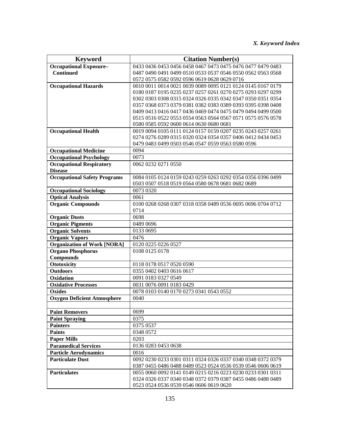| <b>Keyword</b>                      | <b>Citation Number(s)</b>                                   |
|-------------------------------------|-------------------------------------------------------------|
| <b>Occupational Exposure-</b>       | 0433 0436 0453 0456 0458 0467 0473 0475 0476 0477 0479 0483 |
| <b>Continued</b>                    | 0487 0490 0491 0499 0510 0533 0537 0546 0550 0562 0563 0568 |
|                                     | 0572 0575 0582 0592 0596 0619 0628 0629 0716                |
| <b>Occupational Hazards</b>         | 0010 0011 0014 0021 0039 0089 0095 0121 0124 0145 0167 0179 |
|                                     | 0180 0187 0195 0235 0237 0257 0261 0270 0275 0293 0297 0299 |
|                                     | 0302 0303 0308 0315 0324 0326 0335 0342 0347 0350 0351 0354 |
|                                     | 0357 0368 0373 0379 0381 0382 0383 0389 0393 0395 0398 0408 |
|                                     | 0409 0413 0416 0417 0436 0469 0474 0475 0479 0494 0499 0500 |
|                                     | 0515 0516 0522 0553 0554 0563 0564 0567 0571 0575 0576 0578 |
|                                     | 0580 0585 0592 0600 0614 0630 0680 0681                     |
| <b>Occupational Health</b>          | 0019 0094 0105 0111 0124 0157 0159 0207 0235 0243 0257 0261 |
|                                     | 0274 0276 0289 0315 0320 0324 0354 0357 0406 0412 0434 0453 |
|                                     | 0479 0483 0499 0503 0546 0547 0559 0563 0580 0596           |
| <b>Occupational Medicine</b>        | 0094                                                        |
| <b>Occupational Psychology</b>      | 0073                                                        |
| <b>Occupational Respiratory</b>     | 0062 0232 0271 0550                                         |
| <b>Disease</b>                      |                                                             |
| <b>Occupational Safety Programs</b> | 0084 0105 0124 0159 0243 0259 0263 0292 0354 0356 0396 0499 |
|                                     | 0503 0507 0518 0519 0564 0580 0678 0681 0682 0689           |
| <b>Occupational Sociology</b>       | 0073 0320                                                   |
| <b>Optical Analysis</b>             | 0061                                                        |
| <b>Organic Compounds</b>            | 0100 0268 0268 0307 0318 0358 0489 0536 0695 0696 0704 0712 |
|                                     | 0714                                                        |
| <b>Organic Dusts</b>                | 0698                                                        |
| <b>Organic Pigments</b>             | 0489 0696                                                   |
| <b>Organic Solvents</b>             | 0133 0695                                                   |
| <b>Organic Vapors</b>               | 0476                                                        |
| <b>Organization of Work [NORA]</b>  | 0120 0225 0226 0527                                         |
| <b>Organo Phosphorus</b>            | 0108 0125 0178                                              |
| <b>Compounds</b>                    |                                                             |
| <b>Ototoxicity</b>                  | 0118 0178 0517 0520 0590                                    |
| <b>Outdoors</b>                     | 0355 0402 0403 0616 0617                                    |
| Oxidation                           | 0091 0183 0327 0549                                         |
| <b>Oxidative Processes</b>          | 0031 0076 0091 0183 0429                                    |
| <b>Oxides</b>                       | 0078 0103 0140 0170 0273 0341 0543 0552                     |
| <b>Oxygen Deficient Atmosphere</b>  | 0040                                                        |
|                                     |                                                             |
| <b>Paint Removers</b>               | 0699                                                        |
| <b>Paint Spraying</b>               | 0375                                                        |
| <b>Painters</b>                     | 0375 0537                                                   |
| <b>Paints</b>                       | 0348 0572                                                   |
| <b>Paper Mills</b>                  | 0203                                                        |
| <b>Paramedical Services</b>         | 0136 0283 0453 0638                                         |
| <b>Particle Aerodynamics</b>        | 0016                                                        |
| <b>Particulate Dust</b>             | 0092 0230 0233 0301 0311 0324 0326 0337 0340 0348 0372 0379 |
|                                     | 0387 0455 0486 0488 0489 0523 0524 0536 0539 0546 0606 0619 |
| <b>Particulates</b>                 | 0055 0060 0092 0141 0149 0215 0216 0223 0230 0233 0301 0311 |
|                                     | 0324 0326 0337 0340 0348 0372 0379 0387 0455 0486 0488 0489 |
|                                     | 0523 0524 0536 0539 0546 0606 0619 0620                     |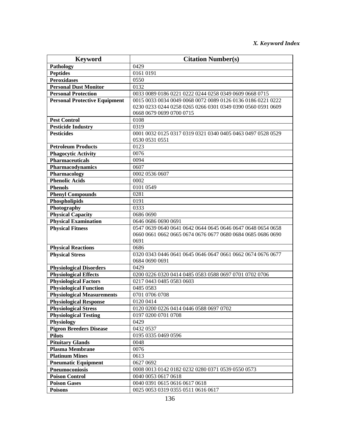| <b>Keyword</b>                       | <b>Citation Number(s)</b>                                               |
|--------------------------------------|-------------------------------------------------------------------------|
| Pathology                            | 0429                                                                    |
| <b>Peptides</b>                      | 0161 0191                                                               |
| <b>Peroxidases</b>                   | 0550                                                                    |
| <b>Personal Dust Monitor</b>         | 0132                                                                    |
| <b>Personal Protection</b>           | 0033 0089 0186 0221 0222 0244 0258 0349 0609 0668 0715                  |
| <b>Personal Protective Equipment</b> | 0015 0033 0034 0049 0068 0072 0089 0126 0136 0186 0221 0222             |
|                                      | 0230 0233 0244 0258 0265 0266 0301 0349 0390 0560 0591 0609             |
|                                      | 0668 0679 0699 0700 0715                                                |
| <b>Pest Control</b>                  | 0108                                                                    |
| <b>Pesticide Industry</b>            | 0319                                                                    |
| <b>Pesticides</b>                    | 0001 0032 0125 0317 0319 0321 0340 0405 0463 0497 0528 0529             |
|                                      | 0530 0531 0551                                                          |
| <b>Petroleum Products</b>            | 0123                                                                    |
| <b>Phagocytic Activity</b>           | 0076                                                                    |
| <b>Pharmaceuticals</b>               | 0094                                                                    |
| Pharmacodynamics                     | 0607                                                                    |
| Pharmacology                         | 0002 0536 0607                                                          |
| <b>Phenolic Acids</b>                | 0002                                                                    |
| <b>Phenols</b>                       | 0101 0549                                                               |
| <b>Phenyl Compounds</b>              | 0281                                                                    |
| Phospholipids                        | 0191                                                                    |
| Photography                          | 0333                                                                    |
| <b>Physical Capacity</b>             | 0686 0690                                                               |
| <b>Physical Examination</b>          | 0646 0686 0690 0691                                                     |
| <b>Physical Fitness</b>              | 0.547 0.639 0.640 0.641 0.642 0.644 0.645 0.646 0.647 0.648 0.654 0.658 |
|                                      | 0660 0661 0662 0665 0674 0676 0677 0680 0684 0685 0686 0690             |
|                                      | 0691                                                                    |
| <b>Physical Reactions</b>            | 0686                                                                    |
| <b>Physical Stress</b>               | 0320 0343 0446 0641 0645 0646 0647 0661 0662 0674 0676 0677             |
|                                      | 0684 0690 0691                                                          |
| <b>Physiological Disorders</b>       | 0429                                                                    |
| <b>Physiological Effects</b>         | 0200 0226 0320 0414 0485 0583 0588 0697 0701 0702 0706                  |
| <b>Physiological Factors</b>         | 0217 0443 0485 0583 0603                                                |
| <b>Physiological Function</b>        | 0485 0583                                                               |
| <b>Physiological Measurements</b>    | 0701 0706 0708                                                          |
| <b>Physiological Response</b>        | 0120 0414                                                               |
| <b>Physiological Stress</b>          | 0120 0200 0226 0414 0446 0588 0697 0702                                 |
| <b>Physiological Testing</b>         | 0197 0200 0701 0708                                                     |
| Physiology                           | 0429                                                                    |
| <b>Pigeon Breeders Disease</b>       | 0432 0537                                                               |
| <b>Pilots</b>                        | 0195 0335 0469 0596                                                     |
| <b>Pituitary Glands</b>              | 0048                                                                    |
| <b>Plasma Membrane</b>               | 0076                                                                    |
| <b>Platinum Mines</b>                | 0613                                                                    |
| <b>Pneumatic Equipment</b>           | 0627 0692                                                               |
| Pneumoconiosis                       | 0008 0013 0142 0182 0232 0280 0371 0539 0550 0573                       |
| <b>Poison Control</b>                | 0040 0053 0617 0618                                                     |
| <b>Poison Gases</b>                  | 0040 0391 0615 0616 0617 0618                                           |
| <b>Poisons</b>                       | 0025 0053 0319 0355 0511 0616 0617                                      |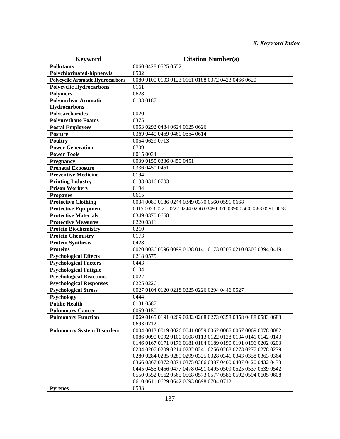| <b>Keyword</b>                          | <b>Citation Number(s)</b>                                        |
|-----------------------------------------|------------------------------------------------------------------|
| <b>Pollutants</b>                       | 0060 0428 0525 0552                                              |
| Polychlorinated-biphenyls               | 0502                                                             |
| <b>Polycyclic Aromatic Hydrocarbons</b> | 0080 0100 0103 0123 0161 0188 0372 0423 0466 0620                |
| <b>Polycyclic Hydrocarbons</b>          | 0161                                                             |
| <b>Polymers</b>                         | 0628                                                             |
| <b>Polynuclear Aromatic</b>             | 0103 0187                                                        |
| <b>Hydrocarbons</b>                     |                                                                  |
| Polysaccharides                         | 0020                                                             |
| <b>Polyurethane Foams</b>               | 0375                                                             |
| <b>Postal Employees</b>                 | 0053 0292 0484 0624 0625 0626                                    |
| <b>Posture</b>                          | 0369 0440 0459 0460 0554 0614                                    |
| <b>Poultry</b>                          | 0054 0629 0713                                                   |
| <b>Power Generation</b>                 | 0709                                                             |
| <b>Power Tools</b>                      | 0015 0034                                                        |
| <b>Pregnancy</b>                        | 0039 0155 0336 0450 0451                                         |
| <b>Prenatal Exposure</b>                | 0336 0450 0451                                                   |
| <b>Preventive Medicine</b>              | 0194                                                             |
| <b>Printing Industry</b>                | 0133 0316 0703                                                   |
| <b>Prison Workers</b>                   | 0194                                                             |
| <b>Propanes</b>                         | 0615                                                             |
| <b>Protective Clothing</b>              | 0034 0089 0186 0244 0349 0370 0560 0591 0668                     |
| <b>Protective Equipment</b>             | 0015 0033 0221 0222 0244 0266 0349 0370 0390 0560 0583 0591 0668 |
| <b>Protective Materials</b>             | 0349 0370 0668                                                   |
| <b>Protective Measures</b>              | 0220 0311                                                        |
| <b>Protein Biochemistry</b>             | 0210                                                             |
| <b>Protein Chemistry</b>                | 0173                                                             |
| <b>Protein Synthesis</b>                | 0428                                                             |
| <b>Proteins</b>                         | 0020 0036 0096 0099 0138 0141 0173 0205 0210 0306 0394 0419      |
| <b>Psychological Effects</b>            | 0218 0575                                                        |
| <b>Psychological Factors</b>            | 0443                                                             |
| <b>Psychological Fatigue</b>            | 0104                                                             |
| <b>Psychological Reactions</b>          | 0027                                                             |
| <b>Psychological Responses</b>          | 0225 0226                                                        |
| <b>Psychological Stress</b>             | 0027 0104 0120 0218 0225 0226 0294 0446 0527                     |
| Psychology                              | 0444                                                             |
| <b>Public Health</b>                    | 0131 0587                                                        |
| <b>Pulmonary Cancer</b>                 | 0059 0150                                                        |
| <b>Pulmonary Function</b>               | 0069 0165 0191 0209 0232 0268 0273 0358 0358 0488 0583 0683      |
|                                         | 0693 0712                                                        |
| <b>Pulmonary System Disorders</b>       | 0004 0013 0019 0026 0041 0059 0062 0065 0067 0069 0078 0082      |
|                                         | 0086 0090 0092 0100 0108 0113 0122 0128 0134 0141 0142 0143      |
|                                         | 0146 0167 0171 0176 0181 0184 0189 0190 0191 0196 0202 0203      |
|                                         | 0204 0207 0209 0214 0232 0241 0256 0268 0273 0277 0278 0279      |
|                                         | 0280 0284 0285 0289 0299 0325 0328 0341 0343 0358 0363 0364      |
|                                         | 0366 0367 0372 0374 0375 0386 0387 0400 0407 0420 0432 0433      |
|                                         | 0445 0455 0456 0477 0478 0491 0495 0509 0525 0537 0539 0542      |
|                                         | 0550 0552 0562 0565 0568 0573 0577 0586 0592 0594 0605 0608      |
|                                         | 0610 0611 0629 0642 0693 0698 0704 0712                          |
| <b>Pyrenes</b>                          | 0593                                                             |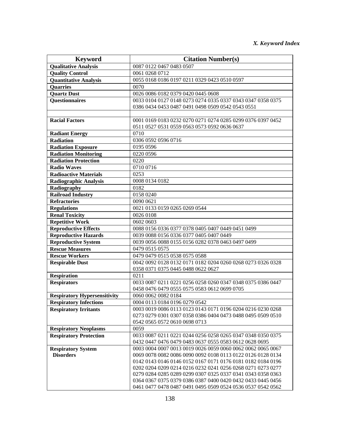| <b>Keyword</b>                      | <b>Citation Number(s)</b>                                   |
|-------------------------------------|-------------------------------------------------------------|
| <b>Qualitative Analysis</b>         | 0087 0122 0467 0483 0507                                    |
| <b>Quality Control</b>              | 0061 0268 0712                                              |
| <b>Quantitative Analysis</b>        | 0055 0168 0186 0197 0211 0329 0423 0510 0597                |
| <b>Quarries</b>                     | 0070                                                        |
| <b>Quartz Dust</b>                  | 0026 0086 0182 0379 0420 0445 0608                          |
| Questionnaires                      | 0033 0104 0127 0148 0273 0274 0335 0337 0343 0347 0358 0375 |
|                                     | 0386 0434 0453 0487 0491 0498 0509 0542 0543 0551           |
| <b>Racial Factors</b>               | 0001 0169 0183 0232 0270 0271 0274 0285 0299 0376 0397 0452 |
|                                     | 0511 0527 0531 0559 0563 0573 0592 0636 0637                |
| <b>Radiant Energy</b>               | 0710                                                        |
| <b>Radiation</b>                    | 0306 0592 0596 0716                                         |
| <b>Radiation Exposure</b>           | 0195 0596                                                   |
| <b>Radiation Monitoring</b>         | 0220 0596                                                   |
| <b>Radiation Protection</b>         | 0220                                                        |
| <b>Radio Waves</b>                  | 0710 0716                                                   |
| <b>Radioactive Materials</b>        | 0253                                                        |
| <b>Radiographic Analysis</b>        | 0008 0134 0182                                              |
| Radiography                         | 0182                                                        |
| <b>Railroad Industry</b>            | 0158 0240                                                   |
| <b>Refractories</b>                 | 0090 0621                                                   |
| <b>Regulations</b>                  | 0021 0133 0159 0265 0269 0544                               |
| <b>Renal Toxicity</b>               | 0026 0108                                                   |
| <b>Repetitive Work</b>              | 0602 0603                                                   |
| <b>Reproductive Effects</b>         | 0088 0156 0336 0377 0378 0405 0407 0449 0451 0499           |
| <b>Reproductive Hazards</b>         | 0039 0088 0156 0336 0377 0405 0407 0449                     |
| <b>Reproductive System</b>          | 0039 0056 0088 0155 0156 0282 0378 0463 0497 0499           |
| <b>Rescue Measures</b>              | 0479 0515 0575                                              |
| <b>Rescue Workers</b>               | 0479 0479 0515 0538 0575 0588                               |
| <b>Respirable Dust</b>              | 0042 0092 0128 0132 0171 0182 0204 0260 0268 0273 0326 0328 |
|                                     | 0358 0371 0375 0445 0488 0622 0627                          |
| <b>Respiration</b>                  | 0211                                                        |
| <b>Respirators</b>                  | 0033 0087 0211 0221 0256 0258 0260 0347 0348 0375 0386 0447 |
|                                     | 0458 0476 0479 0555 0575 0583 0612 0699 0705                |
| <b>Respiratory Hypersensitivity</b> | 0060 0062 0082 0184                                         |
| <b>Respiratory Infections</b>       | 0004 0113 0184 0196 0279 0542                               |
| <b>Respiratory Irritants</b>        | 0003 0019 0086 0113 0123 0143 0171 0196 0204 0216 0230 0268 |
|                                     | 0273 0279 0301 0307 0358 0386 0404 0473 0488 0495 0509 0510 |
|                                     | 0542 0565 0572 0610 0698 0713                               |
| <b>Respiratory Neoplasms</b>        | 0059                                                        |
| <b>Respiratory Protection</b>       | 0033 0087 0211 0221 0244 0256 0258 0265 0347 0348 0350 0375 |
|                                     | 0432 0447 0476 0479 0483 0637 0555 0583 0612 0628 0695      |
| <b>Respiratory System</b>           | 0003 0004 0007 0013 0019 0026 0059 0060 0062 0062 0065 0067 |
| <b>Disorders</b>                    | 0069 0078 0082 0086 0090 0092 0108 0113 0122 0126 0128 0134 |
|                                     | 0142 0143 0146 0146 0152 0167 0171 0176 0181 0182 0184 0196 |
|                                     | 0202 0204 0209 0214 0216 0232 0241 0256 0268 0271 0273 0277 |
|                                     | 0279 0284 0285 0289 0299 0307 0325 0337 0341 0343 0358 0363 |
|                                     | 0364 0367 0375 0379 0386 0387 0400 0420 0432 0433 0445 0456 |
|                                     | 0461 0477 0478 0487 0491 0495 0509 0524 0536 0537 0542 0562 |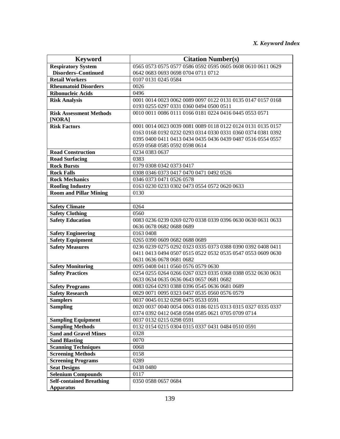| <b>Keyword</b>                                        | <b>Citation Number(s)</b>                                                                                        |
|-------------------------------------------------------|------------------------------------------------------------------------------------------------------------------|
| <b>Respiratory System</b>                             | 0565 0573 0575 0577 0586 0592 0595 0605 0608 0610 0611 0629                                                      |
| <b>Disorders-Continued</b>                            | 0642 0683 0693 0698 0704 0711 0712                                                                               |
| <b>Retail Workers</b>                                 | 0107 0131 0245 0584                                                                                              |
| <b>Rheumatoid Disorders</b>                           | 0026                                                                                                             |
| <b>Ribonucleic Acids</b>                              | 0496                                                                                                             |
| <b>Risk Analysis</b>                                  | 0001 0014 0023 0062 0089 0097 0122 0131 0135 0147 0157 0168                                                      |
|                                                       | 0193 0255 0297 0331 0360 0494 0500 0511                                                                          |
| <b>Risk Assessment Methods</b>                        | 0010 0011 0086 0111 0166 0181 0224 0416 0445 0553 0571                                                           |
| [NORA]                                                |                                                                                                                  |
| <b>Risk Factors</b>                                   | 0001 0014 0023 0039 0081 0089 0118 0122 0124 0131 0135 0157                                                      |
|                                                       | 0163 0168 0192 0232 0293 0314 0330 0331 0360 0374 0381 0392                                                      |
|                                                       | 0395 0400 0411 0413 0434 0435 0436 0439 0487 0516 0554 0557                                                      |
|                                                       | 0559 0568 0585 0592 0598 0614                                                                                    |
| <b>Road Construction</b>                              | 0234 0383 0637                                                                                                   |
| <b>Road Surfacing</b>                                 | 0383                                                                                                             |
| <b>Rock Bursts</b>                                    | 0179 0308 0342 0373 0417                                                                                         |
| <b>Rock Falls</b>                                     | 0308 0346 0373 0417 0470 0471 0492 0526                                                                          |
| <b>Rock Mechanics</b>                                 | 0346 0373 0471 0526 0578                                                                                         |
| <b>Roofing Industry</b>                               | 0163 0230 0233 0302 0473 0554 0572 0620 0633                                                                     |
| <b>Room and Pillar Mining</b>                         | 0130                                                                                                             |
|                                                       |                                                                                                                  |
| <b>Safety Climate</b>                                 | 0264                                                                                                             |
| <b>Safety Clothing</b>                                | 0560                                                                                                             |
| <b>Safety Education</b>                               | 0083 0236 0239 0269 0270 0338 0339 0396 0630 0630 0631 0633                                                      |
|                                                       | 0636 0678 0682 0688 0689                                                                                         |
| <b>Safety Engineering</b>                             | 0163 0408                                                                                                        |
| <b>Safety Equipment</b>                               | 0265 0390 0609 0682 0688 0689                                                                                    |
| <b>Safety Measures</b>                                | 0236 0239 0275 0292 0323 0335 0373 0388 0390 0392 0408 0411                                                      |
|                                                       | 0411 0413 0494 0507 0515 0522 0532 0535 0547 0553 0609 0630                                                      |
|                                                       | 0631 0636 0678 0681 0682                                                                                         |
| <b>Safety Monitoring</b>                              | 0095 0408 0411 0560 0576 0579 0630                                                                               |
| <b>Safety Practices</b>                               | 0254 0255 0264 0266 0267 0323 0335 0368 0388 0532 0630 0631                                                      |
|                                                       | 0633 0634 0635 0636 0643 0657 0681 0682                                                                          |
| <b>Safety Programs</b>                                | 0083 0264 0293 0388 0396 0545 0636 0681 0689<br>0029 0071 0095 0323 0457 0535 0560 0576 0579                     |
| <b>Safety Research</b>                                | 0037 0045 0132 0298 0475 0533 0591                                                                               |
| <b>Samplers</b>                                       |                                                                                                                  |
| <b>Sampling</b>                                       | 0020 0037 0040 0054 0063 0186 0215 0313 0315 0327 0335 0337<br>0374 0392 0412 0458 0584 0585 0621 0705 0709 0714 |
| <b>Sampling Equipment</b>                             | 0037 0132 0215 0298 0591                                                                                         |
| <b>Sampling Methods</b>                               | 0132 0154 0215 0304 0315 0337 0431 0484 0510 0591                                                                |
| <b>Sand and Gravel Mines</b>                          | 0328                                                                                                             |
|                                                       | 0070                                                                                                             |
| <b>Sand Blasting</b><br><b>Scanning Techniques</b>    | 0068                                                                                                             |
|                                                       |                                                                                                                  |
| <b>Screening Methods</b><br><b>Screening Programs</b> | 0158<br>0289                                                                                                     |
|                                                       |                                                                                                                  |
| <b>Seat Designs</b>                                   | 0438 0480<br>0117                                                                                                |
| <b>Selenium Compounds</b>                             | 0350 0588 0657 0684                                                                                              |
| <b>Self-contained Breathing</b><br><b>Apparatus</b>   |                                                                                                                  |
|                                                       |                                                                                                                  |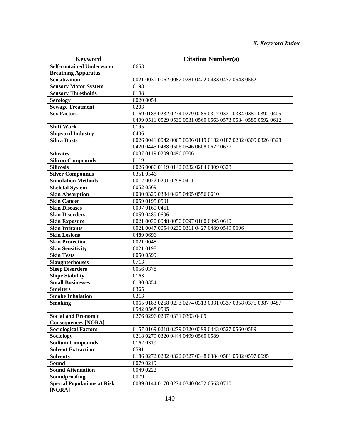| <b>Keyword</b>                                           | <b>Citation Number(s)</b>                                   |
|----------------------------------------------------------|-------------------------------------------------------------|
| <b>Self-contained Underwater</b>                         | 0653                                                        |
| <b>Breathing Apparatus</b>                               |                                                             |
| <b>Sensitization</b>                                     | 0021 0031 0062 0082 0281 0422 0433 0477 0543 0562           |
| <b>Sensory Motor System</b>                              | 0198                                                        |
| <b>Sensory Thresholds</b>                                | 0198                                                        |
| <b>Serology</b>                                          | 0020 0054                                                   |
| <b>Sewage Treatment</b>                                  | 0203                                                        |
| <b>Sex Factors</b>                                       | 0169 0183 0232 0274 0279 0285 0317 0321 0334 0381 0392 0405 |
|                                                          | 0499 0511 0529 0530 0531 0560 0563 0573 0584 0585 0592 0612 |
| <b>Shift Work</b>                                        | 0195                                                        |
| <b>Shipyard Industry</b>                                 | 0406                                                        |
| <b>Silica Dusts</b>                                      | 0026 0041 0042 0065 0086 0119 0182 0187 0232 0309 0326 0328 |
|                                                          | 0420 0445 0488 0506 0546 0608 0622 0627                     |
| <b>Silicates</b>                                         | 0037 0119 0209 0496 0506                                    |
| <b>Silicon Compounds</b>                                 | 0119                                                        |
| <b>Silicosis</b>                                         | 0026 0086 0119 0142 0232 0284 0309 0328                     |
| <b>Silver Compounds</b>                                  | 0351 0546                                                   |
| <b>Simulation Methods</b>                                | 0017 0022 0291 0298 0411                                    |
| <b>Skeletal System</b>                                   | 0052 0569                                                   |
| <b>Skin Absorption</b>                                   | 0030 0329 0384 0425 0495 0556 0610                          |
| <b>Skin Cancer</b>                                       | 0059 0195 0501                                              |
| <b>Skin Diseases</b>                                     | 0097 0160 0461                                              |
| <b>Skin Disorders</b>                                    | 0059 0489 0696                                              |
| <b>Skin Exposure</b>                                     | 0021 0030 0048 0050 0097 0160 0495 0610                     |
| <b>Skin Irritants</b>                                    | 0021 0047 0054 0230 0311 0427 0489 0549 0696                |
| <b>Skin Lesions</b>                                      | 0489 0696                                                   |
| <b>Skin Protection</b>                                   | 0021 0048                                                   |
| <b>Skin Sensitivity</b>                                  | 0021 0198                                                   |
| <b>Skin Tests</b>                                        | 0050 0599                                                   |
| <b>Slaughterhouses</b>                                   | 0713                                                        |
| <b>Sleep Disorders</b>                                   | 0056 0378                                                   |
| <b>Slope Stability</b>                                   | 0163                                                        |
| <b>Small Businesses</b>                                  | 0180 0354                                                   |
| <b>Smelters</b>                                          | 0365                                                        |
| <b>Smoke Inhalation</b>                                  | 0313                                                        |
| <b>Smoking</b>                                           | 0065 0183 0268 0273 0274 0313 0331 0337 0358 0375 0387 0487 |
|                                                          | 0542 0568 0595                                              |
| <b>Social and Economic</b><br><b>Consequences [NORA]</b> | 0276 0296 0297 0331 0393 0409                               |
| <b>Sociological Factors</b>                              | 0157 0169 0218 0279 0320 0399 0443 0527 0560 0589           |
| Sociology                                                | 0218 0279 0320 0444 0499 0560 0589                          |
| <b>Sodium Compounds</b>                                  | 0162 0319                                                   |
| <b>Solvent Extraction</b>                                | 0591                                                        |
| <b>Solvents</b>                                          | 0186 0272 0282 0322 0327 0348 0384 0581 0582 0597 0695      |
| <b>Sound</b>                                             | 0079 0219                                                   |
| <b>Sound Attenuation</b>                                 | 0049 0222                                                   |
| Soundproofing                                            | 0079                                                        |
| <b>Special Populations at Risk</b>                       | 0089 0144 0170 0274 0340 0432 0563 0710                     |
| [NORA]                                                   |                                                             |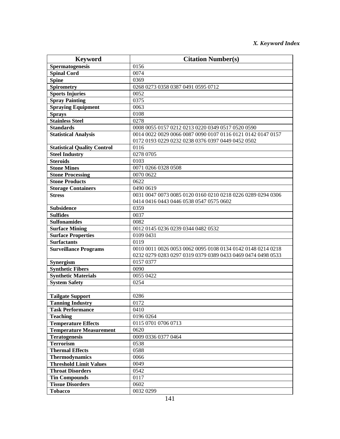| <b>Keyword</b>                     | <b>Citation Number(s)</b>                                   |
|------------------------------------|-------------------------------------------------------------|
| <b>Spermatogenesis</b>             | 0156                                                        |
| <b>Spinal Cord</b>                 | 0074                                                        |
| <b>Spine</b>                       | 0369                                                        |
| <b>Spirometry</b>                  | 0268 0273 0358 0387 0491 0595 0712                          |
| <b>Sports Injuries</b>             | 0052                                                        |
| <b>Spray Painting</b>              | 0375                                                        |
| <b>Spraying Equipment</b>          | 0063                                                        |
| <b>Sprays</b>                      | 0108                                                        |
| <b>Stainless Steel</b>             | 0278                                                        |
| <b>Standards</b>                   | 0008 0055 0157 0212 0213 0220 0349 0517 0520 0590           |
| <b>Statistical Analysis</b>        | 0014 0022 0029 0066 0087 0090 0107 0116 0121 0142 0147 0157 |
|                                    | 0172 0193 0229 0232 0238 0376 0397 0449 0452 0502           |
| <b>Statistical Quality Control</b> | 0116                                                        |
| <b>Steel Industry</b>              | 0278 0705                                                   |
| <b>Steroids</b>                    | 0103                                                        |
| <b>Stone Mines</b>                 | 0071 0266 0328 0508                                         |
| <b>Stone Processing</b>            | 0070 0622                                                   |
| <b>Stone Products</b>              | 0622                                                        |
| <b>Storage Containers</b>          | 0490 0619                                                   |
| <b>Stress</b>                      | 0031 0047 0073 0085 0120 0160 0210 0218 0226 0289 0294 0306 |
|                                    | 0414 0416 0443 0446 0538 0547 0575 0602                     |
| <b>Subsidence</b>                  | 0359                                                        |
| <b>Sulfides</b>                    | 0037                                                        |
| <b>Sulfonamides</b>                | 0082                                                        |
| <b>Surface Mining</b>              | 0012 0145 0236 0239 0344 0482 0532                          |
| <b>Surface Properties</b>          | 0109 0431                                                   |
| <b>Surfactants</b>                 | 0119                                                        |
| <b>Surveillance Programs</b>       | 0010 0011 0026 0053 0062 0095 0108 0134 0142 0148 0214 0218 |
|                                    | 0232 0279 0283 0297 0319 0379 0389 0433 0469 0474 0498 0533 |
| Synergism                          | 0157 0377                                                   |
| <b>Synthetic Fibers</b>            | 0090                                                        |
| <b>Synthetic Materials</b>         | 0055 0422                                                   |
| <b>System Safety</b>               | 0254                                                        |
|                                    |                                                             |
| <b>Tailgate Support</b>            | 0286                                                        |
| <b>Tanning Industry</b>            | 0172                                                        |
| <b>Task Performance</b>            | 0410                                                        |
| <b>Teaching</b>                    | 0196 0264                                                   |
| <b>Temperature Effects</b>         | 0115 0701 0706 0713                                         |
| <b>Temperature Measurement</b>     | 0620                                                        |
| <b>Teratogenesis</b>               | 0009 0336 0377 0464                                         |
| <b>Terrorism</b>                   | 0538                                                        |
| <b>Thermal Effects</b>             | 0588                                                        |
| <b>Thermodynamics</b>              | 0066                                                        |
| <b>Threshold Limit Values</b>      | 0049                                                        |
| <b>Throat Disorders</b>            | 0542                                                        |
| <b>Tin Compounds</b>               | 0117                                                        |
| <b>Tissue Disorders</b>            | 0602                                                        |
| <b>Tobacco</b>                     | 0032 0299                                                   |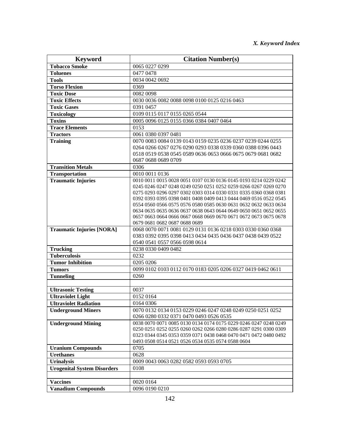| <b>Keyword</b>                     | <b>Citation Number(s)</b>                                                                    |
|------------------------------------|----------------------------------------------------------------------------------------------|
| <b>Tobacco Smoke</b>               | 0065 0227 0299                                                                               |
| <b>Toluenes</b>                    | 0477 0478                                                                                    |
| <b>Tools</b>                       | 0034 0042 0692                                                                               |
| <b>Torso Flexion</b>               | 0369                                                                                         |
| <b>Toxic Dose</b>                  | 0082 0098                                                                                    |
| <b>Toxic Effects</b>               | 0030 0036 0082 0088 0098 0100 0125 0216 0463                                                 |
| <b>Toxic Gases</b>                 | 0391 0457                                                                                    |
| <b>Toxicology</b>                  | 0109 0115 0117 0155 0265 0544                                                                |
| <b>Toxins</b>                      | 0005 0096 0125 0155 0366 0384 0407 0464                                                      |
| <b>Trace Elements</b>              | 0153                                                                                         |
| <b>Tractors</b>                    | 0061 0380 0397 0481                                                                          |
| <b>Training</b>                    | 0070 0083 0084 0139 0143 0159 0235 0236 0237 0239 0244 0255                                  |
|                                    | 0264 0266 0267 0276 0290 0293 0338 0339 0360 0388 0396 0443                                  |
|                                    | 0518 0519 0538 0545 0589 0636 0653 0666 0675 0679 0681 0682                                  |
|                                    | 0687 0688 0689 0709                                                                          |
| <b>Transition Metals</b>           | 0306                                                                                         |
| <b>Transportation</b>              | 0010 0011 0136                                                                               |
| <b>Traumatic Injuries</b>          | 0010 0011 0015 0028 0051 0107 0130 0136 0145 0193 0214 0229 0242                             |
|                                    | 0245 0246 0247 0248 0249 0250 0251 0252 0259 0266 0267 0269 0270                             |
|                                    | 0275 0293 0296 0297 0302 0303 0314 0330 0331 0335 0360 0368 0381                             |
|                                    | 0392 0393 0395 0398 0401 0408 0409 0413 0444 0469 0516 0522 0545                             |
|                                    | 0554 0560 0566 0575 0576 0580 0585 0630 0631 0632 0632 0633 0634                             |
|                                    | 0634 0635 0635 0636 0637 0638 0643 0644 0649 0650 0651 0652 0655                             |
|                                    | 0657 0663 0664 0666 0667 0668 0669 0670 0671 0672 0673 0675 0678                             |
| <b>Traumatic Injuries [NORA]</b>   | 0679 0681 0682 0687 0688 0689<br>0068 0070 0071 0081 0129 0131 0136 0218 0303 0330 0360 0368 |
|                                    | 0383 0392 0395 0398 0413 0434 0435 0436 0437 0438 0439 0522                                  |
|                                    | 0540 0541 0557 0566 0598 0614                                                                |
| <b>Trucking</b>                    | 0238 0330 0409 0482                                                                          |
| <b>Tuberculosis</b>                | 0232                                                                                         |
| <b>Tumor Inhibition</b>            | 0205 0206                                                                                    |
| <b>Tumors</b>                      | 0099 0102 0103 0112 0170 0183 0205 0206 0327 0419 0462 0611                                  |
| <b>Tunneling</b>                   | 0260                                                                                         |
|                                    |                                                                                              |
| <b>Ultrasonic Testing</b>          | 0037                                                                                         |
| <b>Ultraviolet Light</b>           | 0152 0164                                                                                    |
| <b>Ultraviolet Radiation</b>       | 0164 0306                                                                                    |
| <b>Underground Miners</b>          | 0070 0132 0134 0153 0229 0246 0247 0248 0249 0250 0251 0252                                  |
|                                    | 0266 0280 0332 0371 0470 0493 0526 0535                                                      |
| <b>Underground Mining</b>          | 0038 0070 0071 0085 0130 0134 0174 0175 0229 0246 0247 0248 0249                             |
|                                    | 0250 0251 0252 0255 0260 0262 0266 0280 0286 0287 0291 0300 0309                             |
|                                    | 0323 0344 0345 0353 0359 0371 0438 0468 0470 0471 0472 0480 0492                             |
|                                    | 0493 0508 0514 0521 0526 0534 0535 0574 0588 0604                                            |
| <b>Uranium Compounds</b>           | 0705                                                                                         |
| <b>Urethanes</b>                   | 0628                                                                                         |
| <b>Urinalysis</b>                  | 0009 0043 0063 0282 0582 0593 0593 0705                                                      |
| <b>Urogenital System Disorders</b> | 0108                                                                                         |
|                                    |                                                                                              |
| <b>Vaccines</b>                    | 0020 0164                                                                                    |
| <b>Vanadium Compounds</b>          | 0096 0190 0210                                                                               |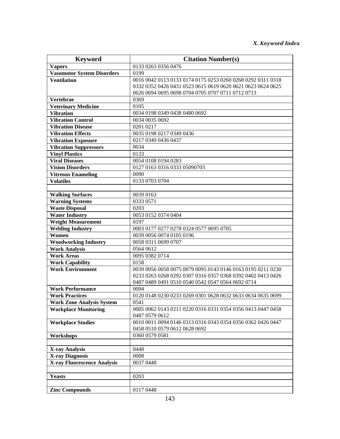| <b>Keyword</b>                     | <b>Citation Number(s)</b>                                                                                                  |
|------------------------------------|----------------------------------------------------------------------------------------------------------------------------|
| <b>Vapors</b>                      | 0133 0263 0356 0476                                                                                                        |
| <b>Vasomotor System Disorders</b>  | 0199                                                                                                                       |
| <b>Ventilation</b>                 | 0016 0042 0113 0133 0174 0175 0253 0260 0268 0292 0311 0318                                                                |
|                                    | 0332 0352 0426 0431 0523 0615 0619 0620 0621 0623 0624 0625                                                                |
|                                    | 0626 0694 0695 0698 0704 0705 0707 0711 0712 0713                                                                          |
| Vertebrae                          | 0369                                                                                                                       |
| <b>Veterinary Medicine</b>         | 0105                                                                                                                       |
| <b>Vibration</b>                   | 0034 0198 0349 0438 0480 0692                                                                                              |
| <b>Vibration Control</b>           | 0034 0035 0692                                                                                                             |
| <b>Vibration Disease</b>           | 0201 0217                                                                                                                  |
| <b>Vibration Effects</b>           | 0035 0198 0217 0349 0436                                                                                                   |
| <b>Vibration Exposure</b>          | 0217 0349 0436 0437                                                                                                        |
| <b>Vibration Suppressors</b>       | 0034                                                                                                                       |
| <b>Vinyl Plastics</b>              | 0133                                                                                                                       |
| <b>Viral Diseases</b>              | 0054 0108 0194 0283                                                                                                        |
| <b>Vision Disorders</b>            | 0127 0163 0316 0333 05090703                                                                                               |
| <b>Vitreous Enameling</b>          | 0090                                                                                                                       |
| <b>Volatiles</b>                   | 0133 0703 0704                                                                                                             |
|                                    |                                                                                                                            |
| <b>Walking Surfaces</b>            | 0039 0163                                                                                                                  |
| <b>Warning Systems</b>             | 0333 0571                                                                                                                  |
| <b>Waste Disposal</b>              | 0203                                                                                                                       |
| <b>Water Industry</b>              | 0053 0152 0374 0404                                                                                                        |
| <b>Weight Measurement</b>          | 0197                                                                                                                       |
| <b>Welding Industry</b>            | 0003 0177 0277 0278 0324 0577 0695 0705                                                                                    |
| Women                              | 0039 0056 0074 0105 0196                                                                                                   |
| <b>Woodworking Industry</b>        | 0058 0311 0699 0707                                                                                                        |
| <b>Work Analysis</b>               | 0564 0612                                                                                                                  |
| <b>Work Areas</b>                  | 0095 0382 0714                                                                                                             |
| <b>Work Capability</b>             | 0158                                                                                                                       |
| <b>Work Environment</b>            | 0039 0056 0058 0075 0079 0095 0143 0146 0163 0195 0211 0230<br>0233 0263 0268 0292 0307 0316 0357 0368 0392 0402 0413 0426 |
|                                    | 0487 0489 0491 0510 0540 0542 0547 0564 0692 0714                                                                          |
| <b>Work Performance</b>            | 0094                                                                                                                       |
| <b>Work Practices</b>              | 0120 0148 0230 0233 0269 0301 0628 0632 0633 0634 0635 0699                                                                |
| <b>Work Zone Analysis System</b>   | 0541                                                                                                                       |
| <b>Workplace Monitoring</b>        | 0005 0062 0143 0211 0220 0316 0331 0354 0356 0413 0447 0458                                                                |
|                                    | 0487 0579 0612                                                                                                             |
| <b>Workplace Studies</b>           | 0010 0011 0094 0146 0313 0316 0343 0354 0356 0362 0426 0447                                                                |
|                                    | 0458 0510 0579 0612 0628 0692                                                                                              |
| Workshops                          | 0360 0579 0581                                                                                                             |
|                                    |                                                                                                                            |
| <b>X-ray Analysis</b>              | 0448                                                                                                                       |
| <b>X-ray Diagnosis</b>             | 0008                                                                                                                       |
| <b>X-ray Fluorescence Analysis</b> | 0037 0448                                                                                                                  |
|                                    |                                                                                                                            |
| <b>Yeasts</b>                      | 0203                                                                                                                       |
|                                    |                                                                                                                            |
| <b>Zinc Compounds</b>              | 0117 0448                                                                                                                  |